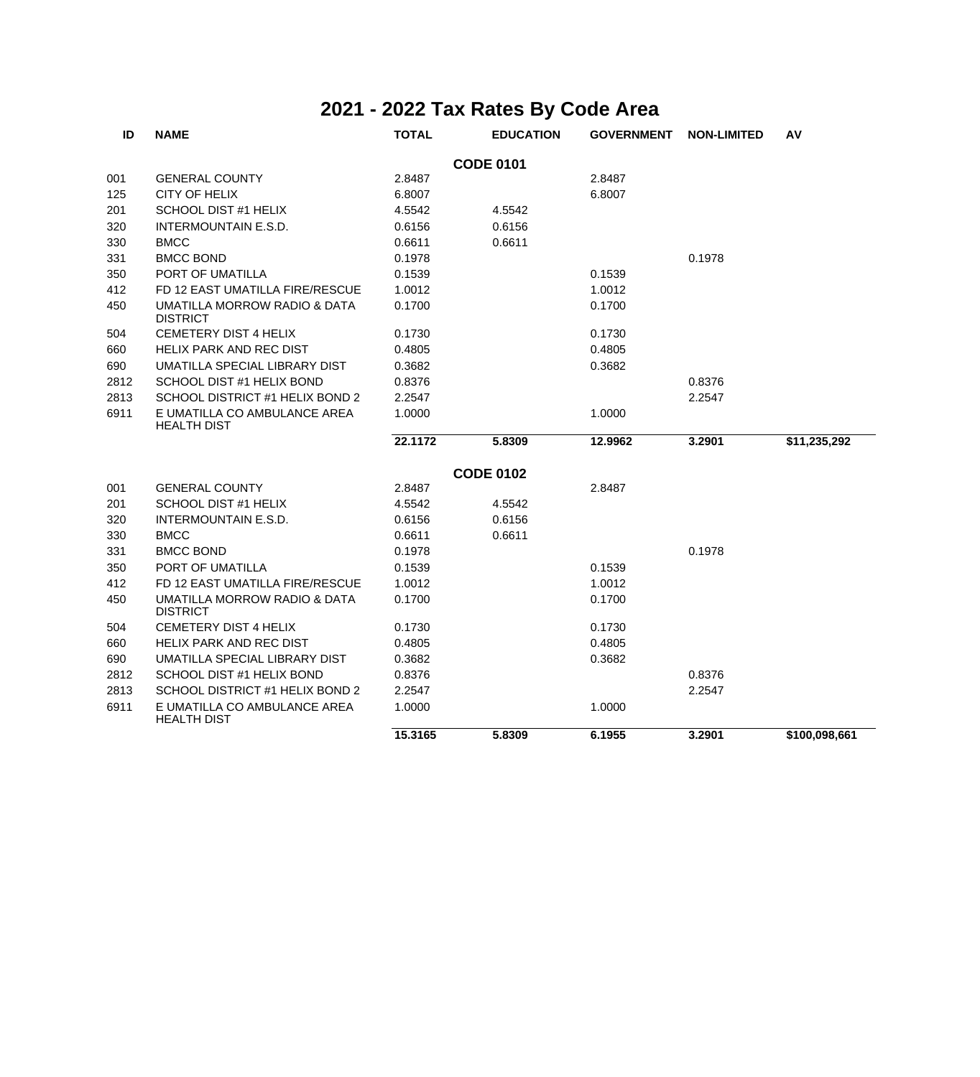| ID               | <b>NAME</b>                                     | <b>TOTAL</b> | <b>EDUCATION</b> | <b>GOVERNMENT</b> | <b>NON-LIMITED</b> | AV            |  |  |  |
|------------------|-------------------------------------------------|--------------|------------------|-------------------|--------------------|---------------|--|--|--|
| <b>CODE 0101</b> |                                                 |              |                  |                   |                    |               |  |  |  |
| 001              | <b>GENERAL COUNTY</b>                           | 2.8487       |                  | 2.8487            |                    |               |  |  |  |
| 125              | CITY OF HELIX                                   | 6.8007       |                  | 6.8007            |                    |               |  |  |  |
| 201              | SCHOOL DIST #1 HELIX                            | 4.5542       | 4.5542           |                   |                    |               |  |  |  |
| 320              | <b>INTERMOUNTAIN E.S.D.</b>                     | 0.6156       | 0.6156           |                   |                    |               |  |  |  |
| 330              | <b>BMCC</b>                                     | 0.6611       | 0.6611           |                   |                    |               |  |  |  |
| 331              | <b>BMCC BOND</b>                                | 0.1978       |                  |                   | 0.1978             |               |  |  |  |
| 350              | PORT OF UMATILLA                                | 0.1539       |                  | 0.1539            |                    |               |  |  |  |
| 412              | FD 12 EAST UMATILLA FIRE/RESCUE                 | 1.0012       |                  | 1.0012            |                    |               |  |  |  |
| 450              | UMATILLA MORROW RADIO & DATA<br><b>DISTRICT</b> | 0.1700       |                  | 0.1700            |                    |               |  |  |  |
| 504              | <b>CEMETERY DIST 4 HELIX</b>                    | 0.1730       |                  | 0.1730            |                    |               |  |  |  |
| 660              | HELIX PARK AND REC DIST                         | 0.4805       |                  | 0.4805            |                    |               |  |  |  |
| 690              | UMATILLA SPECIAL LIBRARY DIST                   | 0.3682       |                  | 0.3682            |                    |               |  |  |  |
| 2812             | SCHOOL DIST #1 HELIX BOND                       | 0.8376       |                  |                   | 0.8376             |               |  |  |  |
| 2813             | SCHOOL DISTRICT #1 HELIX BOND 2                 | 2.2547       |                  |                   | 2.2547             |               |  |  |  |
| 6911             | E UMATILLA CO AMBULANCE AREA<br>HEALTH DIST     | 1.0000       |                  | 1.0000            |                    |               |  |  |  |
|                  |                                                 | 22.1172      | 5.8309           | 12.9962           | 3.2901             | \$11,235,292  |  |  |  |
|                  |                                                 |              | <b>CODE 0102</b> |                   |                    |               |  |  |  |
| 001              | <b>GENERAL COUNTY</b>                           | 2.8487       |                  | 2.8487            |                    |               |  |  |  |
| 201              | SCHOOL DIST #1 HELIX                            | 4.5542       | 4.5542           |                   |                    |               |  |  |  |
| 320              | <b>INTERMOUNTAIN E.S.D.</b>                     | 0.6156       | 0.6156           |                   |                    |               |  |  |  |
| 330              | <b>BMCC</b>                                     | 0.6611       | 0.6611           |                   |                    |               |  |  |  |
| 331              | <b>BMCC BOND</b>                                | 0.1978       |                  |                   | 0.1978             |               |  |  |  |
| 350              | PORT OF UMATILLA                                | 0.1539       |                  | 0.1539            |                    |               |  |  |  |
| 412              | FD 12 EAST UMATILLA FIRE/RESCUE                 | 1.0012       |                  | 1.0012            |                    |               |  |  |  |
| 450              | UMATILLA MORROW RADIO & DATA<br><b>DISTRICT</b> | 0.1700       |                  | 0.1700            |                    |               |  |  |  |
| 504              | <b>CEMETERY DIST 4 HELIX</b>                    | 0.1730       |                  | 0.1730            |                    |               |  |  |  |
| 660              | HELIX PARK AND REC DIST                         | 0.4805       |                  | 0.4805            |                    |               |  |  |  |
| 690              | UMATILLA SPECIAL LIBRARY DIST                   | 0.3682       |                  | 0.3682            |                    |               |  |  |  |
| 2812             | SCHOOL DIST #1 HELIX BOND                       | 0.8376       |                  |                   | 0.8376             |               |  |  |  |
| 2813             | SCHOOL DISTRICT #1 HELIX BOND 2                 | 2.2547       |                  |                   | 2.2547             |               |  |  |  |
| 6911             | E UMATILLA CO AMBULANCE AREA<br>HEALTH DIST     | 1.0000       |                  | 1.0000            |                    |               |  |  |  |
|                  |                                                 | 15.3165      | 5.8309           | 6.1955            | 3.2901             | \$100,098,661 |  |  |  |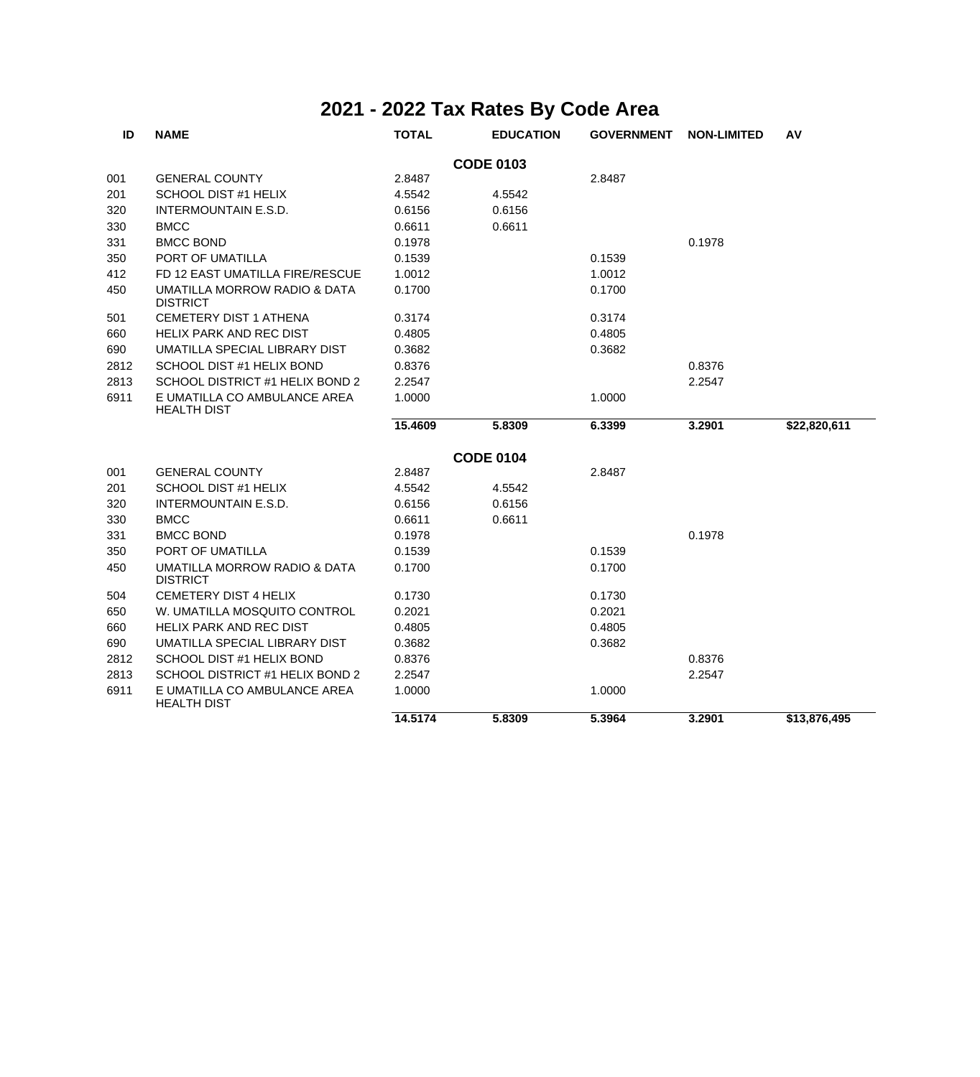| ID               | <b>NAME</b>                                        | <b>TOTAL</b> | <b>EDUCATION</b> | <b>GOVERNMENT</b> | <b>NON-LIMITED</b> | AV           |  |  |  |
|------------------|----------------------------------------------------|--------------|------------------|-------------------|--------------------|--------------|--|--|--|
| <b>CODE 0103</b> |                                                    |              |                  |                   |                    |              |  |  |  |
| 001              | <b>GENERAL COUNTY</b>                              | 2.8487       |                  | 2.8487            |                    |              |  |  |  |
| 201              | <b>SCHOOL DIST #1 HELIX</b>                        | 4.5542       | 4.5542           |                   |                    |              |  |  |  |
| 320              | INTERMOUNTAIN E.S.D.                               | 0.6156       | 0.6156           |                   |                    |              |  |  |  |
| 330              | <b>BMCC</b>                                        | 0.6611       | 0.6611           |                   |                    |              |  |  |  |
| 331              | <b>BMCC BOND</b>                                   | 0.1978       |                  |                   | 0.1978             |              |  |  |  |
| 350              | PORT OF UMATILLA                                   | 0.1539       |                  | 0.1539            |                    |              |  |  |  |
| 412              | FD 12 EAST UMATILLA FIRE/RESCUE                    | 1.0012       |                  | 1.0012            |                    |              |  |  |  |
| 450              | UMATILLA MORROW RADIO & DATA<br><b>DISTRICT</b>    | 0.1700       |                  | 0.1700            |                    |              |  |  |  |
| 501              | <b>CEMETERY DIST 1 ATHENA</b>                      | 0.3174       |                  | 0.3174            |                    |              |  |  |  |
| 660              | <b>HELIX PARK AND REC DIST</b>                     | 0.4805       |                  | 0.4805            |                    |              |  |  |  |
| 690              | UMATILLA SPECIAL LIBRARY DIST                      | 0.3682       |                  | 0.3682            |                    |              |  |  |  |
| 2812             | SCHOOL DIST #1 HELIX BOND                          | 0.8376       |                  |                   | 0.8376             |              |  |  |  |
| 2813             | SCHOOL DISTRICT #1 HELIX BOND 2                    | 2.2547       |                  |                   | 2.2547             |              |  |  |  |
| 6911             | E UMATILLA CO AMBULANCE AREA<br><b>HEALTH DIST</b> | 1.0000       |                  | 1.0000            |                    |              |  |  |  |
|                  |                                                    | 15.4609      | 5.8309           | 6.3399            | 3.2901             | \$22,820,611 |  |  |  |
|                  |                                                    |              | <b>CODE 0104</b> |                   |                    |              |  |  |  |
| 001              | <b>GENERAL COUNTY</b>                              | 2.8487       |                  | 2.8487            |                    |              |  |  |  |
| 201              | SCHOOL DIST #1 HELIX                               | 4.5542       | 4.5542           |                   |                    |              |  |  |  |
| 320              | <b>INTERMOUNTAIN E.S.D.</b>                        | 0.6156       | 0.6156           |                   |                    |              |  |  |  |
| 330              | <b>BMCC</b>                                        | 0.6611       | 0.6611           |                   |                    |              |  |  |  |
| 331              | <b>BMCC BOND</b>                                   | 0.1978       |                  |                   | 0.1978             |              |  |  |  |
| 350              | PORT OF UMATILLA                                   | 0.1539       |                  | 0.1539            |                    |              |  |  |  |
| 450              | UMATILLA MORROW RADIO & DATA<br><b>DISTRICT</b>    | 0.1700       |                  | 0.1700            |                    |              |  |  |  |
| 504              | <b>CEMETERY DIST 4 HELIX</b>                       | 0.1730       |                  | 0.1730            |                    |              |  |  |  |
| 650              | W. UMATILLA MOSQUITO CONTROL                       | 0.2021       |                  | 0.2021            |                    |              |  |  |  |
| 660              | <b>HELIX PARK AND REC DIST</b>                     | 0.4805       |                  | 0.4805            |                    |              |  |  |  |
| 690              | UMATILLA SPECIAL LIBRARY DIST                      | 0.3682       |                  | 0.3682            |                    |              |  |  |  |
| 2812             | SCHOOL DIST #1 HELIX BOND                          | 0.8376       |                  |                   | 0.8376             |              |  |  |  |
| 2813             | SCHOOL DISTRICT #1 HELIX BOND 2                    | 2.2547       |                  |                   | 2.2547             |              |  |  |  |
| 6911             | E UMATILLA CO AMBULANCE AREA<br><b>HEALTH DIST</b> | 1.0000       |                  | 1.0000            |                    |              |  |  |  |
|                  |                                                    | 14.5174      | 5.8309           | 5.3964            | 3.2901             | \$13,876,495 |  |  |  |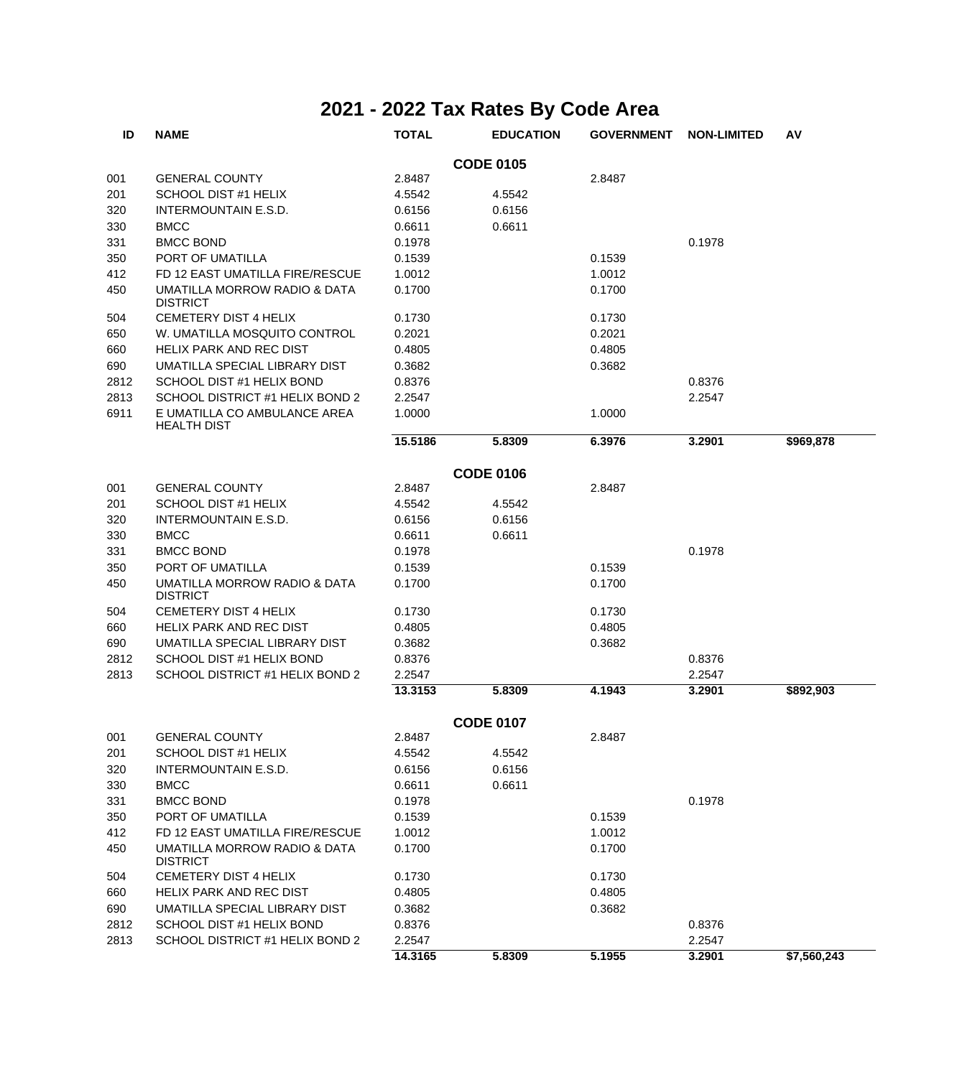| ID   | <b>NAME</b>                                        | <b>TOTAL</b> | <b>EDUCATION</b> | <b>GOVERNMENT</b> | <b>NON-LIMITED</b> | AV          |
|------|----------------------------------------------------|--------------|------------------|-------------------|--------------------|-------------|
|      |                                                    |              | <b>CODE 0105</b> |                   |                    |             |
| 001  | <b>GENERAL COUNTY</b>                              | 2.8487       |                  | 2.8487            |                    |             |
| 201  | SCHOOL DIST #1 HELIX                               | 4.5542       | 4.5542           |                   |                    |             |
| 320  | INTERMOUNTAIN E.S.D.                               | 0.6156       | 0.6156           |                   |                    |             |
| 330  | <b>BMCC</b>                                        | 0.6611       | 0.6611           |                   |                    |             |
| 331  | <b>BMCC BOND</b>                                   | 0.1978       |                  |                   | 0.1978             |             |
| 350  | PORT OF UMATILLA                                   | 0.1539       |                  | 0.1539            |                    |             |
| 412  | FD 12 EAST UMATILLA FIRE/RESCUE                    | 1.0012       |                  | 1.0012            |                    |             |
| 450  | UMATILLA MORROW RADIO & DATA<br><b>DISTRICT</b>    | 0.1700       |                  | 0.1700            |                    |             |
| 504  | CEMETERY DIST 4 HELIX                              | 0.1730       |                  | 0.1730            |                    |             |
| 650  | W. UMATILLA MOSQUITO CONTROL                       | 0.2021       |                  | 0.2021            |                    |             |
| 660  | <b>HELIX PARK AND REC DIST</b>                     | 0.4805       |                  | 0.4805            |                    |             |
| 690  | UMATILLA SPECIAL LIBRARY DIST                      | 0.3682       |                  | 0.3682            |                    |             |
| 2812 | SCHOOL DIST #1 HELIX BOND                          | 0.8376       |                  |                   | 0.8376             |             |
| 2813 | SCHOOL DISTRICT #1 HELIX BOND 2                    | 2.2547       |                  |                   | 2.2547             |             |
| 6911 | E UMATILLA CO AMBULANCE AREA<br><b>HEALTH DIST</b> | 1.0000       |                  | 1.0000            |                    |             |
|      |                                                    | 15.5186      | 5.8309           | 6.3976            | 3.2901             | \$969,878   |
|      |                                                    |              | <b>CODE 0106</b> |                   |                    |             |
| 001  | <b>GENERAL COUNTY</b>                              | 2.8487       |                  | 2.8487            |                    |             |
| 201  | SCHOOL DIST #1 HELIX                               | 4.5542       | 4.5542           |                   |                    |             |
| 320  | INTERMOUNTAIN E.S.D.                               | 0.6156       | 0.6156           |                   |                    |             |
| 330  | <b>BMCC</b>                                        | 0.6611       | 0.6611           |                   |                    |             |
| 331  | <b>BMCC BOND</b>                                   | 0.1978       |                  |                   | 0.1978             |             |
| 350  | PORT OF UMATILLA                                   | 0.1539       |                  | 0.1539            |                    |             |
| 450  | UMATILLA MORROW RADIO & DATA<br><b>DISTRICT</b>    | 0.1700       |                  | 0.1700            |                    |             |
| 504  | CEMETERY DIST 4 HELIX                              | 0.1730       |                  | 0.1730            |                    |             |
| 660  | HELIX PARK AND REC DIST                            | 0.4805       |                  | 0.4805            |                    |             |
| 690  | UMATILLA SPECIAL LIBRARY DIST                      | 0.3682       |                  | 0.3682            |                    |             |
| 2812 | SCHOOL DIST #1 HELIX BOND                          | 0.8376       |                  |                   | 0.8376             |             |
| 2813 | SCHOOL DISTRICT #1 HELIX BOND 2                    | 2.2547       |                  |                   | 2.2547             |             |
|      |                                                    | 13.3153      | 5.8309           | 4.1943            | 3.2901             | \$892,903   |
|      |                                                    |              | <b>CODE 0107</b> |                   |                    |             |
| 001  | <b>GENERAL COUNTY</b>                              | 2.8487       |                  | 2.8487            |                    |             |
| 201  | SCHOOL DIST #1 HELIX                               | 4.5542       | 4.5542           |                   |                    |             |
| 320  | INTERMOUNTAIN E.S.D.                               | 0.6156       | 0.6156           |                   |                    |             |
| 330  | <b>BMCC</b>                                        | 0.6611       | 0.6611           |                   |                    |             |
| 331  | <b>BMCC BOND</b>                                   | 0.1978       |                  |                   | 0.1978             |             |
| 350  | PORT OF UMATILLA                                   | 0.1539       |                  | 0.1539            |                    |             |
| 412  | FD 12 EAST UMATILLA FIRE/RESCUE                    | 1.0012       |                  | 1.0012            |                    |             |
| 450  | UMATILLA MORROW RADIO & DATA<br><b>DISTRICT</b>    | 0.1700       |                  | 0.1700            |                    |             |
| 504  | CEMETERY DIST 4 HELIX                              | 0.1730       |                  | 0.1730            |                    |             |
| 660  | HELIX PARK AND REC DIST                            | 0.4805       |                  | 0.4805            |                    |             |
| 690  | UMATILLA SPECIAL LIBRARY DIST                      | 0.3682       |                  | 0.3682            |                    |             |
| 2812 | SCHOOL DIST #1 HELIX BOND                          | 0.8376       |                  |                   | 0.8376             |             |
| 2813 | SCHOOL DISTRICT #1 HELIX BOND 2                    | 2.2547       |                  |                   | 2.2547             |             |
|      |                                                    | 14.3165      | 5.8309           | 5.1955            | 3.2901             | \$7,560,243 |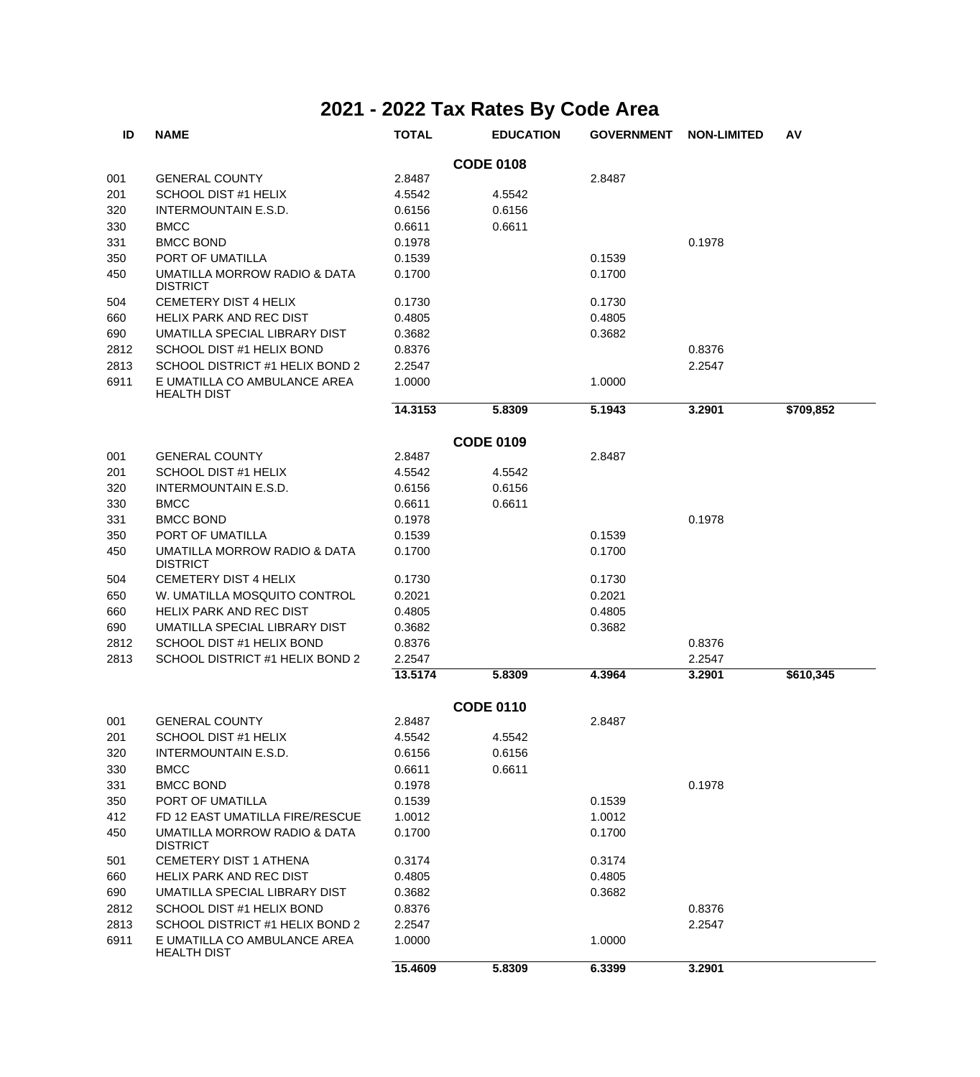| ID   | <b>NAME</b>                                                | <b>TOTAL</b> | <b>EDUCATION</b> | <b>GOVERNMENT</b> | <b>NON-LIMITED</b> | AV        |
|------|------------------------------------------------------------|--------------|------------------|-------------------|--------------------|-----------|
|      |                                                            |              | <b>CODE 0108</b> |                   |                    |           |
| 001  | <b>GENERAL COUNTY</b>                                      | 2.8487       |                  | 2.8487            |                    |           |
| 201  | SCHOOL DIST #1 HELIX                                       | 4.5542       | 4.5542           |                   |                    |           |
| 320  | INTERMOUNTAIN E.S.D.                                       | 0.6156       | 0.6156           |                   |                    |           |
| 330  | <b>BMCC</b>                                                | 0.6611       | 0.6611           |                   |                    |           |
| 331  | <b>BMCC BOND</b>                                           | 0.1978       |                  |                   | 0.1978             |           |
| 350  | PORT OF UMATILLA                                           | 0.1539       |                  | 0.1539            |                    |           |
| 450  | <b>UMATILLA MORROW RADIO &amp; DATA</b><br><b>DISTRICT</b> | 0.1700       |                  | 0.1700            |                    |           |
| 504  | <b>CEMETERY DIST 4 HELIX</b>                               | 0.1730       |                  | 0.1730            |                    |           |
| 660  | <b>HELIX PARK AND REC DIST</b>                             | 0.4805       |                  | 0.4805            |                    |           |
| 690  | UMATILLA SPECIAL LIBRARY DIST                              | 0.3682       |                  | 0.3682            |                    |           |
| 2812 | SCHOOL DIST #1 HELIX BOND                                  | 0.8376       |                  |                   | 0.8376             |           |
| 2813 | SCHOOL DISTRICT #1 HELIX BOND 2                            | 2.2547       |                  |                   | 2.2547             |           |
| 6911 | E UMATILLA CO AMBULANCE AREA<br><b>HEALTH DIST</b>         | 1.0000       |                  | 1.0000            |                    |           |
|      |                                                            | 14.3153      | 5.8309           | 5.1943            | 3.2901             | \$709,852 |
|      |                                                            |              | <b>CODE 0109</b> |                   |                    |           |
| 001  | <b>GENERAL COUNTY</b>                                      | 2.8487       |                  | 2.8487            |                    |           |
| 201  | SCHOOL DIST #1 HELIX                                       | 4.5542       | 4.5542           |                   |                    |           |
| 320  | INTERMOUNTAIN E.S.D.                                       | 0.6156       | 0.6156           |                   |                    |           |
| 330  | <b>BMCC</b>                                                | 0.6611       | 0.6611           |                   |                    |           |
| 331  | <b>BMCC BOND</b>                                           | 0.1978       |                  |                   | 0.1978             |           |
| 350  | PORT OF UMATILLA                                           | 0.1539       |                  | 0.1539            |                    |           |
| 450  | UMATILLA MORROW RADIO & DATA<br><b>DISTRICT</b>            | 0.1700       |                  | 0.1700            |                    |           |
| 504  | CEMETERY DIST 4 HELIX                                      | 0.1730       |                  | 0.1730            |                    |           |
| 650  | W. UMATILLA MOSQUITO CONTROL                               | 0.2021       |                  | 0.2021            |                    |           |
| 660  | <b>HELIX PARK AND REC DIST</b>                             | 0.4805       |                  | 0.4805            |                    |           |
| 690  | UMATILLA SPECIAL LIBRARY DIST                              | 0.3682       |                  | 0.3682            |                    |           |
| 2812 | SCHOOL DIST #1 HELIX BOND                                  | 0.8376       |                  |                   | 0.8376             |           |
| 2813 | SCHOOL DISTRICT #1 HELIX BOND 2                            | 2.2547       |                  |                   | 2.2547             |           |
|      |                                                            | 13.5174      | 5.8309           | 4.3964            | 3.2901             | \$610,345 |
|      |                                                            |              | <b>CODE 0110</b> |                   |                    |           |
| 001  | <b>GENERAL COUNTY</b>                                      | 2.8487       |                  | 2.8487            |                    |           |
| 201  | SCHOOL DIST #1 HELIX                                       | 4.5542       | 4.5542           |                   |                    |           |
| 320  | INTERMOUNTAIN E.S.D.                                       | 0.6156       | 0.6156           |                   |                    |           |
| 330  | <b>BMCC</b>                                                | 0.6611       | 0.6611           |                   |                    |           |
| 331  | <b>BMCC BOND</b>                                           | 0.1978       |                  |                   | 0.1978             |           |
| 350  | PORT OF UMATILLA                                           | 0.1539       |                  | 0.1539            |                    |           |
| 412  | FD 12 EAST UMATILLA FIRE/RESCUE                            | 1.0012       |                  | 1.0012            |                    |           |
| 450  | UMATILLA MORROW RADIO & DATA<br><b>DISTRICT</b>            | 0.1700       |                  | 0.1700            |                    |           |
| 501  | CEMETERY DIST 1 ATHENA                                     | 0.3174       |                  | 0.3174            |                    |           |
| 660  | HELIX PARK AND REC DIST                                    | 0.4805       |                  | 0.4805            |                    |           |
| 690  | UMATILLA SPECIAL LIBRARY DIST                              | 0.3682       |                  | 0.3682            |                    |           |
| 2812 | SCHOOL DIST #1 HELIX BOND                                  | 0.8376       |                  |                   | 0.8376             |           |
| 2813 | SCHOOL DISTRICT #1 HELIX BOND 2                            | 2.2547       |                  |                   | 2.2547             |           |
| 6911 | E UMATILLA CO AMBULANCE AREA<br><b>HEALTH DIST</b>         | 1.0000       |                  | 1.0000            |                    |           |
|      |                                                            | 15.4609      | 5.8309           | 6.3399            | 3.2901             |           |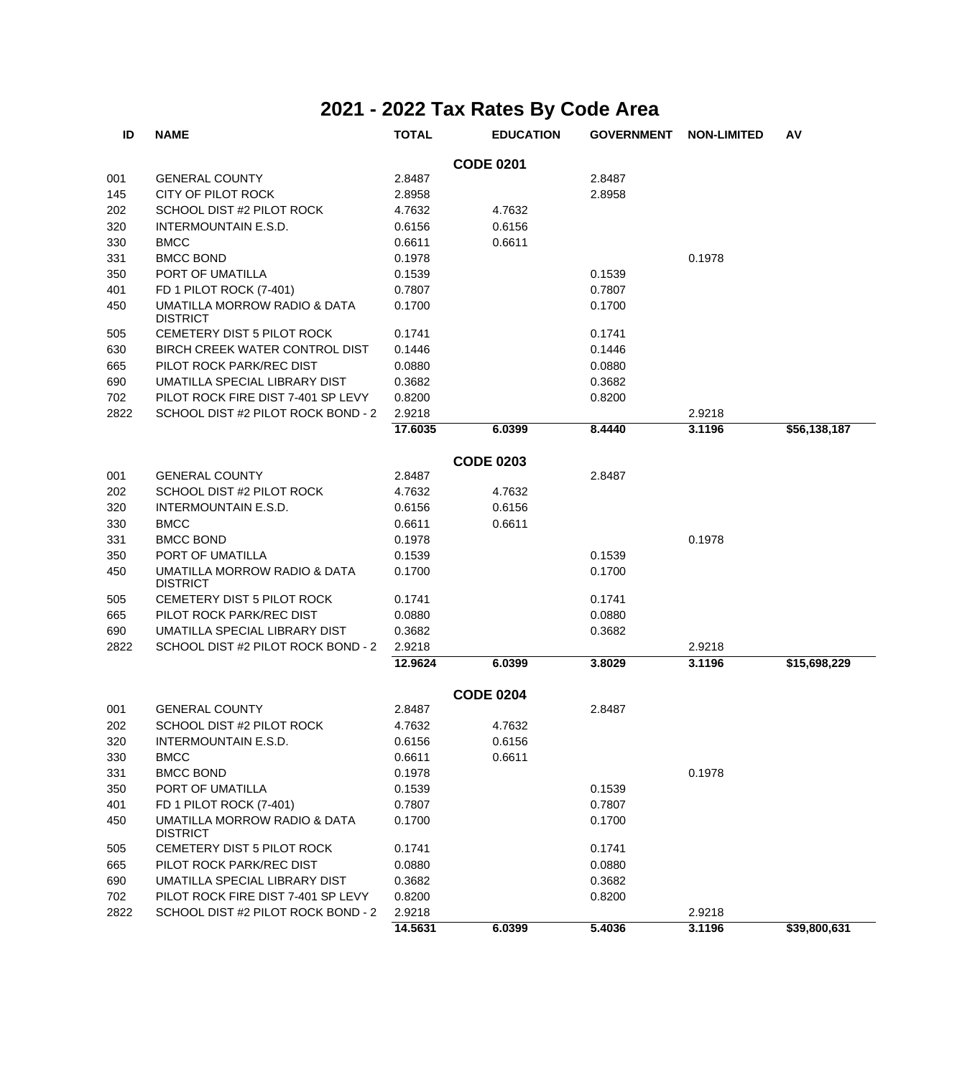| ID               | <b>NAME</b>                                     | <b>TOTAL</b> | <b>EDUCATION</b> | <b>GOVERNMENT</b> | <b>NON-LIMITED</b> | AV           |  |  |  |
|------------------|-------------------------------------------------|--------------|------------------|-------------------|--------------------|--------------|--|--|--|
| <b>CODE 0201</b> |                                                 |              |                  |                   |                    |              |  |  |  |
| 001              | <b>GENERAL COUNTY</b>                           | 2.8487       |                  | 2.8487            |                    |              |  |  |  |
| 145              | CITY OF PILOT ROCK                              | 2.8958       |                  | 2.8958            |                    |              |  |  |  |
| 202              | SCHOOL DIST #2 PILOT ROCK                       | 4.7632       | 4.7632           |                   |                    |              |  |  |  |
| 320              | <b>INTERMOUNTAIN E.S.D.</b>                     | 0.6156       | 0.6156           |                   |                    |              |  |  |  |
| 330              | <b>BMCC</b>                                     | 0.6611       | 0.6611           |                   |                    |              |  |  |  |
| 331              | <b>BMCC BOND</b>                                | 0.1978       |                  |                   | 0.1978             |              |  |  |  |
| 350              | PORT OF UMATILLA                                | 0.1539       |                  | 0.1539            |                    |              |  |  |  |
| 401              | FD 1 PILOT ROCK (7-401)                         | 0.7807       |                  | 0.7807            |                    |              |  |  |  |
| 450              | UMATILLA MORROW RADIO & DATA<br><b>DISTRICT</b> | 0.1700       |                  | 0.1700            |                    |              |  |  |  |
| 505              | CEMETERY DIST 5 PILOT ROCK                      | 0.1741       |                  | 0.1741            |                    |              |  |  |  |
| 630              | BIRCH CREEK WATER CONTROL DIST                  | 0.1446       |                  | 0.1446            |                    |              |  |  |  |
| 665              | PILOT ROCK PARK/REC DIST                        | 0.0880       |                  | 0.0880            |                    |              |  |  |  |
| 690              | UMATILLA SPECIAL LIBRARY DIST                   | 0.3682       |                  | 0.3682            |                    |              |  |  |  |
| 702              | PILOT ROCK FIRE DIST 7-401 SP LEVY              | 0.8200       |                  | 0.8200            |                    |              |  |  |  |
| 2822             | SCHOOL DIST #2 PILOT ROCK BOND - 2              | 2.9218       |                  |                   | 2.9218             |              |  |  |  |
|                  |                                                 | 17.6035      | 6.0399           | 8.4440            | 3.1196             | \$56,138,187 |  |  |  |
|                  |                                                 |              | <b>CODE 0203</b> |                   |                    |              |  |  |  |
| 001              | <b>GENERAL COUNTY</b>                           | 2.8487       |                  | 2.8487            |                    |              |  |  |  |
| 202              | SCHOOL DIST #2 PILOT ROCK                       | 4.7632       | 4.7632           |                   |                    |              |  |  |  |
| 320              | <b>INTERMOUNTAIN E.S.D.</b>                     | 0.6156       | 0.6156           |                   |                    |              |  |  |  |
| 330              | <b>BMCC</b>                                     | 0.6611       | 0.6611           |                   |                    |              |  |  |  |
| 331              | <b>BMCC BOND</b>                                | 0.1978       |                  |                   | 0.1978             |              |  |  |  |
| 350              | PORT OF UMATILLA                                | 0.1539       |                  | 0.1539            |                    |              |  |  |  |
| 450              | UMATILLA MORROW RADIO & DATA<br><b>DISTRICT</b> | 0.1700       |                  | 0.1700            |                    |              |  |  |  |
| 505              | CEMETERY DIST 5 PILOT ROCK                      | 0.1741       |                  | 0.1741            |                    |              |  |  |  |
| 665              | PILOT ROCK PARK/REC DIST                        | 0.0880       |                  | 0.0880            |                    |              |  |  |  |
| 690              | UMATILLA SPECIAL LIBRARY DIST                   | 0.3682       |                  | 0.3682            |                    |              |  |  |  |
| 2822             | SCHOOL DIST #2 PILOT ROCK BOND - 2              | 2.9218       |                  |                   | 2.9218             |              |  |  |  |
|                  |                                                 | 12.9624      | 6.0399           | 3.8029            | 3.1196             | \$15,698,229 |  |  |  |
|                  |                                                 |              | <b>CODE 0204</b> |                   |                    |              |  |  |  |
| 001              | <b>GENERAL COUNTY</b>                           | 2.8487       |                  | 2.8487            |                    |              |  |  |  |
| 202              | SCHOOL DIST #2 PILOT ROCK                       | 4.7632       | 4.7632           |                   |                    |              |  |  |  |
| 320              | INTERMOUNTAIN E.S.D.                            | 0.6156       | 0.6156           |                   |                    |              |  |  |  |
| 330              | <b>BMCC</b>                                     | 0.6611       | 0.6611           |                   |                    |              |  |  |  |
| 331              | <b>BMCC BOND</b>                                | 0.1978       |                  |                   | 0.1978             |              |  |  |  |
| 350              | PORT OF UMATILLA                                | 0.1539       |                  | 0.1539            |                    |              |  |  |  |
| 401              | FD 1 PILOT ROCK (7-401)                         | 0.7807       |                  | 0.7807            |                    |              |  |  |  |
| 450              | UMATILLA MORROW RADIO & DATA<br><b>DISTRICT</b> | 0.1700       |                  | 0.1700            |                    |              |  |  |  |
| 505              | CEMETERY DIST 5 PILOT ROCK                      | 0.1741       |                  | 0.1741            |                    |              |  |  |  |
| 665              | PILOT ROCK PARK/REC DIST                        | 0.0880       |                  | 0.0880            |                    |              |  |  |  |
| 690              | UMATILLA SPECIAL LIBRARY DIST                   | 0.3682       |                  | 0.3682            |                    |              |  |  |  |
| 702              | PILOT ROCK FIRE DIST 7-401 SP LEVY              | 0.8200       |                  | 0.8200            |                    |              |  |  |  |
| 2822             | SCHOOL DIST #2 PILOT ROCK BOND - 2              | 2.9218       |                  |                   | 2.9218             |              |  |  |  |
|                  |                                                 | 14.5631      | 6.0399           | 5.4036            | 3.1196             | \$39,800,631 |  |  |  |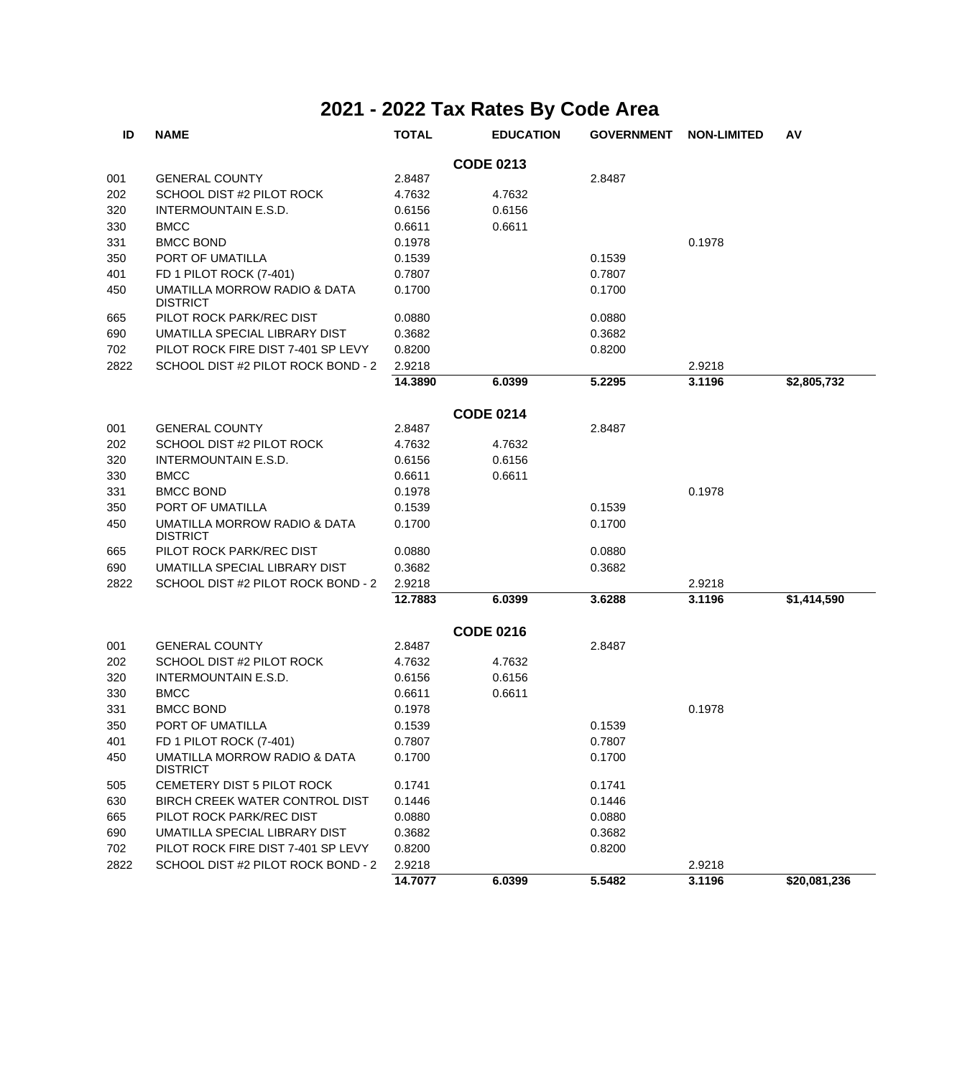| ID   | <b>NAME</b>                                     | <b>TOTAL</b> | <b>EDUCATION</b> | <b>GOVERNMENT</b> | <b>NON-LIMITED</b> | AV           |
|------|-------------------------------------------------|--------------|------------------|-------------------|--------------------|--------------|
|      |                                                 |              | <b>CODE 0213</b> |                   |                    |              |
| 001  | <b>GENERAL COUNTY</b>                           | 2.8487       |                  | 2.8487            |                    |              |
| 202  | SCHOOL DIST #2 PILOT ROCK                       | 4.7632       | 4.7632           |                   |                    |              |
| 320  | INTERMOUNTAIN E.S.D.                            | 0.6156       | 0.6156           |                   |                    |              |
| 330  | <b>BMCC</b>                                     | 0.6611       | 0.6611           |                   |                    |              |
| 331  | <b>BMCC BOND</b>                                | 0.1978       |                  |                   | 0.1978             |              |
| 350  | PORT OF UMATILLA                                | 0.1539       |                  | 0.1539            |                    |              |
| 401  | FD 1 PILOT ROCK (7-401)                         | 0.7807       |                  | 0.7807            |                    |              |
| 450  | UMATILLA MORROW RADIO & DATA<br><b>DISTRICT</b> | 0.1700       |                  | 0.1700            |                    |              |
| 665  | PILOT ROCK PARK/REC DIST                        | 0.0880       |                  | 0.0880            |                    |              |
| 690  | UMATILLA SPECIAL LIBRARY DIST                   | 0.3682       |                  | 0.3682            |                    |              |
| 702  | PILOT ROCK FIRE DIST 7-401 SP LEVY              | 0.8200       |                  | 0.8200            |                    |              |
| 2822 | SCHOOL DIST #2 PILOT ROCK BOND - 2              | 2.9218       |                  |                   | 2.9218             |              |
|      |                                                 | 14.3890      | 6.0399           | 5.2295            | 3.1196             | \$2,805,732  |
|      |                                                 |              | <b>CODE 0214</b> |                   |                    |              |
| 001  | <b>GENERAL COUNTY</b>                           | 2.8487       |                  | 2.8487            |                    |              |
| 202  | SCHOOL DIST #2 PILOT ROCK                       | 4.7632       | 4.7632           |                   |                    |              |
| 320  | INTERMOUNTAIN E.S.D.                            | 0.6156       | 0.6156           |                   |                    |              |
| 330  | <b>BMCC</b>                                     | 0.6611       | 0.6611           |                   |                    |              |
| 331  | <b>BMCC BOND</b>                                | 0.1978       |                  |                   | 0.1978             |              |
| 350  | PORT OF UMATILLA                                | 0.1539       |                  | 0.1539            |                    |              |
| 450  | UMATILLA MORROW RADIO & DATA<br><b>DISTRICT</b> | 0.1700       |                  | 0.1700            |                    |              |
| 665  | PILOT ROCK PARK/REC DIST                        | 0.0880       |                  | 0.0880            |                    |              |
| 690  | UMATILLA SPECIAL LIBRARY DIST                   | 0.3682       |                  | 0.3682            |                    |              |
| 2822 | SCHOOL DIST #2 PILOT ROCK BOND - 2              | 2.9218       |                  |                   | 2.9218             |              |
|      |                                                 | 12.7883      | 6.0399           | 3.6288            | 3.1196             | \$1,414,590  |
|      |                                                 |              | <b>CODE 0216</b> |                   |                    |              |
| 001  | <b>GENERAL COUNTY</b>                           | 2.8487       |                  | 2.8487            |                    |              |
| 202  | SCHOOL DIST #2 PILOT ROCK                       | 4.7632       | 4.7632           |                   |                    |              |
| 320  | INTERMOUNTAIN E.S.D.                            | 0.6156       | 0.6156           |                   |                    |              |
| 330  | <b>BMCC</b>                                     | 0.6611       | 0.6611           |                   |                    |              |
| 331  | <b>BMCC BOND</b>                                | 0.1978       |                  |                   | 0.1978             |              |
| 350  | PORT OF UMATILLA                                | 0.1539       |                  | 0.1539            |                    |              |
| 401  | FD 1 PILOT ROCK (7-401)                         | 0.7807       |                  | 0.7807            |                    |              |
| 450  | UMATILLA MORROW RADIO & DATA<br><b>DISTRICT</b> | 0.1700       |                  | 0.1700            |                    |              |
| 505  | CEMETERY DIST 5 PILOT ROCK                      | 0.1741       |                  | 0.1741            |                    |              |
| 630  | BIRCH CREEK WATER CONTROL DIST                  | 0.1446       |                  | 0.1446            |                    |              |
| 665  | PILOT ROCK PARK/REC DIST                        | 0.0880       |                  | 0.0880            |                    |              |
| 690  | UMATILLA SPECIAL LIBRARY DIST                   | 0.3682       |                  | 0.3682            |                    |              |
| 702  | PILOT ROCK FIRE DIST 7-401 SP LEVY              | 0.8200       |                  | 0.8200            |                    |              |
| 2822 | SCHOOL DIST #2 PILOT ROCK BOND - 2              | 2.9218       |                  |                   | 2.9218             |              |
|      |                                                 | 14.7077      | 6.0399           | 5.5482            | 3.1196             | \$20,081,236 |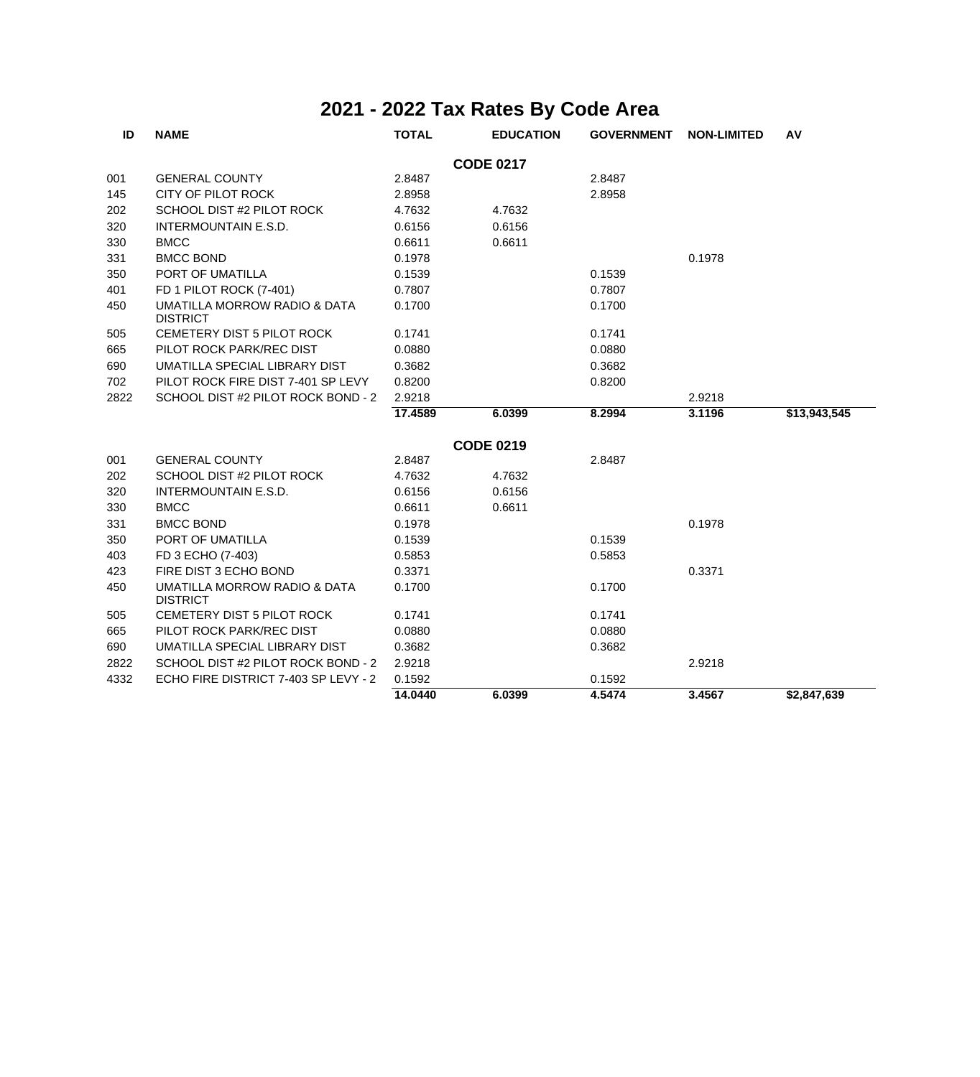| ID               | <b>NAME</b>                                     | <b>TOTAL</b> | <b>EDUCATION</b> | <b>GOVERNMENT</b> | <b>NON-LIMITED</b> | AV           |  |  |  |
|------------------|-------------------------------------------------|--------------|------------------|-------------------|--------------------|--------------|--|--|--|
| <b>CODE 0217</b> |                                                 |              |                  |                   |                    |              |  |  |  |
| 001              | <b>GENERAL COUNTY</b>                           | 2.8487       |                  | 2.8487            |                    |              |  |  |  |
| 145              | CITY OF PILOT ROCK                              | 2.8958       |                  | 2.8958            |                    |              |  |  |  |
| 202              | SCHOOL DIST #2 PILOT ROCK                       | 4.7632       | 4.7632           |                   |                    |              |  |  |  |
| 320              | <b>INTERMOUNTAIN E.S.D.</b>                     | 0.6156       | 0.6156           |                   |                    |              |  |  |  |
| 330              | <b>BMCC</b>                                     | 0.6611       | 0.6611           |                   |                    |              |  |  |  |
| 331              | <b>BMCC BOND</b>                                | 0.1978       |                  |                   | 0.1978             |              |  |  |  |
| 350              | PORT OF UMATILLA                                | 0.1539       |                  | 0.1539            |                    |              |  |  |  |
| 401              | FD 1 PILOT ROCK (7-401)                         | 0.7807       |                  | 0.7807            |                    |              |  |  |  |
| 450              | UMATILLA MORROW RADIO & DATA<br><b>DISTRICT</b> | 0.1700       |                  | 0.1700            |                    |              |  |  |  |
| 505              | CEMETERY DIST 5 PILOT ROCK                      | 0.1741       |                  | 0.1741            |                    |              |  |  |  |
| 665              | PILOT ROCK PARK/REC DIST                        | 0.0880       |                  | 0.0880            |                    |              |  |  |  |
| 690              | UMATILLA SPECIAL LIBRARY DIST                   | 0.3682       |                  | 0.3682            |                    |              |  |  |  |
| 702              | PILOT ROCK FIRE DIST 7-401 SP LEVY              | 0.8200       |                  | 0.8200            |                    |              |  |  |  |
| 2822             | SCHOOL DIST #2 PILOT ROCK BOND - 2              | 2.9218       |                  |                   | 2.9218             |              |  |  |  |
|                  |                                                 | 17.4589      | 6.0399           | 8.2994            | 3.1196             | \$13,943,545 |  |  |  |
|                  |                                                 |              | <b>CODE 0219</b> |                   |                    |              |  |  |  |
| 001              | <b>GENERAL COUNTY</b>                           | 2.8487       |                  | 2.8487            |                    |              |  |  |  |
| 202              | SCHOOL DIST #2 PILOT ROCK                       | 4.7632       | 4.7632           |                   |                    |              |  |  |  |
| 320              | <b>INTERMOUNTAIN E.S.D.</b>                     | 0.6156       | 0.6156           |                   |                    |              |  |  |  |
| 330              | <b>BMCC</b>                                     | 0.6611       | 0.6611           |                   |                    |              |  |  |  |
| 331              | <b>BMCC BOND</b>                                | 0.1978       |                  |                   | 0.1978             |              |  |  |  |
| 350              | PORT OF UMATILLA                                | 0.1539       |                  | 0.1539            |                    |              |  |  |  |
| 403              | FD 3 ECHO (7-403)                               | 0.5853       |                  | 0.5853            |                    |              |  |  |  |
| 423              | FIRE DIST 3 ECHO BOND                           | 0.3371       |                  |                   | 0.3371             |              |  |  |  |
| 450              | UMATILLA MORROW RADIO & DATA<br><b>DISTRICT</b> | 0.1700       |                  | 0.1700            |                    |              |  |  |  |
| 505              | CEMETERY DIST 5 PILOT ROCK                      | 0.1741       |                  | 0.1741            |                    |              |  |  |  |
| 665              | PILOT ROCK PARK/REC DIST                        | 0.0880       |                  | 0.0880            |                    |              |  |  |  |
| 690              | UMATILLA SPECIAL LIBRARY DIST                   | 0.3682       |                  | 0.3682            |                    |              |  |  |  |
| 2822             | SCHOOL DIST #2 PILOT ROCK BOND - 2              | 2.9218       |                  |                   | 2.9218             |              |  |  |  |
| 4332             | ECHO FIRE DISTRICT 7-403 SP LEVY - 2            | 0.1592       |                  | 0.1592            |                    |              |  |  |  |
|                  |                                                 | 14.0440      | 6.0399           | 4.5474            | 3.4567             | \$2,847,639  |  |  |  |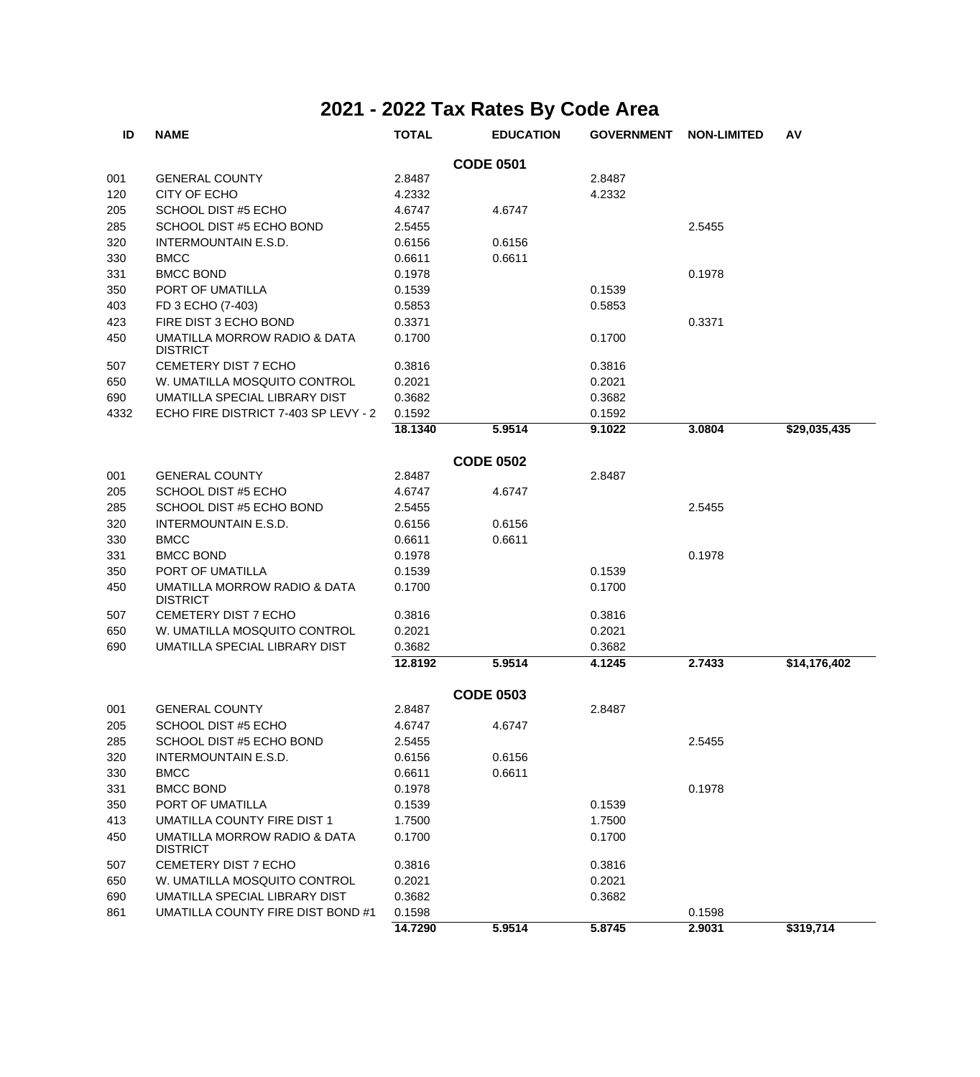| ID               | <b>NAME</b>                                     | <b>TOTAL</b> | <b>EDUCATION</b> | <b>GOVERNMENT</b> | <b>NON-LIMITED</b> | AV           |  |  |  |
|------------------|-------------------------------------------------|--------------|------------------|-------------------|--------------------|--------------|--|--|--|
| <b>CODE 0501</b> |                                                 |              |                  |                   |                    |              |  |  |  |
| 001              | <b>GENERAL COUNTY</b>                           | 2.8487       |                  | 2.8487            |                    |              |  |  |  |
| 120              | CITY OF ECHO                                    | 4.2332       |                  | 4.2332            |                    |              |  |  |  |
| 205              | SCHOOL DIST #5 ECHO                             | 4.6747       | 4.6747           |                   |                    |              |  |  |  |
| 285              | SCHOOL DIST #5 ECHO BOND                        | 2.5455       |                  |                   | 2.5455             |              |  |  |  |
| 320              | INTERMOUNTAIN E.S.D.                            | 0.6156       | 0.6156           |                   |                    |              |  |  |  |
| 330              | <b>BMCC</b>                                     | 0.6611       | 0.6611           |                   |                    |              |  |  |  |
| 331              | <b>BMCC BOND</b>                                | 0.1978       |                  |                   | 0.1978             |              |  |  |  |
| 350              | PORT OF UMATILLA                                | 0.1539       |                  | 0.1539            |                    |              |  |  |  |
| 403              | FD 3 ECHO (7-403)                               | 0.5853       |                  | 0.5853            |                    |              |  |  |  |
| 423              | FIRE DIST 3 ECHO BOND                           | 0.3371       |                  |                   | 0.3371             |              |  |  |  |
| 450              | UMATILLA MORROW RADIO & DATA<br><b>DISTRICT</b> | 0.1700       |                  | 0.1700            |                    |              |  |  |  |
| 507              | CEMETERY DIST 7 ECHO                            | 0.3816       |                  | 0.3816            |                    |              |  |  |  |
| 650              | W. UMATILLA MOSQUITO CONTROL                    | 0.2021       |                  | 0.2021            |                    |              |  |  |  |
| 690              | UMATILLA SPECIAL LIBRARY DIST                   | 0.3682       |                  | 0.3682            |                    |              |  |  |  |
| 4332             | ECHO FIRE DISTRICT 7-403 SP LEVY - 2            | 0.1592       |                  | 0.1592            |                    |              |  |  |  |
|                  |                                                 | 18.1340      | 5.9514           | 9.1022            | 3.0804             | \$29,035,435 |  |  |  |
|                  |                                                 |              | <b>CODE 0502</b> |                   |                    |              |  |  |  |
| 001              | <b>GENERAL COUNTY</b>                           | 2.8487       |                  | 2.8487            |                    |              |  |  |  |
| 205              | SCHOOL DIST #5 ECHO                             | 4.6747       | 4.6747           |                   |                    |              |  |  |  |
| 285              | SCHOOL DIST #5 ECHO BOND                        | 2.5455       |                  |                   | 2.5455             |              |  |  |  |
| 320              | INTERMOUNTAIN E.S.D.                            | 0.6156       | 0.6156           |                   |                    |              |  |  |  |
| 330              | <b>BMCC</b>                                     | 0.6611       | 0.6611           |                   |                    |              |  |  |  |
| 331              | <b>BMCC BOND</b>                                | 0.1978       |                  |                   | 0.1978             |              |  |  |  |
| 350              | PORT OF UMATILLA                                | 0.1539       |                  | 0.1539            |                    |              |  |  |  |
| 450              | UMATILLA MORROW RADIO & DATA<br><b>DISTRICT</b> | 0.1700       |                  | 0.1700            |                    |              |  |  |  |
| 507              | CEMETERY DIST 7 ECHO                            | 0.3816       |                  | 0.3816            |                    |              |  |  |  |
| 650              | W. UMATILLA MOSQUITO CONTROL                    | 0.2021       |                  | 0.2021            |                    |              |  |  |  |
| 690              | UMATILLA SPECIAL LIBRARY DIST                   | 0.3682       |                  | 0.3682            |                    |              |  |  |  |
|                  |                                                 | 12.8192      | 5.9514           | 4.1245            | 2.7433             | \$14,176,402 |  |  |  |
|                  |                                                 |              | <b>CODE 0503</b> |                   |                    |              |  |  |  |
| 001              | <b>GENERAL COUNTY</b>                           | 2.8487       |                  | 2.8487            |                    |              |  |  |  |
| 205              | SCHOOL DIST #5 ECHO                             | 4.6747       | 4.6747           |                   |                    |              |  |  |  |
| 285              | SCHOOL DIST #5 ECHO BOND                        | 2.5455       |                  |                   | 2.5455             |              |  |  |  |
| 320              | INTERMOUNTAIN E.S.D.                            | 0.6156       | 0.6156           |                   |                    |              |  |  |  |
| 330              | <b>BMCC</b>                                     | 0.6611       | 0.6611           |                   |                    |              |  |  |  |
| 331              | <b>BMCC BOND</b>                                | 0.1978       |                  |                   | 0.1978             |              |  |  |  |
| 350              | PORT OF UMATILLA                                | 0.1539       |                  | 0.1539            |                    |              |  |  |  |
| 413              | UMATILLA COUNTY FIRE DIST 1                     | 1.7500       |                  | 1.7500            |                    |              |  |  |  |
| 450              | UMATILLA MORROW RADIO & DATA<br><b>DISTRICT</b> | 0.1700       |                  | 0.1700            |                    |              |  |  |  |
| 507              | CEMETERY DIST 7 ECHO                            | 0.3816       |                  | 0.3816            |                    |              |  |  |  |
| 650              | W. UMATILLA MOSQUITO CONTROL                    | 0.2021       |                  | 0.2021            |                    |              |  |  |  |
| 690              | UMATILLA SPECIAL LIBRARY DIST                   | 0.3682       |                  | 0.3682            |                    |              |  |  |  |
| 861              | UMATILLA COUNTY FIRE DIST BOND #1               | 0.1598       |                  |                   | 0.1598             |              |  |  |  |
|                  |                                                 | 14.7290      | 5.9514           | 5.8745            | 2.9031             | \$319,714    |  |  |  |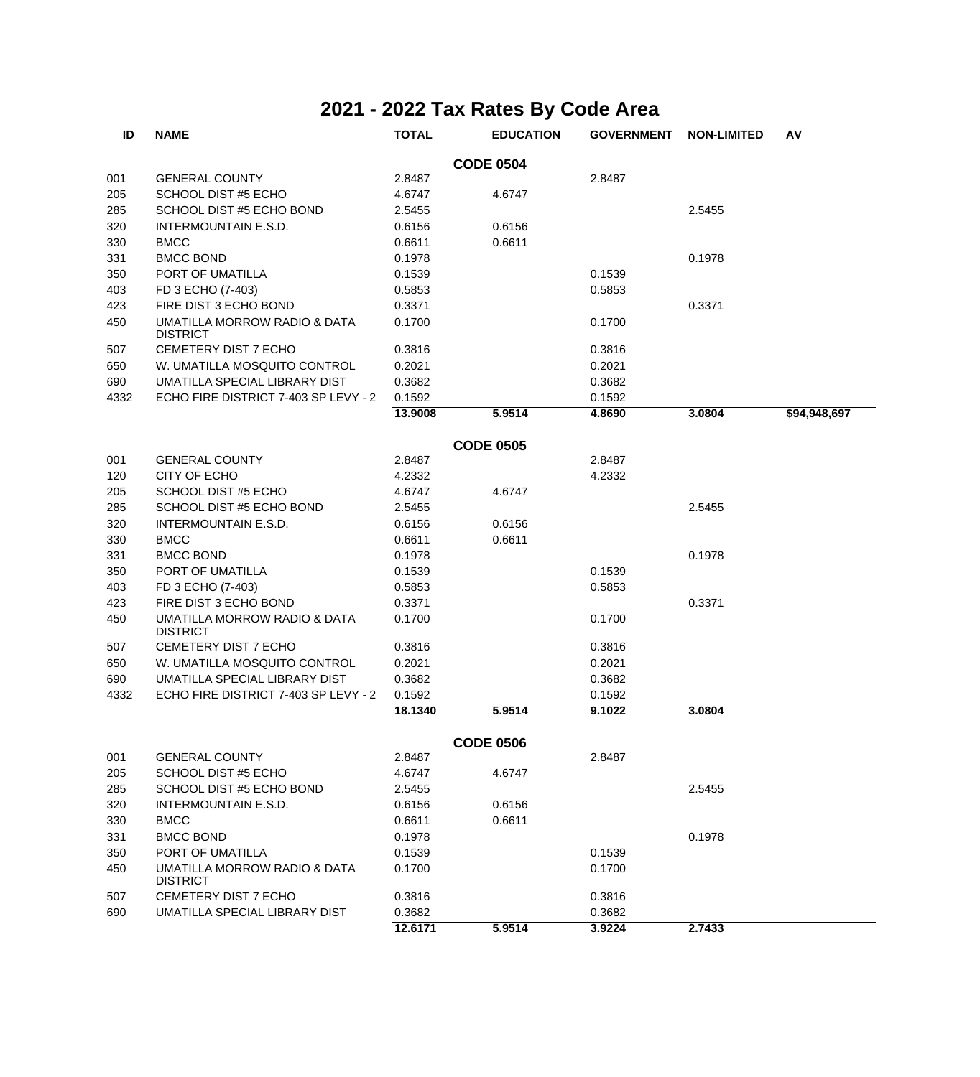| ID   | <b>NAME</b>                                     | <b>TOTAL</b> | <b>EDUCATION</b> | <b>GOVERNMENT</b> | <b>NON-LIMITED</b> | AV           |
|------|-------------------------------------------------|--------------|------------------|-------------------|--------------------|--------------|
|      |                                                 |              | <b>CODE 0504</b> |                   |                    |              |
| 001  | <b>GENERAL COUNTY</b>                           | 2.8487       |                  | 2.8487            |                    |              |
| 205  | SCHOOL DIST #5 ECHO                             | 4.6747       | 4.6747           |                   |                    |              |
| 285  | SCHOOL DIST #5 ECHO BOND                        | 2.5455       |                  |                   | 2.5455             |              |
| 320  | INTERMOUNTAIN E.S.D.                            | 0.6156       | 0.6156           |                   |                    |              |
| 330  | <b>BMCC</b>                                     | 0.6611       | 0.6611           |                   |                    |              |
| 331  | <b>BMCC BOND</b>                                | 0.1978       |                  |                   | 0.1978             |              |
| 350  | PORT OF UMATILLA                                | 0.1539       |                  | 0.1539            |                    |              |
| 403  | FD 3 ECHO (7-403)                               | 0.5853       |                  | 0.5853            |                    |              |
| 423  | FIRE DIST 3 ECHO BOND                           | 0.3371       |                  |                   | 0.3371             |              |
| 450  | UMATILLA MORROW RADIO & DATA<br><b>DISTRICT</b> | 0.1700       |                  | 0.1700            |                    |              |
| 507  | CEMETERY DIST 7 ECHO                            | 0.3816       |                  | 0.3816            |                    |              |
| 650  | W. UMATILLA MOSQUITO CONTROL                    | 0.2021       |                  | 0.2021            |                    |              |
| 690  | UMATILLA SPECIAL LIBRARY DIST                   | 0.3682       |                  | 0.3682            |                    |              |
| 4332 | ECHO FIRE DISTRICT 7-403 SP LEVY - 2            | 0.1592       |                  | 0.1592            |                    |              |
|      |                                                 | 13.9008      | 5.9514           | 4.8690            | 3.0804             | \$94,948,697 |
|      |                                                 |              | <b>CODE 0505</b> |                   |                    |              |
| 001  | <b>GENERAL COUNTY</b>                           | 2.8487       |                  | 2.8487            |                    |              |
| 120  | CITY OF ECHO                                    | 4.2332       |                  | 4.2332            |                    |              |
| 205  | <b>SCHOOL DIST #5 ECHO</b>                      | 4.6747       | 4.6747           |                   |                    |              |
| 285  | SCHOOL DIST #5 ECHO BOND                        | 2.5455       |                  |                   | 2.5455             |              |
| 320  | INTERMOUNTAIN E.S.D.                            | 0.6156       | 0.6156           |                   |                    |              |
| 330  | <b>BMCC</b>                                     | 0.6611       | 0.6611           |                   |                    |              |
| 331  | <b>BMCC BOND</b>                                | 0.1978       |                  |                   | 0.1978             |              |
| 350  | PORT OF UMATILLA                                | 0.1539       |                  | 0.1539            |                    |              |
| 403  | FD 3 ECHO (7-403)                               | 0.5853       |                  | 0.5853            |                    |              |
| 423  | FIRE DIST 3 ECHO BOND                           | 0.3371       |                  |                   | 0.3371             |              |
| 450  | UMATILLA MORROW RADIO & DATA<br><b>DISTRICT</b> | 0.1700       |                  | 0.1700            |                    |              |
| 507  | CEMETERY DIST 7 ECHO                            | 0.3816       |                  | 0.3816            |                    |              |
| 650  | W. UMATILLA MOSQUITO CONTROL                    | 0.2021       |                  | 0.2021            |                    |              |
| 690  | UMATILLA SPECIAL LIBRARY DIST                   | 0.3682       |                  | 0.3682            |                    |              |
| 4332 | ECHO FIRE DISTRICT 7-403 SP LEVY - 2            | 0.1592       |                  | 0.1592            |                    |              |
|      |                                                 | 18.1340      | 5.9514           | 9.1022            | 3.0804             |              |
|      |                                                 |              | <b>CODE 0506</b> |                   |                    |              |
| 001  | <b>GENERAL COUNTY</b>                           | 2.8487       |                  | 2.8487            |                    |              |
| 205  | SCHOOL DIST #5 ECHO                             | 4.6747       | 4.6747           |                   |                    |              |
| 285  | SCHOOL DIST #5 ECHO BOND                        | 2.5455       |                  |                   | 2.5455             |              |
| 320  | INTERMOUNTAIN E.S.D.                            | 0.6156       | 0.6156           |                   |                    |              |
| 330  | <b>BMCC</b>                                     | 0.6611       | 0.6611           |                   |                    |              |
| 331  | <b>BMCC BOND</b>                                | 0.1978       |                  |                   | 0.1978             |              |
| 350  | PORT OF UMATILLA                                | 0.1539       |                  | 0.1539            |                    |              |
| 450  | UMATILLA MORROW RADIO & DATA<br><b>DISTRICT</b> | 0.1700       |                  | 0.1700            |                    |              |
| 507  | CEMETERY DIST 7 ECHO                            | 0.3816       |                  | 0.3816            |                    |              |
| 690  | UMATILLA SPECIAL LIBRARY DIST                   | 0.3682       |                  | 0.3682            |                    |              |
|      |                                                 | 12.6171      | 5.9514           | 3.9224            | 2.7433             |              |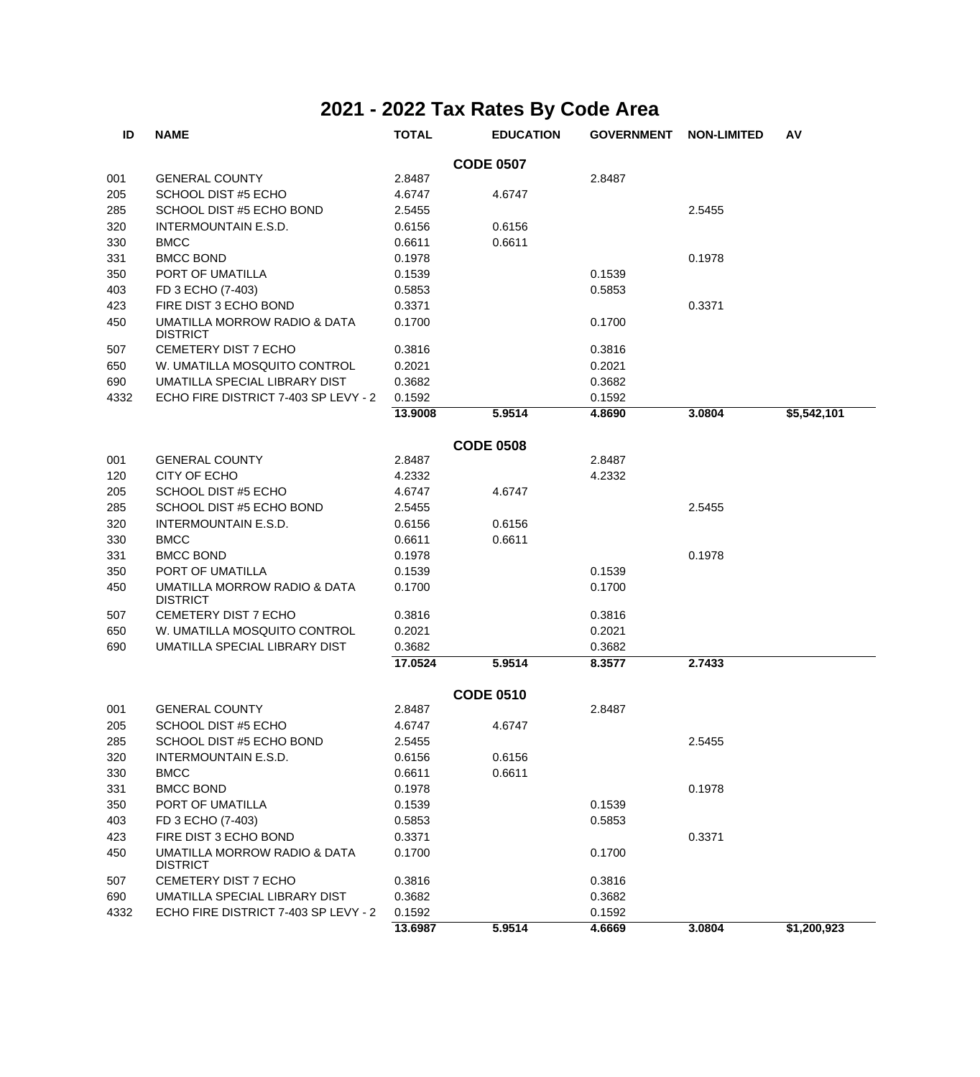| ID   | <b>NAME</b>                                     | <b>TOTAL</b> | <b>EDUCATION</b> | <b>GOVERNMENT</b> | <b>NON-LIMITED</b> | AV          |
|------|-------------------------------------------------|--------------|------------------|-------------------|--------------------|-------------|
|      |                                                 |              | <b>CODE 0507</b> |                   |                    |             |
| 001  | <b>GENERAL COUNTY</b>                           | 2.8487       |                  | 2.8487            |                    |             |
| 205  | SCHOOL DIST #5 ECHO                             | 4.6747       | 4.6747           |                   |                    |             |
| 285  | SCHOOL DIST #5 ECHO BOND                        | 2.5455       |                  |                   | 2.5455             |             |
| 320  | <b>INTERMOUNTAIN E.S.D.</b>                     | 0.6156       | 0.6156           |                   |                    |             |
| 330  | <b>BMCC</b>                                     | 0.6611       | 0.6611           |                   |                    |             |
| 331  | <b>BMCC BOND</b>                                | 0.1978       |                  |                   | 0.1978             |             |
| 350  | PORT OF UMATILLA                                | 0.1539       |                  | 0.1539            |                    |             |
| 403  | FD 3 ECHO (7-403)                               | 0.5853       |                  | 0.5853            |                    |             |
| 423  | FIRE DIST 3 ECHO BOND                           | 0.3371       |                  |                   | 0.3371             |             |
| 450  | UMATILLA MORROW RADIO & DATA<br><b>DISTRICT</b> | 0.1700       |                  | 0.1700            |                    |             |
| 507  | <b>CEMETERY DIST 7 ECHO</b>                     | 0.3816       |                  | 0.3816            |                    |             |
| 650  | W. UMATILLA MOSQUITO CONTROL                    | 0.2021       |                  | 0.2021            |                    |             |
| 690  | UMATILLA SPECIAL LIBRARY DIST                   | 0.3682       |                  | 0.3682            |                    |             |
| 4332 | ECHO FIRE DISTRICT 7-403 SP LEVY - 2            | 0.1592       |                  | 0.1592            |                    |             |
|      |                                                 | 13.9008      | 5.9514           | 4.8690            | 3.0804             | \$5,542,101 |
|      |                                                 |              | <b>CODE 0508</b> |                   |                    |             |
| 001  | <b>GENERAL COUNTY</b>                           | 2.8487       |                  | 2.8487            |                    |             |
| 120  | CITY OF ECHO                                    | 4.2332       |                  | 4.2332            |                    |             |
| 205  | <b>SCHOOL DIST #5 ECHO</b>                      | 4.6747       | 4.6747           |                   |                    |             |
| 285  | SCHOOL DIST #5 ECHO BOND                        | 2.5455       |                  |                   | 2.5455             |             |
| 320  | <b>INTERMOUNTAIN E.S.D.</b>                     | 0.6156       | 0.6156           |                   |                    |             |
| 330  | <b>BMCC</b>                                     | 0.6611       | 0.6611           |                   |                    |             |
| 331  | <b>BMCC BOND</b>                                | 0.1978       |                  |                   | 0.1978             |             |
| 350  | PORT OF UMATILLA                                | 0.1539       |                  | 0.1539            |                    |             |
| 450  | UMATILLA MORROW RADIO & DATA<br><b>DISTRICT</b> | 0.1700       |                  | 0.1700            |                    |             |
| 507  | CEMETERY DIST 7 ECHO                            | 0.3816       |                  | 0.3816            |                    |             |
| 650  | W. UMATILLA MOSQUITO CONTROL                    | 0.2021       |                  | 0.2021            |                    |             |
| 690  | UMATILLA SPECIAL LIBRARY DIST                   | 0.3682       |                  | 0.3682            |                    |             |
|      |                                                 | 17.0524      | 5.9514           | 8.3577            | 2.7433             |             |
|      |                                                 |              | <b>CODE 0510</b> |                   |                    |             |
| 001  | <b>GENERAL COUNTY</b>                           | 2.8487       |                  | 2.8487            |                    |             |
| 205  | SCHOOL DIST #5 ECHO                             | 4.6747       | 4.6747           |                   |                    |             |
| 285  | SCHOOL DIST #5 ECHO BOND                        | 2.5455       |                  |                   | 2.5455             |             |
| 320  | INTERMOUNTAIN E.S.D.                            | 0.6156       | 0.6156           |                   |                    |             |
| 330  | <b>BMCC</b>                                     | 0.6611       | 0.6611           |                   |                    |             |
| 331  | <b>BMCC BOND</b>                                | 0.1978       |                  |                   | 0.1978             |             |
| 350  | PORT OF UMATILLA                                | 0.1539       |                  | 0.1539            |                    |             |
| 403  | FD 3 ECHO (7-403)                               | 0.5853       |                  | 0.5853            |                    |             |
| 423  | FIRE DIST 3 ECHO BOND                           | 0.3371       |                  |                   | 0.3371             |             |
| 450  | UMATILLA MORROW RADIO & DATA<br><b>DISTRICT</b> | 0.1700       |                  | 0.1700            |                    |             |
| 507  | CEMETERY DIST 7 ECHO                            | 0.3816       |                  | 0.3816            |                    |             |
| 690  | UMATILLA SPECIAL LIBRARY DIST                   | 0.3682       |                  | 0.3682            |                    |             |
| 4332 | ECHO FIRE DISTRICT 7-403 SP LEVY - 2            | 0.1592       |                  | 0.1592            |                    |             |
|      |                                                 | 13.6987      | 5.9514           | 4.6669            | 3.0804             | \$1,200,923 |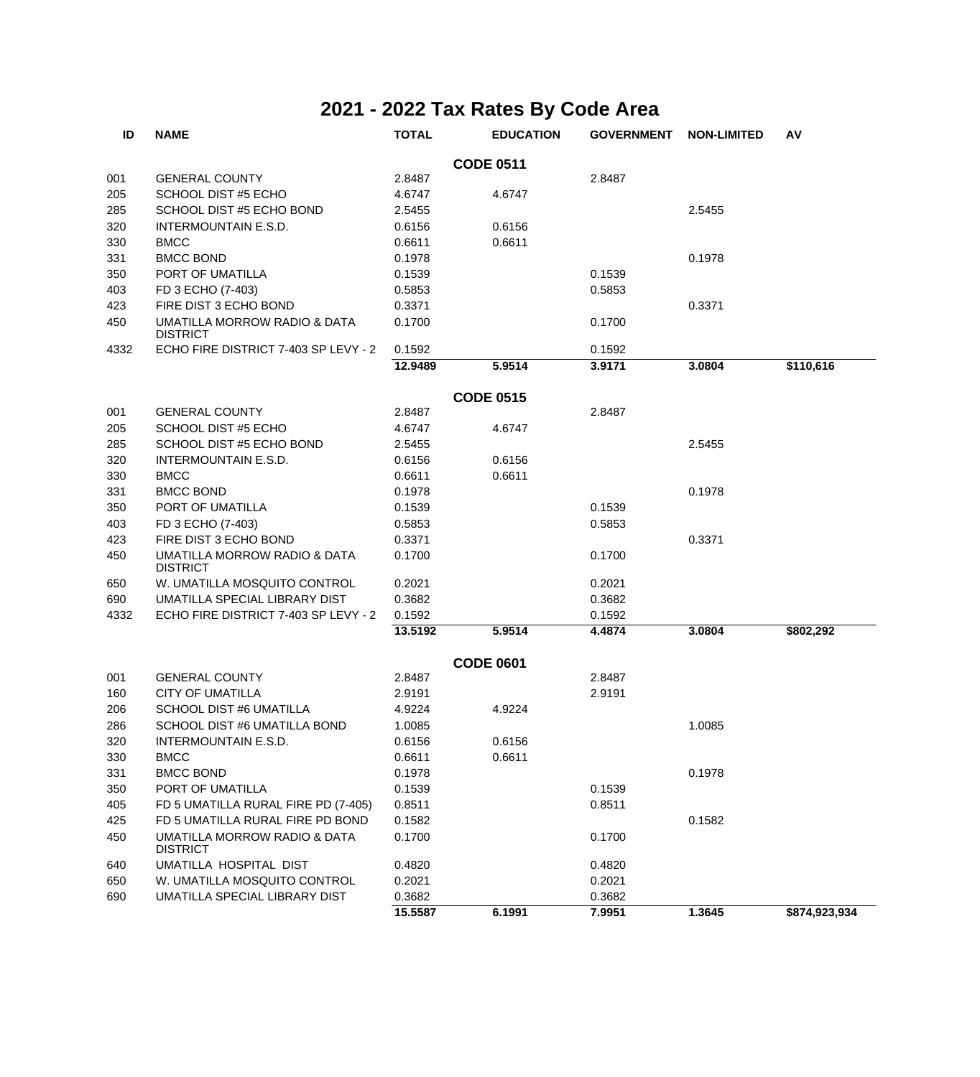| ID   | <b>NAME</b>                                     | <b>TOTAL</b> | <b>EDUCATION</b> | <b>GOVERNMENT</b> | <b>NON-LIMITED</b> | AV            |
|------|-------------------------------------------------|--------------|------------------|-------------------|--------------------|---------------|
|      |                                                 |              | <b>CODE 0511</b> |                   |                    |               |
| 001  | <b>GENERAL COUNTY</b>                           | 2.8487       |                  | 2.8487            |                    |               |
| 205  | SCHOOL DIST #5 ECHO                             | 4.6747       | 4.6747           |                   |                    |               |
| 285  | SCHOOL DIST #5 ECHO BOND                        | 2.5455       |                  |                   | 2.5455             |               |
| 320  | INTERMOUNTAIN E.S.D.                            | 0.6156       | 0.6156           |                   |                    |               |
| 330  | <b>BMCC</b>                                     | 0.6611       | 0.6611           |                   |                    |               |
| 331  | <b>BMCC BOND</b>                                | 0.1978       |                  |                   | 0.1978             |               |
| 350  | PORT OF UMATILLA                                | 0.1539       |                  | 0.1539            |                    |               |
| 403  | FD 3 ECHO (7-403)                               | 0.5853       |                  | 0.5853            |                    |               |
| 423  | FIRE DIST 3 ECHO BOND                           | 0.3371       |                  |                   | 0.3371             |               |
| 450  | UMATILLA MORROW RADIO & DATA<br><b>DISTRICT</b> | 0.1700       |                  | 0.1700            |                    |               |
| 4332 | ECHO FIRE DISTRICT 7-403 SP LEVY - 2            | 0.1592       |                  | 0.1592            |                    |               |
|      |                                                 | 12.9489      | 5.9514           | 3.9171            | 3.0804             | \$110,616     |
|      |                                                 |              | <b>CODE 0515</b> |                   |                    |               |
| 001  | <b>GENERAL COUNTY</b>                           | 2.8487       |                  | 2.8487            |                    |               |
| 205  | SCHOOL DIST #5 ECHO                             | 4.6747       | 4.6747           |                   |                    |               |
| 285  | SCHOOL DIST #5 ECHO BOND                        | 2.5455       |                  |                   | 2.5455             |               |
| 320  | INTERMOUNTAIN E.S.D.                            | 0.6156       | 0.6156           |                   |                    |               |
| 330  | <b>BMCC</b>                                     | 0.6611       | 0.6611           |                   |                    |               |
| 331  | <b>BMCC BOND</b>                                | 0.1978       |                  |                   | 0.1978             |               |
| 350  | PORT OF UMATILLA                                | 0.1539       |                  | 0.1539            |                    |               |
| 403  | FD 3 ECHO (7-403)                               | 0.5853       |                  | 0.5853            |                    |               |
| 423  | FIRE DIST 3 ECHO BOND                           | 0.3371       |                  |                   | 0.3371             |               |
| 450  | UMATILLA MORROW RADIO & DATA<br><b>DISTRICT</b> | 0.1700       |                  | 0.1700            |                    |               |
| 650  | W. UMATILLA MOSQUITO CONTROL                    | 0.2021       |                  | 0.2021            |                    |               |
| 690  | UMATILLA SPECIAL LIBRARY DIST                   | 0.3682       |                  | 0.3682            |                    |               |
| 4332 | ECHO FIRE DISTRICT 7-403 SP LEVY - 2            | 0.1592       |                  | 0.1592            |                    |               |
|      |                                                 | 13.5192      | 5.9514           | 4.4874            | 3.0804             | \$802,292     |
|      |                                                 |              | <b>CODE 0601</b> |                   |                    |               |
| 001  | <b>GENERAL COUNTY</b>                           | 2.8487       |                  | 2.8487            |                    |               |
| 160  | <b>CITY OF UMATILLA</b>                         | 2.9191       |                  | 2.9191            |                    |               |
| 206  | <b>SCHOOL DIST #6 UMATILLA</b>                  | 4.9224       | 4.9224           |                   |                    |               |
| 286  | SCHOOL DIST #6 UMATILLA BOND                    | 1.0085       |                  |                   | 1.0085             |               |
| 320  | INTERMOUNTAIN E.S.D.                            | 0.6156       | 0.6156           |                   |                    |               |
| 330  | <b>BMCC</b>                                     | 0.6611       | 0.6611           |                   |                    |               |
| 331  | <b>BMCC BOND</b>                                | 0.1978       |                  |                   | 0.1978             |               |
| 350  | PORT OF UMATILLA                                | 0.1539       |                  | 0.1539            |                    |               |
| 405  | FD 5 UMATILLA RURAL FIRE PD (7-405)             | 0.8511       |                  | 0.8511            |                    |               |
| 425  | FD 5 UMATILLA RURAL FIRE PD BOND                | 0.1582       |                  |                   | 0.1582             |               |
| 450  | UMATILLA MORROW RADIO & DATA<br><b>DISTRICT</b> | 0.1700       |                  | 0.1700            |                    |               |
| 640  | UMATILLA HOSPITAL DIST                          | 0.4820       |                  | 0.4820            |                    |               |
| 650  | W. UMATILLA MOSQUITO CONTROL                    | 0.2021       |                  | 0.2021            |                    |               |
| 690  | UMATILLA SPECIAL LIBRARY DIST                   | 0.3682       |                  | 0.3682            |                    |               |
|      |                                                 | 15.5587      | 6.1991           | 7.9951            | 1.3645             | \$874,923,934 |
|      |                                                 |              |                  |                   |                    |               |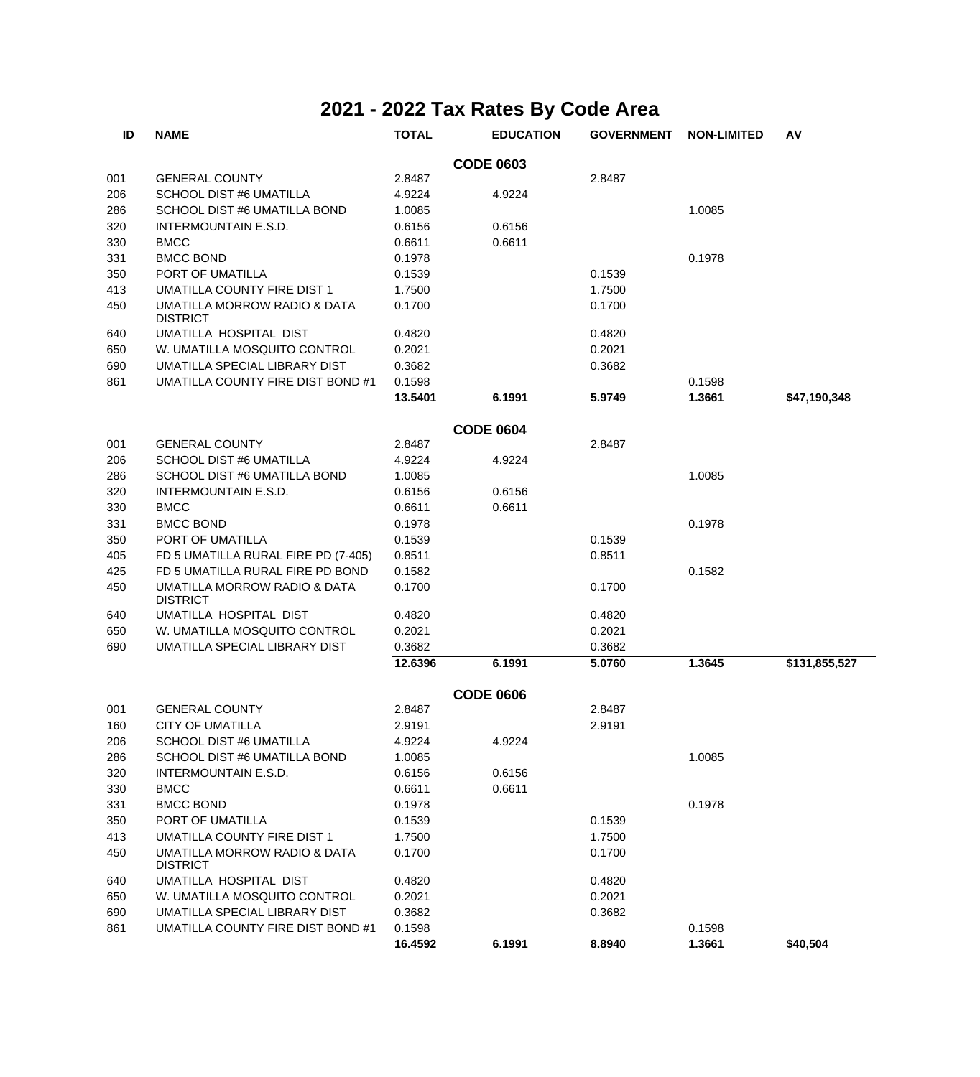| ID  | <b>NAME</b>                                     | <b>TOTAL</b> | <b>EDUCATION</b> | <b>GOVERNMENT</b> | <b>NON-LIMITED</b> | AV            |
|-----|-------------------------------------------------|--------------|------------------|-------------------|--------------------|---------------|
|     |                                                 |              | <b>CODE 0603</b> |                   |                    |               |
| 001 | <b>GENERAL COUNTY</b>                           | 2.8487       |                  | 2.8487            |                    |               |
| 206 | <b>SCHOOL DIST #6 UMATILLA</b>                  | 4.9224       | 4.9224           |                   |                    |               |
| 286 | SCHOOL DIST #6 UMATILLA BOND                    | 1.0085       |                  |                   | 1.0085             |               |
| 320 | INTERMOUNTAIN E.S.D.                            | 0.6156       | 0.6156           |                   |                    |               |
| 330 | <b>BMCC</b>                                     | 0.6611       | 0.6611           |                   |                    |               |
| 331 | <b>BMCC BOND</b>                                | 0.1978       |                  |                   | 0.1978             |               |
| 350 | PORT OF UMATILLA                                | 0.1539       |                  | 0.1539            |                    |               |
| 413 | UMATILLA COUNTY FIRE DIST 1                     | 1.7500       |                  | 1.7500            |                    |               |
| 450 | UMATILLA MORROW RADIO & DATA<br><b>DISTRICT</b> | 0.1700       |                  | 0.1700            |                    |               |
| 640 | UMATILLA HOSPITAL DIST                          | 0.4820       |                  | 0.4820            |                    |               |
| 650 | W. UMATILLA MOSQUITO CONTROL                    | 0.2021       |                  | 0.2021            |                    |               |
| 690 | UMATILLA SPECIAL LIBRARY DIST                   | 0.3682       |                  | 0.3682            |                    |               |
| 861 | UMATILLA COUNTY FIRE DIST BOND #1               | 0.1598       |                  |                   | 0.1598             |               |
|     |                                                 | 13.5401      | 6.1991           | 5.9749            | 1.3661             | \$47,190,348  |
|     |                                                 |              | <b>CODE 0604</b> |                   |                    |               |
| 001 | <b>GENERAL COUNTY</b>                           | 2.8487       |                  | 2.8487            |                    |               |
| 206 | SCHOOL DIST #6 UMATILLA                         | 4.9224       | 4.9224           |                   |                    |               |
| 286 | SCHOOL DIST #6 UMATILLA BOND                    | 1.0085       |                  |                   | 1.0085             |               |
| 320 | INTERMOUNTAIN E.S.D.                            | 0.6156       | 0.6156           |                   |                    |               |
| 330 | <b>BMCC</b>                                     | 0.6611       | 0.6611           |                   |                    |               |
| 331 | <b>BMCC BOND</b>                                | 0.1978       |                  |                   | 0.1978             |               |
| 350 | PORT OF UMATILLA                                | 0.1539       |                  | 0.1539            |                    |               |
| 405 | FD 5 UMATILLA RURAL FIRE PD (7-405)             | 0.8511       |                  | 0.8511            |                    |               |
| 425 | FD 5 UMATILLA RURAL FIRE PD BOND                | 0.1582       |                  |                   | 0.1582             |               |
| 450 | UMATILLA MORROW RADIO & DATA<br><b>DISTRICT</b> | 0.1700       |                  | 0.1700            |                    |               |
| 640 | UMATILLA HOSPITAL DIST                          | 0.4820       |                  | 0.4820            |                    |               |
| 650 | W. UMATILLA MOSQUITO CONTROL                    | 0.2021       |                  | 0.2021            |                    |               |
| 690 | UMATILLA SPECIAL LIBRARY DIST                   | 0.3682       |                  | 0.3682            |                    |               |
|     |                                                 | 12.6396      | 6.1991           | 5.0760            | 1.3645             | \$131,855,527 |
|     |                                                 |              | <b>CODE 0606</b> |                   |                    |               |
| 001 | <b>GENERAL COUNTY</b>                           | 2.8487       |                  | 2.8487            |                    |               |
| 160 | <b>CITY OF UMATILLA</b>                         | 2.9191       |                  | 2.9191            |                    |               |
| 206 | SCHOOL DIST #6 UMATILLA                         | 4.9224       | 4.9224           |                   |                    |               |
| 286 | SCHOOL DIST #6 UMATILLA BOND                    | 1.0085       |                  |                   | 1.0085             |               |
| 320 | INTERMOUNTAIN E.S.D.                            | 0.6156       | 0.6156           |                   |                    |               |
| 330 | <b>BMCC</b>                                     | 0.6611       | 0.6611           |                   |                    |               |
| 331 | <b>BMCC BOND</b>                                | 0.1978       |                  |                   | 0.1978             |               |
| 350 | PORT OF UMATILLA                                | 0.1539       |                  | 0.1539            |                    |               |
| 413 | UMATILLA COUNTY FIRE DIST 1                     | 1.7500       |                  | 1.7500            |                    |               |
| 450 | UMATILLA MORROW RADIO & DATA<br><b>DISTRICT</b> | 0.1700       |                  | 0.1700            |                    |               |
| 640 | UMATILLA HOSPITAL DIST                          | 0.4820       |                  | 0.4820            |                    |               |
| 650 | W. UMATILLA MOSQUITO CONTROL                    | 0.2021       |                  | 0.2021            |                    |               |
| 690 | UMATILLA SPECIAL LIBRARY DIST                   | 0.3682       |                  | 0.3682            |                    |               |
| 861 | UMATILLA COUNTY FIRE DIST BOND #1               | 0.1598       |                  |                   | 0.1598             |               |
|     |                                                 | 16.4592      | 6.1991           | 8.8940            | 1.3661             | \$40,504      |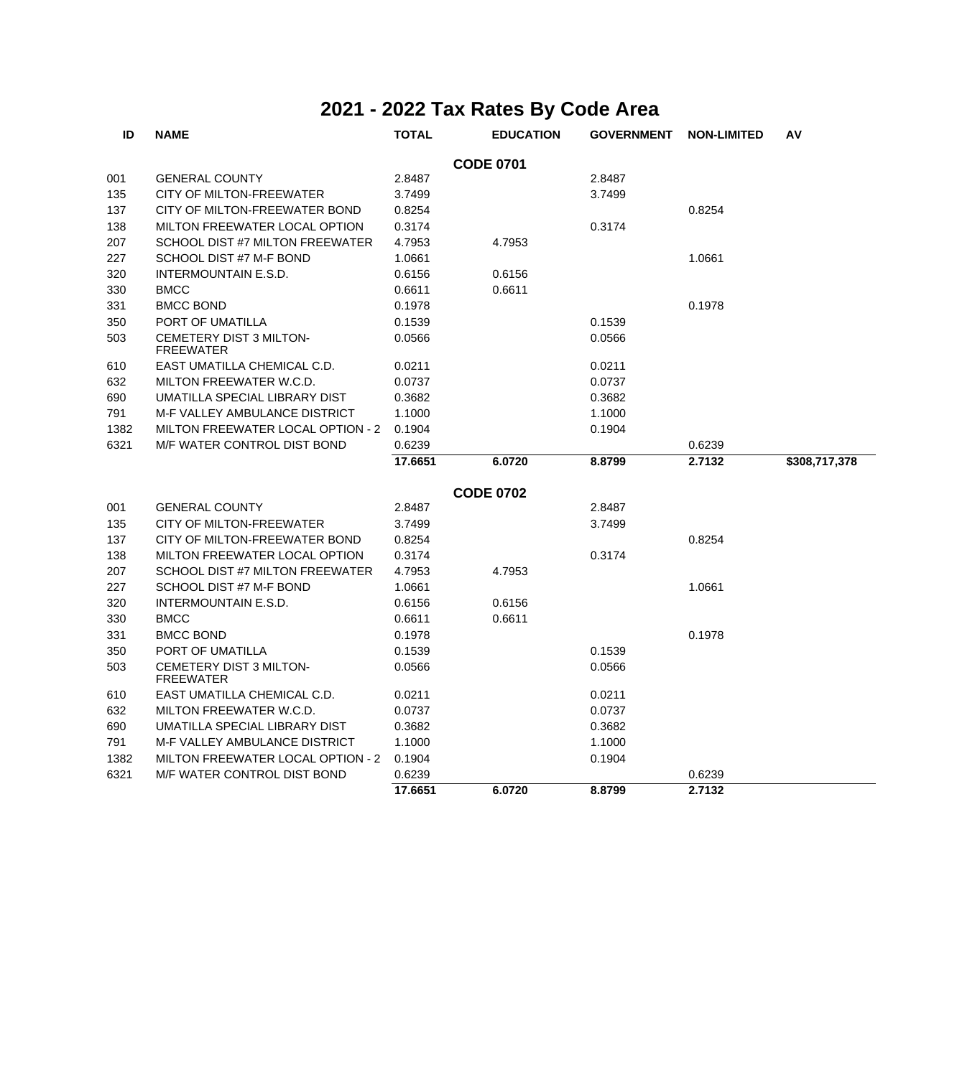| ID   | <b>NAME</b>                                 | <b>TOTAL</b> | <b>EDUCATION</b> | <b>GOVERNMENT</b> | <b>NON-LIMITED</b> | AV            |
|------|---------------------------------------------|--------------|------------------|-------------------|--------------------|---------------|
|      |                                             |              | <b>CODE 0701</b> |                   |                    |               |
| 001  | <b>GENERAL COUNTY</b>                       | 2.8487       |                  | 2.8487            |                    |               |
| 135  | CITY OF MILTON-FREEWATER                    | 3.7499       |                  | 3.7499            |                    |               |
| 137  | CITY OF MILTON-FREEWATER BOND               | 0.8254       |                  |                   | 0.8254             |               |
| 138  | MILTON FREEWATER LOCAL OPTION               | 0.3174       |                  | 0.3174            |                    |               |
| 207  | SCHOOL DIST #7 MILTON FREEWATER             | 4.7953       | 4.7953           |                   |                    |               |
| 227  | SCHOOL DIST #7 M-F BOND                     | 1.0661       |                  |                   | 1.0661             |               |
| 320  | INTERMOUNTAIN E.S.D.                        | 0.6156       | 0.6156           |                   |                    |               |
| 330  | <b>BMCC</b>                                 | 0.6611       | 0.6611           |                   |                    |               |
| 331  | <b>BMCC BOND</b>                            | 0.1978       |                  |                   | 0.1978             |               |
| 350  | PORT OF UMATILLA                            | 0.1539       |                  | 0.1539            |                    |               |
| 503  | CEMETERY DIST 3 MILTON-<br><b>FREEWATER</b> | 0.0566       |                  | 0.0566            |                    |               |
| 610  | EAST UMATILLA CHEMICAL C.D.                 | 0.0211       |                  | 0.0211            |                    |               |
| 632  | MILTON FREEWATER W.C.D.                     | 0.0737       |                  | 0.0737            |                    |               |
| 690  | UMATILLA SPECIAL LIBRARY DIST               | 0.3682       |                  | 0.3682            |                    |               |
| 791  | M-F VALLEY AMBULANCE DISTRICT               | 1.1000       |                  | 1.1000            |                    |               |
| 1382 | MILTON FREEWATER LOCAL OPTION - 2           | 0.1904       |                  | 0.1904            |                    |               |
| 6321 | M/F WATER CONTROL DIST BOND                 | 0.6239       |                  |                   | 0.6239             |               |
|      |                                             | 17.6651      | 6.0720           | 8.8799            | 2.7132             | \$308,717,378 |
|      |                                             |              | <b>CODE 0702</b> |                   |                    |               |
| 001  | <b>GENERAL COUNTY</b>                       | 2.8487       |                  | 2.8487            |                    |               |
| 135  | CITY OF MILTON-FREEWATER                    | 3.7499       |                  | 3.7499            |                    |               |
| 137  | CITY OF MILTON-FREEWATER BOND               | 0.8254       |                  |                   | 0.8254             |               |
| 138  | MILTON FREEWATER LOCAL OPTION               | 0.3174       |                  | 0.3174            |                    |               |
| 207  | SCHOOL DIST #7 MILTON FREEWATER             | 4.7953       | 4.7953           |                   |                    |               |
| 227  | SCHOOL DIST #7 M-F BOND                     | 1.0661       |                  |                   | 1.0661             |               |
| 320  | <b>INTERMOUNTAIN E.S.D.</b>                 | 0.6156       | 0.6156           |                   |                    |               |
| 330  | <b>BMCC</b>                                 | 0.6611       | 0.6611           |                   |                    |               |
| 331  | <b>BMCC BOND</b>                            | 0.1978       |                  |                   | 0.1978             |               |
| 350  | PORT OF UMATILLA                            | 0.1539       |                  | 0.1539            |                    |               |
| 503  | CEMETERY DIST 3 MILTON-                     | 0.0566       |                  | 0.0566            |                    |               |
|      | <b>FREEWATER</b>                            |              |                  |                   |                    |               |
| 610  | EAST UMATILLA CHEMICAL C.D.                 | 0.0211       |                  | 0.0211            |                    |               |
| 632  | MILTON FREEWATER W.C.D.                     | 0.0737       |                  | 0.0737            |                    |               |
| 690  | UMATILLA SPECIAL LIBRARY DIST               | 0.3682       |                  | 0.3682            |                    |               |
| 791  | <b>M-F VALLEY AMBULANCE DISTRICT</b>        | 1.1000       |                  | 1.1000            |                    |               |
| 1382 | MILTON FREEWATER LOCAL OPTION - 2           | 0.1904       |                  | 0.1904            |                    |               |
| 6321 | <b>M/F WATER CONTROL DIST BOND</b>          | 0.6239       |                  |                   | 0.6239             |               |
|      |                                             | 17.6651      | 6.0720           | 8.8799            | 2.7132             |               |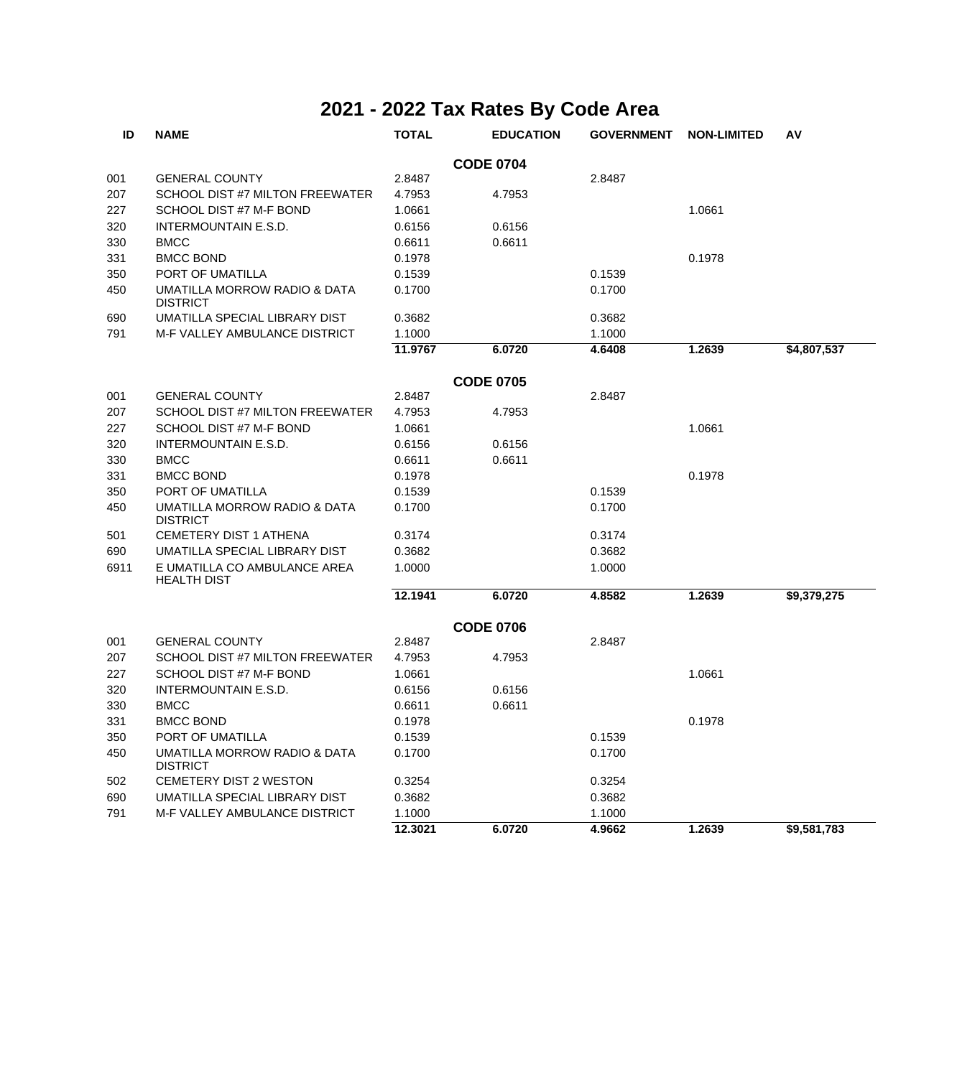| ID   | <b>NAME</b>                                        | <b>TOTAL</b> | <b>EDUCATION</b> | <b>GOVERNMENT</b> | <b>NON-LIMITED</b> | AV          |
|------|----------------------------------------------------|--------------|------------------|-------------------|--------------------|-------------|
|      |                                                    |              | <b>CODE 0704</b> |                   |                    |             |
| 001  | <b>GENERAL COUNTY</b>                              | 2.8487       |                  | 2.8487            |                    |             |
| 207  | SCHOOL DIST #7 MILTON FREEWATER                    | 4.7953       | 4.7953           |                   |                    |             |
| 227  | SCHOOL DIST #7 M-F BOND                            | 1.0661       |                  |                   | 1.0661             |             |
| 320  | <b>INTERMOUNTAIN E.S.D.</b>                        | 0.6156       | 0.6156           |                   |                    |             |
| 330  | <b>BMCC</b>                                        | 0.6611       | 0.6611           |                   |                    |             |
| 331  | <b>BMCC BOND</b>                                   | 0.1978       |                  |                   | 0.1978             |             |
| 350  | PORT OF UMATILLA                                   | 0.1539       |                  | 0.1539            |                    |             |
| 450  | UMATILLA MORROW RADIO & DATA<br><b>DISTRICT</b>    | 0.1700       |                  | 0.1700            |                    |             |
| 690  | UMATILLA SPECIAL LIBRARY DIST                      | 0.3682       |                  | 0.3682            |                    |             |
| 791  | <b>M-F VALLEY AMBULANCE DISTRICT</b>               | 1.1000       |                  | 1.1000            |                    |             |
|      |                                                    | 11.9767      | 6.0720           | 4.6408            | 1.2639             | \$4,807,537 |
|      |                                                    |              | <b>CODE 0705</b> |                   |                    |             |
| 001  | <b>GENERAL COUNTY</b>                              | 2.8487       |                  | 2.8487            |                    |             |
| 207  | SCHOOL DIST #7 MILTON FREEWATER                    | 4.7953       | 4.7953           |                   |                    |             |
| 227  | SCHOOL DIST #7 M-F BOND                            | 1.0661       |                  |                   | 1.0661             |             |
| 320  | <b>INTERMOUNTAIN E.S.D.</b>                        | 0.6156       | 0.6156           |                   |                    |             |
| 330  | <b>BMCC</b>                                        | 0.6611       | 0.6611           |                   |                    |             |
| 331  | <b>BMCC BOND</b>                                   | 0.1978       |                  |                   | 0.1978             |             |
| 350  | PORT OF UMATILLA                                   | 0.1539       |                  | 0.1539            |                    |             |
| 450  | UMATILLA MORROW RADIO & DATA<br><b>DISTRICT</b>    | 0.1700       |                  | 0.1700            |                    |             |
| 501  | <b>CEMETERY DIST 1 ATHENA</b>                      | 0.3174       |                  | 0.3174            |                    |             |
| 690  | UMATILLA SPECIAL LIBRARY DIST                      | 0.3682       |                  | 0.3682            |                    |             |
| 6911 | E UMATILLA CO AMBULANCE AREA<br><b>HEALTH DIST</b> | 1.0000       |                  | 1.0000            |                    |             |
|      |                                                    | 12.1941      | 6.0720           | 4.8582            | 1.2639             | \$9,379,275 |
|      |                                                    |              | <b>CODE 0706</b> |                   |                    |             |
| 001  | <b>GENERAL COUNTY</b>                              | 2.8487       |                  | 2.8487            |                    |             |
| 207  | SCHOOL DIST #7 MILTON FREEWATER                    | 4.7953       | 4.7953           |                   |                    |             |
| 227  | SCHOOL DIST #7 M-F BOND                            | 1.0661       |                  |                   | 1.0661             |             |
| 320  | <b>INTERMOUNTAIN E.S.D.</b>                        | 0.6156       | 0.6156           |                   |                    |             |
| 330  | <b>BMCC</b>                                        | 0.6611       | 0.6611           |                   |                    |             |
| 331  | <b>BMCC BOND</b>                                   | 0.1978       |                  |                   | 0.1978             |             |
| 350  | PORT OF UMATILLA                                   | 0.1539       |                  | 0.1539            |                    |             |
| 450  | UMATILLA MORROW RADIO & DATA<br><b>DISTRICT</b>    | 0.1700       |                  | 0.1700            |                    |             |
| 502  | <b>CEMETERY DIST 2 WESTON</b>                      | 0.3254       |                  | 0.3254            |                    |             |
| 690  | UMATILLA SPECIAL LIBRARY DIST                      | 0.3682       |                  | 0.3682            |                    |             |
| 791  | <b>M-F VALLEY AMBULANCE DISTRICT</b>               | 1.1000       |                  | 1.1000            |                    |             |
|      |                                                    | 12.3021      | 6.0720           | 4.9662            | 1.2639             | \$9,581,783 |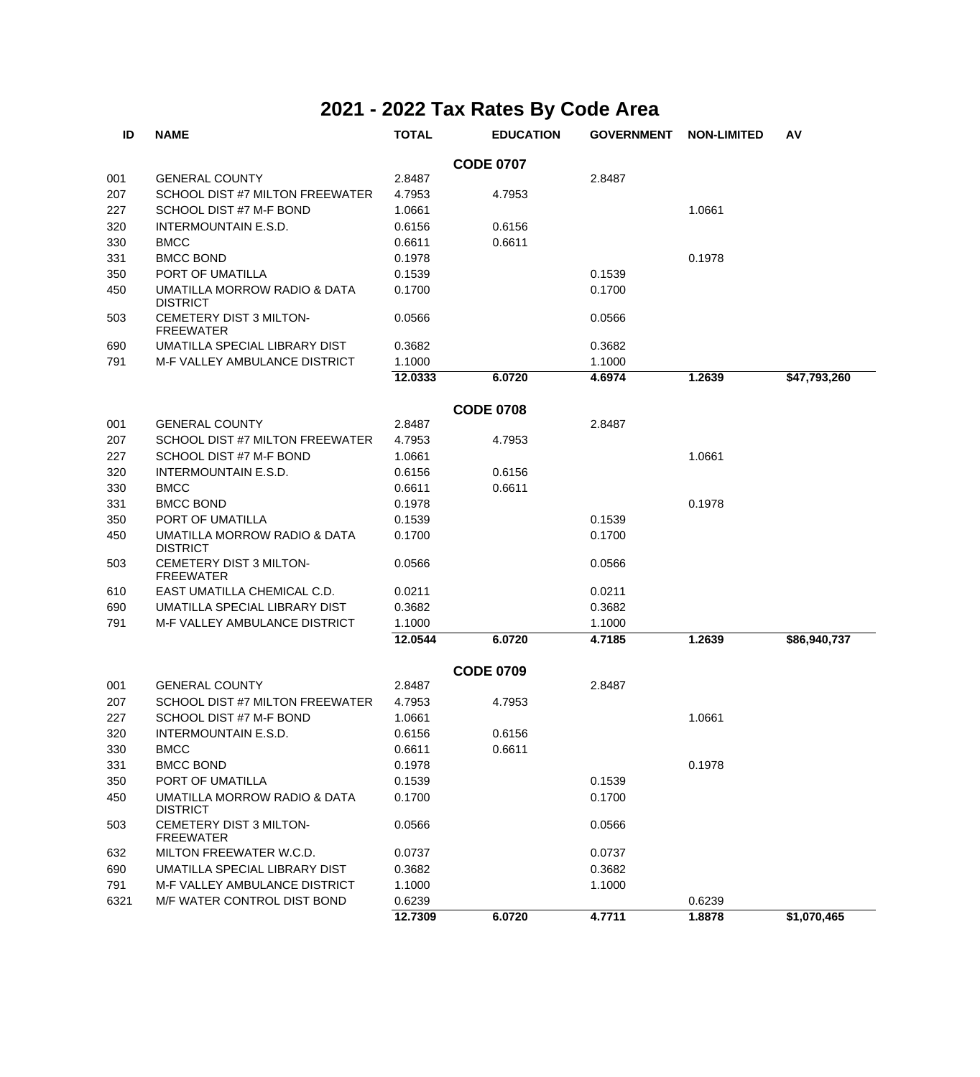| ID   | <b>NAME</b>                                     | <b>TOTAL</b> | <b>EDUCATION</b> | <b>GOVERNMENT</b> | <b>NON-LIMITED</b> | A٧           |
|------|-------------------------------------------------|--------------|------------------|-------------------|--------------------|--------------|
|      |                                                 |              | <b>CODE 0707</b> |                   |                    |              |
| 001  | <b>GENERAL COUNTY</b>                           | 2.8487       |                  | 2.8487            |                    |              |
| 207  | SCHOOL DIST #7 MILTON FREEWATER                 | 4.7953       | 4.7953           |                   |                    |              |
| 227  | SCHOOL DIST #7 M-F BOND                         | 1.0661       |                  |                   | 1.0661             |              |
| 320  | <b>INTERMOUNTAIN E.S.D.</b>                     | 0.6156       | 0.6156           |                   |                    |              |
| 330  | <b>BMCC</b>                                     | 0.6611       | 0.6611           |                   |                    |              |
| 331  | <b>BMCC BOND</b>                                | 0.1978       |                  |                   | 0.1978             |              |
| 350  | PORT OF UMATILLA                                | 0.1539       |                  | 0.1539            |                    |              |
| 450  | UMATILLA MORROW RADIO & DATA<br><b>DISTRICT</b> | 0.1700       |                  | 0.1700            |                    |              |
| 503  | CEMETERY DIST 3 MILTON-<br><b>FREEWATER</b>     | 0.0566       |                  | 0.0566            |                    |              |
| 690  | UMATILLA SPECIAL LIBRARY DIST                   | 0.3682       |                  | 0.3682            |                    |              |
| 791  | M-F VALLEY AMBULANCE DISTRICT                   | 1.1000       |                  | 1.1000            |                    |              |
|      |                                                 | 12.0333      | 6.0720           | 4.6974            | 1.2639             | \$47,793,260 |
|      |                                                 |              | <b>CODE 0708</b> |                   |                    |              |
| 001  | <b>GENERAL COUNTY</b>                           | 2.8487       |                  | 2.8487            |                    |              |
| 207  | SCHOOL DIST #7 MILTON FREEWATER                 | 4.7953       | 4.7953           |                   |                    |              |
| 227  | SCHOOL DIST #7 M-F BOND                         | 1.0661       |                  |                   | 1.0661             |              |
| 320  | INTERMOUNTAIN E.S.D.                            | 0.6156       | 0.6156           |                   |                    |              |
| 330  | <b>BMCC</b>                                     | 0.6611       | 0.6611           |                   |                    |              |
| 331  | <b>BMCC BOND</b>                                | 0.1978       |                  |                   | 0.1978             |              |
| 350  | PORT OF UMATILLA                                | 0.1539       |                  | 0.1539            |                    |              |
| 450  | UMATILLA MORROW RADIO & DATA<br><b>DISTRICT</b> | 0.1700       |                  | 0.1700            |                    |              |
| 503  | CEMETERY DIST 3 MILTON-<br><b>FREEWATER</b>     | 0.0566       |                  | 0.0566            |                    |              |
| 610  | EAST UMATILLA CHEMICAL C.D.                     | 0.0211       |                  | 0.0211            |                    |              |
| 690  | UMATILLA SPECIAL LIBRARY DIST                   | 0.3682       |                  | 0.3682            |                    |              |
| 791  | M-F VALLEY AMBULANCE DISTRICT                   | 1.1000       |                  | 1.1000            |                    |              |
|      |                                                 | 12.0544      | 6.0720           | 4.7185            | 1.2639             | \$86,940,737 |
|      |                                                 |              | <b>CODE 0709</b> |                   |                    |              |
| 001  | <b>GENERAL COUNTY</b>                           | 2.8487       |                  | 2.8487            |                    |              |
| 207  | SCHOOL DIST #7 MILTON FREEWATER                 | 4.7953       | 4.7953           |                   |                    |              |
| 227  | SCHOOL DIST #7 M-F BOND                         | 1.0661       |                  |                   | 1.0661             |              |
| 320  | <b>INTERMOUNTAIN E.S.D.</b>                     | 0.6156       | 0.6156           |                   |                    |              |
| 330  | <b>BMCC</b>                                     | 0.6611       | 0.6611           |                   |                    |              |
| 331  | <b>BMCC BOND</b>                                | 0.1978       |                  |                   | 0.1978             |              |
| 350  | PORT OF UMATILLA                                | 0.1539       |                  | 0.1539            |                    |              |
| 450  | UMATILLA MORROW RADIO & DATA<br><b>DISTRICT</b> | 0.1700       |                  | 0.1700            |                    |              |
| 503  | CEMETERY DIST 3 MILTON-<br><b>FREEWATER</b>     | 0.0566       |                  | 0.0566            |                    |              |
| 632  | MILTON FREEWATER W.C.D.                         | 0.0737       |                  | 0.0737            |                    |              |
| 690  | UMATILLA SPECIAL LIBRARY DIST                   | 0.3682       |                  | 0.3682            |                    |              |
| 791  | M-F VALLEY AMBULANCE DISTRICT                   | 1.1000       |                  | 1.1000            |                    |              |
| 6321 | M/F WATER CONTROL DIST BOND                     | 0.6239       |                  |                   | 0.6239             |              |
|      |                                                 | 12.7309      | 6.0720           | 4.7711            | 1.8878             | \$1,070,465  |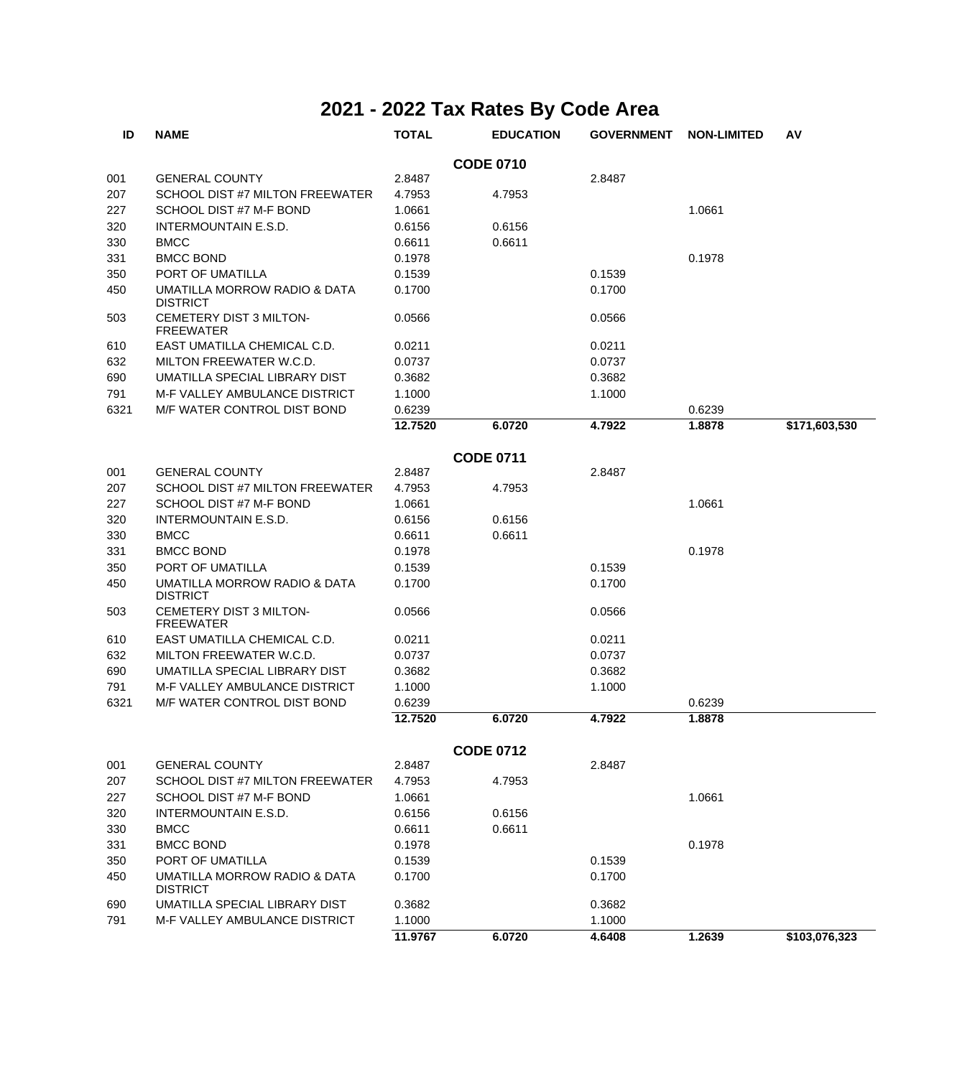| ID   | <b>NAME</b>                                                | <b>TOTAL</b> | <b>EDUCATION</b> | <b>GOVERNMENT</b> | <b>NON-LIMITED</b> | AV            |
|------|------------------------------------------------------------|--------------|------------------|-------------------|--------------------|---------------|
|      |                                                            |              | <b>CODE 0710</b> |                   |                    |               |
| 001  | <b>GENERAL COUNTY</b>                                      | 2.8487       |                  | 2.8487            |                    |               |
| 207  | SCHOOL DIST #7 MILTON FREEWATER                            | 4.7953       | 4.7953           |                   |                    |               |
| 227  | SCHOOL DIST #7 M-F BOND                                    | 1.0661       |                  |                   | 1.0661             |               |
| 320  | <b>INTERMOUNTAIN E.S.D.</b>                                | 0.6156       | 0.6156           |                   |                    |               |
| 330  | <b>BMCC</b>                                                | 0.6611       | 0.6611           |                   |                    |               |
| 331  | <b>BMCC BOND</b>                                           | 0.1978       |                  |                   | 0.1978             |               |
| 350  | PORT OF UMATILLA                                           | 0.1539       |                  | 0.1539            |                    |               |
| 450  | <b>UMATILLA MORROW RADIO &amp; DATA</b><br><b>DISTRICT</b> | 0.1700       |                  | 0.1700            |                    |               |
| 503  | CEMETERY DIST 3 MILTON-<br><b>FREEWATER</b>                | 0.0566       |                  | 0.0566            |                    |               |
| 610  | EAST UMATILLA CHEMICAL C.D.                                | 0.0211       |                  | 0.0211            |                    |               |
| 632  | MILTON FREEWATER W.C.D.                                    | 0.0737       |                  | 0.0737            |                    |               |
| 690  | UMATILLA SPECIAL LIBRARY DIST                              | 0.3682       |                  | 0.3682            |                    |               |
| 791  | M-F VALLEY AMBULANCE DISTRICT                              | 1.1000       |                  | 1.1000            |                    |               |
| 6321 | M/F WATER CONTROL DIST BOND                                | 0.6239       |                  |                   | 0.6239             |               |
|      |                                                            | 12.7520      | 6.0720           | 4.7922            | 1.8878             | \$171,603,530 |
|      |                                                            |              | <b>CODE 0711</b> |                   |                    |               |
| 001  | <b>GENERAL COUNTY</b>                                      | 2.8487       |                  | 2.8487            |                    |               |
| 207  | SCHOOL DIST #7 MILTON FREEWATER                            | 4.7953       | 4.7953           |                   |                    |               |
| 227  | SCHOOL DIST #7 M-F BOND                                    | 1.0661       |                  |                   | 1.0661             |               |
| 320  | INTERMOUNTAIN E.S.D.                                       | 0.6156       | 0.6156           |                   |                    |               |
| 330  | <b>BMCC</b>                                                | 0.6611       | 0.6611           |                   |                    |               |
| 331  | <b>BMCC BOND</b>                                           | 0.1978       |                  |                   | 0.1978             |               |
| 350  | PORT OF UMATILLA                                           | 0.1539       |                  | 0.1539            |                    |               |
| 450  | UMATILLA MORROW RADIO & DATA<br><b>DISTRICT</b>            | 0.1700       |                  | 0.1700            |                    |               |
| 503  | CEMETERY DIST 3 MILTON-<br><b>FREEWATER</b>                | 0.0566       |                  | 0.0566            |                    |               |
| 610  | EAST UMATILLA CHEMICAL C.D.                                | 0.0211       |                  | 0.0211            |                    |               |
| 632  | MILTON FREEWATER W.C.D.                                    | 0.0737       |                  | 0.0737            |                    |               |
| 690  | UMATILLA SPECIAL LIBRARY DIST                              | 0.3682       |                  | 0.3682            |                    |               |
| 791  | M-F VALLEY AMBULANCE DISTRICT                              | 1.1000       |                  | 1.1000            |                    |               |
| 6321 | M/F WATER CONTROL DIST BOND                                | 0.6239       |                  |                   | 0.6239             |               |
|      |                                                            | 12.7520      | 6.0720           | 4.7922            | 1.8878             |               |
|      |                                                            |              | <b>CODE 0712</b> |                   |                    |               |
| 001  | <b>GENERAL COUNTY</b>                                      | 2.8487       |                  | 2.8487            |                    |               |
| 207  | SCHOOL DIST #7 MILTON FREEWATER                            | 4.7953       | 4.7953           |                   |                    |               |
| 227  | SCHOOL DIST #7 M-F BOND                                    | 1.0661       |                  |                   | 1.0661             |               |
| 320  | INTERMOUNTAIN E.S.D.                                       | 0.6156       | 0.6156           |                   |                    |               |
| 330  | <b>BMCC</b>                                                | 0.6611       | 0.6611           |                   |                    |               |
| 331  | <b>BMCC BOND</b>                                           | 0.1978       |                  |                   | 0.1978             |               |
| 350  | PORT OF UMATILLA                                           | 0.1539       |                  | 0.1539            |                    |               |
| 450  | UMATILLA MORROW RADIO & DATA<br><b>DISTRICT</b>            | 0.1700       |                  | 0.1700            |                    |               |
| 690  | UMATILLA SPECIAL LIBRARY DIST                              | 0.3682       |                  | 0.3682            |                    |               |
| 791  | M-F VALLEY AMBULANCE DISTRICT                              | 1.1000       |                  | 1.1000            |                    |               |
|      |                                                            | 11.9767      | 6.0720           | 4.6408            | 1.2639             | \$103,076,323 |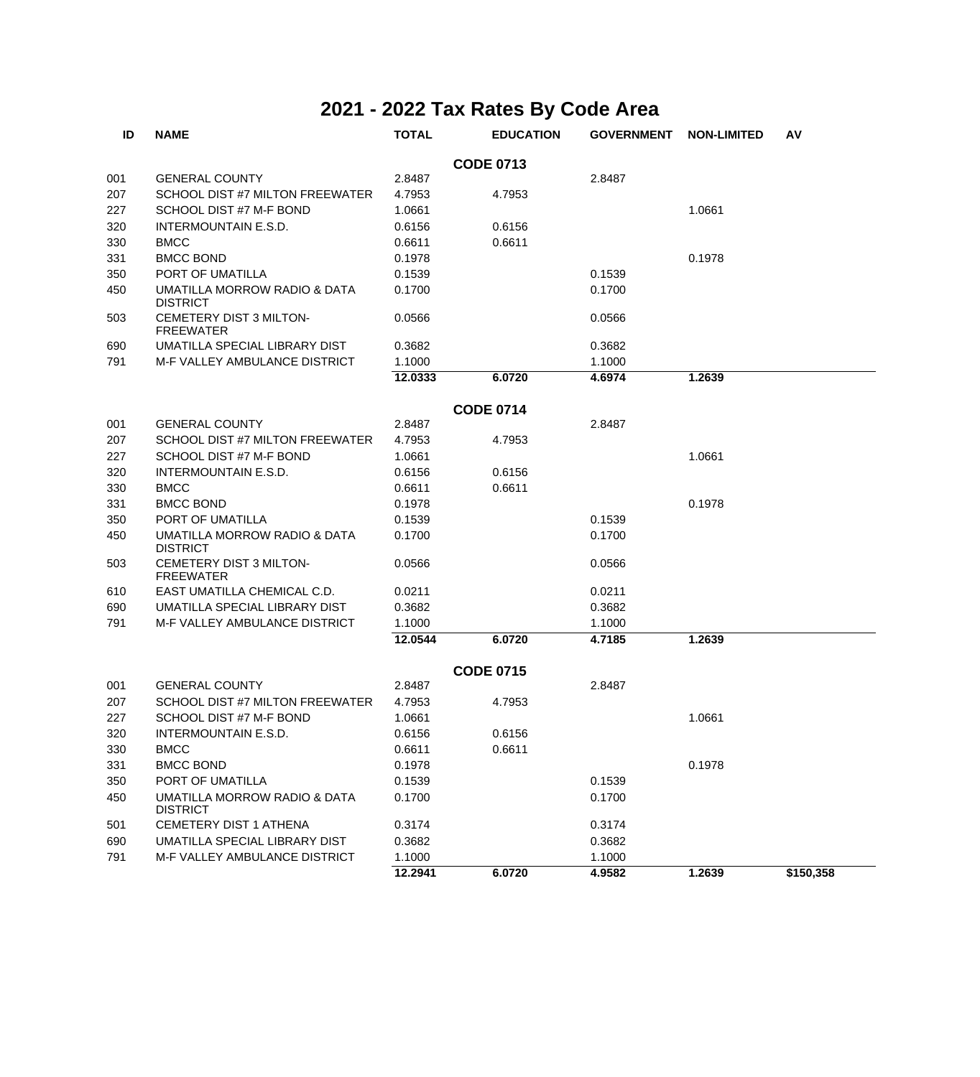| ID  | <b>NAME</b>                                     | <b>TOTAL</b> | <b>EDUCATION</b> | <b>GOVERNMENT</b> | <b>NON-LIMITED</b> | AV        |
|-----|-------------------------------------------------|--------------|------------------|-------------------|--------------------|-----------|
|     |                                                 |              | <b>CODE 0713</b> |                   |                    |           |
| 001 | <b>GENERAL COUNTY</b>                           | 2.8487       |                  | 2.8487            |                    |           |
| 207 | SCHOOL DIST #7 MILTON FREEWATER                 | 4.7953       | 4.7953           |                   |                    |           |
| 227 | SCHOOL DIST #7 M-F BOND                         | 1.0661       |                  |                   | 1.0661             |           |
| 320 | <b>INTERMOUNTAIN E.S.D.</b>                     | 0.6156       | 0.6156           |                   |                    |           |
| 330 | <b>BMCC</b>                                     | 0.6611       | 0.6611           |                   |                    |           |
| 331 | <b>BMCC BOND</b>                                | 0.1978       |                  |                   | 0.1978             |           |
| 350 | PORT OF UMATILLA                                | 0.1539       |                  | 0.1539            |                    |           |
| 450 | UMATILLA MORROW RADIO & DATA<br><b>DISTRICT</b> | 0.1700       |                  | 0.1700            |                    |           |
| 503 | CEMETERY DIST 3 MILTON-<br><b>FREEWATER</b>     | 0.0566       |                  | 0.0566            |                    |           |
| 690 | UMATILLA SPECIAL LIBRARY DIST                   | 0.3682       |                  | 0.3682            |                    |           |
| 791 | M-F VALLEY AMBULANCE DISTRICT                   | 1.1000       |                  | 1.1000            |                    |           |
|     |                                                 | 12.0333      | 6.0720           | 4.6974            | 1.2639             |           |
|     |                                                 |              | <b>CODE 0714</b> |                   |                    |           |
| 001 | <b>GENERAL COUNTY</b>                           | 2.8487       |                  | 2.8487            |                    |           |
| 207 | SCHOOL DIST #7 MILTON FREEWATER                 | 4.7953       | 4.7953           |                   |                    |           |
| 227 | SCHOOL DIST #7 M-F BOND                         | 1.0661       |                  |                   | 1.0661             |           |
| 320 | <b>INTERMOUNTAIN E.S.D.</b>                     | 0.6156       | 0.6156           |                   |                    |           |
| 330 | <b>BMCC</b>                                     | 0.6611       | 0.6611           |                   |                    |           |
| 331 | <b>BMCC BOND</b>                                | 0.1978       |                  |                   | 0.1978             |           |
| 350 | PORT OF UMATILLA                                | 0.1539       |                  | 0.1539            |                    |           |
| 450 | UMATILLA MORROW RADIO & DATA<br><b>DISTRICT</b> | 0.1700       |                  | 0.1700            |                    |           |
| 503 | CEMETERY DIST 3 MILTON-<br><b>FREEWATER</b>     | 0.0566       |                  | 0.0566            |                    |           |
| 610 | EAST UMATILLA CHEMICAL C.D.                     | 0.0211       |                  | 0.0211            |                    |           |
| 690 | UMATILLA SPECIAL LIBRARY DIST                   | 0.3682       |                  | 0.3682            |                    |           |
| 791 | M-F VALLEY AMBULANCE DISTRICT                   | 1.1000       |                  | 1.1000            |                    |           |
|     |                                                 | 12.0544      | 6.0720           | 4.7185            | 1.2639             |           |
|     |                                                 |              | <b>CODE 0715</b> |                   |                    |           |
| 001 | <b>GENERAL COUNTY</b>                           | 2.8487       |                  | 2.8487            |                    |           |
| 207 | SCHOOL DIST #7 MILTON FREEWATER                 | 4.7953       | 4.7953           |                   |                    |           |
| 227 | SCHOOL DIST #7 M-F BOND                         | 1.0661       |                  |                   | 1.0661             |           |
| 320 | <b>INTERMOUNTAIN E.S.D.</b>                     | 0.6156       | 0.6156           |                   |                    |           |
| 330 | <b>BMCC</b>                                     | 0.6611       | 0.6611           |                   |                    |           |
| 331 | <b>BMCC BOND</b>                                | 0.1978       |                  |                   | 0.1978             |           |
| 350 | PORT OF UMATILLA                                | 0.1539       |                  | 0.1539            |                    |           |
| 450 | UMATILLA MORROW RADIO & DATA<br><b>DISTRICT</b> | 0.1700       |                  | 0.1700            |                    |           |
| 501 | <b>CEMETERY DIST 1 ATHENA</b>                   | 0.3174       |                  | 0.3174            |                    |           |
| 690 | UMATILLA SPECIAL LIBRARY DIST                   | 0.3682       |                  | 0.3682            |                    |           |
| 791 | M-F VALLEY AMBULANCE DISTRICT                   | 1.1000       |                  | 1.1000            |                    |           |
|     |                                                 | 12.2941      | 6.0720           | 4.9582            | 1.2639             | \$150,358 |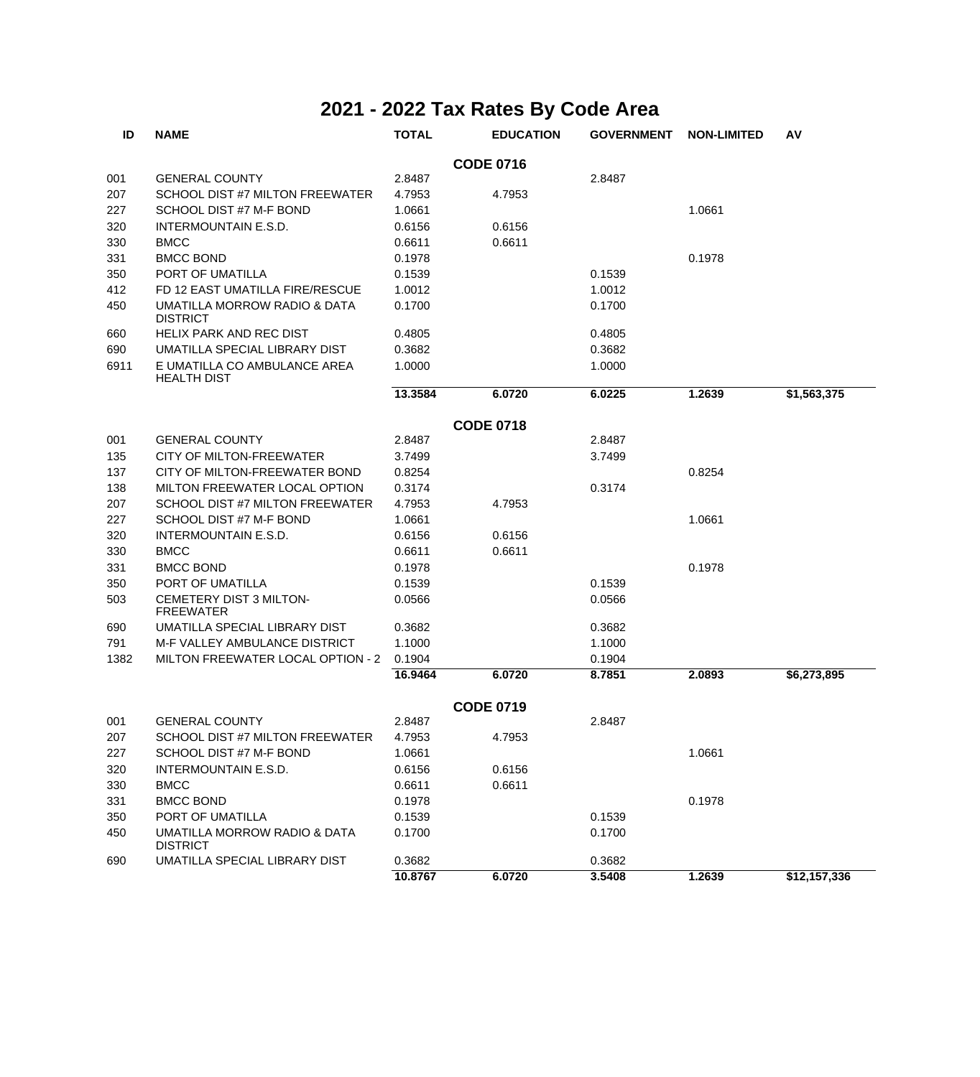| ID   | <b>NAME</b>                                        | <b>TOTAL</b> | <b>EDUCATION</b> | <b>GOVERNMENT</b> | <b>NON-LIMITED</b> | AV           |
|------|----------------------------------------------------|--------------|------------------|-------------------|--------------------|--------------|
|      |                                                    |              | <b>CODE 0716</b> |                   |                    |              |
| 001  | <b>GENERAL COUNTY</b>                              | 2.8487       |                  | 2.8487            |                    |              |
| 207  | SCHOOL DIST #7 MILTON FREEWATER                    | 4.7953       | 4.7953           |                   |                    |              |
| 227  | SCHOOL DIST #7 M-F BOND                            | 1.0661       |                  |                   | 1.0661             |              |
| 320  | INTERMOUNTAIN E.S.D.                               | 0.6156       | 0.6156           |                   |                    |              |
| 330  | <b>BMCC</b>                                        | 0.6611       | 0.6611           |                   |                    |              |
| 331  | <b>BMCC BOND</b>                                   | 0.1978       |                  |                   | 0.1978             |              |
| 350  | PORT OF UMATILLA                                   | 0.1539       |                  | 0.1539            |                    |              |
| 412  | FD 12 EAST UMATILLA FIRE/RESCUE                    | 1.0012       |                  | 1.0012            |                    |              |
| 450  | UMATILLA MORROW RADIO & DATA<br><b>DISTRICT</b>    | 0.1700       |                  | 0.1700            |                    |              |
| 660  | HELIX PARK AND REC DIST                            | 0.4805       |                  | 0.4805            |                    |              |
| 690  | UMATILLA SPECIAL LIBRARY DIST                      | 0.3682       |                  | 0.3682            |                    |              |
| 6911 | E UMATILLA CO AMBULANCE AREA<br><b>HEALTH DIST</b> | 1.0000       |                  | 1.0000            |                    |              |
|      |                                                    | 13.3584      | 6.0720           | 6.0225            | 1.2639             | \$1,563,375  |
|      |                                                    |              | <b>CODE 0718</b> |                   |                    |              |
| 001  | <b>GENERAL COUNTY</b>                              | 2.8487       |                  | 2.8487            |                    |              |
| 135  | CITY OF MILTON-FREEWATER                           | 3.7499       |                  | 3.7499            |                    |              |
| 137  | CITY OF MILTON-FREEWATER BOND                      | 0.8254       |                  |                   | 0.8254             |              |
| 138  | MILTON FREEWATER LOCAL OPTION                      | 0.3174       |                  | 0.3174            |                    |              |
| 207  | SCHOOL DIST #7 MILTON FREEWATER                    | 4.7953       | 4.7953           |                   |                    |              |
| 227  | SCHOOL DIST #7 M-F BOND                            | 1.0661       |                  |                   | 1.0661             |              |
| 320  | INTERMOUNTAIN E.S.D.                               | 0.6156       | 0.6156           |                   |                    |              |
| 330  | <b>BMCC</b>                                        | 0.6611       | 0.6611           |                   |                    |              |
| 331  | <b>BMCC BOND</b>                                   | 0.1978       |                  |                   | 0.1978             |              |
| 350  | PORT OF UMATILLA                                   | 0.1539       |                  | 0.1539            |                    |              |
| 503  | CEMETERY DIST 3 MILTON-<br><b>FREEWATER</b>        | 0.0566       |                  | 0.0566            |                    |              |
| 690  | UMATILLA SPECIAL LIBRARY DIST                      | 0.3682       |                  | 0.3682            |                    |              |
| 791  | M-F VALLEY AMBULANCE DISTRICT                      | 1.1000       |                  | 1.1000            |                    |              |
| 1382 | MILTON FREEWATER LOCAL OPTION - 2                  | 0.1904       |                  | 0.1904            |                    |              |
|      |                                                    | 16.9464      | 6.0720           | 8.7851            | 2.0893             | \$6,273,895  |
|      |                                                    |              | <b>CODE 0719</b> |                   |                    |              |
| 001  | <b>GENERAL COUNTY</b>                              | 2.8487       |                  | 2.8487            |                    |              |
| 207  | SCHOOL DIST #7 MILTON FREEWATER                    | 4.7953       | 4.7953           |                   |                    |              |
| 227  | SCHOOL DIST #7 M-F BOND                            | 1.0661       |                  |                   | 1.0661             |              |
| 320  | INTERMOUNTAIN E.S.D.                               | 0.6156       | 0.6156           |                   |                    |              |
| 330  | <b>BMCC</b>                                        | 0.6611       | 0.6611           |                   |                    |              |
| 331  | <b>BMCC BOND</b>                                   | 0.1978       |                  |                   | 0.1978             |              |
| 350  | PORT OF UMATILLA                                   | 0.1539       |                  | 0.1539            |                    |              |
| 450  | UMATILLA MORROW RADIO & DATA<br><b>DISTRICT</b>    | 0.1700       |                  | 0.1700            |                    |              |
| 690  | UMATILLA SPECIAL LIBRARY DIST                      | 0.3682       |                  | 0.3682            |                    |              |
|      |                                                    | 10.8767      | 6.0720           | 3.5408            | 1.2639             | \$12,157,336 |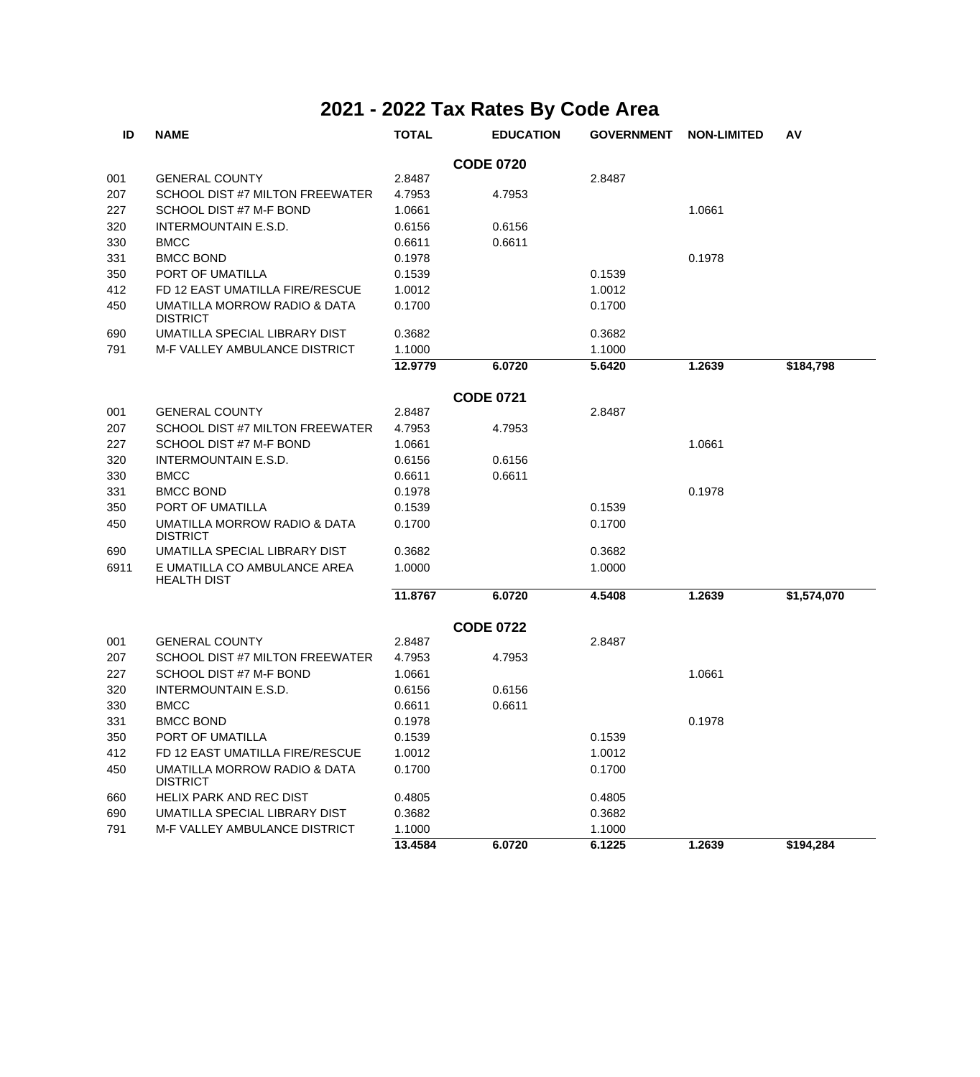| ID   | <b>NAME</b>                                        | <b>TOTAL</b> | <b>EDUCATION</b> | <b>GOVERNMENT</b> | <b>NON-LIMITED</b> | AV          |
|------|----------------------------------------------------|--------------|------------------|-------------------|--------------------|-------------|
|      |                                                    |              | <b>CODE 0720</b> |                   |                    |             |
| 001  | <b>GENERAL COUNTY</b>                              | 2.8487       |                  | 2.8487            |                    |             |
| 207  | SCHOOL DIST #7 MILTON FREEWATER                    | 4.7953       | 4.7953           |                   |                    |             |
| 227  | SCHOOL DIST #7 M-F BOND                            | 1.0661       |                  |                   | 1.0661             |             |
| 320  | INTERMOUNTAIN E.S.D.                               | 0.6156       | 0.6156           |                   |                    |             |
| 330  | <b>BMCC</b>                                        | 0.6611       | 0.6611           |                   |                    |             |
| 331  | <b>BMCC BOND</b>                                   | 0.1978       |                  |                   | 0.1978             |             |
| 350  | PORT OF UMATILLA                                   | 0.1539       |                  | 0.1539            |                    |             |
| 412  | FD 12 EAST UMATILLA FIRE/RESCUE                    | 1.0012       |                  | 1.0012            |                    |             |
| 450  | UMATILLA MORROW RADIO & DATA<br><b>DISTRICT</b>    | 0.1700       |                  | 0.1700            |                    |             |
| 690  | UMATILLA SPECIAL LIBRARY DIST                      | 0.3682       |                  | 0.3682            |                    |             |
| 791  | M-F VALLEY AMBULANCE DISTRICT                      | 1.1000       |                  | 1.1000            |                    |             |
|      |                                                    | 12.9779      | 6.0720           | 5.6420            | 1.2639             | \$184,798   |
|      |                                                    |              | <b>CODE 0721</b> |                   |                    |             |
| 001  | <b>GENERAL COUNTY</b>                              | 2.8487       |                  | 2.8487            |                    |             |
| 207  | SCHOOL DIST #7 MILTON FREEWATER                    | 4.7953       | 4.7953           |                   |                    |             |
| 227  | SCHOOL DIST #7 M-F BOND                            | 1.0661       |                  |                   | 1.0661             |             |
| 320  | <b>INTERMOUNTAIN E.S.D.</b>                        | 0.6156       | 0.6156           |                   |                    |             |
| 330  | <b>BMCC</b>                                        | 0.6611       | 0.6611           |                   |                    |             |
| 331  | <b>BMCC BOND</b>                                   | 0.1978       |                  |                   | 0.1978             |             |
| 350  | PORT OF UMATILLA                                   | 0.1539       |                  | 0.1539            |                    |             |
| 450  | UMATILLA MORROW RADIO & DATA<br><b>DISTRICT</b>    | 0.1700       |                  | 0.1700            |                    |             |
| 690  | UMATILLA SPECIAL LIBRARY DIST                      | 0.3682       |                  | 0.3682            |                    |             |
| 6911 | E UMATILLA CO AMBULANCE AREA<br><b>HEALTH DIST</b> | 1.0000       |                  | 1.0000            |                    |             |
|      |                                                    | 11.8767      | 6.0720           | 4.5408            | 1.2639             | \$1,574,070 |
|      |                                                    |              | <b>CODE 0722</b> |                   |                    |             |
| 001  | <b>GENERAL COUNTY</b>                              | 2.8487       |                  | 2.8487            |                    |             |
| 207  | SCHOOL DIST #7 MILTON FREEWATER                    | 4.7953       | 4.7953           |                   |                    |             |
| 227  | SCHOOL DIST #7 M-F BOND                            | 1.0661       |                  |                   | 1.0661             |             |
| 320  | <b>INTERMOUNTAIN E.S.D.</b>                        | 0.6156       | 0.6156           |                   |                    |             |
| 330  | <b>BMCC</b>                                        | 0.6611       | 0.6611           |                   |                    |             |
| 331  | <b>BMCC BOND</b>                                   | 0.1978       |                  |                   | 0.1978             |             |
| 350  | PORT OF UMATILLA                                   | 0.1539       |                  | 0.1539            |                    |             |
| 412  | FD 12 EAST UMATILLA FIRE/RESCUE                    | 1.0012       |                  | 1.0012            |                    |             |
| 450  | UMATILLA MORROW RADIO & DATA<br><b>DISTRICT</b>    | 0.1700       |                  | 0.1700            |                    |             |
| 660  | <b>HELIX PARK AND REC DIST</b>                     | 0.4805       |                  | 0.4805            |                    |             |
| 690  | UMATILLA SPECIAL LIBRARY DIST                      | 0.3682       |                  | 0.3682            |                    |             |
| 791  | M-F VALLEY AMBULANCE DISTRICT                      | 1.1000       |                  | 1.1000            |                    |             |
|      |                                                    | 13.4584      | 6.0720           | 6.1225            | 1.2639             | \$194,284   |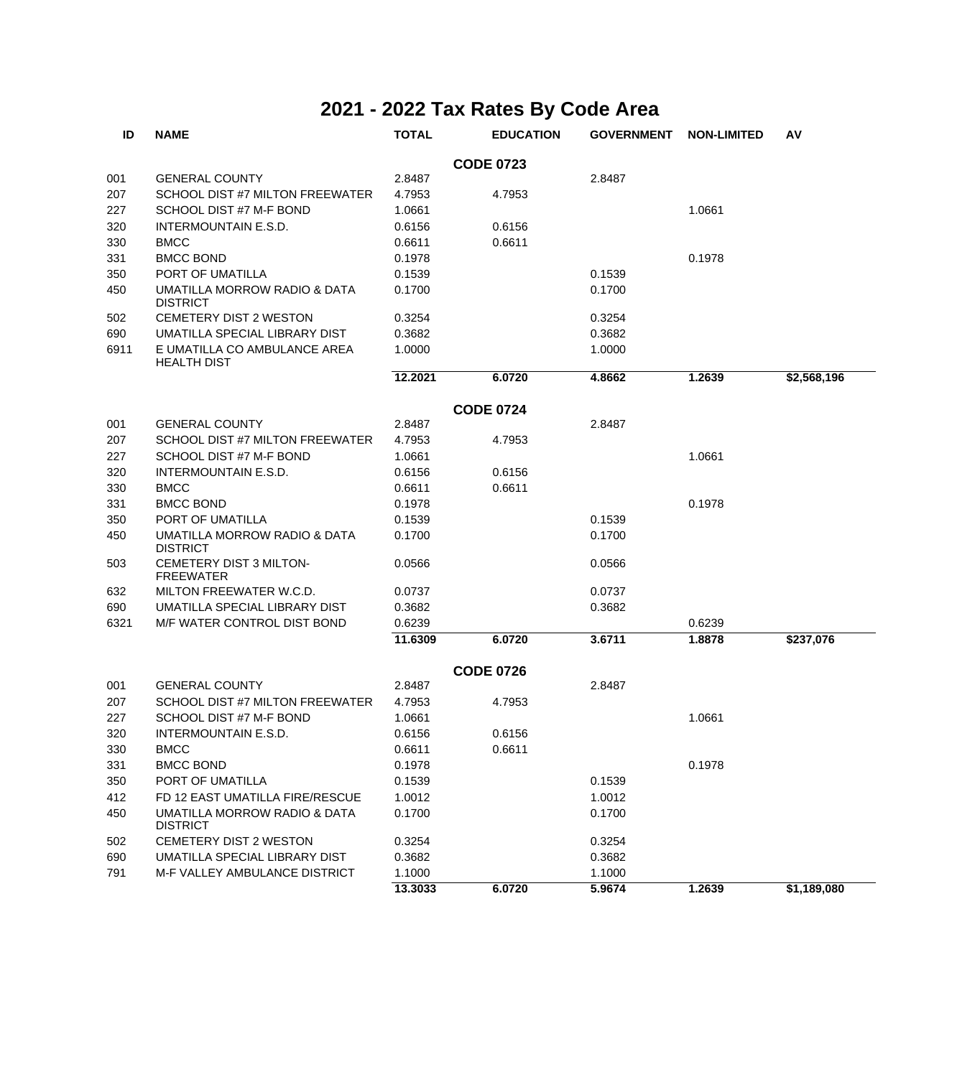| ID   | <b>NAME</b>                                        | <b>TOTAL</b> | <b>EDUCATION</b> | <b>GOVERNMENT</b> | <b>NON-LIMITED</b> | AV          |
|------|----------------------------------------------------|--------------|------------------|-------------------|--------------------|-------------|
|      |                                                    |              | <b>CODE 0723</b> |                   |                    |             |
| 001  | <b>GENERAL COUNTY</b>                              | 2.8487       |                  | 2.8487            |                    |             |
| 207  | SCHOOL DIST #7 MILTON FREEWATER                    | 4.7953       | 4.7953           |                   |                    |             |
| 227  | SCHOOL DIST #7 M-F BOND                            | 1.0661       |                  |                   | 1.0661             |             |
| 320  | <b>INTERMOUNTAIN E.S.D.</b>                        | 0.6156       | 0.6156           |                   |                    |             |
| 330  | <b>BMCC</b>                                        | 0.6611       | 0.6611           |                   |                    |             |
| 331  | <b>BMCC BOND</b>                                   | 0.1978       |                  |                   | 0.1978             |             |
| 350  | PORT OF UMATILLA                                   | 0.1539       |                  | 0.1539            |                    |             |
| 450  | UMATILLA MORROW RADIO & DATA<br><b>DISTRICT</b>    | 0.1700       |                  | 0.1700            |                    |             |
| 502  | <b>CEMETERY DIST 2 WESTON</b>                      | 0.3254       |                  | 0.3254            |                    |             |
| 690  | UMATILLA SPECIAL LIBRARY DIST                      | 0.3682       |                  | 0.3682            |                    |             |
| 6911 | E UMATILLA CO AMBULANCE AREA<br><b>HEALTH DIST</b> | 1.0000       |                  | 1.0000            |                    |             |
|      |                                                    | 12.2021      | 6.0720           | 4.8662            | 1.2639             | \$2,568,196 |
|      |                                                    |              | <b>CODE 0724</b> |                   |                    |             |
| 001  | <b>GENERAL COUNTY</b>                              | 2.8487       |                  | 2.8487            |                    |             |
| 207  | SCHOOL DIST #7 MILTON FREEWATER                    | 4.7953       | 4.7953           |                   |                    |             |
| 227  | SCHOOL DIST #7 M-F BOND                            | 1.0661       |                  |                   | 1.0661             |             |
| 320  | <b>INTERMOUNTAIN E.S.D.</b>                        | 0.6156       | 0.6156           |                   |                    |             |
| 330  | <b>BMCC</b>                                        | 0.6611       | 0.6611           |                   |                    |             |
| 331  | <b>BMCC BOND</b>                                   | 0.1978       |                  |                   | 0.1978             |             |
| 350  | PORT OF UMATILLA                                   | 0.1539       |                  | 0.1539            |                    |             |
| 450  | UMATILLA MORROW RADIO & DATA<br><b>DISTRICT</b>    | 0.1700       |                  | 0.1700            |                    |             |
| 503  | CEMETERY DIST 3 MILTON-<br><b>FREEWATER</b>        | 0.0566       |                  | 0.0566            |                    |             |
| 632  | MILTON FREEWATER W.C.D.                            | 0.0737       |                  | 0.0737            |                    |             |
| 690  | UMATILLA SPECIAL LIBRARY DIST                      | 0.3682       |                  | 0.3682            |                    |             |
| 6321 | M/F WATER CONTROL DIST BOND                        | 0.6239       |                  |                   | 0.6239             |             |
|      |                                                    | 11.6309      | 6.0720           | 3.6711            | 1.8878             | \$237,076   |
|      |                                                    |              | <b>CODE 0726</b> |                   |                    |             |
| 001  | <b>GENERAL COUNTY</b>                              | 2.8487       |                  | 2.8487            |                    |             |
| 207  | SCHOOL DIST #7 MILTON FREEWATER                    | 4.7953       | 4.7953           |                   |                    |             |
| 227  | SCHOOL DIST #7 M-F BOND                            | 1.0661       |                  |                   | 1.0661             |             |
| 320  | INTERMOUNTAIN E.S.D.                               | 0.6156       | 0.6156           |                   |                    |             |
| 330  | <b>BMCC</b>                                        | 0.6611       | 0.6611           |                   |                    |             |
| 331  | <b>BMCC BOND</b>                                   | 0.1978       |                  |                   | 0.1978             |             |
| 350  | PORT OF UMATILLA                                   | 0.1539       |                  | 0.1539            |                    |             |
| 412  | FD 12 EAST UMATILLA FIRE/RESCUE                    | 1.0012       |                  | 1.0012            |                    |             |
| 450  | UMATILLA MORROW RADIO & DATA<br><b>DISTRICT</b>    | 0.1700       |                  | 0.1700            |                    |             |
| 502  | CEMETERY DIST 2 WESTON                             | 0.3254       |                  | 0.3254            |                    |             |
| 690  | UMATILLA SPECIAL LIBRARY DIST                      | 0.3682       |                  | 0.3682            |                    |             |
| 791  | M-F VALLEY AMBULANCE DISTRICT                      | 1.1000       |                  | 1.1000            |                    |             |
|      |                                                    | 13.3033      | 6.0720           | 5.9674            | 1.2639             | \$1,189,080 |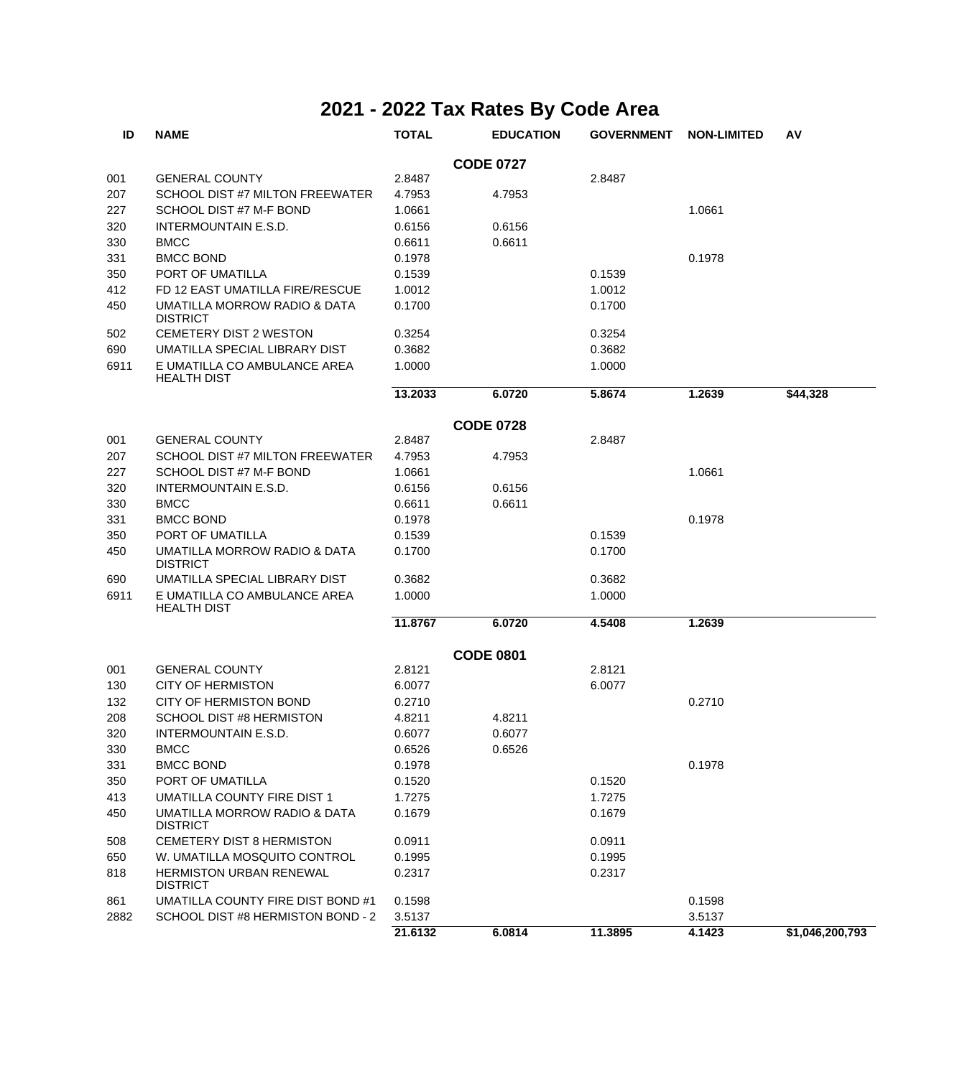| ID   | <b>NAME</b>                                        | <b>TOTAL</b> | <b>EDUCATION</b> | <b>GOVERNMENT</b> | <b>NON-LIMITED</b> | AV              |
|------|----------------------------------------------------|--------------|------------------|-------------------|--------------------|-----------------|
|      |                                                    |              | <b>CODE 0727</b> |                   |                    |                 |
| 001  | <b>GENERAL COUNTY</b>                              | 2.8487       |                  | 2.8487            |                    |                 |
| 207  | SCHOOL DIST #7 MILTON FREEWATER                    | 4.7953       | 4.7953           |                   |                    |                 |
| 227  | SCHOOL DIST #7 M-F BOND                            | 1.0661       |                  |                   | 1.0661             |                 |
| 320  | <b>INTERMOUNTAIN E.S.D.</b>                        | 0.6156       | 0.6156           |                   |                    |                 |
| 330  | <b>BMCC</b>                                        | 0.6611       | 0.6611           |                   |                    |                 |
| 331  | <b>BMCC BOND</b>                                   | 0.1978       |                  |                   | 0.1978             |                 |
| 350  | PORT OF UMATILLA                                   | 0.1539       |                  | 0.1539            |                    |                 |
| 412  | FD 12 EAST UMATILLA FIRE/RESCUE                    | 1.0012       |                  | 1.0012            |                    |                 |
| 450  | UMATILLA MORROW RADIO & DATA<br><b>DISTRICT</b>    | 0.1700       |                  | 0.1700            |                    |                 |
| 502  | <b>CEMETERY DIST 2 WESTON</b>                      | 0.3254       |                  | 0.3254            |                    |                 |
| 690  | UMATILLA SPECIAL LIBRARY DIST                      | 0.3682       |                  | 0.3682            |                    |                 |
| 6911 | E UMATILLA CO AMBULANCE AREA<br><b>HEALTH DIST</b> | 1.0000       |                  | 1.0000            |                    |                 |
|      |                                                    | 13.2033      | 6.0720           | 5.8674            | 1.2639             | \$44,328        |
|      |                                                    |              | <b>CODE 0728</b> |                   |                    |                 |
| 001  | <b>GENERAL COUNTY</b>                              | 2.8487       |                  | 2.8487            |                    |                 |
| 207  | SCHOOL DIST #7 MILTON FREEWATER                    | 4.7953       | 4.7953           |                   |                    |                 |
| 227  | SCHOOL DIST #7 M-F BOND                            | 1.0661       |                  |                   | 1.0661             |                 |
| 320  | <b>INTERMOUNTAIN E.S.D.</b>                        | 0.6156       | 0.6156           |                   |                    |                 |
| 330  | <b>BMCC</b>                                        | 0.6611       | 0.6611           |                   |                    |                 |
| 331  | <b>BMCC BOND</b>                                   | 0.1978       |                  |                   | 0.1978             |                 |
| 350  | PORT OF UMATILLA                                   | 0.1539       |                  | 0.1539            |                    |                 |
| 450  | UMATILLA MORROW RADIO & DATA<br><b>DISTRICT</b>    | 0.1700       |                  | 0.1700            |                    |                 |
| 690  | UMATILLA SPECIAL LIBRARY DIST                      | 0.3682       |                  | 0.3682            |                    |                 |
| 6911 | E UMATILLA CO AMBULANCE AREA<br><b>HEALTH DIST</b> | 1.0000       |                  | 1.0000            |                    |                 |
|      |                                                    | 11.8767      | 6.0720           | 4.5408            | 1.2639             |                 |
|      |                                                    |              | <b>CODE 0801</b> |                   |                    |                 |
| 001  | <b>GENERAL COUNTY</b>                              | 2.8121       |                  | 2.8121            |                    |                 |
| 130  | <b>CITY OF HERMISTON</b>                           | 6.0077       |                  | 6.0077            |                    |                 |
| 132  | <b>CITY OF HERMISTON BOND</b>                      | 0.2710       |                  |                   | 0.2710             |                 |
| 208  | <b>SCHOOL DIST #8 HERMISTON</b>                    | 4.8211       | 4.8211           |                   |                    |                 |
| 320  | <b>INTERMOUNTAIN E.S.D.</b>                        | 0.6077       | 0.6077           |                   |                    |                 |
| 330  | <b>BMCC</b>                                        | 0.6526       | 0.6526           |                   |                    |                 |
| 331  | <b>BMCC BOND</b>                                   | 0.1978       |                  |                   | 0.1978             |                 |
| 350  | PORT OF UMATILLA                                   | 0.1520       |                  | 0.1520            |                    |                 |
| 413  | UMATILLA COUNTY FIRE DIST 1                        | 1.7275       |                  | 1.7275            |                    |                 |
| 450  | UMATILLA MORROW RADIO & DATA<br><b>DISTRICT</b>    | 0.1679       |                  | 0.1679            |                    |                 |
| 508  | <b>CEMETERY DIST 8 HERMISTON</b>                   | 0.0911       |                  | 0.0911            |                    |                 |
| 650  | W. UMATILLA MOSQUITO CONTROL                       | 0.1995       |                  | 0.1995            |                    |                 |
| 818  | <b>HERMISTON URBAN RENEWAL</b><br><b>DISTRICT</b>  | 0.2317       |                  | 0.2317            |                    |                 |
| 861  | UMATILLA COUNTY FIRE DIST BOND #1                  | 0.1598       |                  |                   | 0.1598             |                 |
| 2882 | SCHOOL DIST #8 HERMISTON BOND - 2                  | 3.5137       |                  |                   | 3.5137             |                 |
|      |                                                    | 21.6132      | 6.0814           | 11.3895           | 4.1423             | \$1,046,200,793 |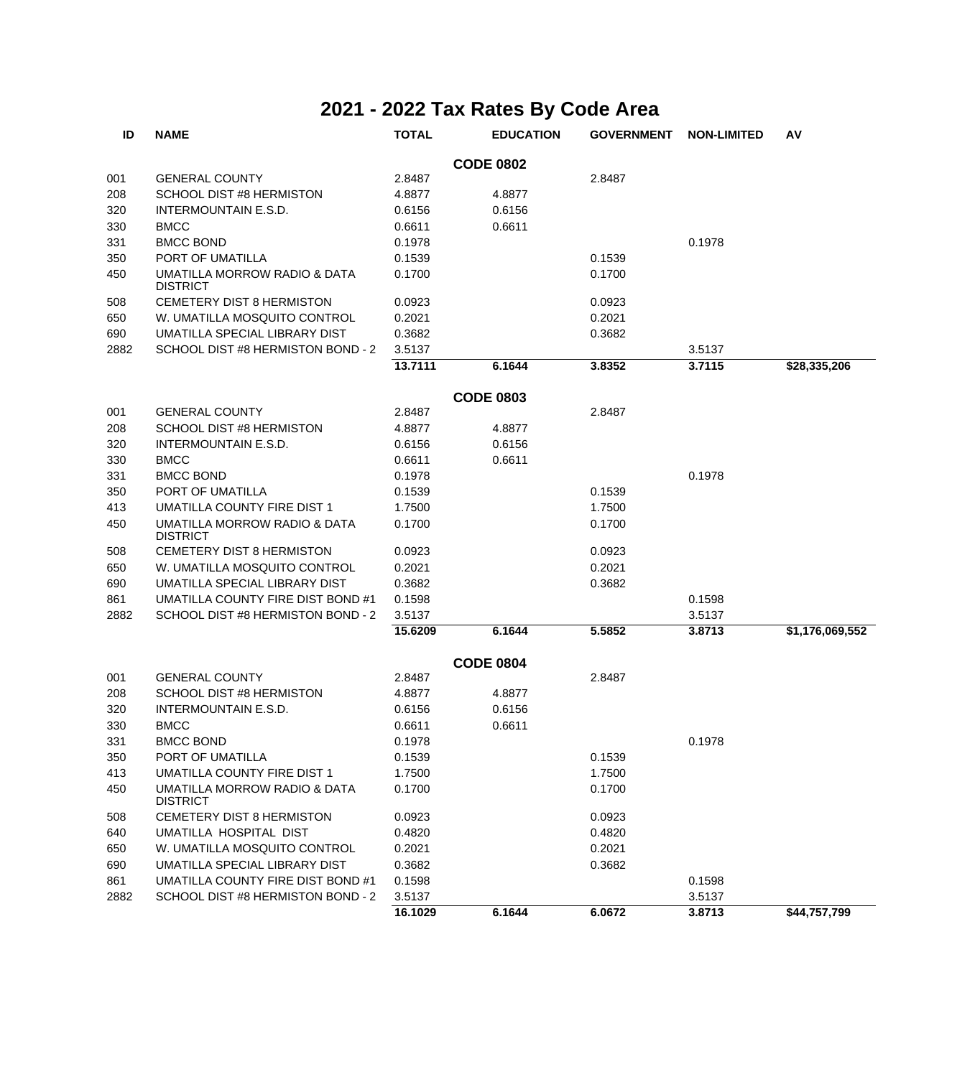| ID   | <b>NAME</b>                                     | <b>TOTAL</b> | <b>EDUCATION</b> | <b>GOVERNMENT</b> | <b>NON-LIMITED</b> | AV              |
|------|-------------------------------------------------|--------------|------------------|-------------------|--------------------|-----------------|
|      |                                                 |              | <b>CODE 0802</b> |                   |                    |                 |
| 001  | <b>GENERAL COUNTY</b>                           | 2.8487       |                  | 2.8487            |                    |                 |
| 208  | SCHOOL DIST #8 HERMISTON                        | 4.8877       | 4.8877           |                   |                    |                 |
| 320  | INTERMOUNTAIN E.S.D.                            | 0.6156       | 0.6156           |                   |                    |                 |
| 330  | <b>BMCC</b>                                     | 0.6611       | 0.6611           |                   |                    |                 |
| 331  | <b>BMCC BOND</b>                                | 0.1978       |                  |                   | 0.1978             |                 |
| 350  | PORT OF UMATILLA                                | 0.1539       |                  | 0.1539            |                    |                 |
| 450  | UMATILLA MORROW RADIO & DATA<br><b>DISTRICT</b> | 0.1700       |                  | 0.1700            |                    |                 |
| 508  | CEMETERY DIST 8 HERMISTON                       | 0.0923       |                  | 0.0923            |                    |                 |
| 650  | W. UMATILLA MOSQUITO CONTROL                    | 0.2021       |                  | 0.2021            |                    |                 |
| 690  | UMATILLA SPECIAL LIBRARY DIST                   | 0.3682       |                  | 0.3682            |                    |                 |
| 2882 | SCHOOL DIST #8 HERMISTON BOND - 2               | 3.5137       |                  |                   | 3.5137             |                 |
|      |                                                 | 13.7111      | 6.1644           | 3.8352            | 3.7115             | \$28,335,206    |
|      |                                                 |              | <b>CODE 0803</b> |                   |                    |                 |
| 001  | <b>GENERAL COUNTY</b>                           | 2.8487       |                  | 2.8487            |                    |                 |
| 208  | <b>SCHOOL DIST #8 HERMISTON</b>                 | 4.8877       | 4.8877           |                   |                    |                 |
| 320  | <b>INTERMOUNTAIN E.S.D.</b>                     | 0.6156       | 0.6156           |                   |                    |                 |
| 330  | <b>BMCC</b>                                     | 0.6611       | 0.6611           |                   |                    |                 |
| 331  | <b>BMCC BOND</b>                                | 0.1978       |                  |                   | 0.1978             |                 |
| 350  | PORT OF UMATILLA                                | 0.1539       |                  | 0.1539            |                    |                 |
| 413  | <b>UMATILLA COUNTY FIRE DIST 1</b>              | 1.7500       |                  | 1.7500            |                    |                 |
| 450  | UMATILLA MORROW RADIO & DATA<br><b>DISTRICT</b> | 0.1700       |                  | 0.1700            |                    |                 |
| 508  | <b>CEMETERY DIST 8 HERMISTON</b>                | 0.0923       |                  | 0.0923            |                    |                 |
| 650  | W. UMATILLA MOSQUITO CONTROL                    | 0.2021       |                  | 0.2021            |                    |                 |
| 690  | UMATILLA SPECIAL LIBRARY DIST                   | 0.3682       |                  | 0.3682            |                    |                 |
| 861  | UMATILLA COUNTY FIRE DIST BOND #1               | 0.1598       |                  |                   | 0.1598             |                 |
| 2882 | SCHOOL DIST #8 HERMISTON BOND - 2               | 3.5137       |                  |                   | 3.5137             |                 |
|      |                                                 | 15.6209      | 6.1644           | 5.5852            | 3.8713             | \$1,176,069,552 |
|      |                                                 |              | <b>CODE 0804</b> |                   |                    |                 |
| 001  | <b>GENERAL COUNTY</b>                           | 2.8487       |                  | 2.8487            |                    |                 |
| 208  | <b>SCHOOL DIST #8 HERMISTON</b>                 | 4.8877       | 4.8877           |                   |                    |                 |
| 320  | <b>INTERMOUNTAIN E.S.D.</b>                     | 0.6156       | 0.6156           |                   |                    |                 |
| 330  | <b>BMCC</b>                                     | 0.6611       | 0.6611           |                   |                    |                 |
| 331  | <b>BMCC BOND</b>                                | 0.1978       |                  |                   | 0.1978             |                 |
| 350  | PORT OF UMATILLA                                | 0.1539       |                  | 0.1539            |                    |                 |
| 413  | UMATILLA COUNTY FIRE DIST 1                     | 1.7500       |                  | 1.7500            |                    |                 |
| 450  | UMATILLA MORROW RADIO & DATA<br><b>DISTRICT</b> | 0.1700       |                  | 0.1700            |                    |                 |
| 508  | <b>CEMETERY DIST 8 HERMISTON</b>                | 0.0923       |                  | 0.0923            |                    |                 |
| 640  | UMATILLA HOSPITAL DIST                          | 0.4820       |                  | 0.4820            |                    |                 |
| 650  | W. UMATILLA MOSQUITO CONTROL                    | 0.2021       |                  | 0.2021            |                    |                 |
| 690  | UMATILLA SPECIAL LIBRARY DIST                   | 0.3682       |                  | 0.3682            |                    |                 |
| 861  | UMATILLA COUNTY FIRE DIST BOND #1               | 0.1598       |                  |                   | 0.1598             |                 |
| 2882 | SCHOOL DIST #8 HERMISTON BOND - 2               | 3.5137       |                  |                   | 3.5137             |                 |
|      |                                                 | 16.1029      | 6.1644           | 6.0672            | 3.8713             | \$44,757,799    |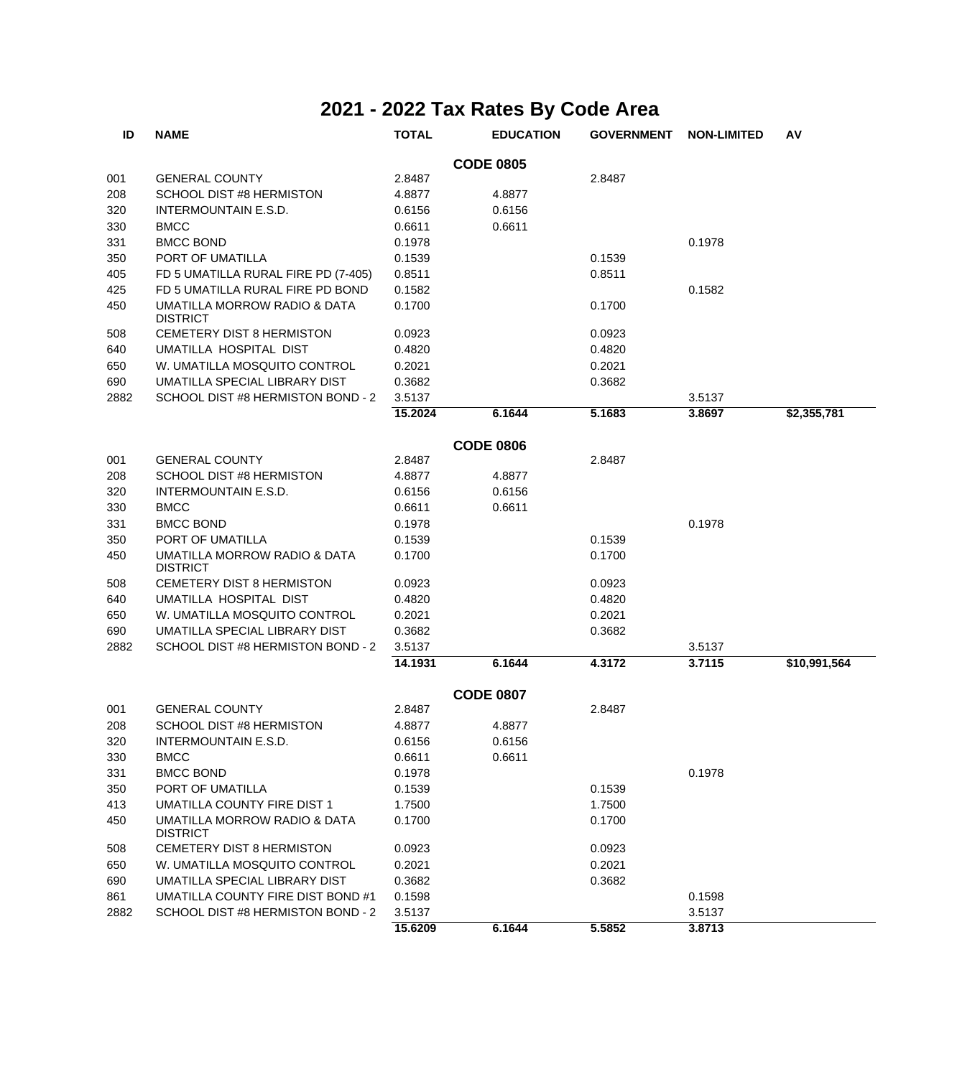| ID   | <b>NAME</b>                                     | <b>TOTAL</b> | <b>EDUCATION</b> | <b>GOVERNMENT</b> | <b>NON-LIMITED</b> | AV           |
|------|-------------------------------------------------|--------------|------------------|-------------------|--------------------|--------------|
|      |                                                 |              | <b>CODE 0805</b> |                   |                    |              |
| 001  | <b>GENERAL COUNTY</b>                           | 2.8487       |                  | 2.8487            |                    |              |
| 208  | <b>SCHOOL DIST #8 HERMISTON</b>                 | 4.8877       | 4.8877           |                   |                    |              |
| 320  | <b>INTERMOUNTAIN E.S.D.</b>                     | 0.6156       | 0.6156           |                   |                    |              |
| 330  | <b>BMCC</b>                                     | 0.6611       | 0.6611           |                   |                    |              |
| 331  | <b>BMCC BOND</b>                                | 0.1978       |                  |                   | 0.1978             |              |
| 350  | PORT OF UMATILLA                                | 0.1539       |                  | 0.1539            |                    |              |
| 405  | FD 5 UMATILLA RURAL FIRE PD (7-405)             | 0.8511       |                  | 0.8511            |                    |              |
| 425  | FD 5 UMATILLA RURAL FIRE PD BOND                | 0.1582       |                  |                   | 0.1582             |              |
| 450  | UMATILLA MORROW RADIO & DATA<br><b>DISTRICT</b> | 0.1700       |                  | 0.1700            |                    |              |
| 508  | <b>CEMETERY DIST 8 HERMISTON</b>                | 0.0923       |                  | 0.0923            |                    |              |
| 640  | UMATILLA HOSPITAL DIST                          | 0.4820       |                  | 0.4820            |                    |              |
| 650  | W. UMATILLA MOSQUITO CONTROL                    | 0.2021       |                  | 0.2021            |                    |              |
| 690  | UMATILLA SPECIAL LIBRARY DIST                   | 0.3682       |                  | 0.3682            |                    |              |
| 2882 | SCHOOL DIST #8 HERMISTON BOND - 2               | 3.5137       |                  |                   | 3.5137             |              |
|      |                                                 | 15.2024      | 6.1644           | 5.1683            | 3.8697             | \$2,355,781  |
|      |                                                 |              | <b>CODE 0806</b> |                   |                    |              |
| 001  | <b>GENERAL COUNTY</b>                           | 2.8487       |                  | 2.8487            |                    |              |
| 208  | <b>SCHOOL DIST #8 HERMISTON</b>                 | 4.8877       | 4.8877           |                   |                    |              |
| 320  | <b>INTERMOUNTAIN E.S.D.</b>                     | 0.6156       | 0.6156           |                   |                    |              |
| 330  | <b>BMCC</b>                                     | 0.6611       | 0.6611           |                   |                    |              |
| 331  | <b>BMCC BOND</b>                                | 0.1978       |                  |                   | 0.1978             |              |
| 350  | PORT OF UMATILLA                                | 0.1539       |                  | 0.1539            |                    |              |
| 450  | UMATILLA MORROW RADIO & DATA<br><b>DISTRICT</b> | 0.1700       |                  | 0.1700            |                    |              |
| 508  | <b>CEMETERY DIST 8 HERMISTON</b>                | 0.0923       |                  | 0.0923            |                    |              |
| 640  | UMATILLA HOSPITAL DIST                          | 0.4820       |                  | 0.4820            |                    |              |
| 650  | W. UMATILLA MOSQUITO CONTROL                    | 0.2021       |                  | 0.2021            |                    |              |
| 690  | UMATILLA SPECIAL LIBRARY DIST                   | 0.3682       |                  | 0.3682            |                    |              |
| 2882 | SCHOOL DIST #8 HERMISTON BOND - 2               | 3.5137       |                  |                   | 3.5137             |              |
|      |                                                 | 14.1931      | 6.1644           | 4.3172            | 3.7115             | \$10,991,564 |
|      |                                                 |              | <b>CODE 0807</b> |                   |                    |              |
| 001  | <b>GENERAL COUNTY</b>                           | 2.8487       |                  | 2.8487            |                    |              |
| 208  | <b>SCHOOL DIST #8 HERMISTON</b>                 | 4.8877       | 4.8877           |                   |                    |              |
| 320  | INTERMOUNTAIN E.S.D.                            | 0.6156       | 0.6156           |                   |                    |              |
| 330  | <b>BMCC</b>                                     | 0.6611       | 0.6611           |                   |                    |              |
| 331  | <b>BMCC BOND</b>                                | 0.1978       |                  |                   | 0.1978             |              |
| 350  | PORT OF UMATILLA                                | 0.1539       |                  | 0.1539            |                    |              |
| 413  | UMATILLA COUNTY FIRE DIST 1                     | 1.7500       |                  | 1.7500            |                    |              |
| 450  | UMATILLA MORROW RADIO & DATA<br><b>DISTRICT</b> | 0.1700       |                  | 0.1700            |                    |              |
| 508  | <b>CEMETERY DIST 8 HERMISTON</b>                | 0.0923       |                  | 0.0923            |                    |              |
| 650  | W. UMATILLA MOSQUITO CONTROL                    | 0.2021       |                  | 0.2021            |                    |              |
| 690  | UMATILLA SPECIAL LIBRARY DIST                   | 0.3682       |                  | 0.3682            |                    |              |
| 861  | UMATILLA COUNTY FIRE DIST BOND #1               | 0.1598       |                  |                   | 0.1598             |              |
| 2882 | SCHOOL DIST #8 HERMISTON BOND - 2               | 3.5137       |                  |                   | 3.5137             |              |
|      |                                                 | 15.6209      | 6.1644           | 5.5852            | 3.8713             |              |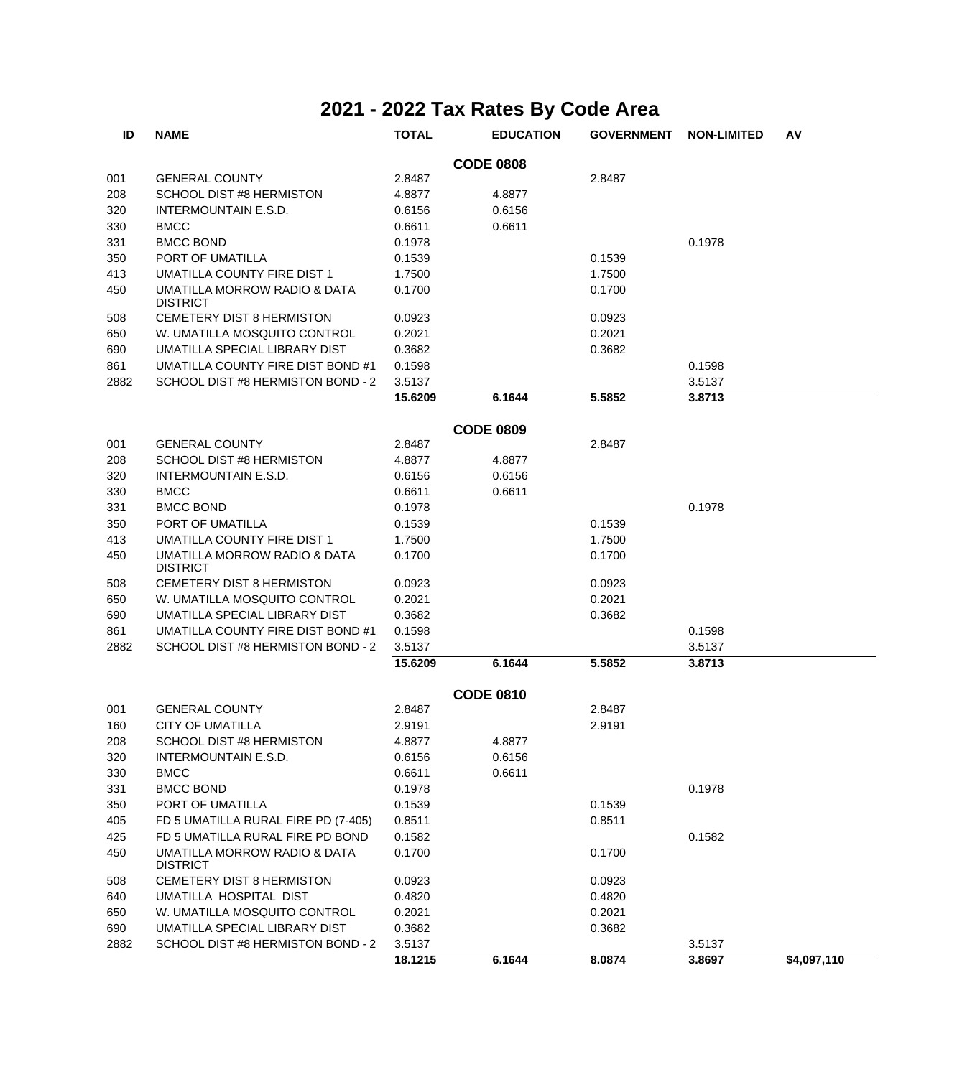| ID   | <b>NAME</b>                                     | <b>TOTAL</b> | <b>EDUCATION</b> | <b>GOVERNMENT</b> | <b>NON-LIMITED</b> | AV          |
|------|-------------------------------------------------|--------------|------------------|-------------------|--------------------|-------------|
|      |                                                 |              | <b>CODE 0808</b> |                   |                    |             |
| 001  | <b>GENERAL COUNTY</b>                           | 2.8487       |                  | 2.8487            |                    |             |
| 208  | SCHOOL DIST #8 HERMISTON                        | 4.8877       | 4.8877           |                   |                    |             |
| 320  | <b>INTERMOUNTAIN E.S.D.</b>                     | 0.6156       | 0.6156           |                   |                    |             |
| 330  | <b>BMCC</b>                                     | 0.6611       | 0.6611           |                   |                    |             |
| 331  | <b>BMCC BOND</b>                                | 0.1978       |                  |                   | 0.1978             |             |
| 350  | PORT OF UMATILLA                                | 0.1539       |                  | 0.1539            |                    |             |
| 413  | UMATILLA COUNTY FIRE DIST 1                     | 1.7500       |                  | 1.7500            |                    |             |
| 450  | UMATILLA MORROW RADIO & DATA<br><b>DISTRICT</b> | 0.1700       |                  | 0.1700            |                    |             |
| 508  | CEMETERY DIST 8 HERMISTON                       | 0.0923       |                  | 0.0923            |                    |             |
| 650  | W. UMATILLA MOSQUITO CONTROL                    | 0.2021       |                  | 0.2021            |                    |             |
| 690  | UMATILLA SPECIAL LIBRARY DIST                   | 0.3682       |                  | 0.3682            |                    |             |
| 861  | UMATILLA COUNTY FIRE DIST BOND #1               | 0.1598       |                  |                   | 0.1598             |             |
| 2882 | SCHOOL DIST #8 HERMISTON BOND - 2               | 3.5137       |                  |                   | 3.5137             |             |
|      |                                                 | 15.6209      | 6.1644           | 5.5852            | 3.8713             |             |
|      |                                                 |              | <b>CODE 0809</b> |                   |                    |             |
| 001  | <b>GENERAL COUNTY</b>                           | 2.8487       |                  | 2.8487            |                    |             |
| 208  | SCHOOL DIST #8 HERMISTON                        | 4.8877       | 4.8877           |                   |                    |             |
| 320  | <b>INTERMOUNTAIN E.S.D.</b>                     | 0.6156       | 0.6156           |                   |                    |             |
| 330  | <b>BMCC</b>                                     | 0.6611       | 0.6611           |                   |                    |             |
| 331  | <b>BMCC BOND</b>                                | 0.1978       |                  |                   | 0.1978             |             |
| 350  | PORT OF UMATILLA                                | 0.1539       |                  | 0.1539            |                    |             |
| 413  | UMATILLA COUNTY FIRE DIST 1                     | 1.7500       |                  | 1.7500            |                    |             |
| 450  | UMATILLA MORROW RADIO & DATA<br><b>DISTRICT</b> | 0.1700       |                  | 0.1700            |                    |             |
| 508  | CEMETERY DIST 8 HERMISTON                       | 0.0923       |                  | 0.0923            |                    |             |
| 650  | W. UMATILLA MOSQUITO CONTROL                    | 0.2021       |                  | 0.2021            |                    |             |
| 690  | UMATILLA SPECIAL LIBRARY DIST                   | 0.3682       |                  | 0.3682            |                    |             |
| 861  | UMATILLA COUNTY FIRE DIST BOND #1               | 0.1598       |                  |                   | 0.1598             |             |
| 2882 | SCHOOL DIST #8 HERMISTON BOND - 2               | 3.5137       |                  |                   | 3.5137             |             |
|      |                                                 | 15.6209      | 6.1644           | 5.5852            | 3.8713             |             |
|      |                                                 |              | <b>CODE 0810</b> |                   |                    |             |
| 001  | <b>GENERAL COUNTY</b>                           | 2.8487       |                  | 2.8487            |                    |             |
| 160  | <b>CITY OF UMATILLA</b>                         | 2.9191       |                  | 2.9191            |                    |             |
| 208  | SCHOOL DIST #8 HERMISTON                        | 4.8877       | 4.8877           |                   |                    |             |
| 320  | INTERMOUNTAIN E.S.D.                            | 0.6156       | 0.6156           |                   |                    |             |
| 330  | <b>BMCC</b>                                     | 0.6611       | 0.6611           |                   |                    |             |
| 331  | <b>BMCC BOND</b>                                | 0.1978       |                  |                   | 0.1978             |             |
| 350  | PORT OF UMATILLA                                | 0.1539       |                  | 0.1539            |                    |             |
| 405  | FD 5 UMATILLA RURAL FIRE PD (7-405)             | 0.8511       |                  | 0.8511            |                    |             |
| 425  | FD 5 UMATILLA RURAL FIRE PD BOND                | 0.1582       |                  |                   | 0.1582             |             |
| 450  | UMATILLA MORROW RADIO & DATA<br><b>DISTRICT</b> | 0.1700       |                  | 0.1700            |                    |             |
| 508  | <b>CEMETERY DIST 8 HERMISTON</b>                | 0.0923       |                  | 0.0923            |                    |             |
| 640  | UMATILLA HOSPITAL DIST                          | 0.4820       |                  | 0.4820            |                    |             |
| 650  | W. UMATILLA MOSQUITO CONTROL                    | 0.2021       |                  | 0.2021            |                    |             |
| 690  | UMATILLA SPECIAL LIBRARY DIST                   | 0.3682       |                  | 0.3682            |                    |             |
| 2882 | SCHOOL DIST #8 HERMISTON BOND - 2               | 3.5137       |                  |                   | 3.5137             |             |
|      |                                                 | 18.1215      | 6.1644           | 8.0874            | 3.8697             | \$4,097,110 |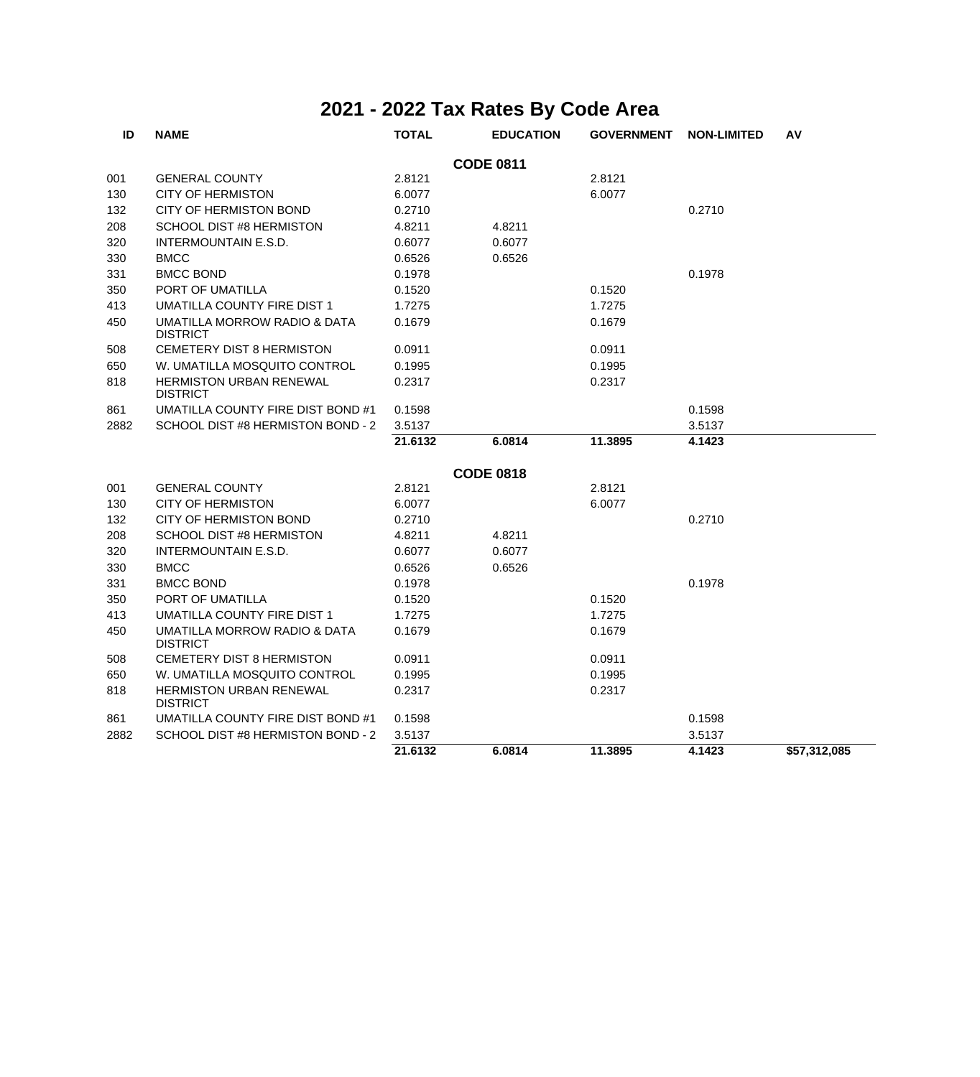| ID   | <b>NAME</b>                                       | <b>TOTAL</b> | <b>EDUCATION</b> | <b>GOVERNMENT</b> | <b>NON-LIMITED</b> | AV           |
|------|---------------------------------------------------|--------------|------------------|-------------------|--------------------|--------------|
|      |                                                   |              | <b>CODE 0811</b> |                   |                    |              |
| 001  | <b>GENERAL COUNTY</b>                             | 2.8121       |                  | 2.8121            |                    |              |
| 130  | <b>CITY OF HERMISTON</b>                          | 6.0077       |                  | 6.0077            |                    |              |
| 132  | <b>CITY OF HERMISTON BOND</b>                     | 0.2710       |                  |                   | 0.2710             |              |
| 208  | SCHOOL DIST #8 HERMISTON                          | 4.8211       | 4.8211           |                   |                    |              |
| 320  | INTERMOUNTAIN E.S.D.                              | 0.6077       | 0.6077           |                   |                    |              |
| 330  | <b>BMCC</b>                                       | 0.6526       | 0.6526           |                   |                    |              |
| 331  | <b>BMCC BOND</b>                                  | 0.1978       |                  |                   | 0.1978             |              |
| 350  | PORT OF UMATILLA                                  | 0.1520       |                  | 0.1520            |                    |              |
| 413  | UMATILLA COUNTY FIRE DIST 1                       | 1.7275       |                  | 1.7275            |                    |              |
| 450  | UMATILLA MORROW RADIO & DATA<br><b>DISTRICT</b>   | 0.1679       |                  | 0.1679            |                    |              |
| 508  | <b>CEMETERY DIST 8 HERMISTON</b>                  | 0.0911       |                  | 0.0911            |                    |              |
| 650  | W. UMATILLA MOSQUITO CONTROL                      | 0.1995       |                  | 0.1995            |                    |              |
| 818  | <b>HERMISTON URBAN RENEWAL</b><br><b>DISTRICT</b> | 0.2317       |                  | 0.2317            |                    |              |
| 861  | UMATILLA COUNTY FIRE DIST BOND #1                 | 0.1598       |                  |                   | 0.1598             |              |
| 2882 | SCHOOL DIST #8 HERMISTON BOND - 2                 | 3.5137       |                  |                   | 3.5137             |              |
|      |                                                   | 21.6132      | 6.0814           | 11.3895           | 4.1423             |              |
|      |                                                   |              | <b>CODE 0818</b> |                   |                    |              |
| 001  | <b>GENERAL COUNTY</b>                             | 2.8121       |                  | 2.8121            |                    |              |
| 130  | <b>CITY OF HERMISTON</b>                          | 6.0077       |                  | 6.0077            |                    |              |
| 132  | <b>CITY OF HERMISTON BOND</b>                     | 0.2710       |                  |                   | 0.2710             |              |
| 208  | SCHOOL DIST #8 HERMISTON                          | 4.8211       | 4.8211           |                   |                    |              |
| 320  | INTERMOUNTAIN E.S.D.                              | 0.6077       | 0.6077           |                   |                    |              |
| 330  | <b>BMCC</b>                                       | 0.6526       | 0.6526           |                   |                    |              |
| 331  | <b>BMCC BOND</b>                                  | 0.1978       |                  |                   | 0.1978             |              |
| 350  | PORT OF UMATILLA                                  | 0.1520       |                  | 0.1520            |                    |              |
| 413  | UMATILLA COUNTY FIRE DIST 1                       | 1.7275       |                  | 1.7275            |                    |              |
| 450  | UMATILLA MORROW RADIO & DATA<br><b>DISTRICT</b>   | 0.1679       |                  | 0.1679            |                    |              |
| 508  | CEMETERY DIST 8 HERMISTON                         | 0.0911       |                  | 0.0911            |                    |              |
| 650  | W. UMATILLA MOSQUITO CONTROL                      | 0.1995       |                  | 0.1995            |                    |              |
| 818  | <b>HERMISTON URBAN RENEWAL</b><br><b>DISTRICT</b> | 0.2317       |                  | 0.2317            |                    |              |
| 861  | UMATILLA COUNTY FIRE DIST BOND #1                 | 0.1598       |                  |                   | 0.1598             |              |
| 2882 | SCHOOL DIST #8 HERMISTON BOND - 2                 | 3.5137       |                  |                   | 3.5137             |              |
|      |                                                   | 21.6132      | 6.0814           | 11.3895           | 4.1423             | \$57,312,085 |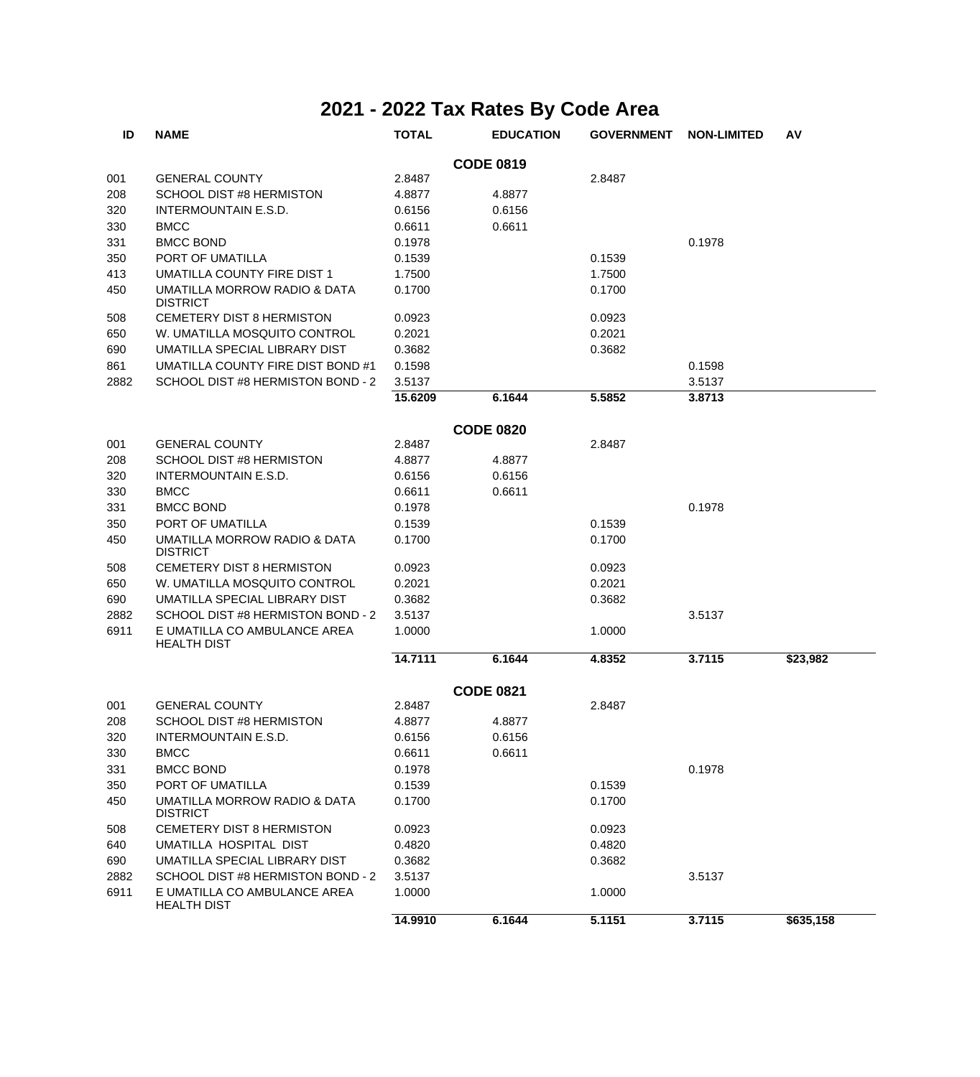| ID   | <b>NAME</b>                                        | <b>TOTAL</b> | <b>EDUCATION</b> | <b>GOVERNMENT</b> | <b>NON-LIMITED</b> | AV        |
|------|----------------------------------------------------|--------------|------------------|-------------------|--------------------|-----------|
|      |                                                    |              | <b>CODE 0819</b> |                   |                    |           |
| 001  | <b>GENERAL COUNTY</b>                              | 2.8487       |                  | 2.8487            |                    |           |
| 208  | SCHOOL DIST #8 HERMISTON                           | 4.8877       | 4.8877           |                   |                    |           |
| 320  | INTERMOUNTAIN E.S.D.                               | 0.6156       | 0.6156           |                   |                    |           |
| 330  | <b>BMCC</b>                                        | 0.6611       | 0.6611           |                   |                    |           |
| 331  | <b>BMCC BOND</b>                                   | 0.1978       |                  |                   | 0.1978             |           |
| 350  | PORT OF UMATILLA                                   | 0.1539       |                  | 0.1539            |                    |           |
| 413  | UMATILLA COUNTY FIRE DIST 1                        | 1.7500       |                  | 1.7500            |                    |           |
| 450  | UMATILLA MORROW RADIO & DATA<br><b>DISTRICT</b>    | 0.1700       |                  | 0.1700            |                    |           |
| 508  | CEMETERY DIST 8 HERMISTON                          | 0.0923       |                  | 0.0923            |                    |           |
| 650  | W. UMATILLA MOSQUITO CONTROL                       | 0.2021       |                  | 0.2021            |                    |           |
| 690  | UMATILLA SPECIAL LIBRARY DIST                      | 0.3682       |                  | 0.3682            |                    |           |
| 861  | UMATILLA COUNTY FIRE DIST BOND #1                  | 0.1598       |                  |                   | 0.1598             |           |
| 2882 | SCHOOL DIST #8 HERMISTON BOND - 2                  | 3.5137       |                  |                   | 3.5137             |           |
|      |                                                    | 15.6209      | 6.1644           | 5.5852            | 3.8713             |           |
|      |                                                    |              | <b>CODE 0820</b> |                   |                    |           |
| 001  | <b>GENERAL COUNTY</b>                              | 2.8487       |                  | 2.8487            |                    |           |
| 208  | SCHOOL DIST #8 HERMISTON                           | 4.8877       | 4.8877           |                   |                    |           |
| 320  | <b>INTERMOUNTAIN E.S.D.</b>                        | 0.6156       | 0.6156           |                   |                    |           |
| 330  | <b>BMCC</b>                                        | 0.6611       | 0.6611           |                   |                    |           |
| 331  | <b>BMCC BOND</b>                                   | 0.1978       |                  |                   | 0.1978             |           |
| 350  | PORT OF UMATILLA                                   | 0.1539       |                  | 0.1539            |                    |           |
| 450  | UMATILLA MORROW RADIO & DATA<br><b>DISTRICT</b>    | 0.1700       |                  | 0.1700            |                    |           |
| 508  | CEMETERY DIST 8 HERMISTON                          | 0.0923       |                  | 0.0923            |                    |           |
| 650  | W. UMATILLA MOSQUITO CONTROL                       | 0.2021       |                  | 0.2021            |                    |           |
| 690  | UMATILLA SPECIAL LIBRARY DIST                      | 0.3682       |                  | 0.3682            |                    |           |
| 2882 | SCHOOL DIST #8 HERMISTON BOND - 2                  | 3.5137       |                  |                   | 3.5137             |           |
| 6911 | E UMATILLA CO AMBULANCE AREA<br><b>HEALTH DIST</b> | 1.0000       |                  | 1.0000            |                    |           |
|      |                                                    | 14.7111      | 6.1644           | 4.8352            | 3.7115             | \$23,982  |
|      |                                                    |              | <b>CODE 0821</b> |                   |                    |           |
| 001  | <b>GENERAL COUNTY</b>                              | 2.8487       |                  | 2.8487            |                    |           |
| 208  | <b>SCHOOL DIST #8 HERMISTON</b>                    | 4.8877       | 4.8877           |                   |                    |           |
| 320  | INTERMOUNTAIN E.S.D.                               | 0.6156       | 0.6156           |                   |                    |           |
| 330  | <b>BMCC</b>                                        | 0.6611       | 0.6611           |                   |                    |           |
| 331  | <b>BMCC BOND</b>                                   | 0.1978       |                  |                   | 0.1978             |           |
| 350  | PORT OF UMATILLA                                   | 0.1539       |                  | 0.1539            |                    |           |
| 450  | UMATILLA MORROW RADIO & DATA<br><b>DISTRICT</b>    | 0.1700       |                  | 0.1700            |                    |           |
| 508  | <b>CEMETERY DIST 8 HERMISTON</b>                   | 0.0923       |                  | 0.0923            |                    |           |
| 640  | UMATILLA HOSPITAL DIST                             | 0.4820       |                  | 0.4820            |                    |           |
| 690  | UMATILLA SPECIAL LIBRARY DIST                      | 0.3682       |                  | 0.3682            |                    |           |
| 2882 | SCHOOL DIST #8 HERMISTON BOND - 2                  | 3.5137       |                  |                   | 3.5137             |           |
| 6911 | E UMATILLA CO AMBULANCE AREA<br><b>HEALTH DIST</b> | 1.0000       |                  | 1.0000            |                    |           |
|      |                                                    | 14.9910      | 6.1644           | 5.1151            | 3.7115             | \$635,158 |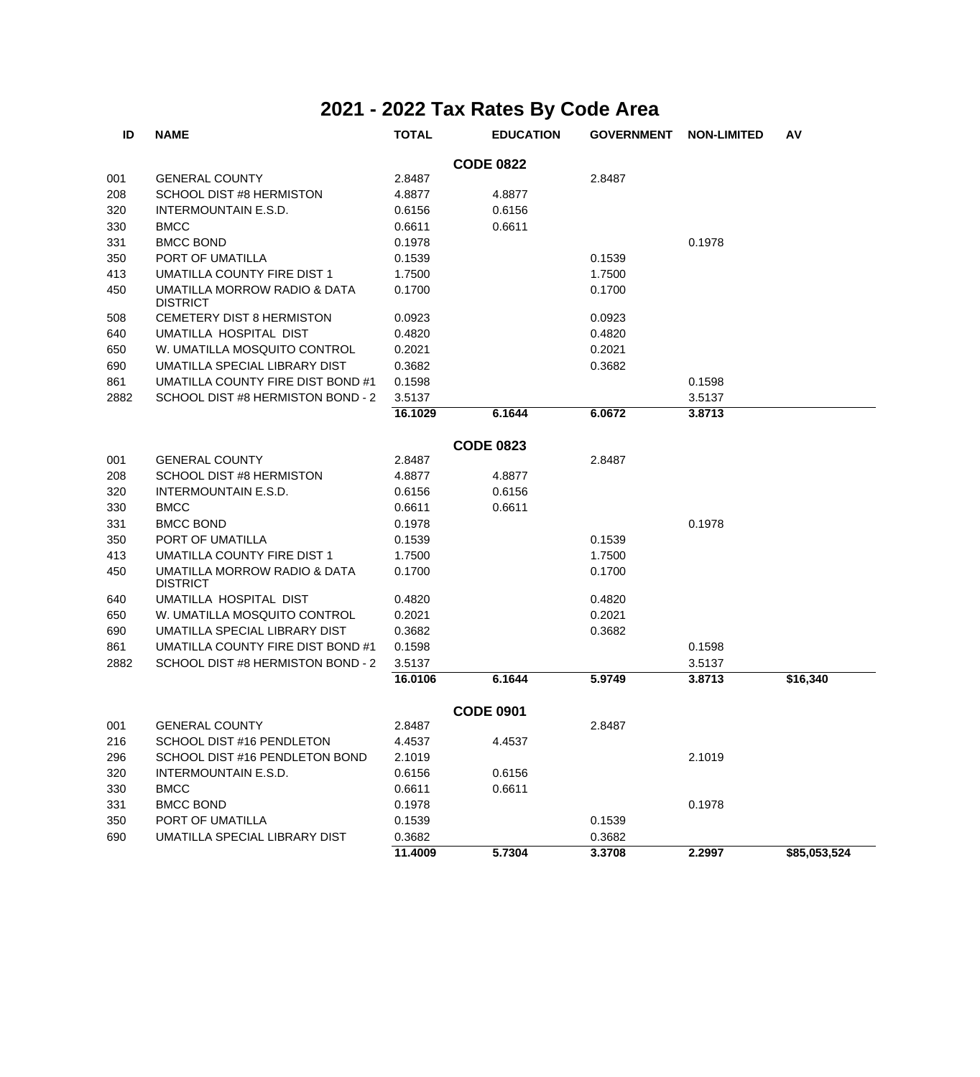| ID   | <b>NAME</b>                                     | <b>TOTAL</b> | <b>EDUCATION</b> | <b>GOVERNMENT</b> | <b>NON-LIMITED</b> | AV           |
|------|-------------------------------------------------|--------------|------------------|-------------------|--------------------|--------------|
|      |                                                 |              | <b>CODE 0822</b> |                   |                    |              |
| 001  | <b>GENERAL COUNTY</b>                           | 2.8487       |                  | 2.8487            |                    |              |
| 208  | <b>SCHOOL DIST #8 HERMISTON</b>                 | 4.8877       | 4.8877           |                   |                    |              |
| 320  | INTERMOUNTAIN E.S.D.                            | 0.6156       | 0.6156           |                   |                    |              |
| 330  | <b>BMCC</b>                                     | 0.6611       | 0.6611           |                   |                    |              |
| 331  | <b>BMCC BOND</b>                                | 0.1978       |                  |                   | 0.1978             |              |
| 350  | PORT OF UMATILLA                                | 0.1539       |                  | 0.1539            |                    |              |
| 413  | UMATILLA COUNTY FIRE DIST 1                     | 1.7500       |                  | 1.7500            |                    |              |
| 450  | UMATILLA MORROW RADIO & DATA<br><b>DISTRICT</b> | 0.1700       |                  | 0.1700            |                    |              |
| 508  | <b>CEMETERY DIST 8 HERMISTON</b>                | 0.0923       |                  | 0.0923            |                    |              |
| 640  | UMATILLA HOSPITAL DIST                          | 0.4820       |                  | 0.4820            |                    |              |
| 650  | W. UMATILLA MOSQUITO CONTROL                    | 0.2021       |                  | 0.2021            |                    |              |
| 690  | UMATILLA SPECIAL LIBRARY DIST                   | 0.3682       |                  | 0.3682            |                    |              |
| 861  | UMATILLA COUNTY FIRE DIST BOND #1               | 0.1598       |                  |                   | 0.1598             |              |
| 2882 | SCHOOL DIST #8 HERMISTON BOND - 2               | 3.5137       |                  |                   | 3.5137             |              |
|      |                                                 | 16.1029      | 6.1644           | 6.0672            | 3.8713             |              |
|      |                                                 |              | <b>CODE 0823</b> |                   |                    |              |
| 001  | <b>GENERAL COUNTY</b>                           | 2.8487       |                  | 2.8487            |                    |              |
| 208  | SCHOOL DIST #8 HERMISTON                        | 4.8877       | 4.8877           |                   |                    |              |
| 320  | <b>INTERMOUNTAIN E.S.D.</b>                     | 0.6156       | 0.6156           |                   |                    |              |
| 330  | <b>BMCC</b>                                     | 0.6611       | 0.6611           |                   |                    |              |
| 331  | <b>BMCC BOND</b>                                | 0.1978       |                  |                   | 0.1978             |              |
| 350  | PORT OF UMATILLA                                | 0.1539       |                  | 0.1539            |                    |              |
| 413  | UMATILLA COUNTY FIRE DIST 1                     | 1.7500       |                  | 1.7500            |                    |              |
| 450  | UMATILLA MORROW RADIO & DATA<br><b>DISTRICT</b> | 0.1700       |                  | 0.1700            |                    |              |
| 640  | UMATILLA HOSPITAL DIST                          | 0.4820       |                  | 0.4820            |                    |              |
| 650  | W. UMATILLA MOSQUITO CONTROL                    | 0.2021       |                  | 0.2021            |                    |              |
| 690  | UMATILLA SPECIAL LIBRARY DIST                   | 0.3682       |                  | 0.3682            |                    |              |
| 861  | UMATILLA COUNTY FIRE DIST BOND #1               | 0.1598       |                  |                   | 0.1598             |              |
| 2882 | SCHOOL DIST #8 HERMISTON BOND - 2               | 3.5137       |                  |                   | 3.5137             |              |
|      |                                                 | 16.0106      | 6.1644           | 5.9749            | 3.8713             | \$16,340     |
|      |                                                 |              | <b>CODE 0901</b> |                   |                    |              |
| 001  | <b>GENERAL COUNTY</b>                           | 2.8487       |                  | 2.8487            |                    |              |
| 216  | SCHOOL DIST #16 PENDLETON                       | 4.4537       | 4.4537           |                   |                    |              |
| 296  | SCHOOL DIST #16 PENDLETON BOND                  | 2.1019       |                  |                   | 2.1019             |              |
| 320  | INTERMOUNTAIN E.S.D.                            | 0.6156       | 0.6156           |                   |                    |              |
| 330  | <b>BMCC</b>                                     | 0.6611       | 0.6611           |                   |                    |              |
| 331  | <b>BMCC BOND</b>                                | 0.1978       |                  |                   | 0.1978             |              |
| 350  | PORT OF UMATILLA                                | 0.1539       |                  | 0.1539            |                    |              |
| 690  | UMATILLA SPECIAL LIBRARY DIST                   | 0.3682       |                  | 0.3682            |                    |              |
|      |                                                 | 11.4009      | 5.7304           | 3.3708            | 2.2997             | \$85,053,524 |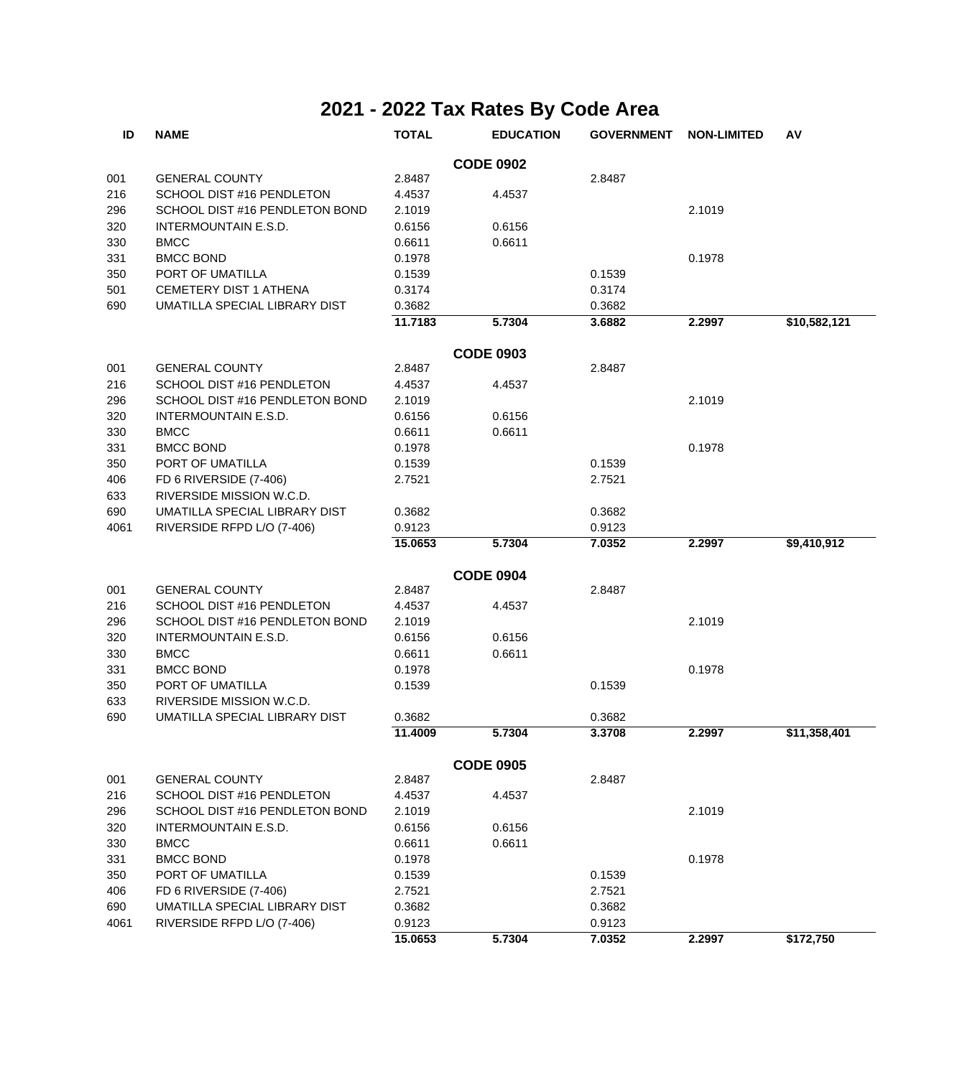| ID   | <b>NAME</b>                    | <b>TOTAL</b> | <b>EDUCATION</b> | <b>GOVERNMENT</b> | <b>NON-LIMITED</b> | AV           |
|------|--------------------------------|--------------|------------------|-------------------|--------------------|--------------|
|      |                                |              | <b>CODE 0902</b> |                   |                    |              |
| 001  | <b>GENERAL COUNTY</b>          | 2.8487       |                  | 2.8487            |                    |              |
| 216  | SCHOOL DIST #16 PENDLETON      | 4.4537       | 4.4537           |                   |                    |              |
| 296  | SCHOOL DIST #16 PENDLETON BOND | 2.1019       |                  |                   | 2.1019             |              |
| 320  | INTERMOUNTAIN E.S.D.           | 0.6156       | 0.6156           |                   |                    |              |
| 330  | <b>BMCC</b>                    | 0.6611       | 0.6611           |                   |                    |              |
| 331  | <b>BMCC BOND</b>               | 0.1978       |                  |                   | 0.1978             |              |
| 350  | PORT OF UMATILLA               | 0.1539       |                  | 0.1539            |                    |              |
| 501  | <b>CEMETERY DIST 1 ATHENA</b>  | 0.3174       |                  | 0.3174            |                    |              |
| 690  | UMATILLA SPECIAL LIBRARY DIST  | 0.3682       |                  | 0.3682            |                    |              |
|      |                                | 11.7183      | 5.7304           | 3.6882            | 2.2997             | \$10,582,121 |
|      |                                |              | <b>CODE 0903</b> |                   |                    |              |
| 001  | <b>GENERAL COUNTY</b>          | 2.8487       |                  | 2.8487            |                    |              |
| 216  | SCHOOL DIST #16 PENDLETON      | 4.4537       | 4.4537           |                   |                    |              |
| 296  | SCHOOL DIST #16 PENDLETON BOND | 2.1019       |                  |                   | 2.1019             |              |
| 320  | INTERMOUNTAIN E.S.D.           | 0.6156       | 0.6156           |                   |                    |              |
| 330  | <b>BMCC</b>                    | 0.6611       | 0.6611           |                   |                    |              |
| 331  | <b>BMCC BOND</b>               | 0.1978       |                  |                   | 0.1978             |              |
| 350  | PORT OF UMATILLA               | 0.1539       |                  | 0.1539            |                    |              |
| 406  | FD 6 RIVERSIDE (7-406)         | 2.7521       |                  | 2.7521            |                    |              |
| 633  | RIVERSIDE MISSION W.C.D.       |              |                  |                   |                    |              |
| 690  | UMATILLA SPECIAL LIBRARY DIST  | 0.3682       |                  | 0.3682            |                    |              |
| 4061 | RIVERSIDE RFPD L/O (7-406)     | 0.9123       |                  | 0.9123            |                    |              |
|      |                                | 15.0653      | 5.7304           | 7.0352            | 2.2997             | \$9,410,912  |
|      |                                |              |                  |                   |                    |              |
|      |                                |              | <b>CODE 0904</b> |                   |                    |              |
| 001  | <b>GENERAL COUNTY</b>          | 2.8487       |                  | 2.8487            |                    |              |
| 216  | SCHOOL DIST #16 PENDLETON      | 4.4537       | 4.4537           |                   |                    |              |
| 296  | SCHOOL DIST #16 PENDLETON BOND | 2.1019       |                  |                   | 2.1019             |              |
| 320  | INTERMOUNTAIN E.S.D.           | 0.6156       | 0.6156           |                   |                    |              |
| 330  | <b>BMCC</b>                    | 0.6611       | 0.6611           |                   |                    |              |
| 331  | <b>BMCC BOND</b>               | 0.1978       |                  |                   | 0.1978             |              |
| 350  | PORT OF UMATILLA               | 0.1539       |                  | 0.1539            |                    |              |
| 633  | RIVERSIDE MISSION W.C.D.       |              |                  |                   |                    |              |
| 690  | UMATILLA SPECIAL LIBRARY DIST  | 0.3682       |                  | 0.3682            |                    |              |
|      |                                | 11.4009      | 5.7304           | 3.3708            | 2.2997             | \$11,358,401 |
|      |                                |              | <b>CODE 0905</b> |                   |                    |              |
| 001  | <b>GENERAL COUNTY</b>          | 2.8487       |                  | 2.8487            |                    |              |
| 216  | SCHOOL DIST #16 PENDLETON      | 4.4537       | 4.4537           |                   |                    |              |
| 296  | SCHOOL DIST #16 PENDLETON BOND | 2.1019       |                  |                   | 2.1019             |              |
| 320  | INTERMOUNTAIN E.S.D.           | 0.6156       | 0.6156           |                   |                    |              |
| 330  | <b>BMCC</b>                    | 0.6611       | 0.6611           |                   |                    |              |
| 331  | <b>BMCC BOND</b>               | 0.1978       |                  |                   | 0.1978             |              |
| 350  | PORT OF UMATILLA               | 0.1539       |                  | 0.1539            |                    |              |
| 406  | FD 6 RIVERSIDE (7-406)         | 2.7521       |                  | 2.7521            |                    |              |
| 690  | UMATILLA SPECIAL LIBRARY DIST  | 0.3682       |                  | 0.3682            |                    |              |
| 4061 | RIVERSIDE RFPD L/O (7-406)     | 0.9123       |                  | 0.9123            |                    |              |
|      |                                | 15.0653      | 5.7304           | 7.0352            | 2.2997             | \$172,750    |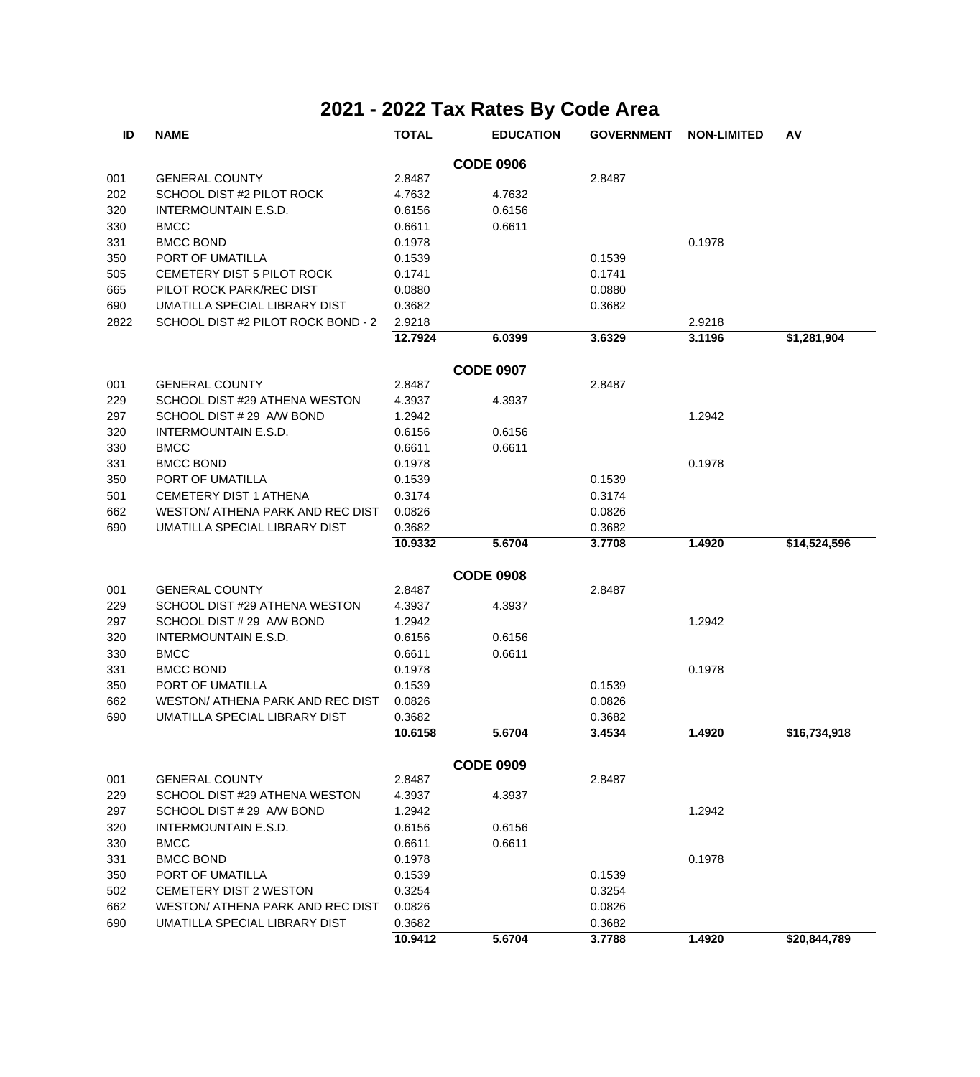| ID   | <b>NAME</b>                             | <b>TOTAL</b> | <b>EDUCATION</b> | <b>GOVERNMENT</b> | <b>NON-LIMITED</b> | AV           |
|------|-----------------------------------------|--------------|------------------|-------------------|--------------------|--------------|
|      |                                         |              | <b>CODE 0906</b> |                   |                    |              |
| 001  | <b>GENERAL COUNTY</b>                   | 2.8487       |                  | 2.8487            |                    |              |
| 202  | SCHOOL DIST #2 PILOT ROCK               | 4.7632       | 4.7632           |                   |                    |              |
| 320  | INTERMOUNTAIN E.S.D.                    | 0.6156       | 0.6156           |                   |                    |              |
| 330  | <b>BMCC</b>                             | 0.6611       | 0.6611           |                   |                    |              |
| 331  | <b>BMCC BOND</b>                        | 0.1978       |                  |                   | 0.1978             |              |
| 350  | PORT OF UMATILLA                        | 0.1539       |                  | 0.1539            |                    |              |
| 505  | CEMETERY DIST 5 PILOT ROCK              | 0.1741       |                  | 0.1741            |                    |              |
| 665  | PILOT ROCK PARK/REC DIST                | 0.0880       |                  | 0.0880            |                    |              |
| 690  | UMATILLA SPECIAL LIBRARY DIST           | 0.3682       |                  | 0.3682            |                    |              |
| 2822 | SCHOOL DIST #2 PILOT ROCK BOND - 2      | 2.9218       |                  |                   | 2.9218             |              |
|      |                                         | 12.7924      | 6.0399           | 3.6329            | 3.1196             | \$1,281,904  |
|      |                                         |              | <b>CODE 0907</b> |                   |                    |              |
| 001  | <b>GENERAL COUNTY</b>                   | 2.8487       |                  | 2.8487            |                    |              |
| 229  | SCHOOL DIST #29 ATHENA WESTON           | 4.3937       | 4.3937           |                   |                    |              |
| 297  | SCHOOL DIST # 29 A/W BOND               | 1.2942       |                  |                   | 1.2942             |              |
| 320  | <b>INTERMOUNTAIN E.S.D.</b>             | 0.6156       | 0.6156           |                   |                    |              |
| 330  | <b>BMCC</b>                             | 0.6611       | 0.6611           |                   |                    |              |
| 331  | <b>BMCC BOND</b>                        | 0.1978       |                  |                   | 0.1978             |              |
| 350  | PORT OF UMATILLA                        | 0.1539       |                  | 0.1539            |                    |              |
| 501  | <b>CEMETERY DIST 1 ATHENA</b>           | 0.3174       |                  | 0.3174            |                    |              |
| 662  | WESTON/ ATHENA PARK AND REC DIST        | 0.0826       |                  | 0.0826            |                    |              |
| 690  | UMATILLA SPECIAL LIBRARY DIST           | 0.3682       |                  | 0.3682            |                    |              |
|      |                                         | 10.9332      | 5.6704           | 3.7708            | 1.4920             | \$14,524,596 |
|      |                                         |              | <b>CODE 0908</b> |                   |                    |              |
| 001  | <b>GENERAL COUNTY</b>                   | 2.8487       |                  | 2.8487            |                    |              |
| 229  | SCHOOL DIST #29 ATHENA WESTON           | 4.3937       | 4.3937           |                   |                    |              |
| 297  | SCHOOL DIST # 29 A/W BOND               | 1.2942       |                  |                   | 1.2942             |              |
| 320  | <b>INTERMOUNTAIN E.S.D.</b>             | 0.6156       | 0.6156           |                   |                    |              |
| 330  | <b>BMCC</b>                             | 0.6611       | 0.6611           |                   |                    |              |
| 331  | <b>BMCC BOND</b>                        | 0.1978       |                  |                   | 0.1978             |              |
| 350  | PORT OF UMATILLA                        | 0.1539       |                  | 0.1539            |                    |              |
| 662  | <b>WESTON/ ATHENA PARK AND REC DIST</b> | 0.0826       |                  | 0.0826            |                    |              |
| 690  | UMATILLA SPECIAL LIBRARY DIST           | 0.3682       |                  | 0.3682            |                    |              |
|      |                                         | 10.6158      | 5.6704           | 3.4534            | 1.4920             | \$16,734,918 |
|      |                                         |              | <b>CODE 0909</b> |                   |                    |              |
| 001  | <b>GENERAL COUNTY</b>                   | 2.8487       |                  | 2.8487            |                    |              |
| 229  | SCHOOL DIST #29 ATHENA WESTON           | 4.3937       | 4.3937           |                   |                    |              |
| 297  | SCHOOL DIST # 29 A/W BOND               | 1.2942       |                  |                   | 1.2942             |              |
| 320  | <b>INTERMOUNTAIN E.S.D.</b>             | 0.6156       | 0.6156           |                   |                    |              |
| 330  | <b>BMCC</b>                             | 0.6611       | 0.6611           |                   |                    |              |
| 331  | <b>BMCC BOND</b>                        | 0.1978       |                  |                   | 0.1978             |              |
| 350  | PORT OF UMATILLA                        | 0.1539       |                  | 0.1539            |                    |              |
| 502  | CEMETERY DIST 2 WESTON                  | 0.3254       |                  | 0.3254            |                    |              |
| 662  | WESTON/ ATHENA PARK AND REC DIST        | 0.0826       |                  | 0.0826            |                    |              |
| 690  | UMATILLA SPECIAL LIBRARY DIST           | 0.3682       |                  | 0.3682            |                    |              |
|      |                                         | 10.9412      | 5.6704           | 3.7788            | 1.4920             | \$20,844,789 |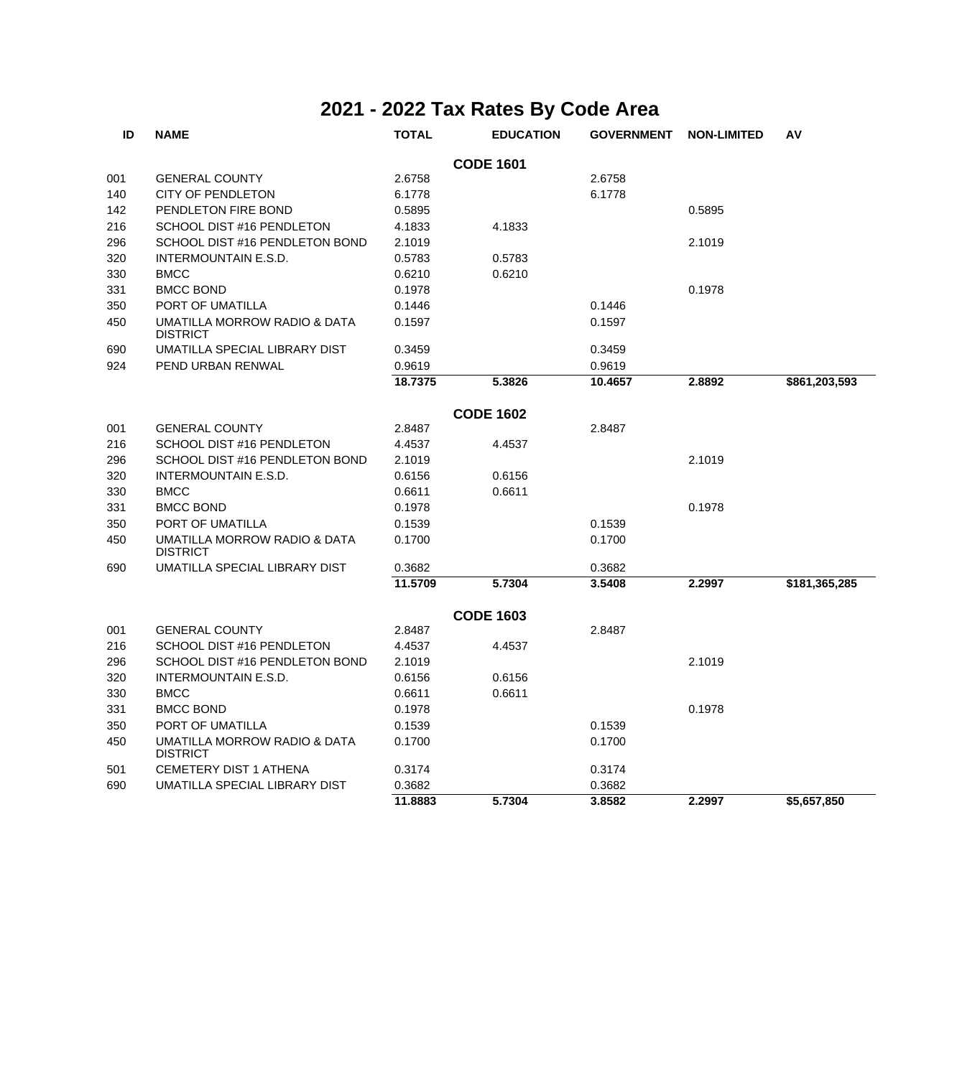| ID  | <b>NAME</b>                                     | <b>TOTAL</b> | <b>EDUCATION</b> | <b>GOVERNMENT</b> | <b>NON-LIMITED</b> | AV            |
|-----|-------------------------------------------------|--------------|------------------|-------------------|--------------------|---------------|
|     |                                                 |              | <b>CODE 1601</b> |                   |                    |               |
| 001 | <b>GENERAL COUNTY</b>                           | 2.6758       |                  | 2.6758            |                    |               |
| 140 | <b>CITY OF PENDLETON</b>                        | 6.1778       |                  | 6.1778            |                    |               |
| 142 | PENDLETON FIRE BOND                             | 0.5895       |                  |                   | 0.5895             |               |
| 216 | SCHOOL DIST #16 PENDLETON                       | 4.1833       | 4.1833           |                   |                    |               |
| 296 | SCHOOL DIST #16 PENDLETON BOND                  | 2.1019       |                  |                   | 2.1019             |               |
| 320 | <b>INTERMOUNTAIN E.S.D.</b>                     | 0.5783       | 0.5783           |                   |                    |               |
| 330 | <b>BMCC</b>                                     | 0.6210       | 0.6210           |                   |                    |               |
| 331 | <b>BMCC BOND</b>                                | 0.1978       |                  |                   | 0.1978             |               |
| 350 | PORT OF UMATILLA                                | 0.1446       |                  | 0.1446            |                    |               |
| 450 | UMATILLA MORROW RADIO & DATA<br><b>DISTRICT</b> | 0.1597       |                  | 0.1597            |                    |               |
| 690 | UMATILLA SPECIAL LIBRARY DIST                   | 0.3459       |                  | 0.3459            |                    |               |
| 924 | PEND URBAN RENWAL                               | 0.9619       |                  | 0.9619            |                    |               |
|     |                                                 | 18.7375      | 5.3826           | 10.4657           | 2.8892             | \$861,203,593 |
|     |                                                 |              | <b>CODE 1602</b> |                   |                    |               |
| 001 | <b>GENERAL COUNTY</b>                           | 2.8487       |                  | 2.8487            |                    |               |
| 216 | SCHOOL DIST #16 PENDLETON                       | 4.4537       | 4.4537           |                   |                    |               |
| 296 | SCHOOL DIST #16 PENDLETON BOND                  | 2.1019       |                  |                   | 2.1019             |               |
| 320 | <b>INTERMOUNTAIN E.S.D.</b>                     | 0.6156       | 0.6156           |                   |                    |               |
| 330 | <b>BMCC</b>                                     | 0.6611       | 0.6611           |                   |                    |               |
| 331 | <b>BMCC BOND</b>                                | 0.1978       |                  |                   | 0.1978             |               |
| 350 | PORT OF UMATILLA                                | 0.1539       |                  | 0.1539            |                    |               |
| 450 | UMATILLA MORROW RADIO & DATA<br><b>DISTRICT</b> | 0.1700       |                  | 0.1700            |                    |               |
| 690 | UMATILLA SPECIAL LIBRARY DIST                   | 0.3682       |                  | 0.3682            |                    |               |
|     |                                                 | 11.5709      | 5.7304           | 3.5408            | 2.2997             | \$181,365,285 |
|     |                                                 |              | <b>CODE 1603</b> |                   |                    |               |
| 001 | <b>GENERAL COUNTY</b>                           | 2.8487       |                  | 2.8487            |                    |               |
| 216 | SCHOOL DIST #16 PENDLETON                       | 4.4537       | 4.4537           |                   |                    |               |
| 296 | SCHOOL DIST #16 PENDLETON BOND                  | 2.1019       |                  |                   | 2.1019             |               |
| 320 | <b>INTERMOUNTAIN E.S.D.</b>                     | 0.6156       | 0.6156           |                   |                    |               |
| 330 | <b>BMCC</b>                                     | 0.6611       | 0.6611           |                   |                    |               |
| 331 | <b>BMCC BOND</b>                                | 0.1978       |                  |                   | 0.1978             |               |
| 350 | PORT OF UMATILLA                                | 0.1539       |                  | 0.1539            |                    |               |
| 450 | UMATILLA MORROW RADIO & DATA<br><b>DISTRICT</b> | 0.1700       |                  | 0.1700            |                    |               |
| 501 | <b>CEMETERY DIST 1 ATHENA</b>                   | 0.3174       |                  | 0.3174            |                    |               |
| 690 | UMATILLA SPECIAL LIBRARY DIST                   | 0.3682       |                  | 0.3682            |                    |               |
|     |                                                 | 11.8883      | 5.7304           | 3.8582            | 2.2997             | \$5,657,850   |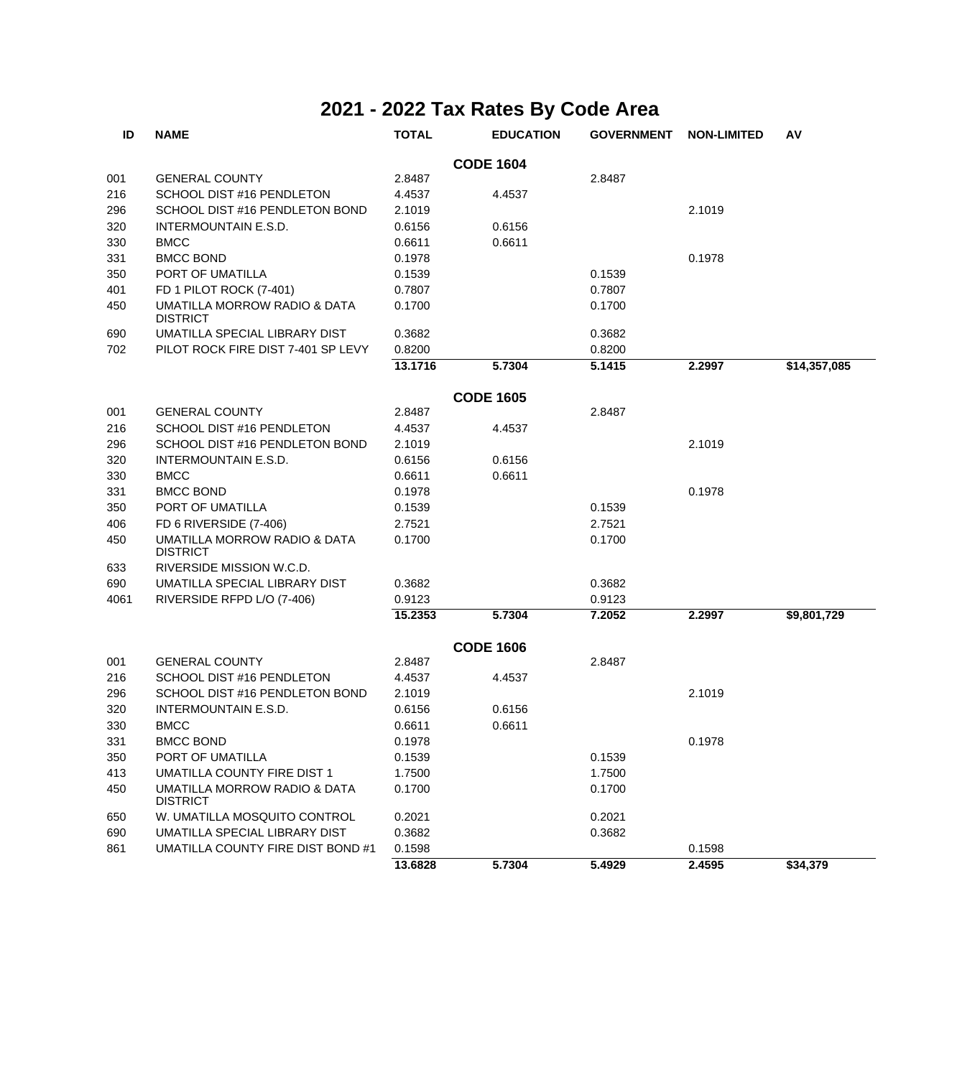| ID   | <b>NAME</b>                                     | <b>TOTAL</b> | <b>EDUCATION</b> | <b>GOVERNMENT</b> | <b>NON-LIMITED</b> | AV           |
|------|-------------------------------------------------|--------------|------------------|-------------------|--------------------|--------------|
|      |                                                 |              | <b>CODE 1604</b> |                   |                    |              |
| 001  | <b>GENERAL COUNTY</b>                           | 2.8487       |                  | 2.8487            |                    |              |
| 216  | SCHOOL DIST #16 PENDLETON                       | 4.4537       | 4.4537           |                   |                    |              |
| 296  | SCHOOL DIST #16 PENDLETON BOND                  | 2.1019       |                  |                   | 2.1019             |              |
| 320  | INTERMOUNTAIN E.S.D.                            | 0.6156       | 0.6156           |                   |                    |              |
| 330  | <b>BMCC</b>                                     | 0.6611       | 0.6611           |                   |                    |              |
| 331  | <b>BMCC BOND</b>                                | 0.1978       |                  |                   | 0.1978             |              |
| 350  | PORT OF UMATILLA                                | 0.1539       |                  | 0.1539            |                    |              |
| 401  | FD 1 PILOT ROCK (7-401)                         | 0.7807       |                  | 0.7807            |                    |              |
| 450  | UMATILLA MORROW RADIO & DATA<br><b>DISTRICT</b> | 0.1700       |                  | 0.1700            |                    |              |
| 690  | UMATILLA SPECIAL LIBRARY DIST                   | 0.3682       |                  | 0.3682            |                    |              |
| 702  | PILOT ROCK FIRE DIST 7-401 SP LEVY              | 0.8200       |                  | 0.8200            |                    |              |
|      |                                                 | 13.1716      | 5.7304           | 5.1415            | 2.2997             | \$14,357,085 |
|      |                                                 |              | <b>CODE 1605</b> |                   |                    |              |
| 001  | <b>GENERAL COUNTY</b>                           | 2.8487       |                  | 2.8487            |                    |              |
| 216  | SCHOOL DIST #16 PENDLETON                       | 4.4537       | 4.4537           |                   |                    |              |
| 296  | SCHOOL DIST #16 PENDLETON BOND                  | 2.1019       |                  |                   | 2.1019             |              |
| 320  | <b>INTERMOUNTAIN E.S.D.</b>                     | 0.6156       | 0.6156           |                   |                    |              |
| 330  | <b>BMCC</b>                                     | 0.6611       | 0.6611           |                   |                    |              |
| 331  | <b>BMCC BOND</b>                                | 0.1978       |                  |                   | 0.1978             |              |
| 350  | PORT OF UMATILLA                                | 0.1539       |                  | 0.1539            |                    |              |
| 406  | FD 6 RIVERSIDE (7-406)                          | 2.7521       |                  | 2.7521            |                    |              |
| 450  | UMATILLA MORROW RADIO & DATA<br><b>DISTRICT</b> | 0.1700       |                  | 0.1700            |                    |              |
| 633  | RIVERSIDE MISSION W.C.D.                        |              |                  |                   |                    |              |
| 690  | UMATILLA SPECIAL LIBRARY DIST                   | 0.3682       |                  | 0.3682            |                    |              |
| 4061 | RIVERSIDE RFPD L/O (7-406)                      | 0.9123       |                  | 0.9123            |                    |              |
|      |                                                 | 15.2353      | 5.7304           | 7.2052            | 2.2997             | \$9,801,729  |
|      |                                                 |              | <b>CODE 1606</b> |                   |                    |              |
| 001  | <b>GENERAL COUNTY</b>                           | 2.8487       |                  | 2.8487            |                    |              |
| 216  | SCHOOL DIST #16 PENDLETON                       | 4.4537       | 4.4537           |                   |                    |              |
| 296  | SCHOOL DIST #16 PENDLETON BOND                  | 2.1019       |                  |                   | 2.1019             |              |
| 320  | INTERMOUNTAIN E.S.D.                            | 0.6156       | 0.6156           |                   |                    |              |
| 330  | <b>BMCC</b>                                     | 0.6611       | 0.6611           |                   |                    |              |
| 331  | <b>BMCC BOND</b>                                | 0.1978       |                  |                   | 0.1978             |              |
| 350  | PORT OF UMATILLA                                | 0.1539       |                  | 0.1539            |                    |              |
| 413  | UMATILLA COUNTY FIRE DIST 1                     | 1.7500       |                  | 1.7500            |                    |              |
| 450  | UMATILLA MORROW RADIO & DATA<br><b>DISTRICT</b> | 0.1700       |                  | 0.1700            |                    |              |
| 650  | W. UMATILLA MOSQUITO CONTROL                    | 0.2021       |                  | 0.2021            |                    |              |
| 690  | UMATILLA SPECIAL LIBRARY DIST                   | 0.3682       |                  | 0.3682            |                    |              |
| 861  | UMATILLA COUNTY FIRE DIST BOND #1               | 0.1598       |                  |                   | 0.1598             |              |
|      |                                                 | 13.6828      | 5.7304           | 5.4929            | 2.4595             | \$34,379     |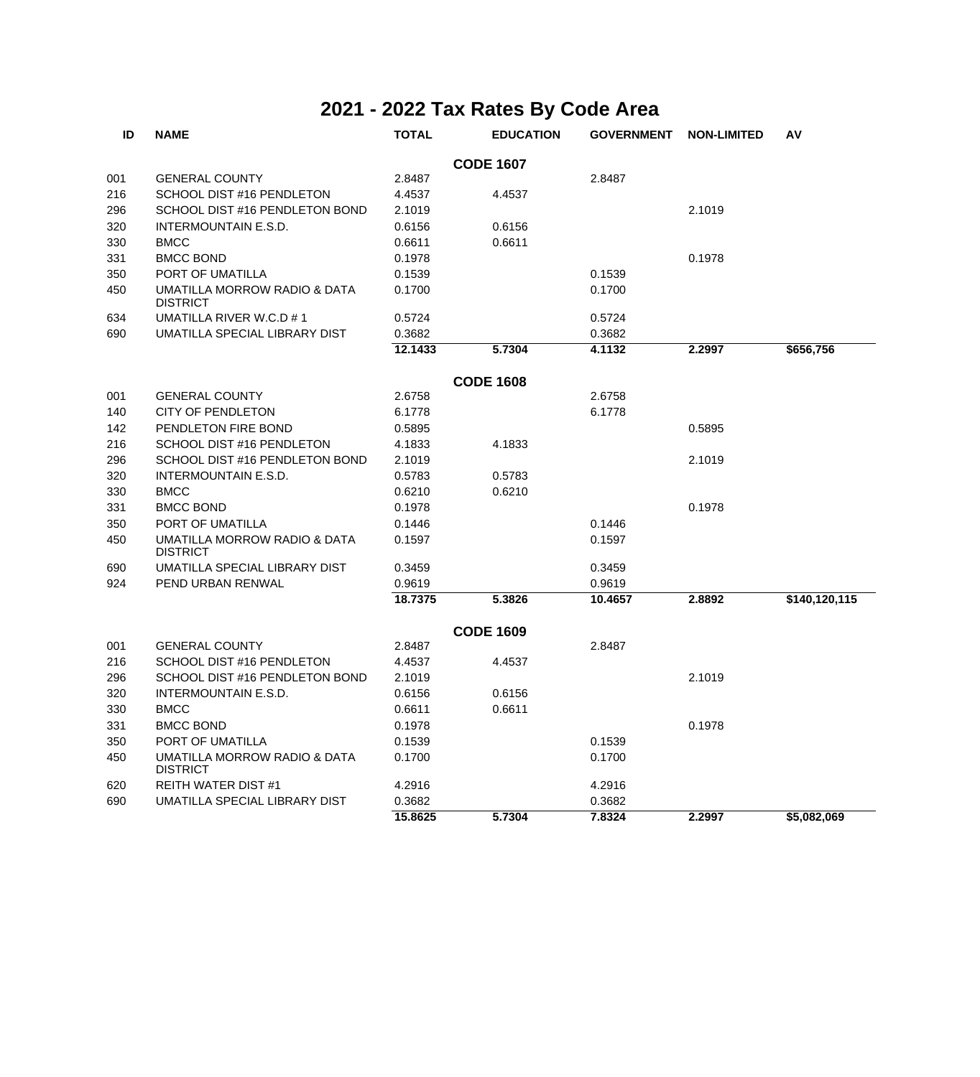| ID  | <b>NAME</b>                                     | <b>TOTAL</b> | <b>EDUCATION</b> | <b>GOVERNMENT</b> | <b>NON-LIMITED</b> | AV            |
|-----|-------------------------------------------------|--------------|------------------|-------------------|--------------------|---------------|
|     |                                                 |              | <b>CODE 1607</b> |                   |                    |               |
| 001 | <b>GENERAL COUNTY</b>                           | 2.8487       |                  | 2.8487            |                    |               |
| 216 | SCHOOL DIST #16 PENDLETON                       | 4.4537       | 4.4537           |                   |                    |               |
| 296 | SCHOOL DIST #16 PENDLETON BOND                  | 2.1019       |                  |                   | 2.1019             |               |
| 320 | <b>INTERMOUNTAIN E.S.D.</b>                     | 0.6156       | 0.6156           |                   |                    |               |
| 330 | <b>BMCC</b>                                     | 0.6611       | 0.6611           |                   |                    |               |
| 331 | <b>BMCC BOND</b>                                | 0.1978       |                  |                   | 0.1978             |               |
| 350 | PORT OF UMATILLA                                | 0.1539       |                  | 0.1539            |                    |               |
| 450 | UMATILLA MORROW RADIO & DATA<br><b>DISTRICT</b> | 0.1700       |                  | 0.1700            |                    |               |
| 634 | UMATILLA RIVER W.C.D #1                         | 0.5724       |                  | 0.5724            |                    |               |
| 690 | UMATILLA SPECIAL LIBRARY DIST                   | 0.3682       |                  | 0.3682            |                    |               |
|     |                                                 | 12.1433      | 5.7304           | 4.1132            | 2.2997             | \$656,756     |
|     |                                                 |              | <b>CODE 1608</b> |                   |                    |               |
| 001 | <b>GENERAL COUNTY</b>                           | 2.6758       |                  | 2.6758            |                    |               |
| 140 | <b>CITY OF PENDLETON</b>                        | 6.1778       |                  | 6.1778            |                    |               |
| 142 | PENDLETON FIRE BOND                             | 0.5895       |                  |                   | 0.5895             |               |
| 216 | SCHOOL DIST #16 PENDLETON                       | 4.1833       | 4.1833           |                   |                    |               |
| 296 | SCHOOL DIST #16 PENDLETON BOND                  | 2.1019       |                  |                   | 2.1019             |               |
| 320 | INTERMOUNTAIN E.S.D.                            | 0.5783       | 0.5783           |                   |                    |               |
| 330 | <b>BMCC</b>                                     | 0.6210       | 0.6210           |                   |                    |               |
| 331 | <b>BMCC BOND</b>                                | 0.1978       |                  |                   | 0.1978             |               |
| 350 | PORT OF UMATILLA                                | 0.1446       |                  | 0.1446            |                    |               |
| 450 | UMATILLA MORROW RADIO & DATA<br><b>DISTRICT</b> | 0.1597       |                  | 0.1597            |                    |               |
| 690 | UMATILLA SPECIAL LIBRARY DIST                   | 0.3459       |                  | 0.3459            |                    |               |
| 924 | PEND URBAN RENWAL                               | 0.9619       |                  | 0.9619            |                    |               |
|     |                                                 | 18.7375      | 5.3826           | 10.4657           | 2.8892             | \$140,120,115 |
|     |                                                 |              | <b>CODE 1609</b> |                   |                    |               |
| 001 | <b>GENERAL COUNTY</b>                           | 2.8487       |                  | 2.8487            |                    |               |
| 216 | SCHOOL DIST #16 PENDLETON                       | 4.4537       | 4.4537           |                   |                    |               |
| 296 | SCHOOL DIST #16 PENDLETON BOND                  | 2.1019       |                  |                   | 2.1019             |               |
| 320 | <b>INTERMOUNTAIN E.S.D.</b>                     | 0.6156       | 0.6156           |                   |                    |               |
| 330 | <b>BMCC</b>                                     | 0.6611       | 0.6611           |                   |                    |               |
| 331 | <b>BMCC BOND</b>                                | 0.1978       |                  |                   | 0.1978             |               |
| 350 | PORT OF UMATILLA                                | 0.1539       |                  | 0.1539            |                    |               |
| 450 | UMATILLA MORROW RADIO & DATA<br><b>DISTRICT</b> | 0.1700       |                  | 0.1700            |                    |               |
| 620 | <b>REITH WATER DIST #1</b>                      | 4.2916       |                  | 4.2916            |                    |               |
| 690 | UMATILLA SPECIAL LIBRARY DIST                   | 0.3682       |                  | 0.3682            |                    |               |
|     |                                                 | 15.8625      | 5.7304           | 7.8324            | 2.2997             | \$5,082,069   |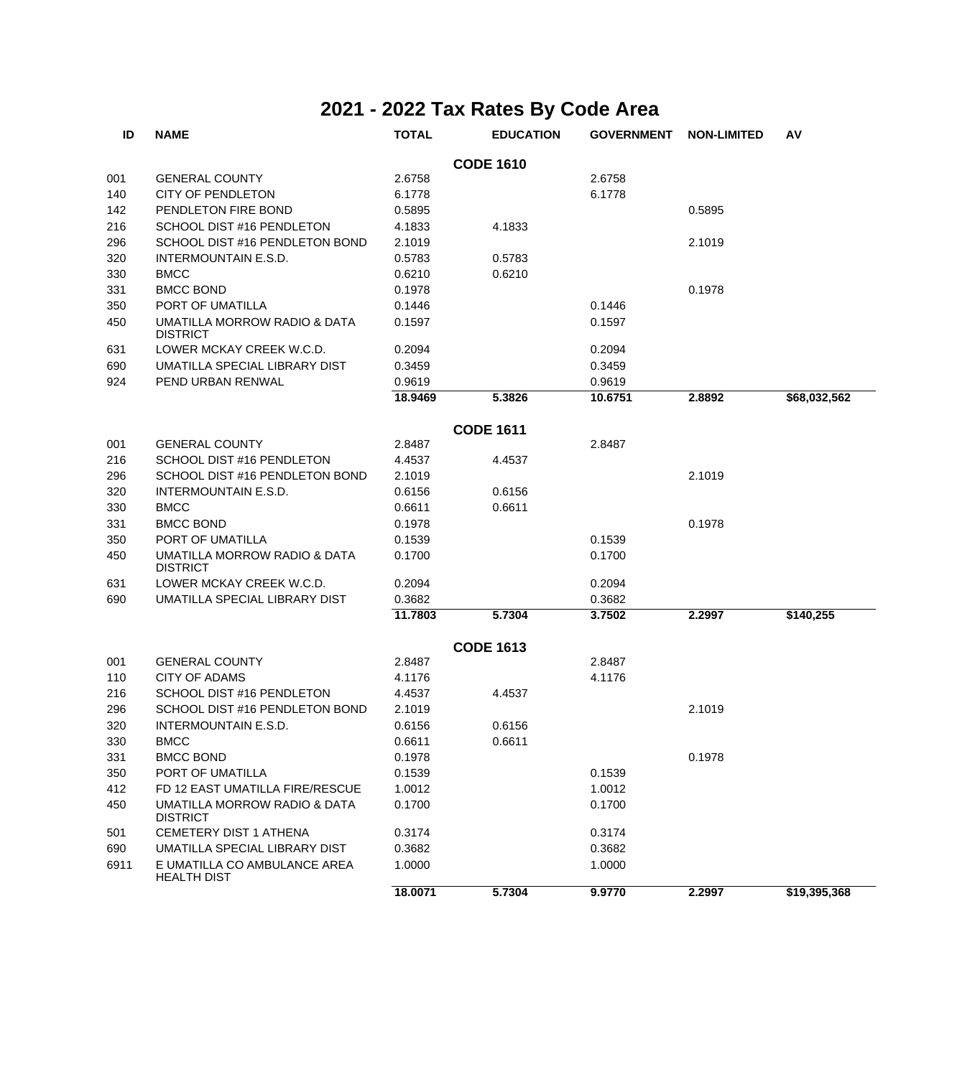| ID   | <b>NAME</b>                                        | <b>TOTAL</b> | <b>EDUCATION</b> | <b>GOVERNMENT</b> | <b>NON-LIMITED</b> | AV           |
|------|----------------------------------------------------|--------------|------------------|-------------------|--------------------|--------------|
|      |                                                    |              | <b>CODE 1610</b> |                   |                    |              |
| 001  | <b>GENERAL COUNTY</b>                              | 2.6758       |                  | 2.6758            |                    |              |
| 140  | <b>CITY OF PENDLETON</b>                           | 6.1778       |                  | 6.1778            |                    |              |
| 142  | PENDLETON FIRE BOND                                | 0.5895       |                  |                   | 0.5895             |              |
| 216  | SCHOOL DIST #16 PENDLETON                          | 4.1833       | 4.1833           |                   |                    |              |
| 296  | SCHOOL DIST #16 PENDLETON BOND                     | 2.1019       |                  |                   | 2.1019             |              |
| 320  | INTERMOUNTAIN E.S.D.                               | 0.5783       | 0.5783           |                   |                    |              |
| 330  | <b>BMCC</b>                                        | 0.6210       | 0.6210           |                   |                    |              |
| 331  | <b>BMCC BOND</b>                                   | 0.1978       |                  |                   | 0.1978             |              |
| 350  | PORT OF UMATILLA                                   | 0.1446       |                  | 0.1446            |                    |              |
| 450  | UMATILLA MORROW RADIO & DATA<br><b>DISTRICT</b>    | 0.1597       |                  | 0.1597            |                    |              |
| 631  | LOWER MCKAY CREEK W.C.D.                           | 0.2094       |                  | 0.2094            |                    |              |
| 690  | UMATILLA SPECIAL LIBRARY DIST                      | 0.3459       |                  | 0.3459            |                    |              |
| 924  | PEND URBAN RENWAL                                  | 0.9619       |                  | 0.9619            |                    |              |
|      |                                                    | 18.9469      | 5.3826           | 10.6751           | 2.8892             | \$68,032,562 |
|      |                                                    |              |                  |                   |                    |              |
|      |                                                    |              | <b>CODE 1611</b> |                   |                    |              |
| 001  | <b>GENERAL COUNTY</b>                              | 2.8487       |                  | 2.8487            |                    |              |
| 216  | SCHOOL DIST #16 PENDLETON                          | 4.4537       | 4.4537           |                   |                    |              |
| 296  | SCHOOL DIST #16 PENDLETON BOND                     | 2.1019       |                  |                   | 2.1019             |              |
| 320  | <b>INTERMOUNTAIN E.S.D.</b>                        | 0.6156       | 0.6156           |                   |                    |              |
| 330  | <b>BMCC</b>                                        | 0.6611       | 0.6611           |                   |                    |              |
| 331  | <b>BMCC BOND</b>                                   | 0.1978       |                  |                   | 0.1978             |              |
| 350  | PORT OF UMATILLA                                   | 0.1539       |                  | 0.1539            |                    |              |
| 450  | UMATILLA MORROW RADIO & DATA<br><b>DISTRICT</b>    | 0.1700       |                  | 0.1700            |                    |              |
| 631  | LOWER MCKAY CREEK W.C.D.                           | 0.2094       |                  | 0.2094            |                    |              |
| 690  | UMATILLA SPECIAL LIBRARY DIST                      | 0.3682       |                  | 0.3682            |                    |              |
|      |                                                    | 11.7803      | 5.7304           | 3.7502            | 2.2997             | \$140,255    |
|      |                                                    |              | <b>CODE 1613</b> |                   |                    |              |
| 001  | <b>GENERAL COUNTY</b>                              | 2.8487       |                  | 2.8487            |                    |              |
| 110  | <b>CITY OF ADAMS</b>                               | 4.1176       |                  | 4.1176            |                    |              |
| 216  | SCHOOL DIST #16 PENDLETON                          | 4.4537       | 4.4537           |                   |                    |              |
| 296  | SCHOOL DIST #16 PENDLETON BOND                     | 2.1019       |                  |                   | 2.1019             |              |
| 320  | INTERMOUNTAIN E.S.D.                               | 0.6156       | 0.6156           |                   |                    |              |
| 330  | <b>BMCC</b>                                        | 0.6611       | 0.6611           |                   |                    |              |
| 331  | <b>BMCC BOND</b>                                   | 0.1978       |                  |                   | 0.1978             |              |
| 350  | PORT OF UMATILLA                                   | 0.1539       |                  | 0.1539            |                    |              |
| 412  | FD 12 EAST UMATILLA FIRE/RESCUE                    | 1.0012       |                  | 1.0012            |                    |              |
| 450  | UMATILLA MORROW RADIO & DATA<br><b>DISTRICT</b>    | 0.1700       |                  | 0.1700            |                    |              |
| 501  | <b>CEMETERY DIST 1 ATHENA</b>                      | 0.3174       |                  | 0.3174            |                    |              |
| 690  | UMATILLA SPECIAL LIBRARY DIST                      | 0.3682       |                  | 0.3682            |                    |              |
| 6911 | E UMATILLA CO AMBULANCE AREA<br><b>HEALTH DIST</b> | 1.0000       |                  | 1.0000            |                    |              |
|      |                                                    | 18.0071      | 5.7304           | 9.9770            | 2.2997             | \$19,395,368 |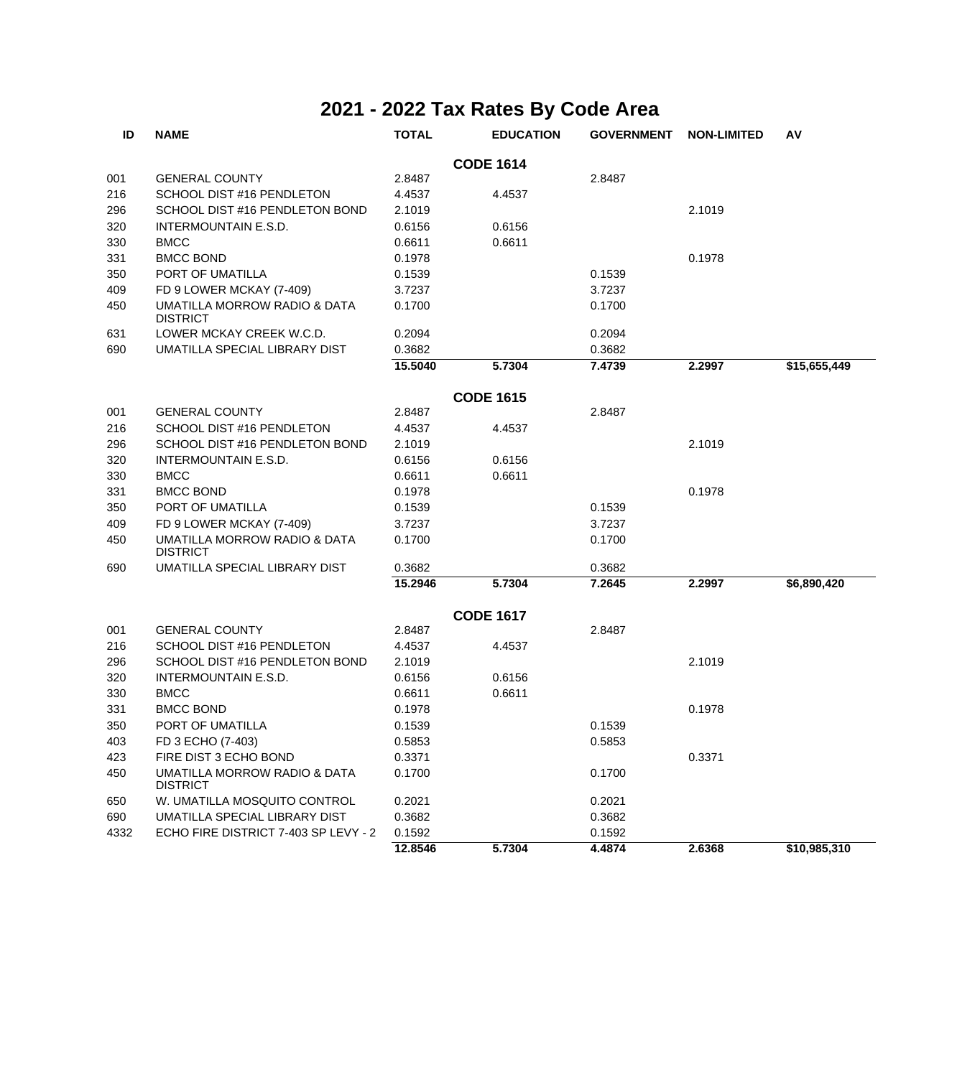| ID   | <b>NAME</b>                                     | <b>TOTAL</b> | <b>EDUCATION</b> | <b>GOVERNMENT</b> | <b>NON-LIMITED</b> | AV           |
|------|-------------------------------------------------|--------------|------------------|-------------------|--------------------|--------------|
|      |                                                 |              | <b>CODE 1614</b> |                   |                    |              |
| 001  | <b>GENERAL COUNTY</b>                           | 2.8487       |                  | 2.8487            |                    |              |
| 216  | SCHOOL DIST #16 PENDLETON                       | 4.4537       | 4.4537           |                   |                    |              |
| 296  | SCHOOL DIST #16 PENDLETON BOND                  | 2.1019       |                  |                   | 2.1019             |              |
| 320  | INTERMOUNTAIN E.S.D.                            | 0.6156       | 0.6156           |                   |                    |              |
| 330  | <b>BMCC</b>                                     | 0.6611       | 0.6611           |                   |                    |              |
| 331  | <b>BMCC BOND</b>                                | 0.1978       |                  |                   | 0.1978             |              |
| 350  | PORT OF UMATILLA                                | 0.1539       |                  | 0.1539            |                    |              |
| 409  | FD 9 LOWER MCKAY (7-409)                        | 3.7237       |                  | 3.7237            |                    |              |
| 450  | UMATILLA MORROW RADIO & DATA<br><b>DISTRICT</b> | 0.1700       |                  | 0.1700            |                    |              |
| 631  | LOWER MCKAY CREEK W.C.D.                        | 0.2094       |                  | 0.2094            |                    |              |
| 690  | UMATILLA SPECIAL LIBRARY DIST                   | 0.3682       |                  | 0.3682            |                    |              |
|      |                                                 | 15.5040      | 5.7304           | 7.4739            | 2.2997             | \$15,655,449 |
|      |                                                 |              | <b>CODE 1615</b> |                   |                    |              |
| 001  | <b>GENERAL COUNTY</b>                           | 2.8487       |                  | 2.8487            |                    |              |
| 216  | SCHOOL DIST #16 PENDLETON                       | 4.4537       | 4.4537           |                   |                    |              |
| 296  | SCHOOL DIST #16 PENDLETON BOND                  | 2.1019       |                  |                   | 2.1019             |              |
| 320  | <b>INTERMOUNTAIN E.S.D.</b>                     | 0.6156       | 0.6156           |                   |                    |              |
| 330  | <b>BMCC</b>                                     | 0.6611       | 0.6611           |                   |                    |              |
| 331  | <b>BMCC BOND</b>                                | 0.1978       |                  |                   | 0.1978             |              |
| 350  | PORT OF UMATILLA                                | 0.1539       |                  | 0.1539            |                    |              |
| 409  | FD 9 LOWER MCKAY (7-409)                        | 3.7237       |                  | 3.7237            |                    |              |
| 450  | UMATILLA MORROW RADIO & DATA<br><b>DISTRICT</b> | 0.1700       |                  | 0.1700            |                    |              |
| 690  | UMATILLA SPECIAL LIBRARY DIST                   | 0.3682       |                  | 0.3682            |                    |              |
|      |                                                 | 15.2946      | 5.7304           | 7.2645            | 2.2997             | \$6,890,420  |
|      |                                                 |              | <b>CODE 1617</b> |                   |                    |              |
| 001  | <b>GENERAL COUNTY</b>                           | 2.8487       |                  | 2.8487            |                    |              |
| 216  | SCHOOL DIST #16 PENDLETON                       | 4.4537       | 4.4537           |                   |                    |              |
| 296  | SCHOOL DIST #16 PENDLETON BOND                  | 2.1019       |                  |                   | 2.1019             |              |
| 320  | <b>INTERMOUNTAIN E.S.D.</b>                     | 0.6156       | 0.6156           |                   |                    |              |
| 330  | <b>BMCC</b>                                     | 0.6611       | 0.6611           |                   |                    |              |
| 331  | <b>BMCC BOND</b>                                | 0.1978       |                  |                   | 0.1978             |              |
| 350  | PORT OF UMATILLA                                | 0.1539       |                  | 0.1539            |                    |              |
| 403  | FD 3 ECHO (7-403)                               | 0.5853       |                  | 0.5853            |                    |              |
| 423  | FIRE DIST 3 ECHO BOND                           | 0.3371       |                  |                   | 0.3371             |              |
| 450  | UMATILLA MORROW RADIO & DATA<br><b>DISTRICT</b> | 0.1700       |                  | 0.1700            |                    |              |
| 650  | W. UMATILLA MOSQUITO CONTROL                    | 0.2021       |                  | 0.2021            |                    |              |
| 690  | UMATILLA SPECIAL LIBRARY DIST                   | 0.3682       |                  | 0.3682            |                    |              |
| 4332 | ECHO FIRE DISTRICT 7-403 SP LEVY - 2            | 0.1592       |                  | 0.1592            |                    |              |
|      |                                                 | 12.8546      | 5.7304           | 4.4874            | 2.6368             | \$10,985,310 |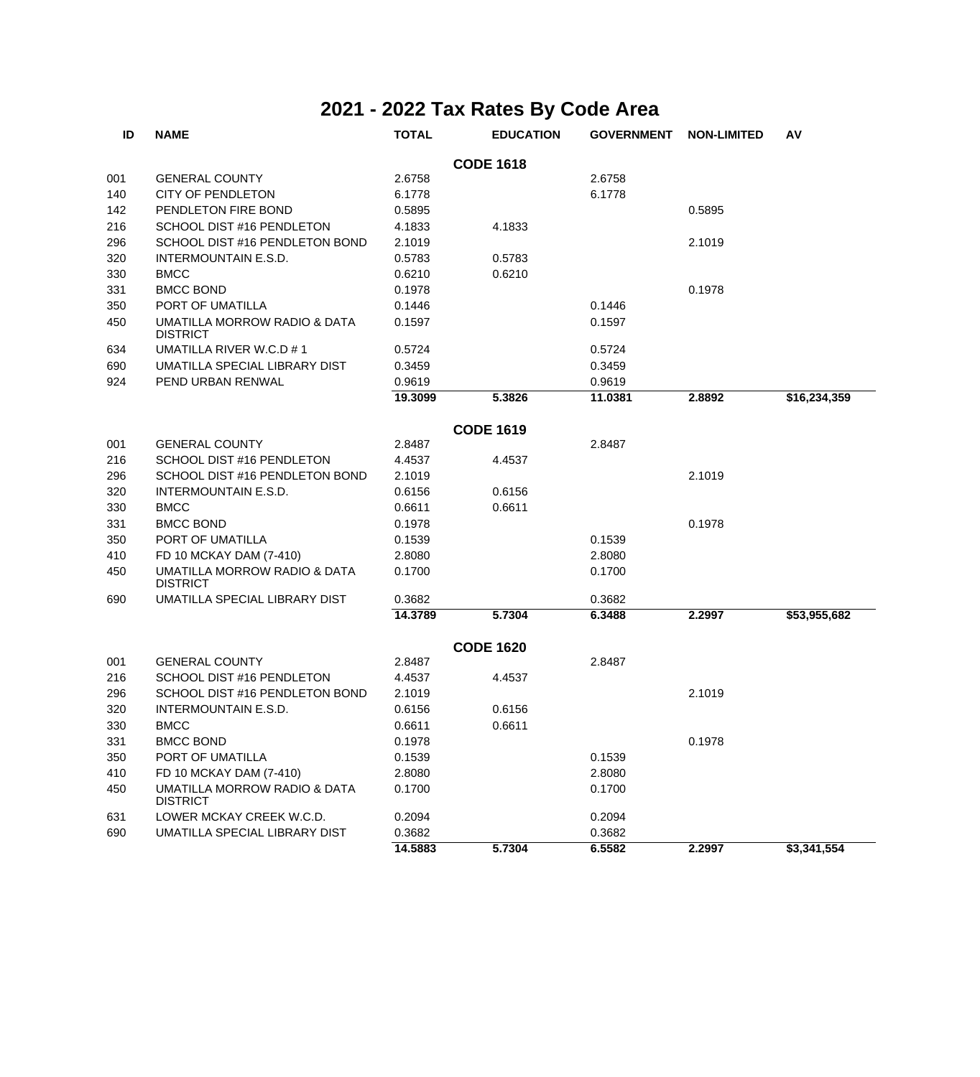| ID  | <b>NAME</b>                                     | <b>TOTAL</b> | <b>EDUCATION</b> | <b>GOVERNMENT</b> | <b>NON-LIMITED</b> | AV           |
|-----|-------------------------------------------------|--------------|------------------|-------------------|--------------------|--------------|
|     |                                                 |              | <b>CODE 1618</b> |                   |                    |              |
| 001 | <b>GENERAL COUNTY</b>                           | 2.6758       |                  | 2.6758            |                    |              |
| 140 | <b>CITY OF PENDLETON</b>                        | 6.1778       |                  | 6.1778            |                    |              |
| 142 | PENDLETON FIRE BOND                             | 0.5895       |                  |                   | 0.5895             |              |
| 216 | SCHOOL DIST #16 PENDLETON                       | 4.1833       | 4.1833           |                   |                    |              |
| 296 | SCHOOL DIST #16 PENDLETON BOND                  | 2.1019       |                  |                   | 2.1019             |              |
| 320 | INTERMOUNTAIN E.S.D.                            | 0.5783       | 0.5783           |                   |                    |              |
| 330 | <b>BMCC</b>                                     | 0.6210       | 0.6210           |                   |                    |              |
| 331 | <b>BMCC BOND</b>                                | 0.1978       |                  |                   | 0.1978             |              |
| 350 | PORT OF UMATILLA                                | 0.1446       |                  | 0.1446            |                    |              |
| 450 | UMATILLA MORROW RADIO & DATA<br><b>DISTRICT</b> | 0.1597       |                  | 0.1597            |                    |              |
| 634 | UMATILLA RIVER W.C.D # 1                        | 0.5724       |                  | 0.5724            |                    |              |
| 690 | UMATILLA SPECIAL LIBRARY DIST                   | 0.3459       |                  | 0.3459            |                    |              |
| 924 | PEND URBAN RENWAL                               | 0.9619       |                  | 0.9619            |                    |              |
|     |                                                 | 19.3099      | 5.3826           | 11.0381           | 2.8892             | \$16,234,359 |
|     |                                                 |              | <b>CODE 1619</b> |                   |                    |              |
| 001 | <b>GENERAL COUNTY</b>                           | 2.8487       |                  | 2.8487            |                    |              |
| 216 | SCHOOL DIST #16 PENDLETON                       | 4.4537       | 4.4537           |                   |                    |              |
| 296 | SCHOOL DIST #16 PENDLETON BOND                  | 2.1019       |                  |                   | 2.1019             |              |
| 320 | INTERMOUNTAIN E.S.D.                            | 0.6156       | 0.6156           |                   |                    |              |
| 330 | <b>BMCC</b>                                     | 0.6611       | 0.6611           |                   |                    |              |
| 331 | <b>BMCC BOND</b>                                | 0.1978       |                  |                   | 0.1978             |              |
| 350 | PORT OF UMATILLA                                | 0.1539       |                  | 0.1539            |                    |              |
| 410 | FD 10 MCKAY DAM (7-410)                         | 2.8080       |                  | 2.8080            |                    |              |
| 450 | UMATILLA MORROW RADIO & DATA<br><b>DISTRICT</b> | 0.1700       |                  | 0.1700            |                    |              |
| 690 | UMATILLA SPECIAL LIBRARY DIST                   | 0.3682       |                  | 0.3682            |                    |              |
|     |                                                 | 14.3789      | 5.7304           | 6.3488            | 2.2997             | \$53,955,682 |
|     |                                                 |              | <b>CODE 1620</b> |                   |                    |              |
| 001 | <b>GENERAL COUNTY</b>                           | 2.8487       |                  | 2.8487            |                    |              |
| 216 | SCHOOL DIST #16 PENDLETON                       | 4.4537       | 4.4537           |                   |                    |              |
| 296 | SCHOOL DIST #16 PENDLETON BOND                  | 2.1019       |                  |                   | 2.1019             |              |
| 320 | INTERMOUNTAIN E.S.D.                            | 0.6156       | 0.6156           |                   |                    |              |
| 330 | <b>BMCC</b>                                     | 0.6611       | 0.6611           |                   |                    |              |
| 331 | <b>BMCC BOND</b>                                | 0.1978       |                  |                   | 0.1978             |              |
| 350 | PORT OF UMATILLA                                | 0.1539       |                  | 0.1539            |                    |              |
| 410 | FD 10 MCKAY DAM (7-410)                         | 2.8080       |                  | 2.8080            |                    |              |
| 450 | UMATILLA MORROW RADIO & DATA<br><b>DISTRICT</b> | 0.1700       |                  | 0.1700            |                    |              |
| 631 | LOWER MCKAY CREEK W.C.D.                        | 0.2094       |                  | 0.2094            |                    |              |
| 690 | UMATILLA SPECIAL LIBRARY DIST                   | 0.3682       |                  | 0.3682            |                    |              |
|     |                                                 | 14.5883      | 5.7304           | 6.5582            | 2.2997             | \$3,341,554  |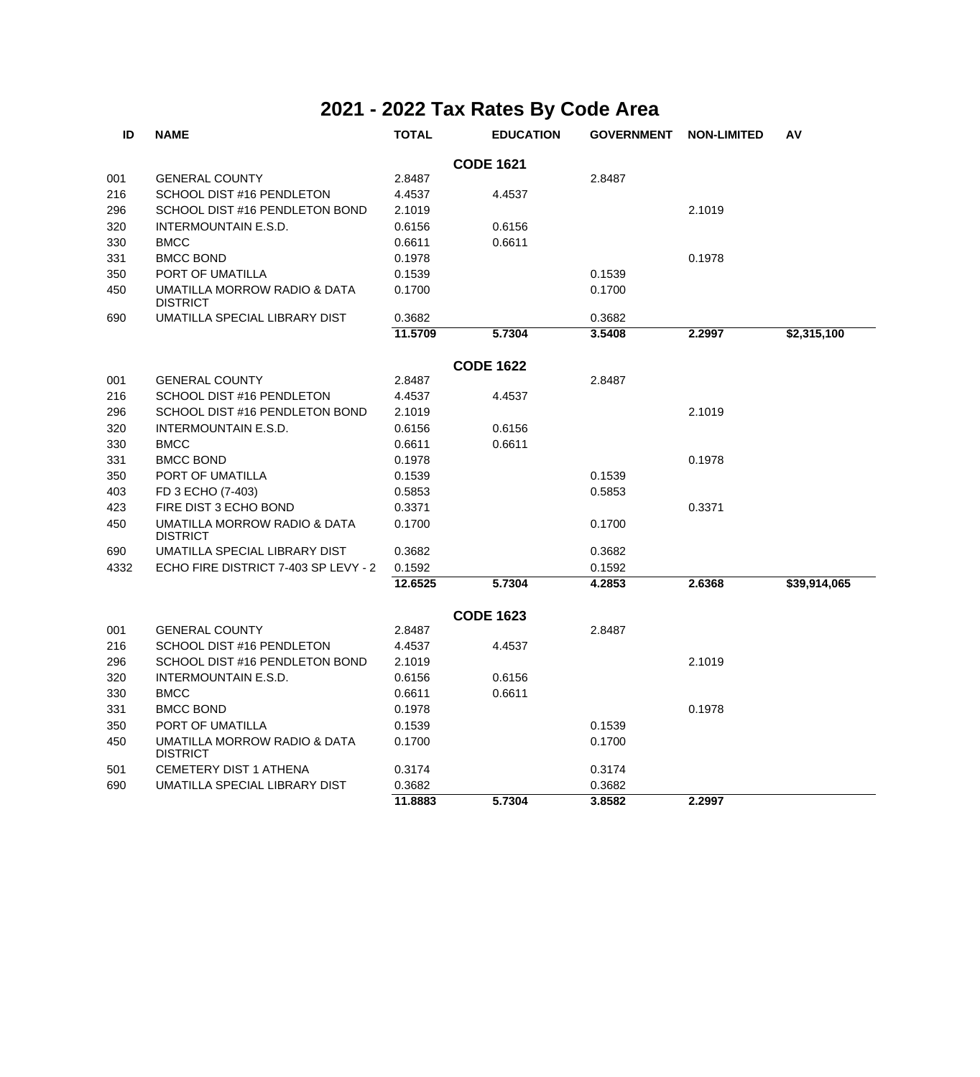| ID   | <b>NAME</b>                                     | <b>TOTAL</b> | <b>EDUCATION</b> | <b>GOVERNMENT</b> | <b>NON-LIMITED</b> | AV           |
|------|-------------------------------------------------|--------------|------------------|-------------------|--------------------|--------------|
|      |                                                 |              | <b>CODE 1621</b> |                   |                    |              |
| 001  | <b>GENERAL COUNTY</b>                           | 2.8487       |                  | 2.8487            |                    |              |
| 216  | SCHOOL DIST #16 PENDLETON                       | 4.4537       | 4.4537           |                   |                    |              |
| 296  | SCHOOL DIST #16 PENDLETON BOND                  | 2.1019       |                  |                   | 2.1019             |              |
| 320  | <b>INTERMOUNTAIN E.S.D.</b>                     | 0.6156       | 0.6156           |                   |                    |              |
| 330  | <b>BMCC</b>                                     | 0.6611       | 0.6611           |                   |                    |              |
| 331  | <b>BMCC BOND</b>                                | 0.1978       |                  |                   | 0.1978             |              |
| 350  | PORT OF UMATILLA                                | 0.1539       |                  | 0.1539            |                    |              |
| 450  | UMATILLA MORROW RADIO & DATA<br><b>DISTRICT</b> | 0.1700       |                  | 0.1700            |                    |              |
| 690  | UMATILLA SPECIAL LIBRARY DIST                   | 0.3682       |                  | 0.3682            |                    |              |
|      |                                                 | 11.5709      | 5.7304           | 3.5408            | 2.2997             | \$2,315,100  |
|      |                                                 |              | <b>CODE 1622</b> |                   |                    |              |
| 001  | <b>GENERAL COUNTY</b>                           | 2.8487       |                  | 2.8487            |                    |              |
| 216  | SCHOOL DIST #16 PENDLETON                       | 4.4537       | 4.4537           |                   |                    |              |
| 296  | SCHOOL DIST #16 PENDLETON BOND                  | 2.1019       |                  |                   | 2.1019             |              |
| 320  | <b>INTERMOUNTAIN E.S.D.</b>                     | 0.6156       | 0.6156           |                   |                    |              |
| 330  | <b>BMCC</b>                                     | 0.6611       | 0.6611           |                   |                    |              |
| 331  | <b>BMCC BOND</b>                                | 0.1978       |                  |                   | 0.1978             |              |
| 350  | PORT OF UMATILLA                                | 0.1539       |                  | 0.1539            |                    |              |
| 403  | FD 3 ECHO (7-403)                               | 0.5853       |                  | 0.5853            |                    |              |
| 423  | FIRE DIST 3 ECHO BOND                           | 0.3371       |                  |                   | 0.3371             |              |
| 450  | UMATILLA MORROW RADIO & DATA<br><b>DISTRICT</b> | 0.1700       |                  | 0.1700            |                    |              |
| 690  | UMATILLA SPECIAL LIBRARY DIST                   | 0.3682       |                  | 0.3682            |                    |              |
| 4332 | ECHO FIRE DISTRICT 7-403 SP LEVY - 2            | 0.1592       |                  | 0.1592            |                    |              |
|      |                                                 | 12.6525      | 5.7304           | 4.2853            | 2.6368             | \$39,914,065 |
|      |                                                 |              | <b>CODE 1623</b> |                   |                    |              |
| 001  | <b>GENERAL COUNTY</b>                           | 2.8487       |                  | 2.8487            |                    |              |
| 216  | SCHOOL DIST #16 PENDLETON                       | 4.4537       | 4.4537           |                   |                    |              |
| 296  | SCHOOL DIST #16 PENDLETON BOND                  | 2.1019       |                  |                   | 2.1019             |              |
| 320  | <b>INTERMOUNTAIN E.S.D.</b>                     | 0.6156       | 0.6156           |                   |                    |              |
| 330  | <b>BMCC</b>                                     | 0.6611       | 0.6611           |                   |                    |              |
| 331  | <b>BMCC BOND</b>                                | 0.1978       |                  |                   | 0.1978             |              |
| 350  | PORT OF UMATILLA                                | 0.1539       |                  | 0.1539            |                    |              |
| 450  | UMATILLA MORROW RADIO & DATA<br><b>DISTRICT</b> | 0.1700       |                  | 0.1700            |                    |              |
| 501  | <b>CEMETERY DIST 1 ATHENA</b>                   | 0.3174       |                  | 0.3174            |                    |              |
| 690  | UMATILLA SPECIAL LIBRARY DIST                   | 0.3682       |                  | 0.3682            |                    |              |
|      |                                                 | 11.8883      | 5.7304           | 3.8582            | 2.2997             |              |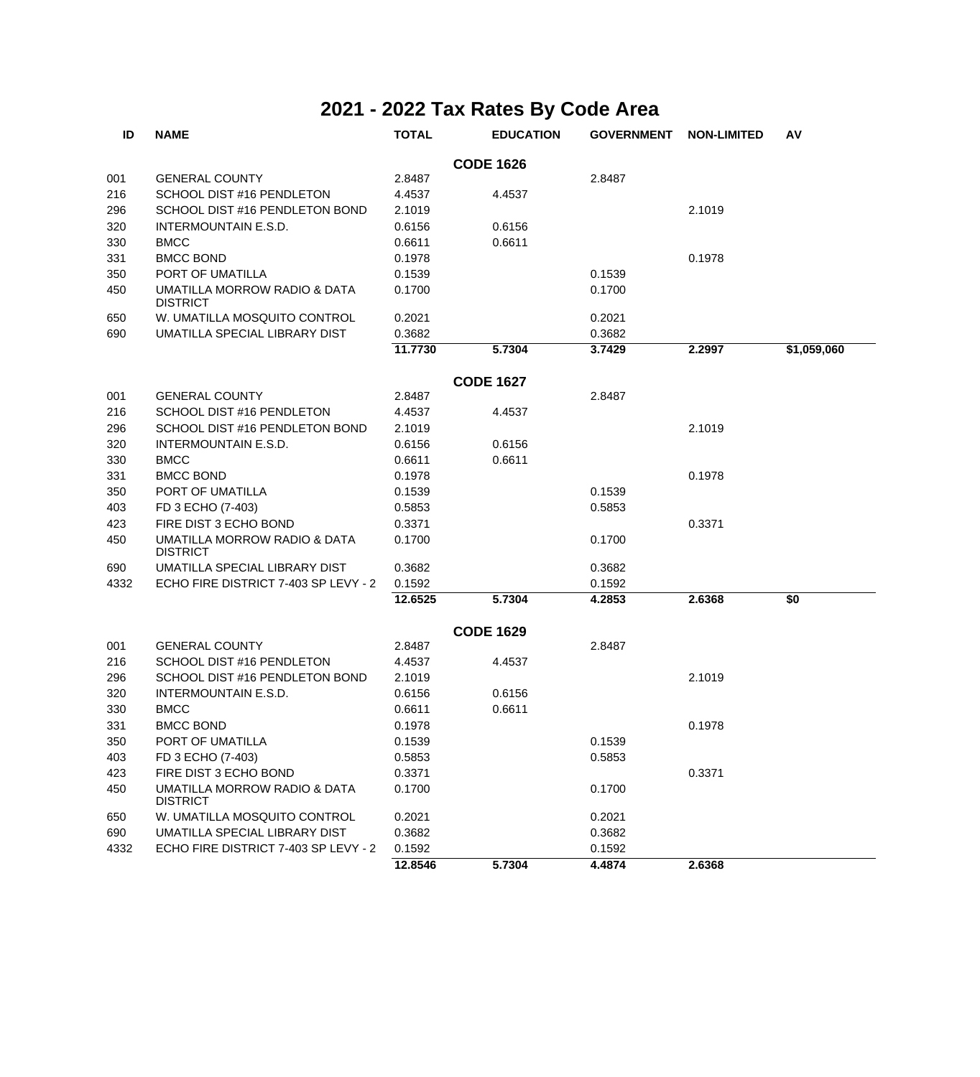| ID               | <b>NAME</b>                                     | <b>TOTAL</b> | <b>EDUCATION</b> | <b>GOVERNMENT</b> | <b>NON-LIMITED</b> | AV          |  |  |  |
|------------------|-------------------------------------------------|--------------|------------------|-------------------|--------------------|-------------|--|--|--|
|                  | <b>CODE 1626</b>                                |              |                  |                   |                    |             |  |  |  |
| 001              | <b>GENERAL COUNTY</b>                           | 2.8487       |                  | 2.8487            |                    |             |  |  |  |
| 216              | SCHOOL DIST #16 PENDLETON                       | 4.4537       | 4.4537           |                   |                    |             |  |  |  |
| 296              | SCHOOL DIST #16 PENDLETON BOND                  | 2.1019       |                  |                   | 2.1019             |             |  |  |  |
| 320              | <b>INTERMOUNTAIN E.S.D.</b>                     | 0.6156       | 0.6156           |                   |                    |             |  |  |  |
| 330              | <b>BMCC</b>                                     | 0.6611       | 0.6611           |                   |                    |             |  |  |  |
| 331              | <b>BMCC BOND</b>                                | 0.1978       |                  |                   | 0.1978             |             |  |  |  |
| 350              | PORT OF UMATILLA                                | 0.1539       |                  | 0.1539            |                    |             |  |  |  |
| 450              | UMATILLA MORROW RADIO & DATA<br><b>DISTRICT</b> | 0.1700       |                  | 0.1700            |                    |             |  |  |  |
| 650              | W. UMATILLA MOSQUITO CONTROL                    | 0.2021       |                  | 0.2021            |                    |             |  |  |  |
| 690              | UMATILLA SPECIAL LIBRARY DIST                   | 0.3682       |                  | 0.3682            |                    |             |  |  |  |
|                  |                                                 | 11.7730      | 5.7304           | 3.7429            | 2.2997             | \$1,059,060 |  |  |  |
| <b>CODE 1627</b> |                                                 |              |                  |                   |                    |             |  |  |  |
| 001              | <b>GENERAL COUNTY</b>                           | 2.8487       |                  | 2.8487            |                    |             |  |  |  |
| 216              | SCHOOL DIST #16 PENDLETON                       | 4.4537       | 4.4537           |                   |                    |             |  |  |  |
| 296              | SCHOOL DIST #16 PENDLETON BOND                  | 2.1019       |                  |                   | 2.1019             |             |  |  |  |
| 320              | INTERMOUNTAIN E.S.D.                            | 0.6156       | 0.6156           |                   |                    |             |  |  |  |
| 330              | <b>BMCC</b>                                     | 0.6611       | 0.6611           |                   |                    |             |  |  |  |
| 331              | <b>BMCC BOND</b>                                | 0.1978       |                  |                   | 0.1978             |             |  |  |  |
| 350              | PORT OF UMATILLA                                | 0.1539       |                  | 0.1539            |                    |             |  |  |  |
| 403              | FD 3 ECHO (7-403)                               | 0.5853       |                  | 0.5853            |                    |             |  |  |  |
| 423              | FIRE DIST 3 ECHO BOND                           | 0.3371       |                  |                   | 0.3371             |             |  |  |  |
| 450              | UMATILLA MORROW RADIO & DATA<br><b>DISTRICT</b> | 0.1700       |                  | 0.1700            |                    |             |  |  |  |
| 690              | UMATILLA SPECIAL LIBRARY DIST                   | 0.3682       |                  | 0.3682            |                    |             |  |  |  |
| 4332             | ECHO FIRE DISTRICT 7-403 SP LEVY - 2            | 0.1592       |                  | 0.1592            |                    |             |  |  |  |
|                  |                                                 | 12.6525      | 5.7304           | 4.2853            | 2.6368             | \$0         |  |  |  |
|                  |                                                 |              | <b>CODE 1629</b> |                   |                    |             |  |  |  |
| 001              | <b>GENERAL COUNTY</b>                           | 2.8487       |                  | 2.8487            |                    |             |  |  |  |
| 216              | SCHOOL DIST #16 PENDLETON                       | 4.4537       | 4.4537           |                   |                    |             |  |  |  |
| 296              | SCHOOL DIST #16 PENDLETON BOND                  | 2.1019       |                  |                   | 2.1019             |             |  |  |  |
| 320              | INTERMOUNTAIN E.S.D.                            | 0.6156       | 0.6156           |                   |                    |             |  |  |  |
| 330              | <b>BMCC</b>                                     | 0.6611       | 0.6611           |                   |                    |             |  |  |  |
| 331              | <b>BMCC BOND</b>                                | 0.1978       |                  |                   | 0.1978             |             |  |  |  |
| 350              | PORT OF UMATILLA                                | 0.1539       |                  | 0.1539            |                    |             |  |  |  |
| 403              | FD 3 ECHO (7-403)                               | 0.5853       |                  | 0.5853            |                    |             |  |  |  |
| 423              | FIRE DIST 3 ECHO BOND                           | 0.3371       |                  |                   | 0.3371             |             |  |  |  |
| 450              | UMATILLA MORROW RADIO & DATA<br><b>DISTRICT</b> | 0.1700       |                  | 0.1700            |                    |             |  |  |  |
| 650              | W. UMATILLA MOSQUITO CONTROL                    | 0.2021       |                  | 0.2021            |                    |             |  |  |  |
| 690              | UMATILLA SPECIAL LIBRARY DIST                   | 0.3682       |                  | 0.3682            |                    |             |  |  |  |
| 4332             | ECHO FIRE DISTRICT 7-403 SP LEVY - 2            | 0.1592       |                  | 0.1592            |                    |             |  |  |  |
|                  |                                                 | 12.8546      | 5.7304           | 4.4874            | 2.6368             |             |  |  |  |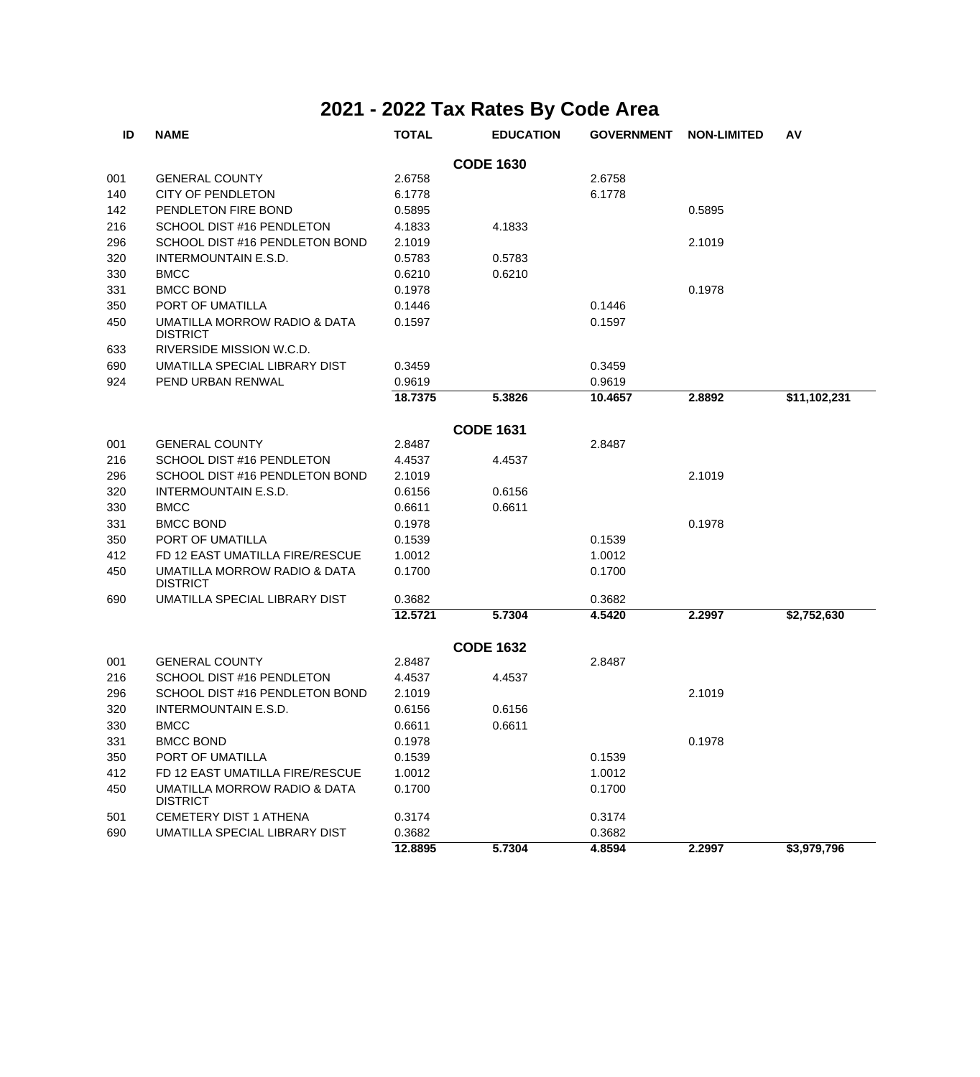| ID  | <b>NAME</b>                                     | <b>TOTAL</b> | <b>EDUCATION</b> | <b>GOVERNMENT</b> | <b>NON-LIMITED</b> | AV           |
|-----|-------------------------------------------------|--------------|------------------|-------------------|--------------------|--------------|
|     |                                                 |              | <b>CODE 1630</b> |                   |                    |              |
| 001 | <b>GENERAL COUNTY</b>                           | 2.6758       |                  | 2.6758            |                    |              |
| 140 | <b>CITY OF PENDLETON</b>                        | 6.1778       |                  | 6.1778            |                    |              |
| 142 | PENDLETON FIRE BOND                             | 0.5895       |                  |                   | 0.5895             |              |
| 216 | SCHOOL DIST #16 PENDLETON                       | 4.1833       | 4.1833           |                   |                    |              |
| 296 | SCHOOL DIST #16 PENDLETON BOND                  | 2.1019       |                  |                   | 2.1019             |              |
| 320 | INTERMOUNTAIN E.S.D.                            | 0.5783       | 0.5783           |                   |                    |              |
| 330 | <b>BMCC</b>                                     | 0.6210       | 0.6210           |                   |                    |              |
| 331 | <b>BMCC BOND</b>                                | 0.1978       |                  |                   | 0.1978             |              |
| 350 | PORT OF UMATILLA                                | 0.1446       |                  | 0.1446            |                    |              |
| 450 | UMATILLA MORROW RADIO & DATA<br><b>DISTRICT</b> | 0.1597       |                  | 0.1597            |                    |              |
| 633 | RIVERSIDE MISSION W.C.D.                        |              |                  |                   |                    |              |
| 690 | UMATILLA SPECIAL LIBRARY DIST                   | 0.3459       |                  | 0.3459            |                    |              |
| 924 | PEND URBAN RENWAL                               | 0.9619       |                  | 0.9619            |                    |              |
|     |                                                 | 18.7375      | 5.3826           | 10.4657           | 2.8892             | \$11,102,231 |
|     |                                                 |              | <b>CODE 1631</b> |                   |                    |              |
| 001 | <b>GENERAL COUNTY</b>                           | 2.8487       |                  | 2.8487            |                    |              |
| 216 | SCHOOL DIST #16 PENDLETON                       | 4.4537       | 4.4537           |                   |                    |              |
| 296 | SCHOOL DIST #16 PENDLETON BOND                  | 2.1019       |                  |                   | 2.1019             |              |
| 320 | <b>INTERMOUNTAIN E.S.D.</b>                     | 0.6156       | 0.6156           |                   |                    |              |
| 330 | <b>BMCC</b>                                     | 0.6611       | 0.6611           |                   |                    |              |
| 331 | <b>BMCC BOND</b>                                | 0.1978       |                  |                   | 0.1978             |              |
| 350 | PORT OF UMATILLA                                | 0.1539       |                  | 0.1539            |                    |              |
| 412 | FD 12 EAST UMATILLA FIRE/RESCUE                 | 1.0012       |                  | 1.0012            |                    |              |
| 450 | UMATILLA MORROW RADIO & DATA<br><b>DISTRICT</b> | 0.1700       |                  | 0.1700            |                    |              |
| 690 | UMATILLA SPECIAL LIBRARY DIST                   | 0.3682       |                  | 0.3682            |                    |              |
|     |                                                 | 12.5721      | 5.7304           | 4.5420            | 2.2997             | \$2,752,630  |
|     |                                                 |              | <b>CODE 1632</b> |                   |                    |              |
| 001 | <b>GENERAL COUNTY</b>                           | 2.8487       |                  | 2.8487            |                    |              |
| 216 | SCHOOL DIST #16 PENDLETON                       | 4.4537       | 4.4537           |                   |                    |              |
| 296 | SCHOOL DIST #16 PENDLETON BOND                  | 2.1019       |                  |                   | 2.1019             |              |
| 320 | INTERMOUNTAIN E.S.D.                            | 0.6156       | 0.6156           |                   |                    |              |
| 330 | <b>BMCC</b>                                     | 0.6611       | 0.6611           |                   |                    |              |
| 331 | <b>BMCC BOND</b>                                | 0.1978       |                  |                   | 0.1978             |              |
| 350 | PORT OF UMATILLA                                | 0.1539       |                  | 0.1539            |                    |              |
| 412 | FD 12 EAST UMATILLA FIRE/RESCUE                 | 1.0012       |                  | 1.0012            |                    |              |
| 450 | UMATILLA MORROW RADIO & DATA<br><b>DISTRICT</b> | 0.1700       |                  | 0.1700            |                    |              |
| 501 | <b>CEMETERY DIST 1 ATHENA</b>                   | 0.3174       |                  | 0.3174            |                    |              |
| 690 | UMATILLA SPECIAL LIBRARY DIST                   | 0.3682       |                  | 0.3682            |                    |              |
|     |                                                 | 12.8895      | 5.7304           | 4.8594            | 2.2997             | \$3,979,796  |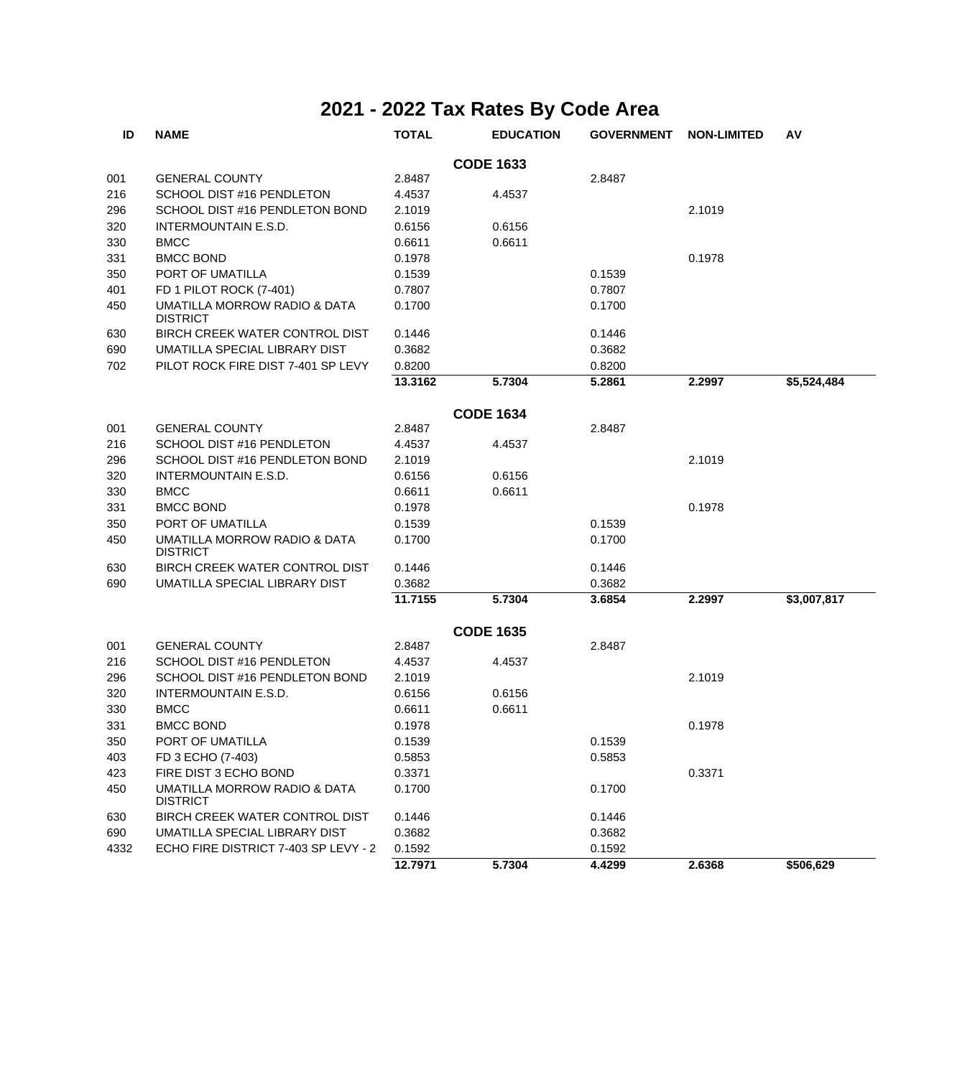| ID               | <b>NAME</b>                                     | <b>TOTAL</b> | <b>EDUCATION</b> | <b>GOVERNMENT</b> | <b>NON-LIMITED</b> | AV          |  |  |  |
|------------------|-------------------------------------------------|--------------|------------------|-------------------|--------------------|-------------|--|--|--|
| <b>CODE 1633</b> |                                                 |              |                  |                   |                    |             |  |  |  |
| 001              | <b>GENERAL COUNTY</b>                           | 2.8487       |                  | 2.8487            |                    |             |  |  |  |
| 216              | SCHOOL DIST #16 PENDLETON                       | 4.4537       | 4.4537           |                   |                    |             |  |  |  |
| 296              | SCHOOL DIST #16 PENDLETON BOND                  | 2.1019       |                  |                   | 2.1019             |             |  |  |  |
| 320              | <b>INTERMOUNTAIN E.S.D.</b>                     | 0.6156       | 0.6156           |                   |                    |             |  |  |  |
| 330              | <b>BMCC</b>                                     | 0.6611       | 0.6611           |                   |                    |             |  |  |  |
| 331              | <b>BMCC BOND</b>                                | 0.1978       |                  |                   | 0.1978             |             |  |  |  |
| 350              | PORT OF UMATILLA                                | 0.1539       |                  | 0.1539            |                    |             |  |  |  |
| 401              | FD 1 PILOT ROCK (7-401)                         | 0.7807       |                  | 0.7807            |                    |             |  |  |  |
| 450              | UMATILLA MORROW RADIO & DATA<br><b>DISTRICT</b> | 0.1700       |                  | 0.1700            |                    |             |  |  |  |
| 630              | BIRCH CREEK WATER CONTROL DIST                  | 0.1446       |                  | 0.1446            |                    |             |  |  |  |
| 690              | UMATILLA SPECIAL LIBRARY DIST                   | 0.3682       |                  | 0.3682            |                    |             |  |  |  |
| 702              | PILOT ROCK FIRE DIST 7-401 SP LEVY              | 0.8200       |                  | 0.8200            |                    |             |  |  |  |
|                  |                                                 | 13.3162      | 5.7304           | 5.2861            | 2.2997             | \$5,524,484 |  |  |  |
|                  |                                                 |              | <b>CODE 1634</b> |                   |                    |             |  |  |  |
| 001              | <b>GENERAL COUNTY</b>                           | 2.8487       |                  | 2.8487            |                    |             |  |  |  |
| 216              | SCHOOL DIST #16 PENDLETON                       | 4.4537       | 4.4537           |                   |                    |             |  |  |  |
| 296              | SCHOOL DIST #16 PENDLETON BOND                  | 2.1019       |                  |                   | 2.1019             |             |  |  |  |
| 320              | INTERMOUNTAIN E.S.D.                            | 0.6156       | 0.6156           |                   |                    |             |  |  |  |
| 330              | <b>BMCC</b>                                     | 0.6611       | 0.6611           |                   |                    |             |  |  |  |
| 331              | <b>BMCC BOND</b>                                | 0.1978       |                  |                   | 0.1978             |             |  |  |  |
| 350              | PORT OF UMATILLA                                | 0.1539       |                  | 0.1539            |                    |             |  |  |  |
| 450              | UMATILLA MORROW RADIO & DATA<br><b>DISTRICT</b> | 0.1700       |                  | 0.1700            |                    |             |  |  |  |
| 630              | BIRCH CREEK WATER CONTROL DIST                  | 0.1446       |                  | 0.1446            |                    |             |  |  |  |
| 690              | UMATILLA SPECIAL LIBRARY DIST                   | 0.3682       |                  | 0.3682            |                    |             |  |  |  |
|                  |                                                 | 11.7155      | 5.7304           | 3.6854            | 2.2997             | \$3,007,817 |  |  |  |
|                  |                                                 |              | <b>CODE 1635</b> |                   |                    |             |  |  |  |
| 001              | <b>GENERAL COUNTY</b>                           | 2.8487       |                  | 2.8487            |                    |             |  |  |  |
| 216              | SCHOOL DIST #16 PENDLETON                       | 4.4537       | 4.4537           |                   |                    |             |  |  |  |
| 296              | SCHOOL DIST #16 PENDLETON BOND                  | 2.1019       |                  |                   | 2.1019             |             |  |  |  |
| 320              | <b>INTERMOUNTAIN E.S.D.</b>                     | 0.6156       | 0.6156           |                   |                    |             |  |  |  |
| 330              | <b>BMCC</b>                                     | 0.6611       | 0.6611           |                   |                    |             |  |  |  |
| 331              | <b>BMCC BOND</b>                                | 0.1978       |                  |                   | 0.1978             |             |  |  |  |
| 350              | PORT OF UMATILLA                                | 0.1539       |                  | 0.1539            |                    |             |  |  |  |
| 403              | FD 3 ECHO (7-403)                               | 0.5853       |                  | 0.5853            |                    |             |  |  |  |
| 423              | FIRE DIST 3 ECHO BOND                           | 0.3371       |                  |                   | 0.3371             |             |  |  |  |
| 450              | UMATILLA MORROW RADIO & DATA<br><b>DISTRICT</b> | 0.1700       |                  | 0.1700            |                    |             |  |  |  |
| 630              | BIRCH CREEK WATER CONTROL DIST                  | 0.1446       |                  | 0.1446            |                    |             |  |  |  |
| 690              | UMATILLA SPECIAL LIBRARY DIST                   | 0.3682       |                  | 0.3682            |                    |             |  |  |  |
| 4332             | ECHO FIRE DISTRICT 7-403 SP LEVY - 2            | 0.1592       |                  | 0.1592            |                    |             |  |  |  |
|                  |                                                 | 12.7971      | 5.7304           | 4.4299            | 2.6368             | \$506,629   |  |  |  |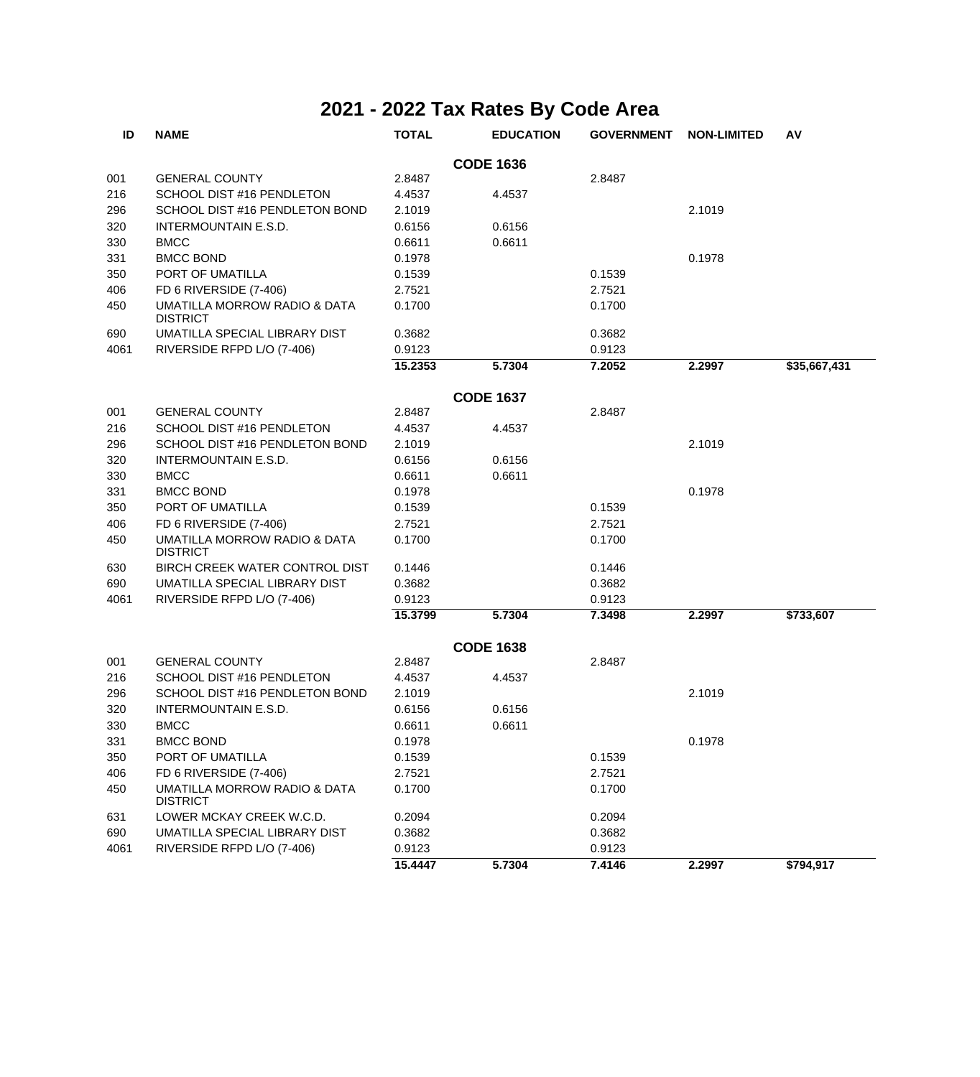| ID   | <b>NAME</b>                                     | <b>TOTAL</b> | <b>EDUCATION</b> | <b>GOVERNMENT</b> | <b>NON-LIMITED</b> | AV           |
|------|-------------------------------------------------|--------------|------------------|-------------------|--------------------|--------------|
|      |                                                 |              | <b>CODE 1636</b> |                   |                    |              |
| 001  | <b>GENERAL COUNTY</b>                           | 2.8487       |                  | 2.8487            |                    |              |
| 216  | SCHOOL DIST #16 PENDLETON                       | 4.4537       | 4.4537           |                   |                    |              |
| 296  | SCHOOL DIST #16 PENDLETON BOND                  | 2.1019       |                  |                   | 2.1019             |              |
| 320  | INTERMOUNTAIN E.S.D.                            | 0.6156       | 0.6156           |                   |                    |              |
| 330  | <b>BMCC</b>                                     | 0.6611       | 0.6611           |                   |                    |              |
| 331  | <b>BMCC BOND</b>                                | 0.1978       |                  |                   | 0.1978             |              |
| 350  | PORT OF UMATILLA                                | 0.1539       |                  | 0.1539            |                    |              |
| 406  | FD 6 RIVERSIDE (7-406)                          | 2.7521       |                  | 2.7521            |                    |              |
| 450  | UMATILLA MORROW RADIO & DATA<br><b>DISTRICT</b> | 0.1700       |                  | 0.1700            |                    |              |
| 690  | UMATILLA SPECIAL LIBRARY DIST                   | 0.3682       |                  | 0.3682            |                    |              |
| 4061 | RIVERSIDE RFPD L/O (7-406)                      | 0.9123       |                  | 0.9123            |                    |              |
|      |                                                 | 15.2353      | 5.7304           | 7.2052            | 2.2997             | \$35,667,431 |
|      |                                                 |              | <b>CODE 1637</b> |                   |                    |              |
| 001  | <b>GENERAL COUNTY</b>                           | 2.8487       |                  | 2.8487            |                    |              |
| 216  | SCHOOL DIST #16 PENDLETON                       | 4.4537       | 4.4537           |                   |                    |              |
| 296  | SCHOOL DIST #16 PENDLETON BOND                  | 2.1019       |                  |                   | 2.1019             |              |
| 320  | <b>INTERMOUNTAIN E.S.D.</b>                     | 0.6156       | 0.6156           |                   |                    |              |
| 330  | <b>BMCC</b>                                     | 0.6611       | 0.6611           |                   |                    |              |
| 331  | <b>BMCC BOND</b>                                | 0.1978       |                  |                   | 0.1978             |              |
| 350  | PORT OF UMATILLA                                | 0.1539       |                  | 0.1539            |                    |              |
| 406  | FD 6 RIVERSIDE (7-406)                          | 2.7521       |                  | 2.7521            |                    |              |
| 450  | UMATILLA MORROW RADIO & DATA<br><b>DISTRICT</b> | 0.1700       |                  | 0.1700            |                    |              |
| 630  | BIRCH CREEK WATER CONTROL DIST                  | 0.1446       |                  | 0.1446            |                    |              |
| 690  | UMATILLA SPECIAL LIBRARY DIST                   | 0.3682       |                  | 0.3682            |                    |              |
| 4061 | RIVERSIDE RFPD L/O (7-406)                      | 0.9123       |                  | 0.9123            |                    |              |
|      |                                                 | 15.3799      | 5.7304           | 7.3498            | 2.2997             | \$733,607    |
|      |                                                 |              | <b>CODE 1638</b> |                   |                    |              |
| 001  | <b>GENERAL COUNTY</b>                           | 2.8487       |                  | 2.8487            |                    |              |
| 216  | SCHOOL DIST #16 PENDLETON                       | 4.4537       | 4.4537           |                   |                    |              |
| 296  | SCHOOL DIST #16 PENDLETON BOND                  | 2.1019       |                  |                   | 2.1019             |              |
| 320  | INTERMOUNTAIN E.S.D.                            | 0.6156       | 0.6156           |                   |                    |              |
| 330  | <b>BMCC</b>                                     | 0.6611       | 0.6611           |                   |                    |              |
| 331  | <b>BMCC BOND</b>                                | 0.1978       |                  |                   | 0.1978             |              |
| 350  | PORT OF UMATILLA                                | 0.1539       |                  | 0.1539            |                    |              |
| 406  | FD 6 RIVERSIDE (7-406)                          | 2.7521       |                  | 2.7521            |                    |              |
| 450  | UMATILLA MORROW RADIO & DATA<br><b>DISTRICT</b> | 0.1700       |                  | 0.1700            |                    |              |
| 631  | LOWER MCKAY CREEK W.C.D.                        | 0.2094       |                  | 0.2094            |                    |              |
| 690  | UMATILLA SPECIAL LIBRARY DIST                   | 0.3682       |                  | 0.3682            |                    |              |
| 4061 | RIVERSIDE RFPD L/O (7-406)                      | 0.9123       |                  | 0.9123            |                    |              |
|      |                                                 | 15.4447      | 5.7304           | 7.4146            | 2.2997             | \$794,917    |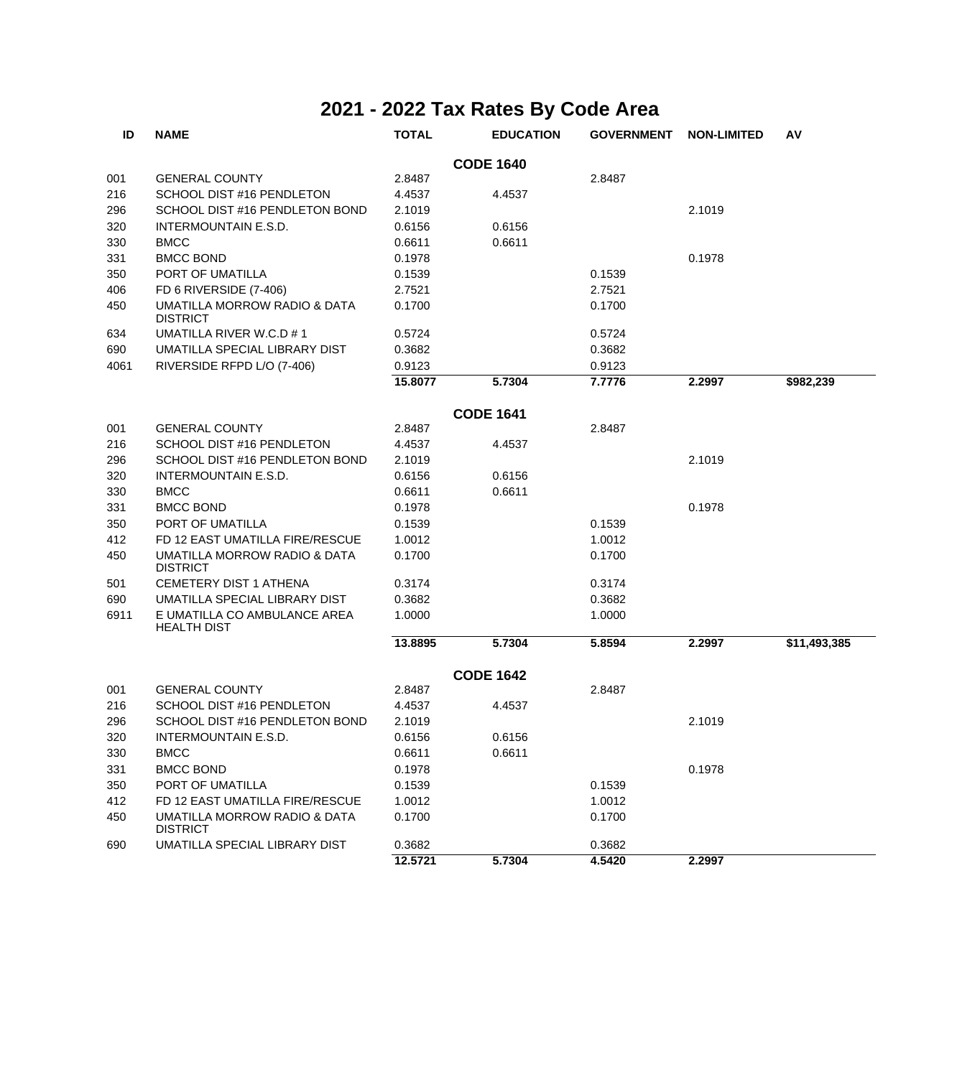| ID               | <b>NAME</b>                                                | <b>TOTAL</b> | <b>EDUCATION</b> | <b>GOVERNMENT</b> | <b>NON-LIMITED</b> | AV           |  |  |  |
|------------------|------------------------------------------------------------|--------------|------------------|-------------------|--------------------|--------------|--|--|--|
| <b>CODE 1640</b> |                                                            |              |                  |                   |                    |              |  |  |  |
| 001              | <b>GENERAL COUNTY</b>                                      | 2.8487       |                  | 2.8487            |                    |              |  |  |  |
| 216              | SCHOOL DIST #16 PENDLETON                                  | 4.4537       | 4.4537           |                   |                    |              |  |  |  |
| 296              | SCHOOL DIST #16 PENDLETON BOND                             | 2.1019       |                  |                   | 2.1019             |              |  |  |  |
| 320              | INTERMOUNTAIN E.S.D.                                       | 0.6156       | 0.6156           |                   |                    |              |  |  |  |
| 330              | <b>BMCC</b>                                                | 0.6611       | 0.6611           |                   |                    |              |  |  |  |
| 331              | <b>BMCC BOND</b>                                           | 0.1978       |                  |                   | 0.1978             |              |  |  |  |
| 350              | PORT OF UMATILLA                                           | 0.1539       |                  | 0.1539            |                    |              |  |  |  |
| 406              | FD 6 RIVERSIDE (7-406)                                     | 2.7521       |                  | 2.7521            |                    |              |  |  |  |
| 450              | <b>UMATILLA MORROW RADIO &amp; DATA</b><br><b>DISTRICT</b> | 0.1700       |                  | 0.1700            |                    |              |  |  |  |
| 634              | UMATILLA RIVER W.C.D #1                                    | 0.5724       |                  | 0.5724            |                    |              |  |  |  |
| 690              | UMATILLA SPECIAL LIBRARY DIST                              | 0.3682       |                  | 0.3682            |                    |              |  |  |  |
| 4061             | RIVERSIDE RFPD L/O (7-406)                                 | 0.9123       |                  | 0.9123            |                    |              |  |  |  |
|                  |                                                            | 15.8077      | 5.7304           | 7.7776            | 2.2997             | \$982,239    |  |  |  |
| <b>CODE 1641</b> |                                                            |              |                  |                   |                    |              |  |  |  |
| 001              | <b>GENERAL COUNTY</b>                                      | 2.8487       |                  | 2.8487            |                    |              |  |  |  |
| 216              | SCHOOL DIST #16 PENDLETON                                  | 4.4537       | 4.4537           |                   |                    |              |  |  |  |
| 296              | SCHOOL DIST #16 PENDLETON BOND                             | 2.1019       |                  |                   | 2.1019             |              |  |  |  |
| 320              | <b>INTERMOUNTAIN E.S.D.</b>                                | 0.6156       | 0.6156           |                   |                    |              |  |  |  |
| 330              | <b>BMCC</b>                                                | 0.6611       | 0.6611           |                   |                    |              |  |  |  |
| 331              | <b>BMCC BOND</b>                                           | 0.1978       |                  |                   | 0.1978             |              |  |  |  |
| 350              | PORT OF UMATILLA                                           | 0.1539       |                  | 0.1539            |                    |              |  |  |  |
| 412              | FD 12 EAST UMATILLA FIRE/RESCUE                            | 1.0012       |                  | 1.0012            |                    |              |  |  |  |
| 450              | UMATILLA MORROW RADIO & DATA<br><b>DISTRICT</b>            | 0.1700       |                  | 0.1700            |                    |              |  |  |  |
| 501              | <b>CEMETERY DIST 1 ATHENA</b>                              | 0.3174       |                  | 0.3174            |                    |              |  |  |  |
| 690              | UMATILLA SPECIAL LIBRARY DIST                              | 0.3682       |                  | 0.3682            |                    |              |  |  |  |
| 6911             | E UMATILLA CO AMBULANCE AREA<br><b>HEALTH DIST</b>         | 1.0000       |                  | 1.0000            |                    |              |  |  |  |
|                  |                                                            | 13.8895      | 5.7304           | 5.8594            | 2.2997             | \$11,493,385 |  |  |  |
|                  |                                                            |              | <b>CODE 1642</b> |                   |                    |              |  |  |  |
| 001              | <b>GENERAL COUNTY</b>                                      | 2.8487       |                  | 2.8487            |                    |              |  |  |  |
| 216              | SCHOOL DIST #16 PENDLETON                                  | 4.4537       | 4.4537           |                   |                    |              |  |  |  |
| 296              | SCHOOL DIST #16 PENDLETON BOND                             | 2.1019       |                  |                   | 2.1019             |              |  |  |  |
| 320              | INTERMOUNTAIN E.S.D.                                       | 0.6156       | 0.6156           |                   |                    |              |  |  |  |
| 330              | <b>BMCC</b>                                                | 0.6611       | 0.6611           |                   |                    |              |  |  |  |
| 331              | <b>BMCC BOND</b>                                           | 0.1978       |                  |                   | 0.1978             |              |  |  |  |
| 350              | PORT OF UMATILLA                                           | 0.1539       |                  | 0.1539            |                    |              |  |  |  |
| 412              | FD 12 EAST UMATILLA FIRE/RESCUE                            | 1.0012       |                  | 1.0012            |                    |              |  |  |  |
| 450              | UMATILLA MORROW RADIO & DATA<br><b>DISTRICT</b>            | 0.1700       |                  | 0.1700            |                    |              |  |  |  |
| 690              | UMATILLA SPECIAL LIBRARY DIST                              | 0.3682       |                  | 0.3682            |                    |              |  |  |  |
|                  |                                                            | 12.5721      | 5.7304           | 4.5420            | 2.2997             |              |  |  |  |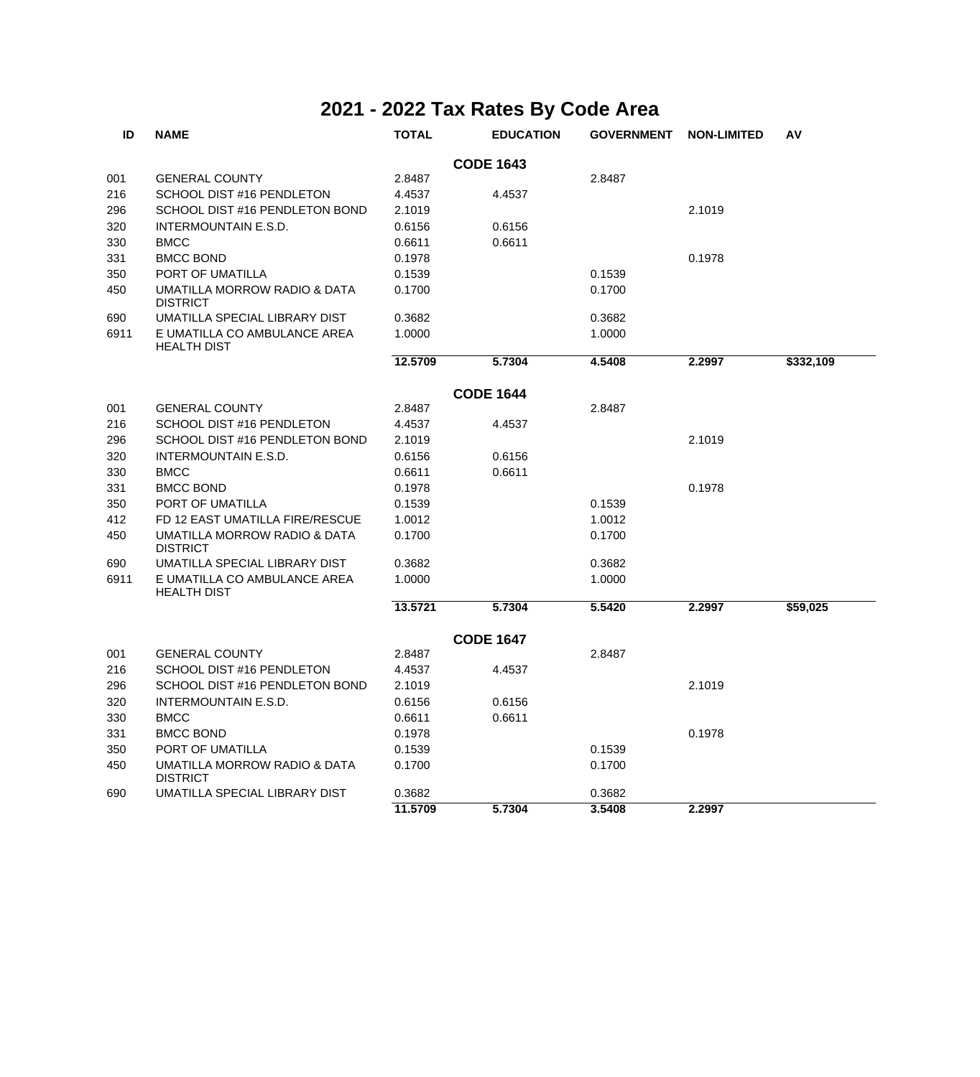| ID               | <b>NAME</b>                                        | <b>TOTAL</b> | <b>EDUCATION</b> | <b>GOVERNMENT</b> | <b>NON-LIMITED</b> | AV        |  |  |  |
|------------------|----------------------------------------------------|--------------|------------------|-------------------|--------------------|-----------|--|--|--|
| <b>CODE 1643</b> |                                                    |              |                  |                   |                    |           |  |  |  |
| 001              | <b>GENERAL COUNTY</b>                              | 2.8487       |                  | 2.8487            |                    |           |  |  |  |
| 216              | SCHOOL DIST #16 PENDLETON                          | 4.4537       | 4.4537           |                   |                    |           |  |  |  |
| 296              | SCHOOL DIST #16 PENDLETON BOND                     | 2.1019       |                  |                   | 2.1019             |           |  |  |  |
| 320              | <b>INTERMOUNTAIN E.S.D.</b>                        | 0.6156       | 0.6156           |                   |                    |           |  |  |  |
| 330              | <b>BMCC</b>                                        | 0.6611       | 0.6611           |                   |                    |           |  |  |  |
| 331              | <b>BMCC BOND</b>                                   | 0.1978       |                  |                   | 0.1978             |           |  |  |  |
| 350              | PORT OF UMATILLA                                   | 0.1539       |                  | 0.1539            |                    |           |  |  |  |
| 450              | UMATILLA MORROW RADIO & DATA<br><b>DISTRICT</b>    | 0.1700       |                  | 0.1700            |                    |           |  |  |  |
| 690              | UMATILLA SPECIAL LIBRARY DIST                      | 0.3682       |                  | 0.3682            |                    |           |  |  |  |
| 6911             | E UMATILLA CO AMBULANCE AREA<br><b>HEALTH DIST</b> | 1.0000       |                  | 1.0000            |                    |           |  |  |  |
|                  |                                                    | 12.5709      | 5.7304           | 4.5408            | 2.2997             | \$332,109 |  |  |  |
| <b>CODE 1644</b> |                                                    |              |                  |                   |                    |           |  |  |  |
| 001              | <b>GENERAL COUNTY</b>                              | 2.8487       |                  | 2.8487            |                    |           |  |  |  |
| 216              | SCHOOL DIST #16 PENDLETON                          | 4.4537       | 4.4537           |                   |                    |           |  |  |  |
| 296              | SCHOOL DIST #16 PENDLETON BOND                     | 2.1019       |                  |                   | 2.1019             |           |  |  |  |
| 320              | <b>INTERMOUNTAIN E.S.D.</b>                        | 0.6156       | 0.6156           |                   |                    |           |  |  |  |
| 330              | <b>BMCC</b>                                        | 0.6611       | 0.6611           |                   |                    |           |  |  |  |
| 331              | <b>BMCC BOND</b>                                   | 0.1978       |                  |                   | 0.1978             |           |  |  |  |
| 350              | PORT OF UMATILLA                                   | 0.1539       |                  | 0.1539            |                    |           |  |  |  |
| 412              | FD 12 EAST UMATILLA FIRE/RESCUE                    | 1.0012       |                  | 1.0012            |                    |           |  |  |  |
| 450              | UMATILLA MORROW RADIO & DATA<br><b>DISTRICT</b>    | 0.1700       |                  | 0.1700            |                    |           |  |  |  |
| 690              | UMATILLA SPECIAL LIBRARY DIST                      | 0.3682       |                  | 0.3682            |                    |           |  |  |  |
| 6911             | E UMATILLA CO AMBULANCE AREA<br><b>HEALTH DIST</b> | 1.0000       |                  | 1.0000            |                    |           |  |  |  |
|                  |                                                    | 13.5721      | 5.7304           | 5.5420            | 2.2997             | \$59,025  |  |  |  |
|                  |                                                    |              | <b>CODE 1647</b> |                   |                    |           |  |  |  |
| 001              | <b>GENERAL COUNTY</b>                              | 2.8487       |                  | 2.8487            |                    |           |  |  |  |
| 216              | SCHOOL DIST #16 PENDLETON                          | 4.4537       | 4.4537           |                   |                    |           |  |  |  |
| 296              | SCHOOL DIST #16 PENDLETON BOND                     | 2.1019       |                  |                   | 2.1019             |           |  |  |  |
| 320              | <b>INTERMOUNTAIN E.S.D.</b>                        | 0.6156       | 0.6156           |                   |                    |           |  |  |  |
| 330              | <b>BMCC</b>                                        | 0.6611       | 0.6611           |                   |                    |           |  |  |  |
| 331              | <b>BMCC BOND</b>                                   | 0.1978       |                  |                   | 0.1978             |           |  |  |  |
| 350              | PORT OF UMATILLA                                   | 0.1539       |                  | 0.1539            |                    |           |  |  |  |
| 450              | UMATILLA MORROW RADIO & DATA<br><b>DISTRICT</b>    | 0.1700       |                  | 0.1700            |                    |           |  |  |  |
| 690              | UMATILLA SPECIAL LIBRARY DIST                      | 0.3682       |                  | 0.3682            |                    |           |  |  |  |
|                  |                                                    | 11.5709      | 5.7304           | 3.5408            | 2.2997             |           |  |  |  |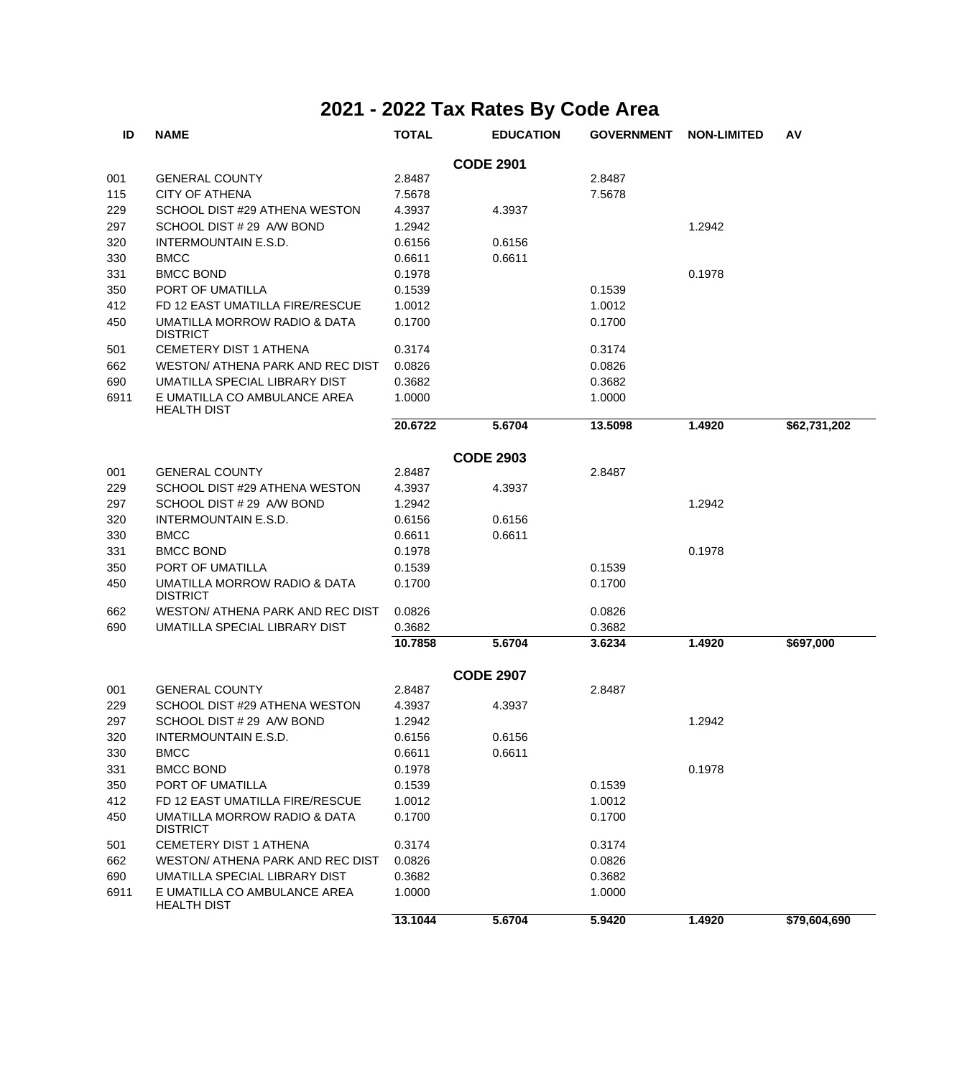| ID   | <b>NAME</b>                                        | <b>TOTAL</b> | <b>EDUCATION</b> | <b>GOVERNMENT</b> | <b>NON-LIMITED</b> | AV           |
|------|----------------------------------------------------|--------------|------------------|-------------------|--------------------|--------------|
|      |                                                    |              | <b>CODE 2901</b> |                   |                    |              |
| 001  | <b>GENERAL COUNTY</b>                              | 2.8487       |                  | 2.8487            |                    |              |
| 115  | <b>CITY OF ATHENA</b>                              | 7.5678       |                  | 7.5678            |                    |              |
| 229  | SCHOOL DIST #29 ATHENA WESTON                      | 4.3937       | 4.3937           |                   |                    |              |
| 297  | SCHOOL DIST # 29 A/W BOND                          | 1.2942       |                  |                   | 1.2942             |              |
| 320  | INTERMOUNTAIN E.S.D.                               | 0.6156       | 0.6156           |                   |                    |              |
| 330  | <b>BMCC</b>                                        | 0.6611       | 0.6611           |                   |                    |              |
| 331  | <b>BMCC BOND</b>                                   | 0.1978       |                  |                   | 0.1978             |              |
| 350  | PORT OF UMATILLA                                   | 0.1539       |                  | 0.1539            |                    |              |
| 412  | FD 12 EAST UMATILLA FIRE/RESCUE                    | 1.0012       |                  | 1.0012            |                    |              |
| 450  | UMATILLA MORROW RADIO & DATA<br><b>DISTRICT</b>    | 0.1700       |                  | 0.1700            |                    |              |
| 501  | <b>CEMETERY DIST 1 ATHENA</b>                      | 0.3174       |                  | 0.3174            |                    |              |
| 662  | WESTON/ ATHENA PARK AND REC DIST                   | 0.0826       |                  | 0.0826            |                    |              |
| 690  | UMATILLA SPECIAL LIBRARY DIST                      | 0.3682       |                  | 0.3682            |                    |              |
| 6911 | E UMATILLA CO AMBULANCE AREA<br><b>HEALTH DIST</b> | 1.0000       |                  | 1.0000            |                    |              |
|      |                                                    | 20.6722      | 5.6704           | 13.5098           | 1.4920             | \$62,731,202 |
|      |                                                    |              | <b>CODE 2903</b> |                   |                    |              |
| 001  | <b>GENERAL COUNTY</b>                              | 2.8487       |                  | 2.8487            |                    |              |
| 229  | SCHOOL DIST #29 ATHENA WESTON                      | 4.3937       | 4.3937           |                   |                    |              |
| 297  | SCHOOL DIST # 29 A/W BOND                          | 1.2942       |                  |                   | 1.2942             |              |
| 320  | INTERMOUNTAIN E.S.D.                               | 0.6156       | 0.6156           |                   |                    |              |
| 330  | <b>BMCC</b>                                        | 0.6611       | 0.6611           |                   |                    |              |
| 331  | <b>BMCC BOND</b>                                   | 0.1978       |                  |                   | 0.1978             |              |
| 350  | PORT OF UMATILLA                                   | 0.1539       |                  | 0.1539            |                    |              |
| 450  | UMATILLA MORROW RADIO & DATA<br><b>DISTRICT</b>    | 0.1700       |                  | 0.1700            |                    |              |
| 662  | WESTON/ ATHENA PARK AND REC DIST                   | 0.0826       |                  | 0.0826            |                    |              |
| 690  | UMATILLA SPECIAL LIBRARY DIST                      | 0.3682       |                  | 0.3682            |                    |              |
|      |                                                    | 10.7858      | 5.6704           | 3.6234            | 1.4920             | \$697,000    |
|      |                                                    |              | <b>CODE 2907</b> |                   |                    |              |
| 001  | <b>GENERAL COUNTY</b>                              | 2.8487       |                  | 2.8487            |                    |              |
| 229  | SCHOOL DIST #29 ATHENA WESTON                      | 4.3937       | 4.3937           |                   |                    |              |
| 297  | SCHOOL DIST # 29 A/W BOND                          | 1.2942       |                  |                   | 1.2942             |              |
| 320  | INTERMOUNTAIN E.S.D.                               | 0.6156       | 0.6156           |                   |                    |              |
| 330  | <b>BMCC</b>                                        | 0.6611       | 0.6611           |                   |                    |              |
| 331  | <b>BMCC BOND</b>                                   | 0.1978       |                  |                   | 0.1978             |              |
| 350  | PORT OF UMATILLA                                   | 0.1539       |                  | 0.1539            |                    |              |
| 412  | FD 12 EAST UMATILLA FIRE/RESCUE                    | 1.0012       |                  | 1.0012            |                    |              |
| 450  | UMATILLA MORROW RADIO & DATA<br><b>DISTRICT</b>    | 0.1700       |                  | 0.1700            |                    |              |
| 501  | CEMETERY DIST 1 ATHENA                             | 0.3174       |                  | 0.3174            |                    |              |
| 662  | <b>WESTON/ ATHENA PARK AND REC DIST</b>            | 0.0826       |                  | 0.0826            |                    |              |
| 690  | UMATILLA SPECIAL LIBRARY DIST                      | 0.3682       |                  | 0.3682            |                    |              |
| 6911 | E UMATILLA CO AMBULANCE AREA<br><b>HEALTH DIST</b> | 1.0000       |                  | 1.0000            |                    |              |
|      |                                                    | 13.1044      | 5.6704           | 5.9420            | 1.4920             | \$79,604,690 |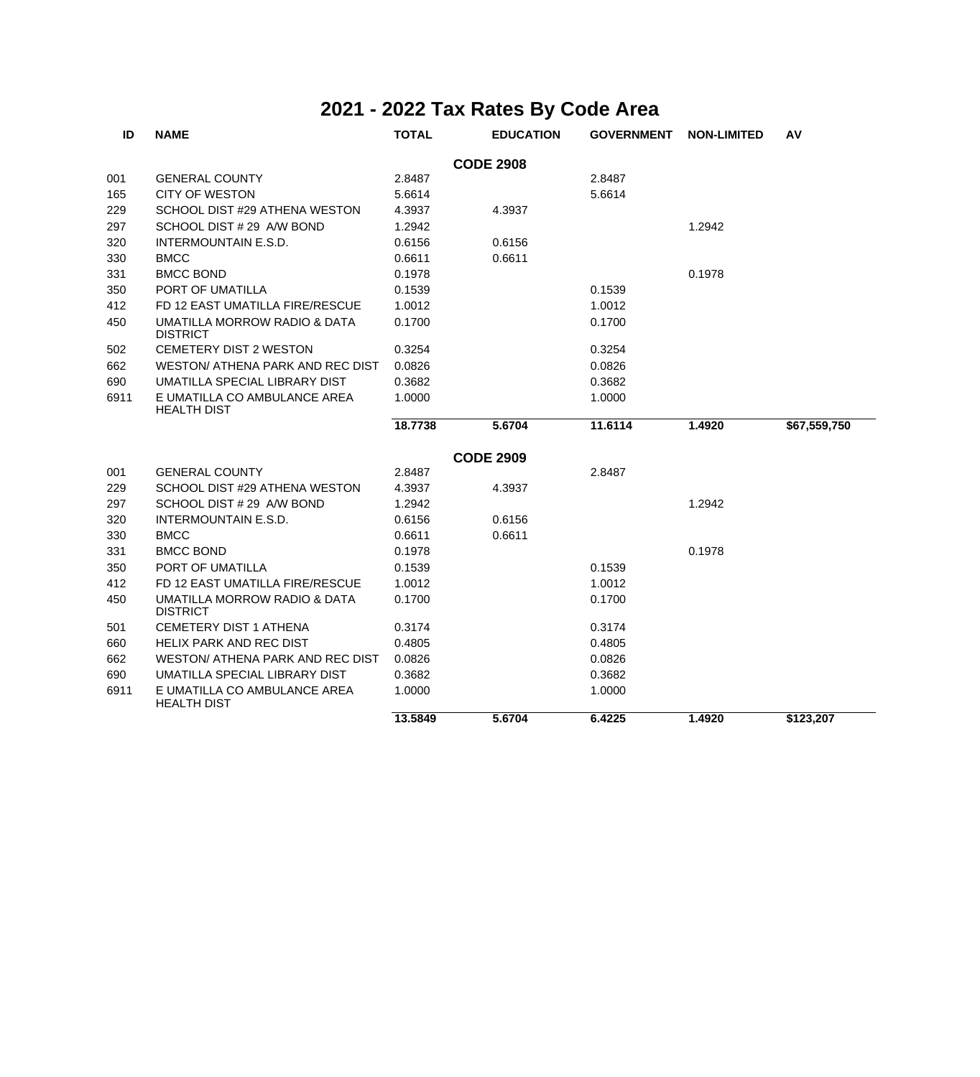| ID               | <b>NAME</b>                                        | <b>TOTAL</b> | <b>EDUCATION</b> | <b>GOVERNMENT</b> | <b>NON-LIMITED</b> | AV           |  |  |  |
|------------------|----------------------------------------------------|--------------|------------------|-------------------|--------------------|--------------|--|--|--|
| <b>CODE 2908</b> |                                                    |              |                  |                   |                    |              |  |  |  |
| 001              | <b>GENERAL COUNTY</b>                              | 2.8487       |                  | 2.8487            |                    |              |  |  |  |
| 165              | CITY OF WESTON                                     | 5.6614       |                  | 5.6614            |                    |              |  |  |  |
| 229              | SCHOOL DIST #29 ATHENA WESTON                      | 4.3937       | 4.3937           |                   |                    |              |  |  |  |
| 297              | SCHOOL DIST # 29 A/W BOND                          | 1.2942       |                  |                   | 1.2942             |              |  |  |  |
| 320              | INTERMOUNTAIN E.S.D.                               | 0.6156       | 0.6156           |                   |                    |              |  |  |  |
| 330              | <b>BMCC</b>                                        | 0.6611       | 0.6611           |                   |                    |              |  |  |  |
| 331              | <b>BMCC BOND</b>                                   | 0.1978       |                  |                   | 0.1978             |              |  |  |  |
| 350              | PORT OF UMATILLA                                   | 0.1539       |                  | 0.1539            |                    |              |  |  |  |
| 412              | FD 12 EAST UMATILLA FIRE/RESCUE                    | 1.0012       |                  | 1.0012            |                    |              |  |  |  |
| 450              | UMATILLA MORROW RADIO & DATA<br><b>DISTRICT</b>    | 0.1700       |                  | 0.1700            |                    |              |  |  |  |
| 502              | CEMETERY DIST 2 WESTON                             | 0.3254       |                  | 0.3254            |                    |              |  |  |  |
| 662              | WESTON/ ATHENA PARK AND REC DIST                   | 0.0826       |                  | 0.0826            |                    |              |  |  |  |
| 690              | UMATILLA SPECIAL LIBRARY DIST                      | 0.3682       |                  | 0.3682            |                    |              |  |  |  |
| 6911             | E UMATILLA CO AMBULANCE AREA<br><b>HEALTH DIST</b> | 1.0000       |                  | 1.0000            |                    |              |  |  |  |
|                  |                                                    | 18.7738      | 5.6704           | 11.6114           | 1.4920             | \$67,559,750 |  |  |  |
|                  |                                                    |              | <b>CODE 2909</b> |                   |                    |              |  |  |  |
| 001              | <b>GENERAL COUNTY</b>                              | 2.8487       |                  | 2.8487            |                    |              |  |  |  |
| 229              | SCHOOL DIST #29 ATHENA WESTON                      | 4.3937       | 4.3937           |                   |                    |              |  |  |  |
| 297              | SCHOOL DIST # 29 A/W BOND                          | 1.2942       |                  |                   | 1.2942             |              |  |  |  |
| 320              | <b>INTERMOUNTAIN E.S.D.</b>                        | 0.6156       | 0.6156           |                   |                    |              |  |  |  |
| 330              | <b>BMCC</b>                                        | 0.6611       | 0.6611           |                   |                    |              |  |  |  |
| 331              | <b>BMCC BOND</b>                                   | 0.1978       |                  |                   | 0.1978             |              |  |  |  |
| 350              | PORT OF UMATILLA                                   | 0.1539       |                  | 0.1539            |                    |              |  |  |  |
| 412              | FD 12 EAST UMATILLA FIRE/RESCUE                    | 1.0012       |                  | 1.0012            |                    |              |  |  |  |
| 450              | UMATILLA MORROW RADIO & DATA<br><b>DISTRICT</b>    | 0.1700       |                  | 0.1700            |                    |              |  |  |  |
| 501              | <b>CEMETERY DIST 1 ATHENA</b>                      | 0.3174       |                  | 0.3174            |                    |              |  |  |  |
| 660              | <b>HELIX PARK AND REC DIST</b>                     | 0.4805       |                  | 0.4805            |                    |              |  |  |  |
| 662              | WESTON/ ATHENA PARK AND REC DIST                   | 0.0826       |                  | 0.0826            |                    |              |  |  |  |
| 690              | UMATILLA SPECIAL LIBRARY DIST                      | 0.3682       |                  | 0.3682            |                    |              |  |  |  |
| 6911             | E UMATILLA CO AMBULANCE AREA<br><b>HEALTH DIST</b> | 1.0000       |                  | 1.0000            |                    |              |  |  |  |
|                  |                                                    | 13.5849      | 5.6704           | 6.4225            | 1.4920             | \$123,207    |  |  |  |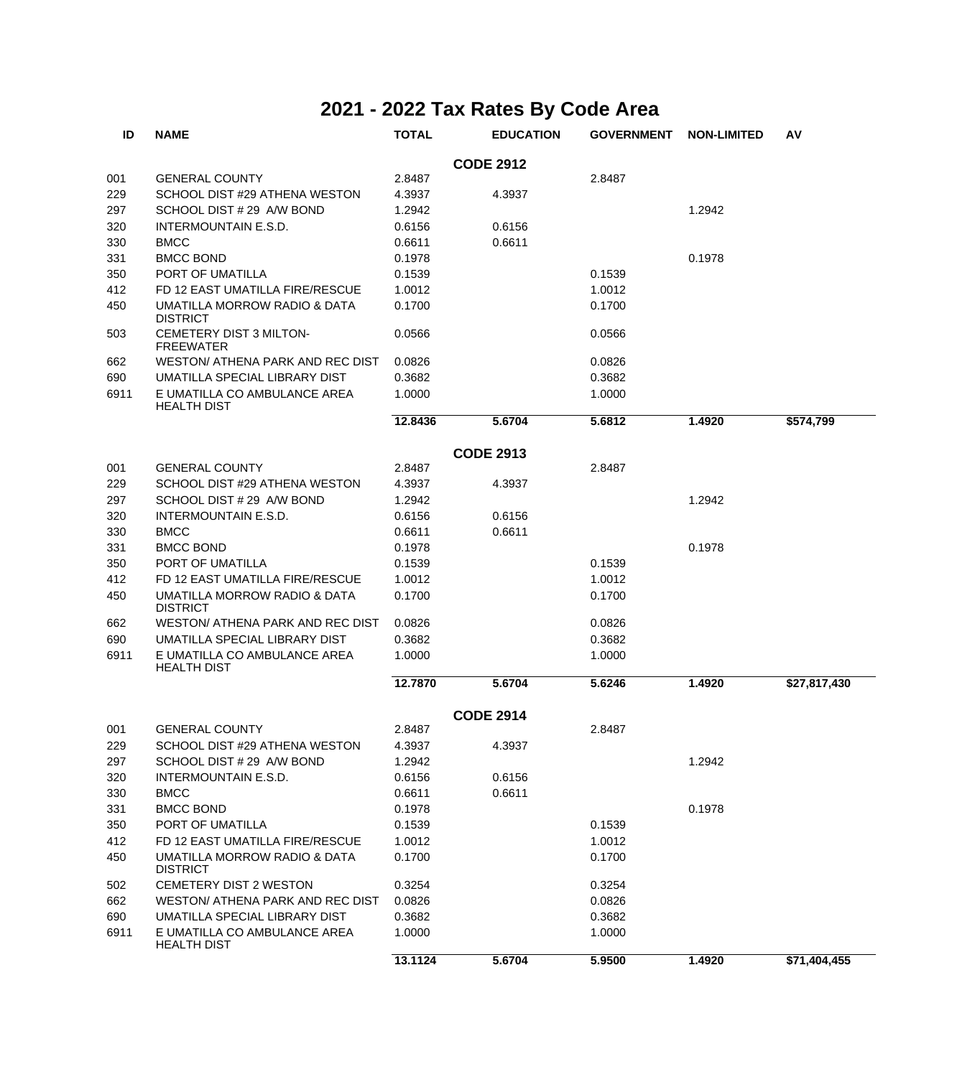| ID   | <b>NAME</b>                                        | <b>TOTAL</b> | <b>EDUCATION</b> | <b>GOVERNMENT</b> | <b>NON-LIMITED</b> | AV           |
|------|----------------------------------------------------|--------------|------------------|-------------------|--------------------|--------------|
|      |                                                    |              | <b>CODE 2912</b> |                   |                    |              |
| 001  | <b>GENERAL COUNTY</b>                              | 2.8487       |                  | 2.8487            |                    |              |
| 229  | SCHOOL DIST #29 ATHENA WESTON                      | 4.3937       | 4.3937           |                   |                    |              |
| 297  | SCHOOL DIST # 29 A/W BOND                          | 1.2942       |                  |                   | 1.2942             |              |
| 320  | <b>INTERMOUNTAIN E.S.D.</b>                        | 0.6156       | 0.6156           |                   |                    |              |
| 330  | <b>BMCC</b>                                        | 0.6611       | 0.6611           |                   |                    |              |
| 331  | <b>BMCC BOND</b>                                   | 0.1978       |                  |                   | 0.1978             |              |
| 350  | PORT OF UMATILLA                                   | 0.1539       |                  | 0.1539            |                    |              |
| 412  | FD 12 EAST UMATILLA FIRE/RESCUE                    | 1.0012       |                  | 1.0012            |                    |              |
| 450  | UMATILLA MORROW RADIO & DATA<br><b>DISTRICT</b>    | 0.1700       |                  | 0.1700            |                    |              |
| 503  | CEMETERY DIST 3 MILTON-<br><b>FREEWATER</b>        | 0.0566       |                  | 0.0566            |                    |              |
| 662  | WESTON/ ATHENA PARK AND REC DIST                   | 0.0826       |                  | 0.0826            |                    |              |
| 690  | UMATILLA SPECIAL LIBRARY DIST                      | 0.3682       |                  | 0.3682            |                    |              |
| 6911 | E UMATILLA CO AMBULANCE AREA<br><b>HEALTH DIST</b> | 1.0000       |                  | 1.0000            |                    |              |
|      |                                                    | 12.8436      | 5.6704           | 5.6812            | 1.4920             | \$574.799    |
|      |                                                    |              | <b>CODE 2913</b> |                   |                    |              |
| 001  | <b>GENERAL COUNTY</b>                              | 2.8487       |                  | 2.8487            |                    |              |
| 229  | SCHOOL DIST #29 ATHENA WESTON                      | 4.3937       | 4.3937           |                   |                    |              |
| 297  | SCHOOL DIST # 29 A/W BOND                          | 1.2942       |                  |                   | 1.2942             |              |
| 320  | <b>INTERMOUNTAIN E.S.D.</b>                        | 0.6156       | 0.6156           |                   |                    |              |
| 330  | <b>BMCC</b>                                        | 0.6611       | 0.6611           |                   |                    |              |
| 331  | <b>BMCC BOND</b>                                   | 0.1978       |                  |                   | 0.1978             |              |
| 350  | PORT OF UMATILLA                                   | 0.1539       |                  | 0.1539            |                    |              |
| 412  | FD 12 EAST UMATILLA FIRE/RESCUE                    | 1.0012       |                  | 1.0012            |                    |              |
| 450  | UMATILLA MORROW RADIO & DATA<br><b>DISTRICT</b>    | 0.1700       |                  | 0.1700            |                    |              |
| 662  | WESTON/ ATHENA PARK AND REC DIST                   | 0.0826       |                  | 0.0826            |                    |              |
| 690  | UMATILLA SPECIAL LIBRARY DIST                      | 0.3682       |                  | 0.3682            |                    |              |
| 6911 | E UMATILLA CO AMBULANCE AREA<br><b>HEALTH DIST</b> | 1.0000       |                  | 1.0000            |                    |              |
|      |                                                    | 12.7870      | 5.6704           | 5.6246            | 1.4920             | \$27,817,430 |
|      |                                                    |              | <b>CODE 2914</b> |                   |                    |              |
| 001  | <b>GENERAL COUNTY</b>                              | 2.8487       |                  | 2.8487            |                    |              |
| 229  | SCHOOL DIST #29 ATHENA WESTON                      | 4.3937       | 4.3937           |                   |                    |              |
| 297  | SCHOOL DIST # 29 A/W BOND                          | 1.2942       |                  |                   | 1.2942             |              |
| 320  | INTERMOUNTAIN E.S.D.                               | 0.6156       | 0.6156           |                   |                    |              |
| 330  | <b>BMCC</b>                                        | 0.6611       | 0.6611           |                   |                    |              |
| 331  | <b>BMCC BOND</b>                                   | 0.1978       |                  |                   | 0.1978             |              |
| 350  | PORT OF UMATILLA                                   | 0.1539       |                  | 0.1539            |                    |              |
| 412  | FD 12 EAST UMATILLA FIRE/RESCUE                    | 1.0012       |                  | 1.0012            |                    |              |
| 450  | UMATILLA MORROW RADIO & DATA<br><b>DISTRICT</b>    | 0.1700       |                  | 0.1700            |                    |              |
| 502  | CEMETERY DIST 2 WESTON                             | 0.3254       |                  | 0.3254            |                    |              |
| 662  | WESTON/ ATHENA PARK AND REC DIST                   | 0.0826       |                  | 0.0826            |                    |              |
| 690  | UMATILLA SPECIAL LIBRARY DIST                      | 0.3682       |                  | 0.3682            |                    |              |
| 6911 | E UMATILLA CO AMBULANCE AREA<br><b>HEALTH DIST</b> | 1.0000       |                  | 1.0000            |                    |              |
|      |                                                    | 13.1124      | 5.6704           | 5.9500            | 1.4920             | \$71,404,455 |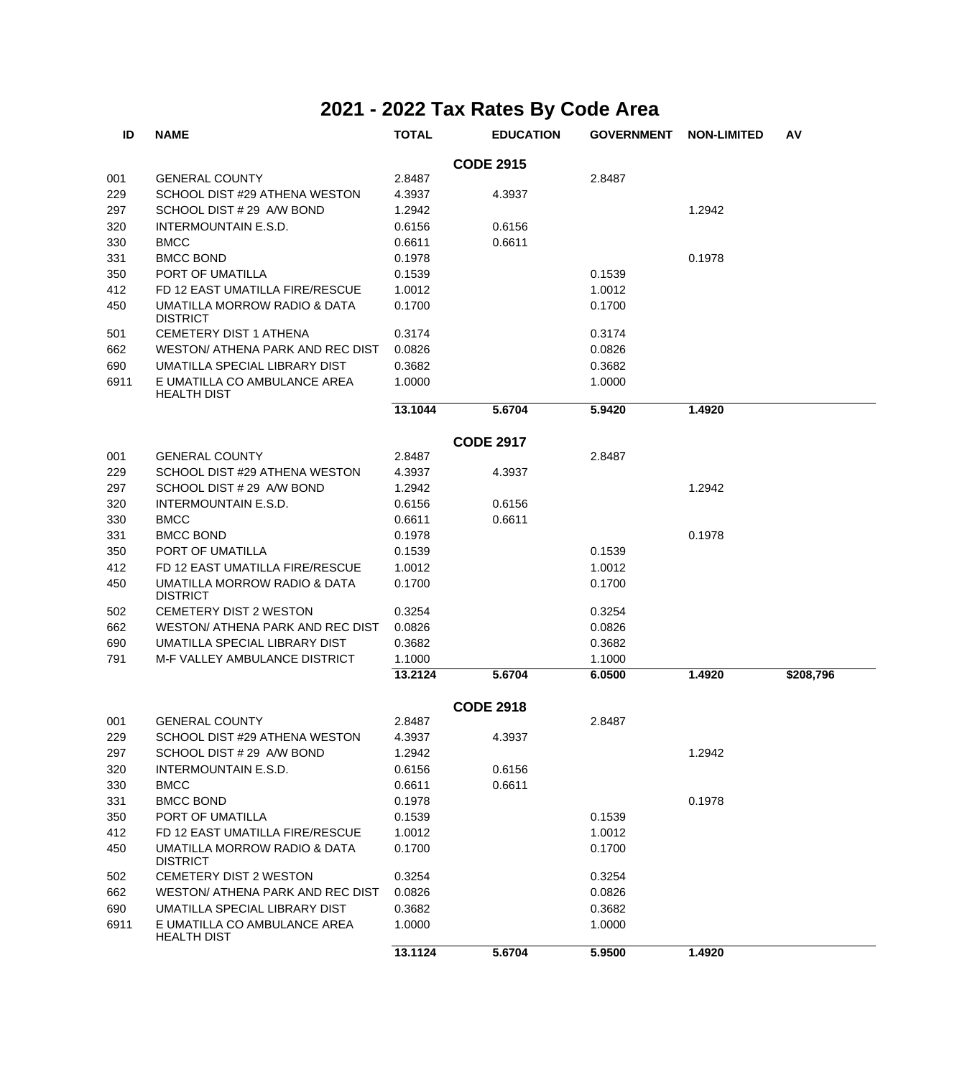| ID   | <b>NAME</b>                                        | <b>TOTAL</b> | <b>EDUCATION</b> | <b>GOVERNMENT</b> | <b>NON-LIMITED</b> | AV        |  |  |  |  |
|------|----------------------------------------------------|--------------|------------------|-------------------|--------------------|-----------|--|--|--|--|
|      | <b>CODE 2915</b>                                   |              |                  |                   |                    |           |  |  |  |  |
| 001  | <b>GENERAL COUNTY</b>                              | 2.8487       |                  | 2.8487            |                    |           |  |  |  |  |
| 229  | SCHOOL DIST #29 ATHENA WESTON                      | 4.3937       | 4.3937           |                   |                    |           |  |  |  |  |
| 297  | SCHOOL DIST # 29 A/W BOND                          | 1.2942       |                  |                   | 1.2942             |           |  |  |  |  |
| 320  | INTERMOUNTAIN E.S.D.                               | 0.6156       | 0.6156           |                   |                    |           |  |  |  |  |
| 330  | <b>BMCC</b>                                        | 0.6611       | 0.6611           |                   |                    |           |  |  |  |  |
| 331  | <b>BMCC BOND</b>                                   | 0.1978       |                  |                   | 0.1978             |           |  |  |  |  |
| 350  | PORT OF UMATILLA                                   | 0.1539       |                  | 0.1539            |                    |           |  |  |  |  |
| 412  | FD 12 EAST UMATILLA FIRE/RESCUE                    | 1.0012       |                  | 1.0012            |                    |           |  |  |  |  |
| 450  | UMATILLA MORROW RADIO & DATA<br><b>DISTRICT</b>    | 0.1700       |                  | 0.1700            |                    |           |  |  |  |  |
|      |                                                    | 0.3174       |                  | 0.3174            |                    |           |  |  |  |  |
| 501  | <b>CEMETERY DIST 1 ATHENA</b>                      |              |                  |                   |                    |           |  |  |  |  |
| 662  | WESTON/ ATHENA PARK AND REC DIST                   | 0.0826       |                  | 0.0826            |                    |           |  |  |  |  |
| 690  | UMATILLA SPECIAL LIBRARY DIST                      | 0.3682       |                  | 0.3682            |                    |           |  |  |  |  |
| 6911 | E UMATILLA CO AMBULANCE AREA<br><b>HEALTH DIST</b> | 1.0000       |                  | 1.0000            |                    |           |  |  |  |  |
|      |                                                    | 13.1044      | 5.6704           | 5.9420            | 1.4920             |           |  |  |  |  |
|      |                                                    |              | <b>CODE 2917</b> |                   |                    |           |  |  |  |  |
| 001  | <b>GENERAL COUNTY</b>                              | 2.8487       |                  | 2.8487            |                    |           |  |  |  |  |
| 229  | SCHOOL DIST #29 ATHENA WESTON                      | 4.3937       | 4.3937           |                   |                    |           |  |  |  |  |
| 297  | SCHOOL DIST # 29 A/W BOND                          | 1.2942       |                  |                   | 1.2942             |           |  |  |  |  |
| 320  | INTERMOUNTAIN E.S.D.                               | 0.6156       | 0.6156           |                   |                    |           |  |  |  |  |
| 330  | <b>BMCC</b>                                        | 0.6611       | 0.6611           |                   |                    |           |  |  |  |  |
| 331  | <b>BMCC BOND</b>                                   | 0.1978       |                  |                   | 0.1978             |           |  |  |  |  |
| 350  | PORT OF UMATILLA                                   | 0.1539       |                  | 0.1539            |                    |           |  |  |  |  |
| 412  | FD 12 EAST UMATILLA FIRE/RESCUE                    | 1.0012       |                  | 1.0012            |                    |           |  |  |  |  |
| 450  | UMATILLA MORROW RADIO & DATA<br><b>DISTRICT</b>    | 0.1700       |                  | 0.1700            |                    |           |  |  |  |  |
| 502  | CEMETERY DIST 2 WESTON                             | 0.3254       |                  | 0.3254            |                    |           |  |  |  |  |
| 662  | WESTON/ ATHENA PARK AND REC DIST                   | 0.0826       |                  | 0.0826            |                    |           |  |  |  |  |
| 690  | UMATILLA SPECIAL LIBRARY DIST                      | 0.3682       |                  | 0.3682            |                    |           |  |  |  |  |
| 791  | <b>M-F VALLEY AMBULANCE DISTRICT</b>               | 1.1000       |                  | 1.1000            |                    |           |  |  |  |  |
|      |                                                    | 13.2124      | 5.6704           | 6.0500            | 1.4920             | \$208,796 |  |  |  |  |
|      |                                                    |              | <b>CODE 2918</b> |                   |                    |           |  |  |  |  |
| 001  | <b>GENERAL COUNTY</b>                              | 2.8487       |                  | 2.8487            |                    |           |  |  |  |  |
| 229  | SCHOOL DIST #29 ATHENA WESTON                      | 4.3937       | 4.3937           |                   |                    |           |  |  |  |  |
| 297  | SCHOOL DIST # 29 A/W BOND                          | 1.2942       |                  |                   | 1.2942             |           |  |  |  |  |
| 320  | <b>INTERMOUNTAIN E.S.D.</b>                        | 0.6156       | 0.6156           |                   |                    |           |  |  |  |  |
| 330  | <b>BMCC</b>                                        | 0.6611       | 0.6611           |                   |                    |           |  |  |  |  |
| 331  | <b>BMCC BOND</b>                                   | 0.1978       |                  |                   | 0.1978             |           |  |  |  |  |
| 350  | PORT OF UMATILLA                                   | 0.1539       |                  | 0.1539            |                    |           |  |  |  |  |
| 412  | FD 12 EAST UMATILLA FIRE/RESCUE                    | 1.0012       |                  | 1.0012            |                    |           |  |  |  |  |
| 450  | UMATILLA MORROW RADIO & DATA<br><b>DISTRICT</b>    | 0.1700       |                  | 0.1700            |                    |           |  |  |  |  |
| 502  | CEMETERY DIST 2 WESTON                             | 0.3254       |                  | 0.3254            |                    |           |  |  |  |  |
| 662  | WESTON/ ATHENA PARK AND REC DIST                   | 0.0826       |                  | 0.0826            |                    |           |  |  |  |  |
| 690  | UMATILLA SPECIAL LIBRARY DIST                      | 0.3682       |                  | 0.3682            |                    |           |  |  |  |  |
| 6911 | E UMATILLA CO AMBULANCE AREA<br><b>HEALTH DIST</b> | 1.0000       |                  | 1.0000            |                    |           |  |  |  |  |
|      |                                                    | 13.1124      | 5.6704           | 5.9500            | 1.4920             |           |  |  |  |  |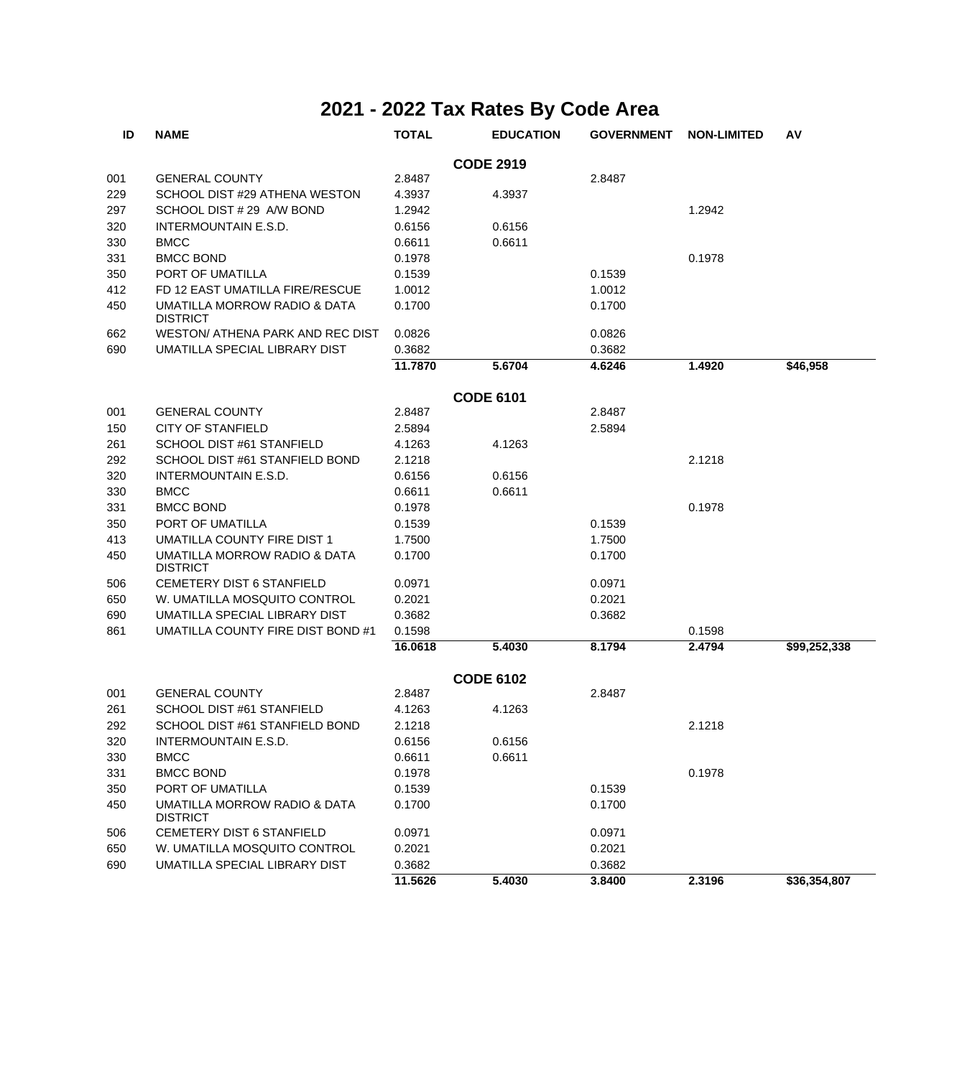| ID  | <b>NAME</b>                                     | <b>TOTAL</b> | <b>EDUCATION</b> | <b>GOVERNMENT</b> | <b>NON-LIMITED</b> | AV           |
|-----|-------------------------------------------------|--------------|------------------|-------------------|--------------------|--------------|
|     |                                                 |              | <b>CODE 2919</b> |                   |                    |              |
| 001 | <b>GENERAL COUNTY</b>                           | 2.8487       |                  | 2.8487            |                    |              |
| 229 | SCHOOL DIST #29 ATHENA WESTON                   | 4.3937       | 4.3937           |                   |                    |              |
| 297 | SCHOOL DIST # 29 A/W BOND                       | 1.2942       |                  |                   | 1.2942             |              |
| 320 | <b>INTERMOUNTAIN E.S.D.</b>                     | 0.6156       | 0.6156           |                   |                    |              |
| 330 | <b>BMCC</b>                                     | 0.6611       | 0.6611           |                   |                    |              |
| 331 | <b>BMCC BOND</b>                                | 0.1978       |                  |                   | 0.1978             |              |
| 350 | PORT OF UMATILLA                                | 0.1539       |                  | 0.1539            |                    |              |
| 412 | FD 12 EAST UMATILLA FIRE/RESCUE                 | 1.0012       |                  | 1.0012            |                    |              |
| 450 | UMATILLA MORROW RADIO & DATA<br><b>DISTRICT</b> | 0.1700       |                  | 0.1700            |                    |              |
| 662 | WESTON/ ATHENA PARK AND REC DIST                | 0.0826       |                  | 0.0826            |                    |              |
| 690 | UMATILLA SPECIAL LIBRARY DIST                   | 0.3682       |                  | 0.3682            |                    |              |
|     |                                                 | 11.7870      | 5.6704           | 4.6246            | 1.4920             | \$46,958     |
|     |                                                 |              | <b>CODE 6101</b> |                   |                    |              |
| 001 | <b>GENERAL COUNTY</b>                           | 2.8487       |                  | 2.8487            |                    |              |
| 150 | <b>CITY OF STANFIELD</b>                        | 2.5894       |                  | 2.5894            |                    |              |
| 261 | SCHOOL DIST #61 STANFIELD                       | 4.1263       | 4.1263           |                   |                    |              |
| 292 | SCHOOL DIST #61 STANFIELD BOND                  | 2.1218       |                  |                   | 2.1218             |              |
| 320 | INTERMOUNTAIN E.S.D.                            | 0.6156       | 0.6156           |                   |                    |              |
| 330 | <b>BMCC</b>                                     | 0.6611       | 0.6611           |                   |                    |              |
| 331 | <b>BMCC BOND</b>                                | 0.1978       |                  |                   | 0.1978             |              |
| 350 | PORT OF UMATILLA                                | 0.1539       |                  | 0.1539            |                    |              |
| 413 | UMATILLA COUNTY FIRE DIST 1                     | 1.7500       |                  | 1.7500            |                    |              |
| 450 | UMATILLA MORROW RADIO & DATA<br><b>DISTRICT</b> | 0.1700       |                  | 0.1700            |                    |              |
| 506 | CEMETERY DIST 6 STANFIELD                       | 0.0971       |                  | 0.0971            |                    |              |
| 650 | W. UMATILLA MOSQUITO CONTROL                    | 0.2021       |                  | 0.2021            |                    |              |
| 690 | UMATILLA SPECIAL LIBRARY DIST                   | 0.3682       |                  | 0.3682            |                    |              |
| 861 | UMATILLA COUNTY FIRE DIST BOND #1               | 0.1598       |                  |                   | 0.1598             |              |
|     |                                                 | 16.0618      | 5.4030           | 8.1794            | 2.4794             | \$99,252,338 |
|     |                                                 |              | <b>CODE 6102</b> |                   |                    |              |
| 001 | <b>GENERAL COUNTY</b>                           | 2.8487       |                  | 2.8487            |                    |              |
| 261 | SCHOOL DIST #61 STANFIELD                       | 4.1263       | 4.1263           |                   |                    |              |
| 292 | SCHOOL DIST #61 STANFIELD BOND                  | 2.1218       |                  |                   | 2.1218             |              |
| 320 | INTERMOUNTAIN E.S.D.                            | 0.6156       | 0.6156           |                   |                    |              |
| 330 | <b>BMCC</b>                                     | 0.6611       | 0.6611           |                   |                    |              |
| 331 | <b>BMCC BOND</b>                                | 0.1978       |                  |                   | 0.1978             |              |
| 350 | PORT OF UMATILLA                                | 0.1539       |                  | 0.1539            |                    |              |
| 450 | UMATILLA MORROW RADIO & DATA<br><b>DISTRICT</b> | 0.1700       |                  | 0.1700            |                    |              |
| 506 | CEMETERY DIST 6 STANFIELD                       | 0.0971       |                  | 0.0971            |                    |              |
| 650 | W. UMATILLA MOSQUITO CONTROL                    | 0.2021       |                  | 0.2021            |                    |              |
| 690 | UMATILLA SPECIAL LIBRARY DIST                   | 0.3682       |                  | 0.3682            |                    |              |
|     |                                                 | 11.5626      | 5.4030           | 3.8400            | 2.3196             | \$36,354,807 |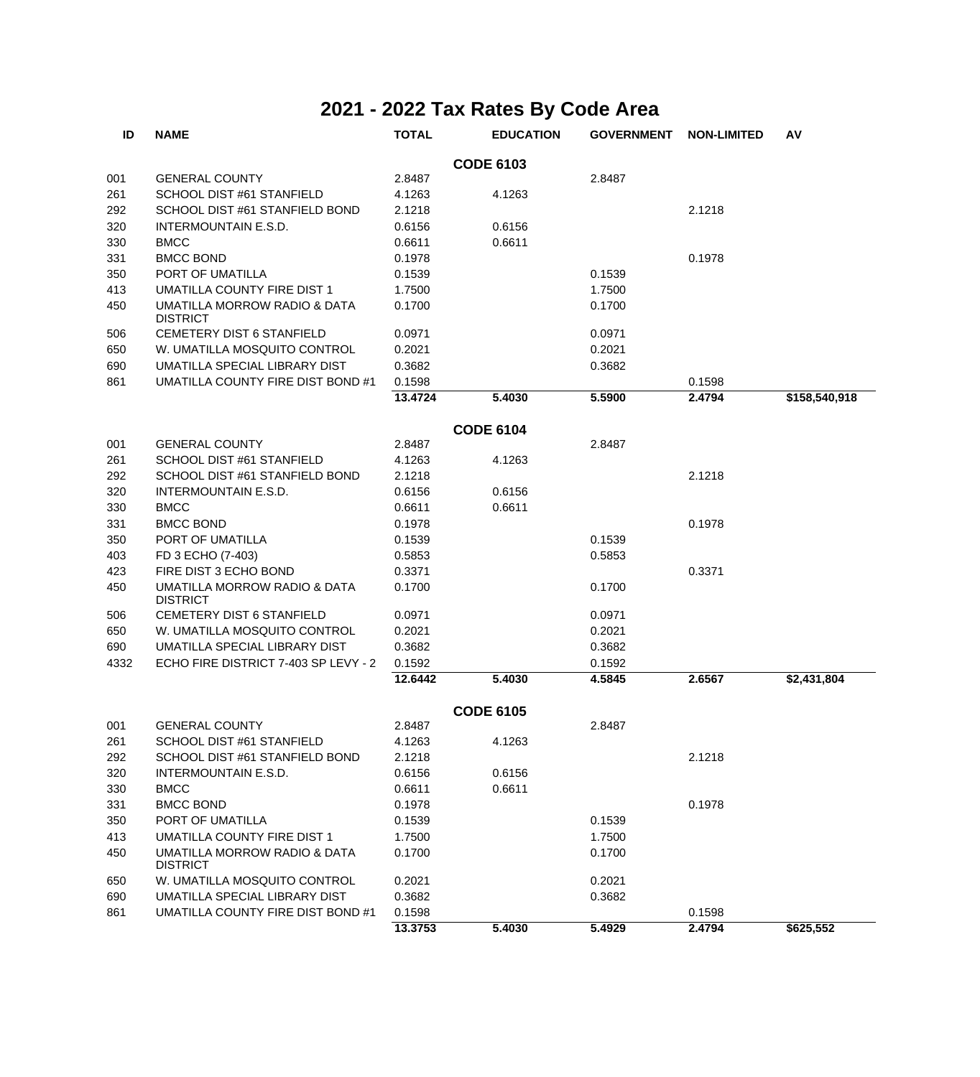| ID   | <b>NAME</b>                                     | <b>TOTAL</b> | <b>EDUCATION</b> | <b>GOVERNMENT</b> | <b>NON-LIMITED</b> | AV            |
|------|-------------------------------------------------|--------------|------------------|-------------------|--------------------|---------------|
|      |                                                 |              | <b>CODE 6103</b> |                   |                    |               |
| 001  | <b>GENERAL COUNTY</b>                           | 2.8487       |                  | 2.8487            |                    |               |
| 261  | SCHOOL DIST #61 STANFIELD                       | 4.1263       | 4.1263           |                   |                    |               |
| 292  | SCHOOL DIST #61 STANFIELD BOND                  | 2.1218       |                  |                   | 2.1218             |               |
| 320  | INTERMOUNTAIN E.S.D.                            | 0.6156       | 0.6156           |                   |                    |               |
| 330  | <b>BMCC</b>                                     | 0.6611       | 0.6611           |                   |                    |               |
| 331  | <b>BMCC BOND</b>                                | 0.1978       |                  |                   | 0.1978             |               |
| 350  | PORT OF UMATILLA                                | 0.1539       |                  | 0.1539            |                    |               |
| 413  | UMATILLA COUNTY FIRE DIST 1                     | 1.7500       |                  | 1.7500            |                    |               |
| 450  | UMATILLA MORROW RADIO & DATA<br><b>DISTRICT</b> | 0.1700       |                  | 0.1700            |                    |               |
| 506  | CEMETERY DIST 6 STANFIELD                       | 0.0971       |                  | 0.0971            |                    |               |
| 650  | W. UMATILLA MOSQUITO CONTROL                    | 0.2021       |                  | 0.2021            |                    |               |
| 690  | UMATILLA SPECIAL LIBRARY DIST                   | 0.3682       |                  | 0.3682            |                    |               |
| 861  | UMATILLA COUNTY FIRE DIST BOND #1               | 0.1598       |                  |                   | 0.1598             |               |
|      |                                                 | 13.4724      | 5.4030           | 5.5900            | 2.4794             | \$158,540,918 |
|      |                                                 |              | <b>CODE 6104</b> |                   |                    |               |
| 001  | <b>GENERAL COUNTY</b>                           | 2.8487       |                  | 2.8487            |                    |               |
| 261  | SCHOOL DIST #61 STANFIELD                       | 4.1263       | 4.1263           |                   |                    |               |
| 292  | SCHOOL DIST #61 STANFIELD BOND                  | 2.1218       |                  |                   | 2.1218             |               |
| 320  | <b>INTERMOUNTAIN E.S.D.</b>                     | 0.6156       | 0.6156           |                   |                    |               |
| 330  | <b>BMCC</b>                                     | 0.6611       | 0.6611           |                   |                    |               |
| 331  | <b>BMCC BOND</b>                                | 0.1978       |                  |                   | 0.1978             |               |
| 350  | PORT OF UMATILLA                                | 0.1539       |                  | 0.1539            |                    |               |
| 403  | FD 3 ECHO (7-403)                               | 0.5853       |                  | 0.5853            |                    |               |
| 423  | FIRE DIST 3 ECHO BOND                           | 0.3371       |                  |                   | 0.3371             |               |
| 450  | UMATILLA MORROW RADIO & DATA<br><b>DISTRICT</b> | 0.1700       |                  | 0.1700            |                    |               |
| 506  | <b>CEMETERY DIST 6 STANFIELD</b>                | 0.0971       |                  | 0.0971            |                    |               |
| 650  | W. UMATILLA MOSQUITO CONTROL                    | 0.2021       |                  | 0.2021            |                    |               |
| 690  | UMATILLA SPECIAL LIBRARY DIST                   | 0.3682       |                  | 0.3682            |                    |               |
| 4332 | ECHO FIRE DISTRICT 7-403 SP LEVY - 2            | 0.1592       |                  | 0.1592            |                    |               |
|      |                                                 | 12.6442      | 5.4030           | 4.5845            | 2.6567             | \$2,431,804   |
|      |                                                 |              | <b>CODE 6105</b> |                   |                    |               |
| 001  | <b>GENERAL COUNTY</b>                           | 2.8487       |                  | 2.8487            |                    |               |
| 261  | SCHOOL DIST #61 STANFIELD                       | 4.1263       | 4.1263           |                   |                    |               |
| 292  | SCHOOL DIST #61 STANFIELD BOND                  | 2.1218       |                  |                   | 2.1218             |               |
| 320  | INTERMOUNTAIN E.S.D.                            | 0.6156       | 0.6156           |                   |                    |               |
| 330  | <b>BMCC</b>                                     | 0.6611       | 0.6611           |                   |                    |               |
| 331  | <b>BMCC BOND</b>                                | 0.1978       |                  |                   | 0.1978             |               |
| 350  | PORT OF UMATILLA                                | 0.1539       |                  | 0.1539            |                    |               |
| 413  | UMATILLA COUNTY FIRE DIST 1                     | 1.7500       |                  | 1.7500            |                    |               |
| 450  | UMATILLA MORROW RADIO & DATA<br><b>DISTRICT</b> | 0.1700       |                  | 0.1700            |                    |               |
| 650  | W. UMATILLA MOSQUITO CONTROL                    | 0.2021       |                  | 0.2021            |                    |               |
| 690  | UMATILLA SPECIAL LIBRARY DIST                   | 0.3682       |                  | 0.3682            |                    |               |
| 861  | UMATILLA COUNTY FIRE DIST BOND #1               | 0.1598       |                  |                   | 0.1598             |               |
|      |                                                 | 13.3753      | 5.4030           | 5.4929            | 2.4794             | \$625,552     |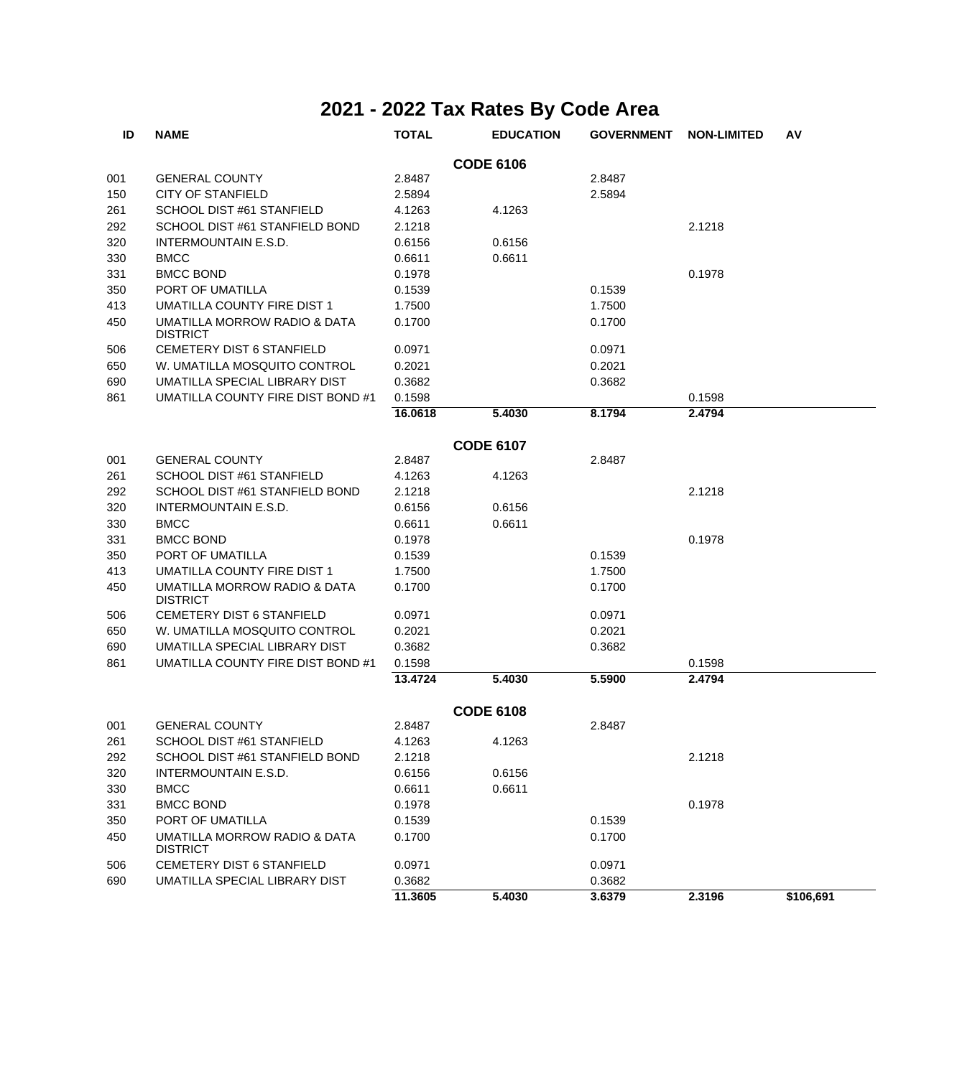| ID  | <b>NAME</b>                                     | <b>TOTAL</b> | <b>EDUCATION</b> | <b>GOVERNMENT</b> | <b>NON-LIMITED</b> | AV        |
|-----|-------------------------------------------------|--------------|------------------|-------------------|--------------------|-----------|
|     |                                                 |              | <b>CODE 6106</b> |                   |                    |           |
| 001 | <b>GENERAL COUNTY</b>                           | 2.8487       |                  | 2.8487            |                    |           |
| 150 | <b>CITY OF STANFIELD</b>                        | 2.5894       |                  | 2.5894            |                    |           |
| 261 | SCHOOL DIST #61 STANFIELD                       | 4.1263       | 4.1263           |                   |                    |           |
| 292 | SCHOOL DIST #61 STANFIELD BOND                  | 2.1218       |                  |                   | 2.1218             |           |
| 320 | INTERMOUNTAIN E.S.D.                            | 0.6156       | 0.6156           |                   |                    |           |
| 330 | <b>BMCC</b>                                     | 0.6611       | 0.6611           |                   |                    |           |
| 331 | <b>BMCC BOND</b>                                | 0.1978       |                  |                   | 0.1978             |           |
| 350 | PORT OF UMATILLA                                | 0.1539       |                  | 0.1539            |                    |           |
| 413 | UMATILLA COUNTY FIRE DIST 1                     | 1.7500       |                  | 1.7500            |                    |           |
| 450 | UMATILLA MORROW RADIO & DATA<br><b>DISTRICT</b> | 0.1700       |                  | 0.1700            |                    |           |
| 506 | CEMETERY DIST 6 STANFIELD                       | 0.0971       |                  | 0.0971            |                    |           |
| 650 | W. UMATILLA MOSQUITO CONTROL                    | 0.2021       |                  | 0.2021            |                    |           |
| 690 | UMATILLA SPECIAL LIBRARY DIST                   | 0.3682       |                  | 0.3682            |                    |           |
| 861 | UMATILLA COUNTY FIRE DIST BOND #1               | 0.1598       |                  |                   | 0.1598             |           |
|     |                                                 | 16.0618      | 5.4030           | 8.1794            | 2.4794             |           |
|     |                                                 |              | <b>CODE 6107</b> |                   |                    |           |
| 001 | <b>GENERAL COUNTY</b>                           | 2.8487       |                  | 2.8487            |                    |           |
| 261 | SCHOOL DIST #61 STANFIELD                       | 4.1263       | 4.1263           |                   |                    |           |
| 292 | SCHOOL DIST #61 STANFIELD BOND                  | 2.1218       |                  |                   | 2.1218             |           |
| 320 | <b>INTERMOUNTAIN E.S.D.</b>                     | 0.6156       | 0.6156           |                   |                    |           |
| 330 | <b>BMCC</b>                                     | 0.6611       | 0.6611           |                   |                    |           |
| 331 | <b>BMCC BOND</b>                                | 0.1978       |                  |                   | 0.1978             |           |
| 350 | PORT OF UMATILLA                                | 0.1539       |                  | 0.1539            |                    |           |
| 413 | UMATILLA COUNTY FIRE DIST 1                     | 1.7500       |                  | 1.7500            |                    |           |
| 450 | UMATILLA MORROW RADIO & DATA<br><b>DISTRICT</b> | 0.1700       |                  | 0.1700            |                    |           |
| 506 | CEMETERY DIST 6 STANFIELD                       | 0.0971       |                  | 0.0971            |                    |           |
| 650 | W. UMATILLA MOSQUITO CONTROL                    | 0.2021       |                  | 0.2021            |                    |           |
| 690 | UMATILLA SPECIAL LIBRARY DIST                   | 0.3682       |                  | 0.3682            |                    |           |
| 861 | UMATILLA COUNTY FIRE DIST BOND #1               | 0.1598       |                  |                   | 0.1598             |           |
|     |                                                 | 13.4724      | 5.4030           | 5.5900            | 2.4794             |           |
|     |                                                 |              | <b>CODE 6108</b> |                   |                    |           |
| 001 | <b>GENERAL COUNTY</b>                           | 2.8487       |                  | 2.8487            |                    |           |
| 261 | SCHOOL DIST #61 STANFIELD                       | 4.1263       | 4.1263           |                   |                    |           |
| 292 | SCHOOL DIST #61 STANFIELD BOND                  | 2.1218       |                  |                   | 2.1218             |           |
| 320 | INTERMOUNTAIN E.S.D.                            | 0.6156       | 0.6156           |                   |                    |           |
| 330 | <b>BMCC</b>                                     | 0.6611       | 0.6611           |                   |                    |           |
| 331 | <b>BMCC BOND</b>                                | 0.1978       |                  |                   | 0.1978             |           |
| 350 | PORT OF UMATILLA                                | 0.1539       |                  | 0.1539            |                    |           |
| 450 | UMATILLA MORROW RADIO & DATA                    | 0.1700       |                  | 0.1700            |                    |           |
|     | <b>DISTRICT</b>                                 |              |                  |                   |                    |           |
| 506 | CEMETERY DIST 6 STANFIELD                       | 0.0971       |                  | 0.0971            |                    |           |
| 690 | UMATILLA SPECIAL LIBRARY DIST                   | 0.3682       |                  | 0.3682            |                    |           |
|     |                                                 | 11.3605      | 5.4030           | 3.6379            | 2.3196             | \$106,691 |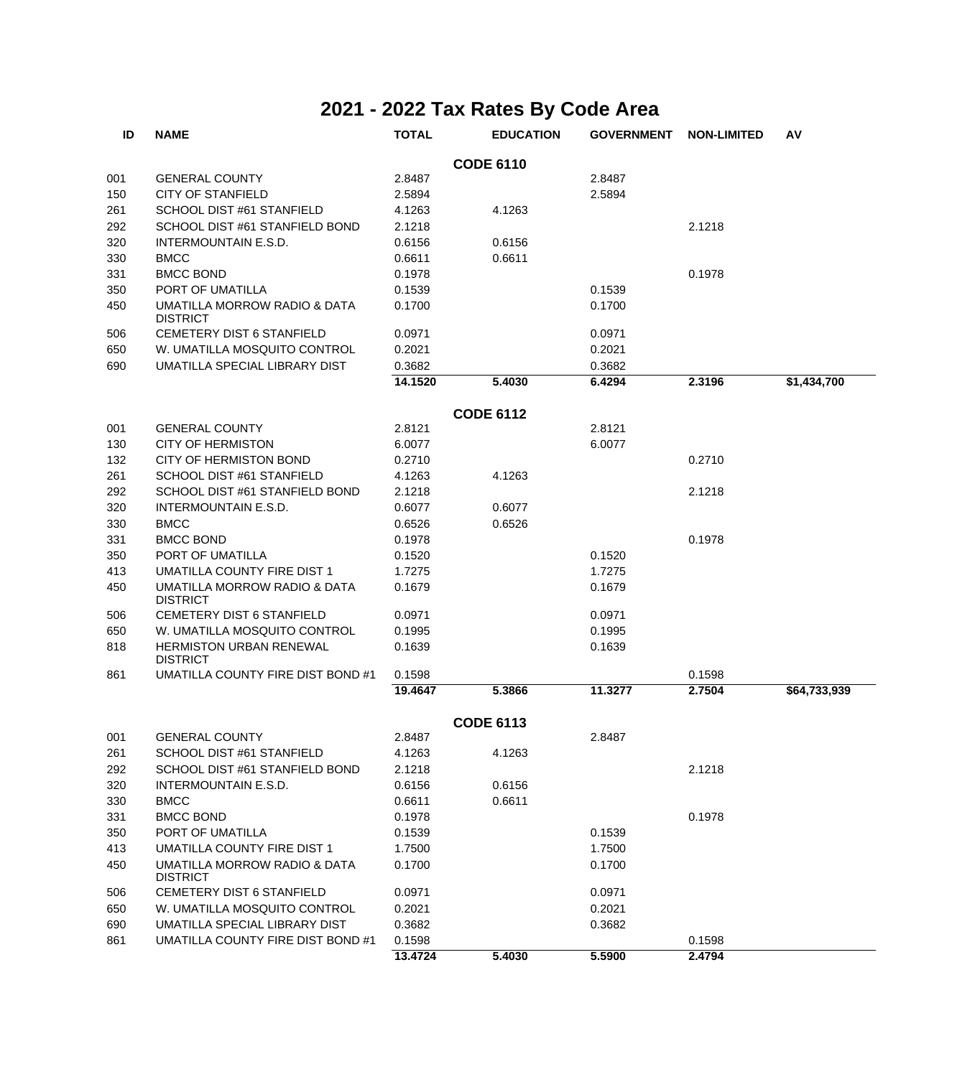| ID  | <b>NAME</b>                                       | <b>TOTAL</b> | <b>EDUCATION</b> | <b>GOVERNMENT</b> | <b>NON-LIMITED</b> | AV           |
|-----|---------------------------------------------------|--------------|------------------|-------------------|--------------------|--------------|
|     |                                                   |              | <b>CODE 6110</b> |                   |                    |              |
| 001 | <b>GENERAL COUNTY</b>                             | 2.8487       |                  | 2.8487            |                    |              |
| 150 | <b>CITY OF STANFIELD</b>                          | 2.5894       |                  | 2.5894            |                    |              |
| 261 | SCHOOL DIST #61 STANFIELD                         | 4.1263       | 4.1263           |                   |                    |              |
| 292 | SCHOOL DIST #61 STANFIELD BOND                    | 2.1218       |                  |                   | 2.1218             |              |
| 320 | <b>INTERMOUNTAIN E.S.D.</b>                       | 0.6156       | 0.6156           |                   |                    |              |
| 330 | <b>BMCC</b>                                       | 0.6611       | 0.6611           |                   |                    |              |
| 331 | <b>BMCC BOND</b>                                  | 0.1978       |                  |                   | 0.1978             |              |
| 350 | PORT OF UMATILLA                                  | 0.1539       |                  | 0.1539            |                    |              |
| 450 | UMATILLA MORROW RADIO & DATA<br><b>DISTRICT</b>   | 0.1700       |                  | 0.1700            |                    |              |
| 506 | <b>CEMETERY DIST 6 STANFIELD</b>                  | 0.0971       |                  | 0.0971            |                    |              |
| 650 | W. UMATILLA MOSQUITO CONTROL                      | 0.2021       |                  | 0.2021            |                    |              |
| 690 | UMATILLA SPECIAL LIBRARY DIST                     | 0.3682       |                  | 0.3682            |                    |              |
|     |                                                   | 14.1520      | 5.4030           | 6.4294            | 2.3196             | \$1,434,700  |
|     |                                                   |              | <b>CODE 6112</b> |                   |                    |              |
| 001 | <b>GENERAL COUNTY</b>                             | 2.8121       |                  | 2.8121            |                    |              |
| 130 | CITY OF HERMISTON                                 | 6.0077       |                  | 6.0077            |                    |              |
| 132 | CITY OF HERMISTON BOND                            | 0.2710       |                  |                   | 0.2710             |              |
| 261 | SCHOOL DIST #61 STANFIELD                         | 4.1263       | 4.1263           |                   |                    |              |
| 292 | SCHOOL DIST #61 STANFIELD BOND                    | 2.1218       |                  |                   | 2.1218             |              |
| 320 | <b>INTERMOUNTAIN E.S.D.</b>                       | 0.6077       | 0.6077           |                   |                    |              |
| 330 | <b>BMCC</b>                                       | 0.6526       | 0.6526           |                   |                    |              |
| 331 | <b>BMCC BOND</b>                                  | 0.1978       |                  |                   | 0.1978             |              |
| 350 | PORT OF UMATILLA                                  | 0.1520       |                  | 0.1520            |                    |              |
| 413 | UMATILLA COUNTY FIRE DIST 1                       | 1.7275       |                  | 1.7275            |                    |              |
| 450 | UMATILLA MORROW RADIO & DATA<br><b>DISTRICT</b>   | 0.1679       |                  | 0.1679            |                    |              |
| 506 | CEMETERY DIST 6 STANFIELD                         | 0.0971       |                  | 0.0971            |                    |              |
| 650 | W. UMATILLA MOSQUITO CONTROL                      | 0.1995       |                  | 0.1995            |                    |              |
| 818 | <b>HERMISTON URBAN RENEWAL</b><br><b>DISTRICT</b> | 0.1639       |                  | 0.1639            |                    |              |
| 861 | UMATILLA COUNTY FIRE DIST BOND #1                 | 0.1598       |                  |                   | 0.1598             |              |
|     |                                                   | 19.4647      | 5.3866           | 11.3277           | 2.7504             | \$64,733,939 |
|     |                                                   |              | <b>CODE 6113</b> |                   |                    |              |
| 001 | <b>GENERAL COUNTY</b>                             | 2.8487       |                  | 2.8487            |                    |              |
| 261 | SCHOOL DIST #61 STANFIELD                         | 4.1263       | 4.1263           |                   |                    |              |
| 292 | SCHOOL DIST #61 STANFIELD BOND                    | 2.1218       |                  |                   | 2.1218             |              |
| 320 | INTERMOUNTAIN E.S.D.                              | 0.6156       | 0.6156           |                   |                    |              |
| 330 | <b>BMCC</b>                                       | 0.6611       | 0.6611           |                   |                    |              |
| 331 | <b>BMCC BOND</b>                                  | 0.1978       |                  |                   | 0.1978             |              |
| 350 | PORT OF UMATILLA                                  | 0.1539       |                  | 0.1539            |                    |              |
| 413 | UMATILLA COUNTY FIRE DIST 1                       | 1.7500       |                  | 1.7500            |                    |              |
| 450 | UMATILLA MORROW RADIO & DATA<br><b>DISTRICT</b>   | 0.1700       |                  | 0.1700            |                    |              |
| 506 | CEMETERY DIST 6 STANFIELD                         | 0.0971       |                  | 0.0971            |                    |              |
| 650 | W. UMATILLA MOSQUITO CONTROL                      | 0.2021       |                  | 0.2021            |                    |              |
| 690 | UMATILLA SPECIAL LIBRARY DIST                     | 0.3682       |                  | 0.3682            |                    |              |
| 861 | UMATILLA COUNTY FIRE DIST BOND #1                 | 0.1598       |                  |                   | 0.1598             |              |
|     |                                                   | 13.4724      | 5.4030           | 5.5900            | 2.4794             |              |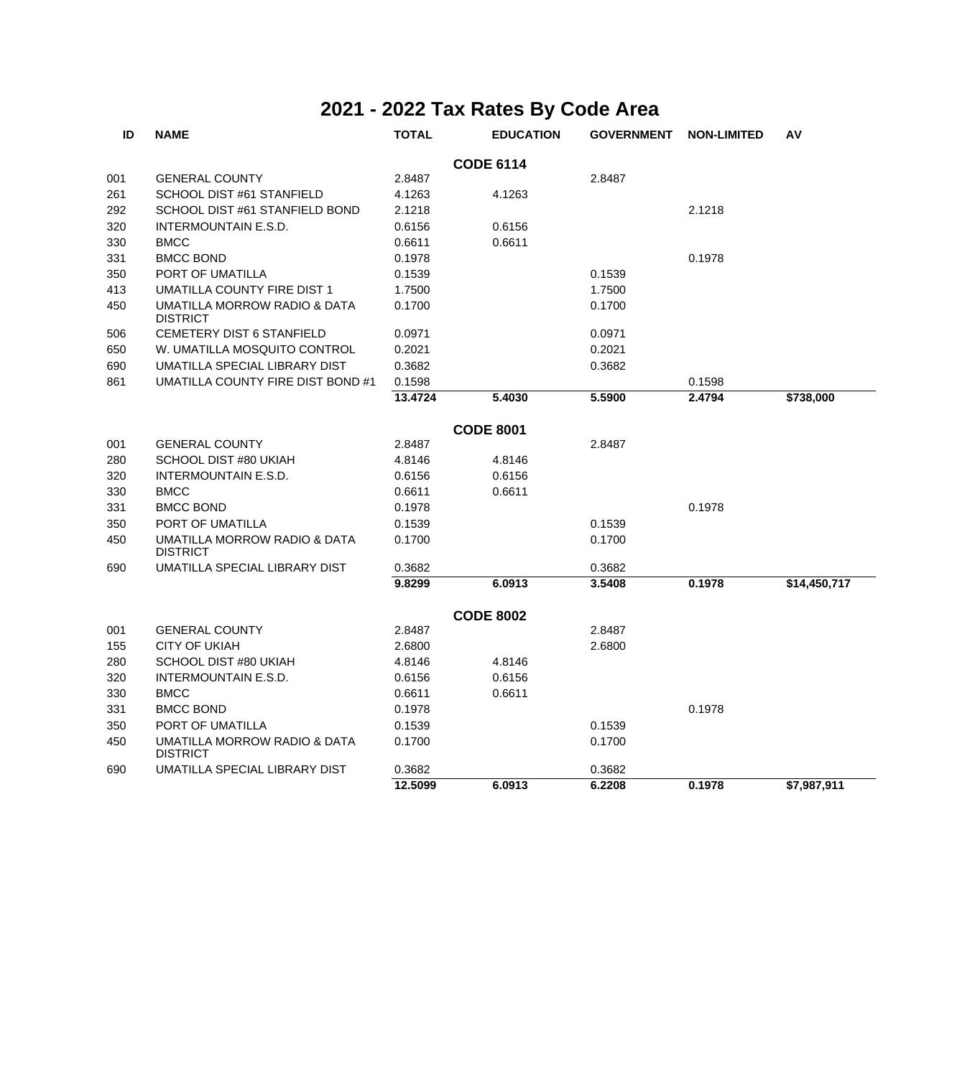| ID  | <b>NAME</b>                                     | <b>TOTAL</b> | <b>EDUCATION</b> | <b>GOVERNMENT</b> | <b>NON-LIMITED</b> | AV           |
|-----|-------------------------------------------------|--------------|------------------|-------------------|--------------------|--------------|
|     |                                                 |              | <b>CODE 6114</b> |                   |                    |              |
| 001 | <b>GENERAL COUNTY</b>                           | 2.8487       |                  | 2.8487            |                    |              |
| 261 | SCHOOL DIST #61 STANFIELD                       | 4.1263       | 4.1263           |                   |                    |              |
| 292 | SCHOOL DIST #61 STANFIELD BOND                  | 2.1218       |                  |                   | 2.1218             |              |
| 320 | INTERMOUNTAIN E.S.D.                            | 0.6156       | 0.6156           |                   |                    |              |
| 330 | <b>BMCC</b>                                     | 0.6611       | 0.6611           |                   |                    |              |
| 331 | <b>BMCC BOND</b>                                | 0.1978       |                  |                   | 0.1978             |              |
| 350 | PORT OF UMATILLA                                | 0.1539       |                  | 0.1539            |                    |              |
| 413 | <b>UMATILLA COUNTY FIRE DIST 1</b>              | 1.7500       |                  | 1.7500            |                    |              |
| 450 | UMATILLA MORROW RADIO & DATA<br><b>DISTRICT</b> | 0.1700       |                  | 0.1700            |                    |              |
| 506 | CEMETERY DIST 6 STANFIELD                       | 0.0971       |                  | 0.0971            |                    |              |
| 650 | W. UMATILLA MOSQUITO CONTROL                    | 0.2021       |                  | 0.2021            |                    |              |
| 690 | UMATILLA SPECIAL LIBRARY DIST                   | 0.3682       |                  | 0.3682            |                    |              |
| 861 | UMATILLA COUNTY FIRE DIST BOND #1               | 0.1598       |                  |                   | 0.1598             |              |
|     |                                                 | 13.4724      | 5.4030           | 5.5900            | 2.4794             | \$738,000    |
|     |                                                 |              | <b>CODE 8001</b> |                   |                    |              |
| 001 | <b>GENERAL COUNTY</b>                           | 2.8487       |                  | 2.8487            |                    |              |
| 280 | SCHOOL DIST #80 UKIAH                           | 4.8146       | 4.8146           |                   |                    |              |
| 320 | INTERMOUNTAIN E.S.D.                            | 0.6156       | 0.6156           |                   |                    |              |
| 330 | <b>BMCC</b>                                     | 0.6611       | 0.6611           |                   |                    |              |
| 331 | <b>BMCC BOND</b>                                | 0.1978       |                  |                   | 0.1978             |              |
| 350 | PORT OF UMATILLA                                | 0.1539       |                  | 0.1539            |                    |              |
| 450 | UMATILLA MORROW RADIO & DATA<br><b>DISTRICT</b> | 0.1700       |                  | 0.1700            |                    |              |
| 690 | UMATILLA SPECIAL LIBRARY DIST                   | 0.3682       |                  | 0.3682            |                    |              |
|     |                                                 | 9.8299       | 6.0913           | 3.5408            | 0.1978             | \$14,450,717 |
|     |                                                 |              | <b>CODE 8002</b> |                   |                    |              |
| 001 | <b>GENERAL COUNTY</b>                           | 2.8487       |                  | 2.8487            |                    |              |
| 155 | CITY OF UKIAH                                   | 2.6800       |                  | 2.6800            |                    |              |
| 280 | SCHOOL DIST #80 UKIAH                           | 4.8146       | 4.8146           |                   |                    |              |
| 320 | <b>INTERMOUNTAIN E.S.D.</b>                     | 0.6156       | 0.6156           |                   |                    |              |
| 330 | <b>BMCC</b>                                     | 0.6611       | 0.6611           |                   |                    |              |
| 331 | <b>BMCC BOND</b>                                | 0.1978       |                  |                   | 0.1978             |              |
| 350 | PORT OF UMATILLA                                | 0.1539       |                  | 0.1539            |                    |              |
| 450 | UMATILLA MORROW RADIO & DATA<br><b>DISTRICT</b> | 0.1700       |                  | 0.1700            |                    |              |
| 690 | UMATILLA SPECIAL LIBRARY DIST                   | 0.3682       |                  | 0.3682            |                    |              |
|     |                                                 | 12.5099      | 6.0913           | 6.2208            | 0.1978             | \$7,987,911  |